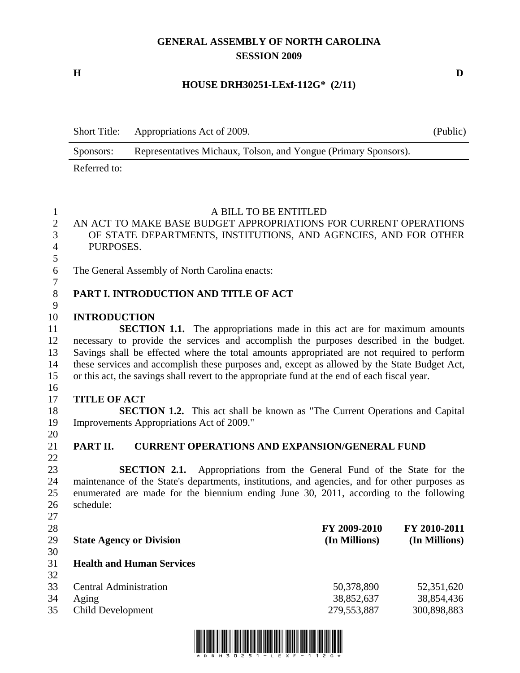# **GENERAL ASSEMBLY OF NORTH CAROLINA SESSION 2009**

**H D** 

# **HOUSE DRH30251-LExf-112G\* (2/11)**

| <b>Short Title:</b> | Appropriations Act of 2009.                                     | (Public) |
|---------------------|-----------------------------------------------------------------|----------|
| Sponsors:           | Representatives Michaux, Tolson, and Yongue (Primary Sponsors). |          |
| Referred to:        |                                                                 |          |

| $\mathbf{1}$   | A BILL TO BE ENTITLED                                                                         |               |               |
|----------------|-----------------------------------------------------------------------------------------------|---------------|---------------|
| $\overline{2}$ | AN ACT TO MAKE BASE BUDGET APPROPRIATIONS FOR CURRENT OPERATIONS                              |               |               |
| 3              | OF STATE DEPARTMENTS, INSTITUTIONS, AND AGENCIES, AND FOR OTHER                               |               |               |
| $\overline{4}$ | PURPOSES.                                                                                     |               |               |
| 5              |                                                                                               |               |               |
| 6              | The General Assembly of North Carolina enacts:                                                |               |               |
| $\overline{7}$ |                                                                                               |               |               |
| $8\,$          | PART I. INTRODUCTION AND TITLE OF ACT                                                         |               |               |
| 9              |                                                                                               |               |               |
| 10             | <b>INTRODUCTION</b>                                                                           |               |               |
| 11             | <b>SECTION 1.1.</b> The appropriations made in this act are for maximum amounts               |               |               |
| 12             | necessary to provide the services and accomplish the purposes described in the budget.        |               |               |
| 13             | Savings shall be effected where the total amounts appropriated are not required to perform    |               |               |
| 14             | these services and accomplish these purposes and, except as allowed by the State Budget Act,  |               |               |
| 15             | or this act, the savings shall revert to the appropriate fund at the end of each fiscal year. |               |               |
| 16             |                                                                                               |               |               |
| 17             | <b>TITLE OF ACT</b>                                                                           |               |               |
| 18             | <b>SECTION 1.2.</b> This act shall be known as "The Current Operations and Capital            |               |               |
| 19             | Improvements Appropriations Act of 2009."                                                     |               |               |
| 20             |                                                                                               |               |               |
| 21             | PART II.<br><b>CURRENT OPERATIONS AND EXPANSION/GENERAL FUND</b>                              |               |               |
| 22             |                                                                                               |               |               |
| 23             | <b>SECTION 2.1.</b><br>Appropriations from the General Fund of the State for the              |               |               |
| 24             | maintenance of the State's departments, institutions, and agencies, and for other purposes as |               |               |
| 25             | enumerated are made for the biennium ending June 30, 2011, according to the following         |               |               |
| 26             | schedule:                                                                                     |               |               |
| 27             |                                                                                               |               |               |
| 28             |                                                                                               | FY 2009-2010  | FY 2010-2011  |
| 29             | <b>State Agency or Division</b>                                                               | (In Millions) | (In Millions) |
| 30             |                                                                                               |               |               |
| 31             | <b>Health and Human Services</b>                                                              |               |               |
| 32             |                                                                                               |               |               |
| 33             | <b>Central Administration</b>                                                                 | 50,378,890    | 52,351,620    |
| 34             | Aging                                                                                         | 38,852,637    | 38,854,436    |
| 35             | <b>Child Development</b>                                                                      | 279,553,887   | 300,898,883   |
|                |                                                                                               |               |               |

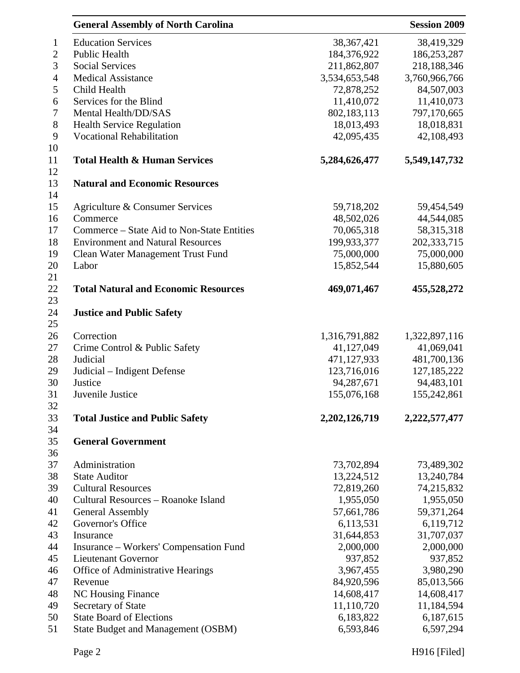| <b>Education Services</b><br>38,419,329<br>38, 367, 421<br>$\mathbf{1}$<br>$\mathbf{2}$<br>Public Health<br>184,376,922<br>186,253,287<br>3<br><b>Social Services</b><br>211,862,807<br>218,188,346<br>3,534,653,548<br>3,760,966,766<br>$\overline{4}$<br><b>Medical Assistance</b><br>5<br>84,507,003<br>Child Health<br>72,878,252<br>Services for the Blind<br>11,410,073<br>11,410,072<br>6<br>$\tau$<br>Mental Health/DD/SAS<br>802,183,113<br>797,170,665<br>$8\,$<br>18,018,831<br><b>Health Service Regulation</b><br>18,013,493<br>9<br><b>Vocational Rehabilitation</b><br>42,095,435<br>42,108,493<br><b>Total Health &amp; Human Services</b><br>5,284,626,477<br>5,549,147,732<br>13<br><b>Natural and Economic Resources</b><br>59,718,202<br>59,454,549<br>Agriculture & Consumer Services<br>Commerce<br>48,502,026<br>44,544,085<br>Commerce – State Aid to Non-State Entities<br>70,065,318<br>58,315,318<br><b>Environment and Natural Resources</b><br>199,933,377<br>202,333,715<br>75,000,000<br>Clean Water Management Trust Fund<br>75,000,000<br>15,880,605<br>Labor<br>15,852,544<br>22<br><b>Total Natural and Economic Resources</b><br>469,071,467<br>455,528,272<br>23<br><b>Justice and Public Safety</b><br>Correction<br>1,316,791,882<br>1,322,897,116<br>Crime Control & Public Safety<br>41,127,049<br>41,069,041<br>471,127,933<br>481,700,136<br>Judicial<br>123,716,016<br>127, 185, 222<br>Judicial – Indigent Defense<br>Justice<br>94,287,671<br>94,483,101<br>155,076,168<br>155,242,861<br>Juvenile Justice<br>32<br>33<br><b>Total Justice and Public Safety</b><br>2, 202, 126, 719<br>2,222,577,477<br>34<br><b>General Government</b><br>35<br>Administration<br>73,702,894<br>73,489,302<br>13,240,784<br><b>State Auditor</b><br>13,224,512<br>72,819,260<br><b>Cultural Resources</b><br>74,215,832<br>Cultural Resources - Roanoke Island<br>1,955,050<br>1,955,050<br><b>General Assembly</b><br>57,661,786<br>59,371,264<br>Governor's Office<br>6,113,531<br>6,119,712<br>31,707,037<br>31,644,853<br>Insurance<br>2,000,000<br>2,000,000<br>Insurance – Workers' Compensation Fund<br>937,852<br>937,852<br><b>Lieutenant Governor</b><br>3,980,290<br>Office of Administrative Hearings<br>3,967,455<br>84,920,596<br>85,013,566<br>Revenue<br><b>NC Housing Finance</b><br>14,608,417<br>14,608,417<br>11,110,720<br>11,184,594<br>Secretary of State<br><b>State Board of Elections</b><br>6,183,822<br>6,187,615 |          | <b>General Assembly of North Carolina</b><br><b>Session 2009</b> |           |           |
|-------------------------------------------------------------------------------------------------------------------------------------------------------------------------------------------------------------------------------------------------------------------------------------------------------------------------------------------------------------------------------------------------------------------------------------------------------------------------------------------------------------------------------------------------------------------------------------------------------------------------------------------------------------------------------------------------------------------------------------------------------------------------------------------------------------------------------------------------------------------------------------------------------------------------------------------------------------------------------------------------------------------------------------------------------------------------------------------------------------------------------------------------------------------------------------------------------------------------------------------------------------------------------------------------------------------------------------------------------------------------------------------------------------------------------------------------------------------------------------------------------------------------------------------------------------------------------------------------------------------------------------------------------------------------------------------------------------------------------------------------------------------------------------------------------------------------------------------------------------------------------------------------------------------------------------------------------------------------------------------------------------------------------------------------------------------------------------------------------------------------------------------------------------------------------------------------------------------------------------------------------------------------------------------------------------------------------------------------------------------------------------------------------------------------------------------------------------------------------|----------|------------------------------------------------------------------|-----------|-----------|
|                                                                                                                                                                                                                                                                                                                                                                                                                                                                                                                                                                                                                                                                                                                                                                                                                                                                                                                                                                                                                                                                                                                                                                                                                                                                                                                                                                                                                                                                                                                                                                                                                                                                                                                                                                                                                                                                                                                                                                                                                                                                                                                                                                                                                                                                                                                                                                                                                                                                               |          |                                                                  |           |           |
|                                                                                                                                                                                                                                                                                                                                                                                                                                                                                                                                                                                                                                                                                                                                                                                                                                                                                                                                                                                                                                                                                                                                                                                                                                                                                                                                                                                                                                                                                                                                                                                                                                                                                                                                                                                                                                                                                                                                                                                                                                                                                                                                                                                                                                                                                                                                                                                                                                                                               |          |                                                                  |           |           |
|                                                                                                                                                                                                                                                                                                                                                                                                                                                                                                                                                                                                                                                                                                                                                                                                                                                                                                                                                                                                                                                                                                                                                                                                                                                                                                                                                                                                                                                                                                                                                                                                                                                                                                                                                                                                                                                                                                                                                                                                                                                                                                                                                                                                                                                                                                                                                                                                                                                                               |          |                                                                  |           |           |
|                                                                                                                                                                                                                                                                                                                                                                                                                                                                                                                                                                                                                                                                                                                                                                                                                                                                                                                                                                                                                                                                                                                                                                                                                                                                                                                                                                                                                                                                                                                                                                                                                                                                                                                                                                                                                                                                                                                                                                                                                                                                                                                                                                                                                                                                                                                                                                                                                                                                               |          |                                                                  |           |           |
|                                                                                                                                                                                                                                                                                                                                                                                                                                                                                                                                                                                                                                                                                                                                                                                                                                                                                                                                                                                                                                                                                                                                                                                                                                                                                                                                                                                                                                                                                                                                                                                                                                                                                                                                                                                                                                                                                                                                                                                                                                                                                                                                                                                                                                                                                                                                                                                                                                                                               |          |                                                                  |           |           |
|                                                                                                                                                                                                                                                                                                                                                                                                                                                                                                                                                                                                                                                                                                                                                                                                                                                                                                                                                                                                                                                                                                                                                                                                                                                                                                                                                                                                                                                                                                                                                                                                                                                                                                                                                                                                                                                                                                                                                                                                                                                                                                                                                                                                                                                                                                                                                                                                                                                                               |          |                                                                  |           |           |
|                                                                                                                                                                                                                                                                                                                                                                                                                                                                                                                                                                                                                                                                                                                                                                                                                                                                                                                                                                                                                                                                                                                                                                                                                                                                                                                                                                                                                                                                                                                                                                                                                                                                                                                                                                                                                                                                                                                                                                                                                                                                                                                                                                                                                                                                                                                                                                                                                                                                               |          |                                                                  |           |           |
|                                                                                                                                                                                                                                                                                                                                                                                                                                                                                                                                                                                                                                                                                                                                                                                                                                                                                                                                                                                                                                                                                                                                                                                                                                                                                                                                                                                                                                                                                                                                                                                                                                                                                                                                                                                                                                                                                                                                                                                                                                                                                                                                                                                                                                                                                                                                                                                                                                                                               |          |                                                                  |           |           |
|                                                                                                                                                                                                                                                                                                                                                                                                                                                                                                                                                                                                                                                                                                                                                                                                                                                                                                                                                                                                                                                                                                                                                                                                                                                                                                                                                                                                                                                                                                                                                                                                                                                                                                                                                                                                                                                                                                                                                                                                                                                                                                                                                                                                                                                                                                                                                                                                                                                                               |          |                                                                  |           |           |
|                                                                                                                                                                                                                                                                                                                                                                                                                                                                                                                                                                                                                                                                                                                                                                                                                                                                                                                                                                                                                                                                                                                                                                                                                                                                                                                                                                                                                                                                                                                                                                                                                                                                                                                                                                                                                                                                                                                                                                                                                                                                                                                                                                                                                                                                                                                                                                                                                                                                               | 10<br>11 |                                                                  |           |           |
|                                                                                                                                                                                                                                                                                                                                                                                                                                                                                                                                                                                                                                                                                                                                                                                                                                                                                                                                                                                                                                                                                                                                                                                                                                                                                                                                                                                                                                                                                                                                                                                                                                                                                                                                                                                                                                                                                                                                                                                                                                                                                                                                                                                                                                                                                                                                                                                                                                                                               | 12       |                                                                  |           |           |
|                                                                                                                                                                                                                                                                                                                                                                                                                                                                                                                                                                                                                                                                                                                                                                                                                                                                                                                                                                                                                                                                                                                                                                                                                                                                                                                                                                                                                                                                                                                                                                                                                                                                                                                                                                                                                                                                                                                                                                                                                                                                                                                                                                                                                                                                                                                                                                                                                                                                               | 14       |                                                                  |           |           |
|                                                                                                                                                                                                                                                                                                                                                                                                                                                                                                                                                                                                                                                                                                                                                                                                                                                                                                                                                                                                                                                                                                                                                                                                                                                                                                                                                                                                                                                                                                                                                                                                                                                                                                                                                                                                                                                                                                                                                                                                                                                                                                                                                                                                                                                                                                                                                                                                                                                                               | 15       |                                                                  |           |           |
|                                                                                                                                                                                                                                                                                                                                                                                                                                                                                                                                                                                                                                                                                                                                                                                                                                                                                                                                                                                                                                                                                                                                                                                                                                                                                                                                                                                                                                                                                                                                                                                                                                                                                                                                                                                                                                                                                                                                                                                                                                                                                                                                                                                                                                                                                                                                                                                                                                                                               | 16       |                                                                  |           |           |
|                                                                                                                                                                                                                                                                                                                                                                                                                                                                                                                                                                                                                                                                                                                                                                                                                                                                                                                                                                                                                                                                                                                                                                                                                                                                                                                                                                                                                                                                                                                                                                                                                                                                                                                                                                                                                                                                                                                                                                                                                                                                                                                                                                                                                                                                                                                                                                                                                                                                               | 17       |                                                                  |           |           |
|                                                                                                                                                                                                                                                                                                                                                                                                                                                                                                                                                                                                                                                                                                                                                                                                                                                                                                                                                                                                                                                                                                                                                                                                                                                                                                                                                                                                                                                                                                                                                                                                                                                                                                                                                                                                                                                                                                                                                                                                                                                                                                                                                                                                                                                                                                                                                                                                                                                                               | 18       |                                                                  |           |           |
|                                                                                                                                                                                                                                                                                                                                                                                                                                                                                                                                                                                                                                                                                                                                                                                                                                                                                                                                                                                                                                                                                                                                                                                                                                                                                                                                                                                                                                                                                                                                                                                                                                                                                                                                                                                                                                                                                                                                                                                                                                                                                                                                                                                                                                                                                                                                                                                                                                                                               | 19       |                                                                  |           |           |
|                                                                                                                                                                                                                                                                                                                                                                                                                                                                                                                                                                                                                                                                                                                                                                                                                                                                                                                                                                                                                                                                                                                                                                                                                                                                                                                                                                                                                                                                                                                                                                                                                                                                                                                                                                                                                                                                                                                                                                                                                                                                                                                                                                                                                                                                                                                                                                                                                                                                               | 20       |                                                                  |           |           |
|                                                                                                                                                                                                                                                                                                                                                                                                                                                                                                                                                                                                                                                                                                                                                                                                                                                                                                                                                                                                                                                                                                                                                                                                                                                                                                                                                                                                                                                                                                                                                                                                                                                                                                                                                                                                                                                                                                                                                                                                                                                                                                                                                                                                                                                                                                                                                                                                                                                                               | 21       |                                                                  |           |           |
|                                                                                                                                                                                                                                                                                                                                                                                                                                                                                                                                                                                                                                                                                                                                                                                                                                                                                                                                                                                                                                                                                                                                                                                                                                                                                                                                                                                                                                                                                                                                                                                                                                                                                                                                                                                                                                                                                                                                                                                                                                                                                                                                                                                                                                                                                                                                                                                                                                                                               |          |                                                                  |           |           |
|                                                                                                                                                                                                                                                                                                                                                                                                                                                                                                                                                                                                                                                                                                                                                                                                                                                                                                                                                                                                                                                                                                                                                                                                                                                                                                                                                                                                                                                                                                                                                                                                                                                                                                                                                                                                                                                                                                                                                                                                                                                                                                                                                                                                                                                                                                                                                                                                                                                                               | 24       |                                                                  |           |           |
|                                                                                                                                                                                                                                                                                                                                                                                                                                                                                                                                                                                                                                                                                                                                                                                                                                                                                                                                                                                                                                                                                                                                                                                                                                                                                                                                                                                                                                                                                                                                                                                                                                                                                                                                                                                                                                                                                                                                                                                                                                                                                                                                                                                                                                                                                                                                                                                                                                                                               | 25       |                                                                  |           |           |
|                                                                                                                                                                                                                                                                                                                                                                                                                                                                                                                                                                                                                                                                                                                                                                                                                                                                                                                                                                                                                                                                                                                                                                                                                                                                                                                                                                                                                                                                                                                                                                                                                                                                                                                                                                                                                                                                                                                                                                                                                                                                                                                                                                                                                                                                                                                                                                                                                                                                               | 26       |                                                                  |           |           |
|                                                                                                                                                                                                                                                                                                                                                                                                                                                                                                                                                                                                                                                                                                                                                                                                                                                                                                                                                                                                                                                                                                                                                                                                                                                                                                                                                                                                                                                                                                                                                                                                                                                                                                                                                                                                                                                                                                                                                                                                                                                                                                                                                                                                                                                                                                                                                                                                                                                                               | 27       |                                                                  |           |           |
|                                                                                                                                                                                                                                                                                                                                                                                                                                                                                                                                                                                                                                                                                                                                                                                                                                                                                                                                                                                                                                                                                                                                                                                                                                                                                                                                                                                                                                                                                                                                                                                                                                                                                                                                                                                                                                                                                                                                                                                                                                                                                                                                                                                                                                                                                                                                                                                                                                                                               | 28       |                                                                  |           |           |
|                                                                                                                                                                                                                                                                                                                                                                                                                                                                                                                                                                                                                                                                                                                                                                                                                                                                                                                                                                                                                                                                                                                                                                                                                                                                                                                                                                                                                                                                                                                                                                                                                                                                                                                                                                                                                                                                                                                                                                                                                                                                                                                                                                                                                                                                                                                                                                                                                                                                               | 29       |                                                                  |           |           |
|                                                                                                                                                                                                                                                                                                                                                                                                                                                                                                                                                                                                                                                                                                                                                                                                                                                                                                                                                                                                                                                                                                                                                                                                                                                                                                                                                                                                                                                                                                                                                                                                                                                                                                                                                                                                                                                                                                                                                                                                                                                                                                                                                                                                                                                                                                                                                                                                                                                                               | 30       |                                                                  |           |           |
|                                                                                                                                                                                                                                                                                                                                                                                                                                                                                                                                                                                                                                                                                                                                                                                                                                                                                                                                                                                                                                                                                                                                                                                                                                                                                                                                                                                                                                                                                                                                                                                                                                                                                                                                                                                                                                                                                                                                                                                                                                                                                                                                                                                                                                                                                                                                                                                                                                                                               | 31       |                                                                  |           |           |
|                                                                                                                                                                                                                                                                                                                                                                                                                                                                                                                                                                                                                                                                                                                                                                                                                                                                                                                                                                                                                                                                                                                                                                                                                                                                                                                                                                                                                                                                                                                                                                                                                                                                                                                                                                                                                                                                                                                                                                                                                                                                                                                                                                                                                                                                                                                                                                                                                                                                               |          |                                                                  |           |           |
|                                                                                                                                                                                                                                                                                                                                                                                                                                                                                                                                                                                                                                                                                                                                                                                                                                                                                                                                                                                                                                                                                                                                                                                                                                                                                                                                                                                                                                                                                                                                                                                                                                                                                                                                                                                                                                                                                                                                                                                                                                                                                                                                                                                                                                                                                                                                                                                                                                                                               |          |                                                                  |           |           |
|                                                                                                                                                                                                                                                                                                                                                                                                                                                                                                                                                                                                                                                                                                                                                                                                                                                                                                                                                                                                                                                                                                                                                                                                                                                                                                                                                                                                                                                                                                                                                                                                                                                                                                                                                                                                                                                                                                                                                                                                                                                                                                                                                                                                                                                                                                                                                                                                                                                                               |          |                                                                  |           |           |
|                                                                                                                                                                                                                                                                                                                                                                                                                                                                                                                                                                                                                                                                                                                                                                                                                                                                                                                                                                                                                                                                                                                                                                                                                                                                                                                                                                                                                                                                                                                                                                                                                                                                                                                                                                                                                                                                                                                                                                                                                                                                                                                                                                                                                                                                                                                                                                                                                                                                               | 36       |                                                                  |           |           |
|                                                                                                                                                                                                                                                                                                                                                                                                                                                                                                                                                                                                                                                                                                                                                                                                                                                                                                                                                                                                                                                                                                                                                                                                                                                                                                                                                                                                                                                                                                                                                                                                                                                                                                                                                                                                                                                                                                                                                                                                                                                                                                                                                                                                                                                                                                                                                                                                                                                                               | 37       |                                                                  |           |           |
|                                                                                                                                                                                                                                                                                                                                                                                                                                                                                                                                                                                                                                                                                                                                                                                                                                                                                                                                                                                                                                                                                                                                                                                                                                                                                                                                                                                                                                                                                                                                                                                                                                                                                                                                                                                                                                                                                                                                                                                                                                                                                                                                                                                                                                                                                                                                                                                                                                                                               | 38       |                                                                  |           |           |
|                                                                                                                                                                                                                                                                                                                                                                                                                                                                                                                                                                                                                                                                                                                                                                                                                                                                                                                                                                                                                                                                                                                                                                                                                                                                                                                                                                                                                                                                                                                                                                                                                                                                                                                                                                                                                                                                                                                                                                                                                                                                                                                                                                                                                                                                                                                                                                                                                                                                               | 39       |                                                                  |           |           |
|                                                                                                                                                                                                                                                                                                                                                                                                                                                                                                                                                                                                                                                                                                                                                                                                                                                                                                                                                                                                                                                                                                                                                                                                                                                                                                                                                                                                                                                                                                                                                                                                                                                                                                                                                                                                                                                                                                                                                                                                                                                                                                                                                                                                                                                                                                                                                                                                                                                                               | 40       |                                                                  |           |           |
|                                                                                                                                                                                                                                                                                                                                                                                                                                                                                                                                                                                                                                                                                                                                                                                                                                                                                                                                                                                                                                                                                                                                                                                                                                                                                                                                                                                                                                                                                                                                                                                                                                                                                                                                                                                                                                                                                                                                                                                                                                                                                                                                                                                                                                                                                                                                                                                                                                                                               | 41       |                                                                  |           |           |
|                                                                                                                                                                                                                                                                                                                                                                                                                                                                                                                                                                                                                                                                                                                                                                                                                                                                                                                                                                                                                                                                                                                                                                                                                                                                                                                                                                                                                                                                                                                                                                                                                                                                                                                                                                                                                                                                                                                                                                                                                                                                                                                                                                                                                                                                                                                                                                                                                                                                               | 42       |                                                                  |           |           |
|                                                                                                                                                                                                                                                                                                                                                                                                                                                                                                                                                                                                                                                                                                                                                                                                                                                                                                                                                                                                                                                                                                                                                                                                                                                                                                                                                                                                                                                                                                                                                                                                                                                                                                                                                                                                                                                                                                                                                                                                                                                                                                                                                                                                                                                                                                                                                                                                                                                                               | 43       |                                                                  |           |           |
|                                                                                                                                                                                                                                                                                                                                                                                                                                                                                                                                                                                                                                                                                                                                                                                                                                                                                                                                                                                                                                                                                                                                                                                                                                                                                                                                                                                                                                                                                                                                                                                                                                                                                                                                                                                                                                                                                                                                                                                                                                                                                                                                                                                                                                                                                                                                                                                                                                                                               | 44       |                                                                  |           |           |
|                                                                                                                                                                                                                                                                                                                                                                                                                                                                                                                                                                                                                                                                                                                                                                                                                                                                                                                                                                                                                                                                                                                                                                                                                                                                                                                                                                                                                                                                                                                                                                                                                                                                                                                                                                                                                                                                                                                                                                                                                                                                                                                                                                                                                                                                                                                                                                                                                                                                               | 45       |                                                                  |           |           |
|                                                                                                                                                                                                                                                                                                                                                                                                                                                                                                                                                                                                                                                                                                                                                                                                                                                                                                                                                                                                                                                                                                                                                                                                                                                                                                                                                                                                                                                                                                                                                                                                                                                                                                                                                                                                                                                                                                                                                                                                                                                                                                                                                                                                                                                                                                                                                                                                                                                                               | 46       |                                                                  |           |           |
|                                                                                                                                                                                                                                                                                                                                                                                                                                                                                                                                                                                                                                                                                                                                                                                                                                                                                                                                                                                                                                                                                                                                                                                                                                                                                                                                                                                                                                                                                                                                                                                                                                                                                                                                                                                                                                                                                                                                                                                                                                                                                                                                                                                                                                                                                                                                                                                                                                                                               | 47       |                                                                  |           |           |
|                                                                                                                                                                                                                                                                                                                                                                                                                                                                                                                                                                                                                                                                                                                                                                                                                                                                                                                                                                                                                                                                                                                                                                                                                                                                                                                                                                                                                                                                                                                                                                                                                                                                                                                                                                                                                                                                                                                                                                                                                                                                                                                                                                                                                                                                                                                                                                                                                                                                               | 48       |                                                                  |           |           |
|                                                                                                                                                                                                                                                                                                                                                                                                                                                                                                                                                                                                                                                                                                                                                                                                                                                                                                                                                                                                                                                                                                                                                                                                                                                                                                                                                                                                                                                                                                                                                                                                                                                                                                                                                                                                                                                                                                                                                                                                                                                                                                                                                                                                                                                                                                                                                                                                                                                                               | 49       |                                                                  |           |           |
|                                                                                                                                                                                                                                                                                                                                                                                                                                                                                                                                                                                                                                                                                                                                                                                                                                                                                                                                                                                                                                                                                                                                                                                                                                                                                                                                                                                                                                                                                                                                                                                                                                                                                                                                                                                                                                                                                                                                                                                                                                                                                                                                                                                                                                                                                                                                                                                                                                                                               | 50       |                                                                  |           |           |
|                                                                                                                                                                                                                                                                                                                                                                                                                                                                                                                                                                                                                                                                                                                                                                                                                                                                                                                                                                                                                                                                                                                                                                                                                                                                                                                                                                                                                                                                                                                                                                                                                                                                                                                                                                                                                                                                                                                                                                                                                                                                                                                                                                                                                                                                                                                                                                                                                                                                               | 51       | <b>State Budget and Management (OSBM)</b>                        | 6,593,846 | 6,597,294 |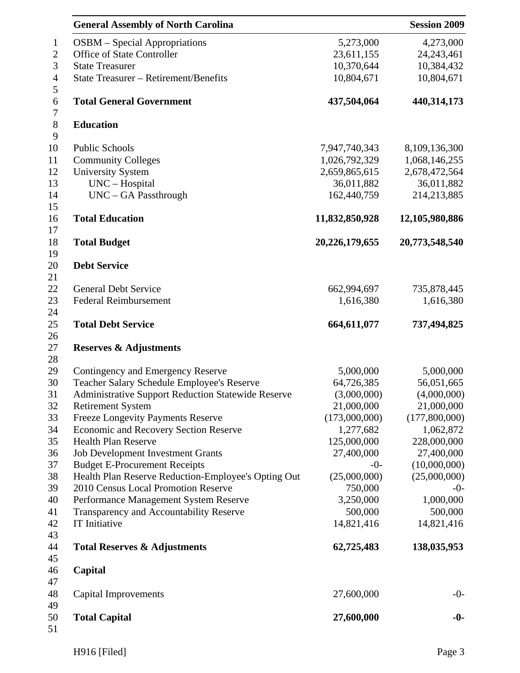|                                           | <b>General Assembly of North Carolina</b>                 |                | <b>Session 2009</b> |
|-------------------------------------------|-----------------------------------------------------------|----------------|---------------------|
| $\mathbf{1}$                              | <b>OSBM</b> – Special Appropriations                      | 5,273,000      | 4,273,000           |
| $\boldsymbol{2}$                          | Office of State Controller                                | 23,611,155     | 24, 243, 461        |
| 3                                         | <b>State Treasurer</b>                                    | 10,370,644     | 10,384,432          |
| $\overline{4}$                            | <b>State Treasurer – Retirement/Benefits</b>              | 10,804,671     | 10,804,671          |
| 5<br>$\boldsymbol{6}$<br>$\boldsymbol{7}$ | <b>Total General Government</b>                           | 437,504,064    | 440,314,173         |
| $8\,$                                     | <b>Education</b>                                          |                |                     |
| 9<br>10                                   | <b>Public Schools</b>                                     | 7,947,740,343  | 8,109,136,300       |
| 11                                        | <b>Community Colleges</b>                                 | 1,026,792,329  | 1,068,146,255       |
|                                           | <b>University System</b>                                  | 2,659,865,615  | 2,678,472,564       |
|                                           | UNC - Hospital                                            | 36,011,882     | 36,011,882          |
|                                           | UNC - GA Passthrough                                      | 162,440,759    | 214,213,885         |
|                                           | <b>Total Education</b>                                    | 11,832,850,928 | 12,105,980,886      |
|                                           | <b>Total Budget</b>                                       | 20,226,179,655 | 20,773,548,540      |
|                                           |                                                           |                |                     |
|                                           | <b>Debt Service</b>                                       |                |                     |
|                                           | <b>General Debt Service</b>                               | 662,994,697    | 735,878,445         |
|                                           | <b>Federal Reimbursement</b>                              | 1,616,380      | 1,616,380           |
|                                           |                                                           |                |                     |
|                                           | <b>Total Debt Service</b>                                 | 664,611,077    | 737,494,825         |
|                                           | <b>Reserves &amp; Adjustments</b>                         |                |                     |
| 27<br>28                                  |                                                           |                |                     |
|                                           | Contingency and Emergency Reserve                         | 5,000,000      | 5,000,000           |
|                                           | Teacher Salary Schedule Employee's Reserve                | 64,726,385     | 56,051,665          |
|                                           | <b>Administrative Support Reduction Statewide Reserve</b> | (3,000,000)    | (4,000,000)         |
|                                           | <b>Retirement System</b>                                  | 21,000,000     | 21,000,000          |
|                                           | <b>Freeze Longevity Payments Reserve</b>                  | (173,000,000)  | (177,800,000)       |
|                                           | <b>Economic and Recovery Section Reserve</b>              | 1,277,682      | 1,062,872           |
|                                           | <b>Health Plan Reserve</b>                                | 125,000,000    | 228,000,000         |
|                                           | <b>Job Development Investment Grants</b>                  | 27,400,000     | 27,400,000          |
|                                           | <b>Budget E-Procurement Receipts</b>                      | $-0-$          | (10,000,000)        |
|                                           | Health Plan Reserve Reduction-Employee's Opting Out       | (25,000,000)   | (25,000,000)        |
|                                           | 2010 Census Local Promotion Reserve                       | 750,000        | $-0-$               |
|                                           | Performance Management System Reserve                     | 3,250,000      | 1,000,000           |
|                                           | Transparency and Accountability Reserve                   | 500,000        | 500,000             |
|                                           | IT Initiative                                             | 14,821,416     | 14,821,416          |
|                                           |                                                           |                |                     |
|                                           | <b>Total Reserves &amp; Adjustments</b>                   | 62,725,483     | 138,035,953         |
|                                           | Capital                                                   |                |                     |
|                                           |                                                           |                |                     |
|                                           | <b>Capital Improvements</b>                               | 27,600,000     | $-0-$               |
|                                           | <b>Total Capital</b>                                      | 27,600,000     | $-0-$               |
| 51                                        |                                                           |                |                     |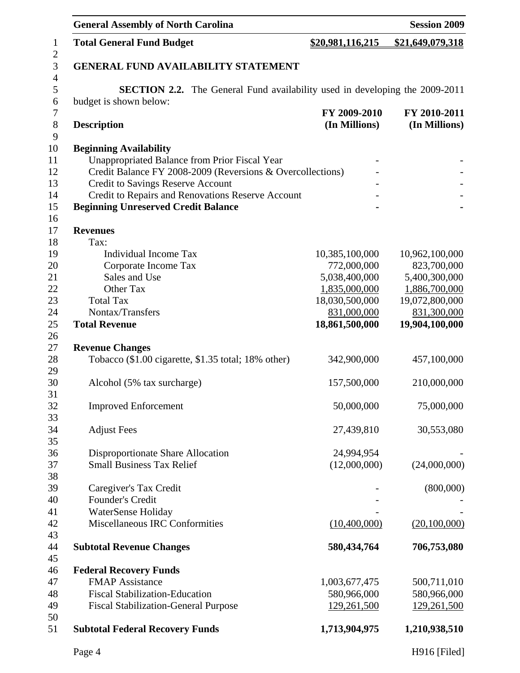|                     | <b>General Assembly of North Carolina</b>                                          |                  | <b>Session 2009</b> |
|---------------------|------------------------------------------------------------------------------------|------------------|---------------------|
| $\mathbf{1}$        | <b>Total General Fund Budget</b>                                                   | \$20,981,116,215 | \$21,649,079,318    |
| $\sqrt{2}$<br>3     | <b>GENERAL FUND AVAILABILITY STATEMENT</b>                                         |                  |                     |
| $\overline{4}$<br>5 | <b>SECTION 2.2.</b> The General Fund availability used in developing the 2009-2011 |                  |                     |
| 6                   | budget is shown below:                                                             |                  |                     |
| $\boldsymbol{7}$    |                                                                                    | FY 2009-2010     | FY 2010-2011        |
| 8                   | <b>Description</b>                                                                 | (In Millions)    | (In Millions)       |
| 9                   |                                                                                    |                  |                     |
| 10                  | <b>Beginning Availability</b>                                                      |                  |                     |
| 11                  | <b>Unappropriated Balance from Prior Fiscal Year</b>                               |                  |                     |
| 12                  | Credit Balance FY 2008-2009 (Reversions & Overcollections)                         |                  |                     |
| 13                  | Credit to Savings Reserve Account                                                  |                  |                     |
| 14                  | Credit to Repairs and Renovations Reserve Account                                  |                  |                     |
| 15                  | <b>Beginning Unreserved Credit Balance</b>                                         |                  |                     |
| 16                  |                                                                                    |                  |                     |
| 17                  | <b>Revenues</b>                                                                    |                  |                     |
| 18                  | Tax:                                                                               |                  |                     |
| 19                  | <b>Individual Income Tax</b>                                                       | 10,385,100,000   | 10,962,100,000      |
| 20                  | Corporate Income Tax                                                               | 772,000,000      | 823,700,000         |
| 21                  | Sales and Use                                                                      | 5,038,400,000    | 5,400,300,000       |
| 22                  | Other Tax                                                                          | 1,835,000,000    | 1,886,700,000       |
| 23                  | <b>Total Tax</b>                                                                   | 18,030,500,000   | 19,072,800,000      |
| 24                  | Nontax/Transfers                                                                   | 831,000,000      | 831,300,000         |
| 25<br>26            | <b>Total Revenue</b>                                                               | 18,861,500,000   | 19,904,100,000      |
| 27                  | <b>Revenue Changes</b>                                                             |                  |                     |
| 28                  | Tobacco (\$1.00 cigarette, \$1.35 total; 18% other)                                | 342,900,000      | 457,100,000         |
| 29                  |                                                                                    |                  |                     |
| 30                  | Alcohol (5% tax surcharge)                                                         | 157,500,000      | 210,000,000         |
| 31                  |                                                                                    |                  |                     |
| 32                  | <b>Improved Enforcement</b>                                                        | 50,000,000       | 75,000,000          |
| 33                  |                                                                                    |                  |                     |
| 34                  | <b>Adjust Fees</b>                                                                 | 27,439,810       | 30,553,080          |
| 35                  |                                                                                    |                  |                     |
| 36                  | Disproportionate Share Allocation                                                  | 24,994,954       |                     |
| 37                  | <b>Small Business Tax Relief</b>                                                   | (12,000,000)     | (24,000,000)        |
| 38                  |                                                                                    |                  |                     |
| 39                  | Caregiver's Tax Credit                                                             |                  | (800,000)           |
| 40                  | <b>Founder's Credit</b>                                                            |                  |                     |
| 41                  | WaterSense Holiday                                                                 |                  |                     |
| 42                  | <b>Miscellaneous IRC Conformities</b>                                              | (10,400,000)     | (20,100,000)        |
| 43                  |                                                                                    |                  |                     |
| 44                  | <b>Subtotal Revenue Changes</b>                                                    | 580, 434, 764    | 706,753,080         |
| 45                  |                                                                                    |                  |                     |
| 46                  | <b>Federal Recovery Funds</b>                                                      |                  |                     |
| 47                  | <b>FMAP Assistance</b>                                                             | 1,003,677,475    | 500,711,010         |
| 48                  | <b>Fiscal Stabilization-Education</b>                                              | 580,966,000      | 580,966,000         |
| 49                  | <b>Fiscal Stabilization-General Purpose</b>                                        | 129,261,500      | 129,261,500         |
| 50<br>51            | <b>Subtotal Federal Recovery Funds</b>                                             | 1,713,904,975    | 1,210,938,510       |
|                     | Page 4                                                                             |                  | H916 [Filed]        |
|                     |                                                                                    |                  |                     |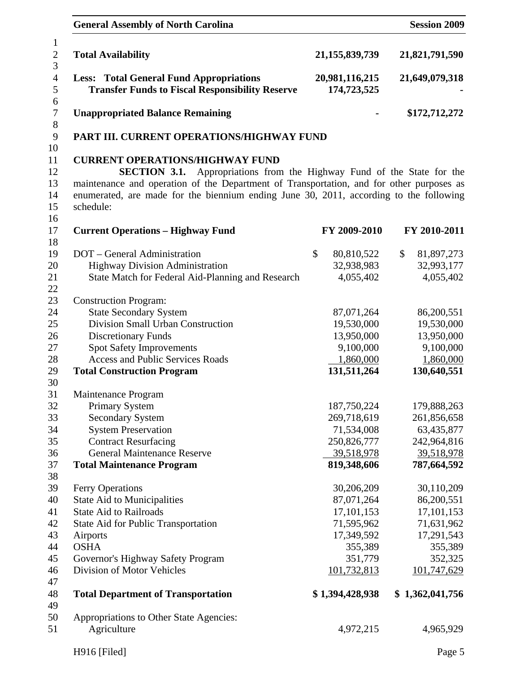| <b>General Assembly of North Carolina</b>                                                                                                                                                                                                                                                                                     |                                                         | <b>Session 2009</b>                                     |
|-------------------------------------------------------------------------------------------------------------------------------------------------------------------------------------------------------------------------------------------------------------------------------------------------------------------------------|---------------------------------------------------------|---------------------------------------------------------|
| <b>Total Availability</b>                                                                                                                                                                                                                                                                                                     | 21, 155, 839, 739                                       | 21,821,791,590                                          |
| <b>Less: Total General Fund Appropriations</b><br><b>Transfer Funds to Fiscal Responsibility Reserve</b>                                                                                                                                                                                                                      | 20,981,116,215<br>174,723,525                           | 21,649,079,318                                          |
| <b>Unappropriated Balance Remaining</b>                                                                                                                                                                                                                                                                                       |                                                         | \$172,712,272                                           |
| PART III. CURRENT OPERATIONS/HIGHWAY FUND                                                                                                                                                                                                                                                                                     |                                                         |                                                         |
| <b>CURRENT OPERATIONS/HIGHWAY FUND</b><br>Appropriations from the Highway Fund of the State for the<br><b>SECTION 3.1.</b><br>maintenance and operation of the Department of Transportation, and for other purposes as<br>enumerated, are made for the biennium ending June 30, 2011, according to the following<br>schedule: |                                                         |                                                         |
| <b>Current Operations - Highway Fund</b>                                                                                                                                                                                                                                                                                      | FY 2009-2010                                            | FY 2010-2011                                            |
| DOT - General Administration<br><b>Highway Division Administration</b><br>State Match for Federal Aid-Planning and Research                                                                                                                                                                                                   | \$<br>80,810,522<br>32,938,983<br>4,055,402             | \$<br>81,897,273<br>32,993,177<br>4,055,402             |
| <b>Construction Program:</b><br><b>State Secondary System</b><br>Division Small Urban Construction<br><b>Discretionary Funds</b>                                                                                                                                                                                              | 87,071,264<br>19,530,000<br>13,950,000                  | 86,200,551<br>19,530,000<br>13,950,000                  |
| <b>Spot Safety Improvements</b><br><b>Access and Public Services Roads</b><br><b>Total Construction Program</b>                                                                                                                                                                                                               | 9,100,000<br>1,860,000<br>131,511,264                   | 9,100,000<br>1,860,000<br>130,640,551                   |
| Maintenance Program                                                                                                                                                                                                                                                                                                           |                                                         |                                                         |
| <b>Primary System</b><br><b>Secondary System</b><br><b>System Preservation</b><br><b>Contract Resurfacing</b>                                                                                                                                                                                                                 | 187,750,224<br>269,718,619<br>71,534,008<br>250,826,777 | 179,888,263<br>261,856,658<br>63,435,877<br>242,964,816 |
| <b>General Maintenance Reserve</b><br><b>Total Maintenance Program</b>                                                                                                                                                                                                                                                        | 39,518,978<br>819,348,606                               | 39,518,978<br>787,664,592                               |
| Ferry Operations<br><b>State Aid to Municipalities</b><br><b>State Aid to Railroads</b><br>State Aid for Public Transportation                                                                                                                                                                                                | 30,206,209<br>87,071,264<br>17,101,153<br>71,595,962    | 30,110,209<br>86,200,551<br>17,101,153<br>71,631,962    |
| Airports<br><b>OSHA</b><br>Governor's Highway Safety Program                                                                                                                                                                                                                                                                  | 17,349,592<br>355,389<br>351,779                        | 17,291,543<br>355,389<br>352,325                        |
| Division of Motor Vehicles<br><b>Total Department of Transportation</b>                                                                                                                                                                                                                                                       | 101,732,813<br>\$1,394,428,938                          | 101,747,629<br>\$1,362,041,756                          |
| Appropriations to Other State Agencies:<br>Agriculture                                                                                                                                                                                                                                                                        | 4,972,215                                               | 4,965,929                                               |
| H916 [Filed]                                                                                                                                                                                                                                                                                                                  |                                                         | Page 5                                                  |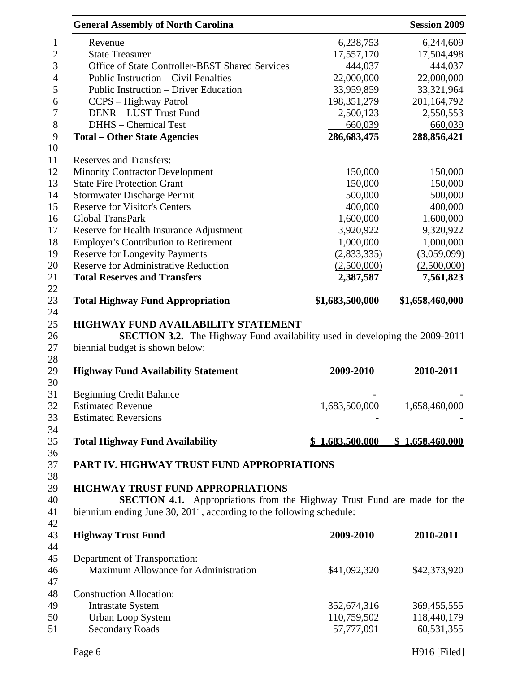|                  | <b>General Assembly of North Carolina</b>                                          |                           | <b>Session 2009</b>       |
|------------------|------------------------------------------------------------------------------------|---------------------------|---------------------------|
| $\mathbf{1}$     | Revenue                                                                            | 6,238,753                 | 6,244,609                 |
| $\overline{2}$   | <b>State Treasurer</b>                                                             | 17,557,170                | 17,504,498                |
| 3                | Office of State Controller-BEST Shared Services                                    | 444,037                   | 444,037                   |
| $\overline{4}$   | Public Instruction – Civil Penalties                                               | 22,000,000                | 22,000,000                |
| 5                | Public Instruction – Driver Education                                              | 33,959,859                | 33,321,964                |
| 6                | CCPS - Highway Patrol                                                              | 198, 351, 279             | 201,164,792               |
| $\boldsymbol{7}$ | DENR - LUST Trust Fund                                                             | 2,500,123                 | 2,550,553                 |
| $8\,$            | DHHS - Chemical Test                                                               | 660,039                   | 660,039                   |
| 9                | <b>Total – Other State Agencies</b>                                                | 286,683,475               | 288,856,421               |
| 10               |                                                                                    |                           |                           |
| 11               | <b>Reserves and Transfers:</b>                                                     |                           |                           |
| 12               | <b>Minority Contractor Development</b>                                             | 150,000                   | 150,000                   |
| 13               | <b>State Fire Protection Grant</b>                                                 | 150,000                   | 150,000                   |
| 14               | <b>Stormwater Discharge Permit</b>                                                 | 500,000                   | 500,000                   |
| 15               | <b>Reserve for Visitor's Centers</b>                                               | 400,000                   | 400,000                   |
| 16               | <b>Global TransPark</b>                                                            | 1,600,000                 | 1,600,000                 |
| 17               | Reserve for Health Insurance Adjustment                                            | 3,920,922                 | 9,320,922                 |
| 18               | <b>Employer's Contribution to Retirement</b>                                       | 1,000,000                 | 1,000,000                 |
| 19               | <b>Reserve for Longevity Payments</b>                                              | (2,833,335)               | (3,059,099)               |
| 20               | <b>Reserve for Administrative Reduction</b>                                        | (2,500,000)               | (2,500,000)               |
| 21               | <b>Total Reserves and Transfers</b>                                                | 2,387,587                 | 7,561,823                 |
| 22               |                                                                                    |                           |                           |
| 23               | <b>Total Highway Fund Appropriation</b>                                            | \$1,683,500,000           | \$1,658,460,000           |
| 24               |                                                                                    |                           |                           |
| 25               | HIGHWAY FUND AVAILABILITY STATEMENT                                                |                           |                           |
| 26               | <b>SECTION 3.2.</b> The Highway Fund availability used in developing the 2009-2011 |                           |                           |
| 27               | biennial budget is shown below:                                                    |                           |                           |
| 28               |                                                                                    |                           |                           |
| 29               | <b>Highway Fund Availability Statement</b>                                         | 2009-2010                 | 2010-2011                 |
| 30               |                                                                                    |                           |                           |
| 31               | <b>Beginning Credit Balance</b>                                                    |                           |                           |
| 32               | <b>Estimated Revenue</b>                                                           | 1,683,500,000             | 1,658,460,000             |
| 33               | <b>Estimated Reversions</b>                                                        |                           |                           |
| 34               |                                                                                    |                           |                           |
| 35               | <b>Total Highway Fund Availability</b>                                             | 1,683,500,000             | \$1,658,460,000           |
| 36               |                                                                                    |                           |                           |
| 37               | PART IV. HIGHWAY TRUST FUND APPROPRIATIONS                                         |                           |                           |
| 38               |                                                                                    |                           |                           |
| 39               | <b>HIGHWAY TRUST FUND APPROPRIATIONS</b>                                           |                           |                           |
| 40               | <b>SECTION 4.1.</b> Appropriations from the Highway Trust Fund are made for the    |                           |                           |
| 41               | biennium ending June 30, 2011, according to the following schedule:                |                           |                           |
| 42               |                                                                                    |                           |                           |
| 43               |                                                                                    |                           |                           |
|                  | <b>Highway Trust Fund</b>                                                          | 2009-2010                 | 2010-2011                 |
| 44               |                                                                                    |                           |                           |
| 45               | Department of Transportation:                                                      |                           |                           |
| 46               | Maximum Allowance for Administration                                               | \$41,092,320              | \$42,373,920              |
| 47               |                                                                                    |                           |                           |
| 48               | <b>Construction Allocation:</b>                                                    |                           |                           |
| 49               | <b>Intrastate System</b>                                                           | 352,674,316               | 369,455,555               |
| 50<br>51         | <b>Urban Loop System</b><br><b>Secondary Roads</b>                                 | 110,759,502<br>57,777,091 | 118,440,179<br>60,531,355 |

Page 6 H916 [Filed]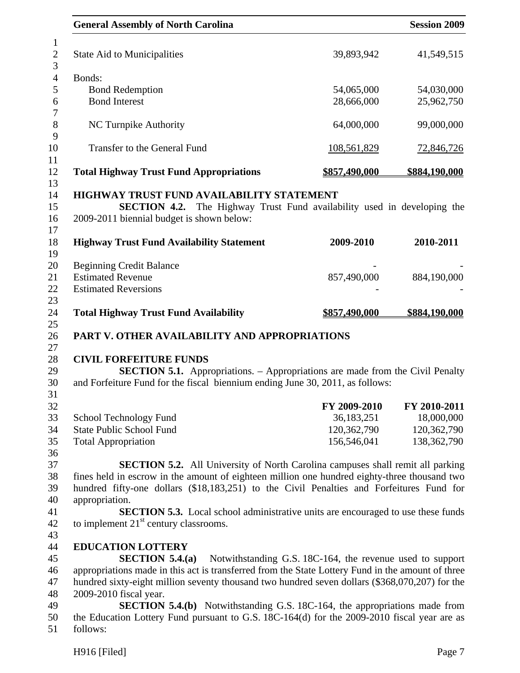|          | <b>General Assembly of North Carolina</b>                                                                                                                                                                                                                                                                                                                                                                                                 |                                                           | <b>Session 2009</b> |
|----------|-------------------------------------------------------------------------------------------------------------------------------------------------------------------------------------------------------------------------------------------------------------------------------------------------------------------------------------------------------------------------------------------------------------------------------------------|-----------------------------------------------------------|---------------------|
|          | <b>State Aid to Municipalities</b>                                                                                                                                                                                                                                                                                                                                                                                                        | 39,893,942                                                | 41,549,515          |
| Bonds:   |                                                                                                                                                                                                                                                                                                                                                                                                                                           |                                                           |                     |
|          | <b>Bond Redemption</b>                                                                                                                                                                                                                                                                                                                                                                                                                    | 54,065,000                                                | 54,030,000          |
|          | <b>Bond Interest</b>                                                                                                                                                                                                                                                                                                                                                                                                                      | 28,666,000                                                | 25,962,750          |
|          | NC Turnpike Authority                                                                                                                                                                                                                                                                                                                                                                                                                     | 64,000,000                                                | 99,000,000          |
|          | Transfer to the General Fund                                                                                                                                                                                                                                                                                                                                                                                                              | 108,561,829                                               | <u>72,846,726</u>   |
|          | <b>Total Highway Trust Fund Appropriations</b>                                                                                                                                                                                                                                                                                                                                                                                            | \$857,490,000                                             | \$884,190,000       |
|          | <b>HIGHWAY TRUST FUND AVAILABILITY STATEMENT</b><br><b>SECTION 4.2.</b> The Highway Trust Fund availability used in developing the<br>2009-2011 biennial budget is shown below:                                                                                                                                                                                                                                                           |                                                           |                     |
|          | <b>Highway Trust Fund Availability Statement</b>                                                                                                                                                                                                                                                                                                                                                                                          | 2009-2010                                                 | 2010-2011           |
|          | <b>Beginning Credit Balance</b>                                                                                                                                                                                                                                                                                                                                                                                                           |                                                           |                     |
|          | <b>Estimated Revenue</b>                                                                                                                                                                                                                                                                                                                                                                                                                  | 857,490,000                                               | 884,190,000         |
|          | <b>Estimated Reversions</b>                                                                                                                                                                                                                                                                                                                                                                                                               |                                                           |                     |
|          | <b>Total Highway Trust Fund Availability</b>                                                                                                                                                                                                                                                                                                                                                                                              | <u>\$857,490,000</u>                                      | \$884,190,000       |
|          | PART V. OTHER AVAILABILITY AND APPROPRIATIONS                                                                                                                                                                                                                                                                                                                                                                                             |                                                           |                     |
|          | <b>CIVIL FORFEITURE FUNDS</b><br><b>SECTION 5.1.</b> Appropriations. – Appropriations are made from the Civil Penalty<br>and Forfeiture Fund for the fiscal biennium ending June 30, 2011, as follows:                                                                                                                                                                                                                                    |                                                           |                     |
|          |                                                                                                                                                                                                                                                                                                                                                                                                                                           | FY 2009-2010                                              | FY 2010-2011        |
|          | School Technology Fund                                                                                                                                                                                                                                                                                                                                                                                                                    | 36,183,251                                                | 18,000,000          |
|          | <b>State Public School Fund</b>                                                                                                                                                                                                                                                                                                                                                                                                           | 120,362,790                                               | 120,362,790         |
|          | <b>Total Appropriation</b>                                                                                                                                                                                                                                                                                                                                                                                                                | 156,546,041                                               | 138, 362, 790       |
|          | <b>SECTION 5.2.</b> All University of North Carolina campuses shall remit all parking<br>fines held in escrow in the amount of eighteen million one hundred eighty-three thousand two<br>hundred fifty-one dollars (\$18,183,251) to the Civil Penalties and Forfeitures Fund for<br>appropriation.<br><b>SECTION 5.3.</b> Local school administrative units are encouraged to use these funds<br>to implement $21st$ century classrooms. |                                                           |                     |
|          | <b>EDUCATION LOTTERY</b><br>SECTION 5.4(a)<br>appropriations made in this act is transferred from the State Lottery Fund in the amount of three<br>hundred sixty-eight million seventy thousand two hundred seven dollars (\$368,070,207) for the<br>2009-2010 fiscal year.<br><b>SECTION 5.4.(b)</b> Notwithstanding G.S. 18C-164, the appropriations made from                                                                          | Notwithstanding G.S. 18C-164, the revenue used to support |                     |
| follows: | the Education Lottery Fund pursuant to G.S. 18C-164(d) for the 2009-2010 fiscal year are as                                                                                                                                                                                                                                                                                                                                               |                                                           |                     |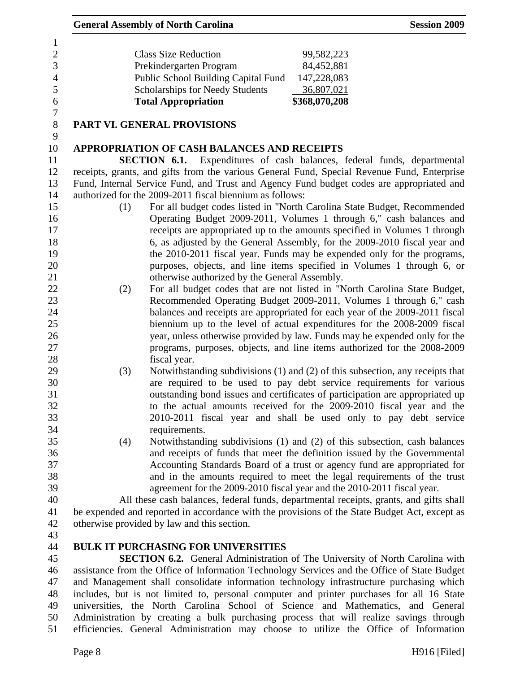| 6              | <b>Total Appropriation</b>             | \$368,070,208 |
|----------------|----------------------------------------|---------------|
| 5              | <b>Scholarships for Needy Students</b> | 36,807,021    |
| $\overline{4}$ | Public School Building Capital Fund    | 147,228,083   |
| 3              | Prekindergarten Program                | 84,452,881    |
| 2              | <b>Class Size Reduction</b>            | 99,582,223    |
|                |                                        |               |

7

9

## 8 **PART VI. GENERAL PROVISIONS**

## 10 **APPROPRIATION OF CASH BALANCES AND RECEIPTS**

11 **SECTION 6.1.** Expenditures of cash balances, federal funds, departmental 12 receipts, grants, and gifts from the various General Fund, Special Revenue Fund, Enterprise 13 Fund, Internal Service Fund, and Trust and Agency Fund budget codes are appropriated and 14 authorized for the 2009-2011 fiscal biennium as follows:

- 15 (1) For all budget codes listed in "North Carolina State Budget, Recommended 16 Operating Budget 2009-2011, Volumes 1 through 6," cash balances and 17 receipts are appropriated up to the amounts specified in Volumes 1 through 18 6, as adjusted by the General Assembly, for the 2009-2010 fiscal year and 19 the 2010-2011 fiscal year. Funds may be expended only for the programs, 20 purposes, objects, and line items specified in Volumes 1 through 6, or 21 otherwise authorized by the General Assembly.
- 22 (2) For all budget codes that are not listed in "North Carolina State Budget, 23 Recommended Operating Budget 2009-2011, Volumes 1 through 6," cash 24 balances and receipts are appropriated for each year of the 2009-2011 fiscal 25 biennium up to the level of actual expenditures for the 2008-2009 fiscal 26 year, unless otherwise provided by law. Funds may be expended only for the 27 programs, purposes, objects, and line items authorized for the 2008-2009 28 fiscal year.
- 29 (3) Notwithstanding subdivisions (1) and (2) of this subsection, any receipts that 30 are required to be used to pay debt service requirements for various 31 outstanding bond issues and certificates of participation are appropriated up 32 to the actual amounts received for the 2009-2010 fiscal year and the 33 2010-2011 fiscal year and shall be used only to pay debt service 34 requirements.
- 35 (4) Notwithstanding subdivisions (1) and (2) of this subsection, cash balances 36 and receipts of funds that meet the definition issued by the Governmental 37 Accounting Standards Board of a trust or agency fund are appropriated for 38 and in the amounts required to meet the legal requirements of the trust 39 agreement for the 2009-2010 fiscal year and the 2010-2011 fiscal year.

40 All these cash balances, federal funds, departmental receipts, grants, and gifts shall 41 be expended and reported in accordance with the provisions of the State Budget Act, except as 42 otherwise provided by law and this section.

43

# 44 **BULK IT PURCHASING FOR UNIVERSITIES**

45 **SECTION 6.2.** General Administration of The University of North Carolina with 46 assistance from the Office of Information Technology Services and the Office of State Budget 47 and Management shall consolidate information technology infrastructure purchasing which 48 includes, but is not limited to, personal computer and printer purchases for all 16 State 49 universities, the North Carolina School of Science and Mathematics, and General 50 Administration by creating a bulk purchasing process that will realize savings through 51 efficiencies. General Administration may choose to utilize the Office of Information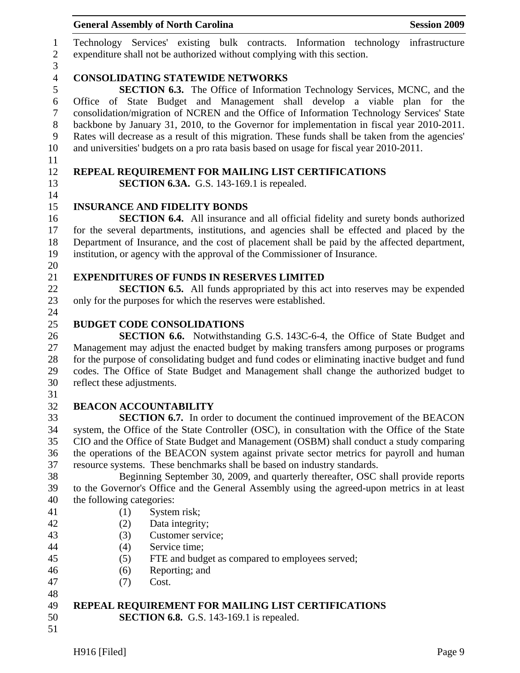|                                                | <b>General Assembly of North Carolina</b><br><b>Session 2009</b>                                                                                                                                                                                                                                                                                                                                                                                                                                                                                        |
|------------------------------------------------|---------------------------------------------------------------------------------------------------------------------------------------------------------------------------------------------------------------------------------------------------------------------------------------------------------------------------------------------------------------------------------------------------------------------------------------------------------------------------------------------------------------------------------------------------------|
| $\mathbf{1}$<br>$\boldsymbol{2}$<br>3          | Technology Services' existing bulk contracts. Information technology infrastructure<br>expenditure shall not be authorized without complying with this section.                                                                                                                                                                                                                                                                                                                                                                                         |
| $\overline{4}$                                 | <b>CONSOLIDATING STATEWIDE NETWORKS</b>                                                                                                                                                                                                                                                                                                                                                                                                                                                                                                                 |
| 5<br>6<br>$\boldsymbol{7}$<br>$8\,$<br>9<br>10 | <b>SECTION 6.3.</b> The Office of Information Technology Services, MCNC, and the<br>Office of State Budget and Management shall develop a viable plan for the<br>consolidation/migration of NCREN and the Office of Information Technology Services' State<br>backbone by January 31, 2010, to the Governor for implementation in fiscal year 2010-2011.<br>Rates will decrease as a result of this migration. These funds shall be taken from the agencies'<br>and universities' budgets on a pro rata basis based on usage for fiscal year 2010-2011. |
| 11<br>12<br>13                                 | REPEAL REQUIREMENT FOR MAILING LIST CERTIFICATIONS<br><b>SECTION 6.3A.</b> G.S. 143-169.1 is repealed.                                                                                                                                                                                                                                                                                                                                                                                                                                                  |
| 14<br>15                                       |                                                                                                                                                                                                                                                                                                                                                                                                                                                                                                                                                         |
| 16                                             | <b>INSURANCE AND FIDELITY BONDS</b>                                                                                                                                                                                                                                                                                                                                                                                                                                                                                                                     |
|                                                | <b>SECTION 6.4.</b> All insurance and all official fidelity and surety bonds authorized<br>for the several departments, institutions, and agencies shall be effected and placed by the                                                                                                                                                                                                                                                                                                                                                                  |
|                                                | Department of Insurance, and the cost of placement shall be paid by the affected department,                                                                                                                                                                                                                                                                                                                                                                                                                                                            |
|                                                | institution, or agency with the approval of the Commissioner of Insurance.                                                                                                                                                                                                                                                                                                                                                                                                                                                                              |
|                                                |                                                                                                                                                                                                                                                                                                                                                                                                                                                                                                                                                         |
|                                                | <b>EXPENDITURES OF FUNDS IN RESERVES LIMITED</b>                                                                                                                                                                                                                                                                                                                                                                                                                                                                                                        |
|                                                | <b>SECTION 6.5.</b> All funds appropriated by this act into reserves may be expended                                                                                                                                                                                                                                                                                                                                                                                                                                                                    |
|                                                | only for the purposes for which the reserves were established.                                                                                                                                                                                                                                                                                                                                                                                                                                                                                          |
|                                                |                                                                                                                                                                                                                                                                                                                                                                                                                                                                                                                                                         |
|                                                | <b>BUDGET CODE CONSOLIDATIONS</b>                                                                                                                                                                                                                                                                                                                                                                                                                                                                                                                       |
|                                                | <b>SECTION 6.6.</b> Notwithstanding G.S. 143C-6-4, the Office of State Budget and                                                                                                                                                                                                                                                                                                                                                                                                                                                                       |
|                                                | Management may adjust the enacted budget by making transfers among purposes or programs                                                                                                                                                                                                                                                                                                                                                                                                                                                                 |
|                                                | for the purpose of consolidating budget and fund codes or eliminating inactive budget and fund<br>codes. The Office of State Budget and Management shall change the authorized budget to                                                                                                                                                                                                                                                                                                                                                                |
|                                                | reflect these adjustments.                                                                                                                                                                                                                                                                                                                                                                                                                                                                                                                              |
|                                                |                                                                                                                                                                                                                                                                                                                                                                                                                                                                                                                                                         |
|                                                | <b>BEACON ACCOUNTABILITY</b>                                                                                                                                                                                                                                                                                                                                                                                                                                                                                                                            |
|                                                | <b>SECTION 6.7.</b> In order to document the continued improvement of the BEACON                                                                                                                                                                                                                                                                                                                                                                                                                                                                        |
|                                                | system, the Office of the State Controller (OSC), in consultation with the Office of the State                                                                                                                                                                                                                                                                                                                                                                                                                                                          |
|                                                | CIO and the Office of State Budget and Management (OSBM) shall conduct a study comparing                                                                                                                                                                                                                                                                                                                                                                                                                                                                |
|                                                | the operations of the BEACON system against private sector metrics for payroll and human                                                                                                                                                                                                                                                                                                                                                                                                                                                                |
|                                                | resource systems. These benchmarks shall be based on industry standards.                                                                                                                                                                                                                                                                                                                                                                                                                                                                                |
|                                                | Beginning September 30, 2009, and quarterly thereafter, OSC shall provide reports                                                                                                                                                                                                                                                                                                                                                                                                                                                                       |
|                                                | to the Governor's Office and the General Assembly using the agreed-upon metrics in at least                                                                                                                                                                                                                                                                                                                                                                                                                                                             |
|                                                | the following categories:                                                                                                                                                                                                                                                                                                                                                                                                                                                                                                                               |
|                                                | System risk;<br>(1)                                                                                                                                                                                                                                                                                                                                                                                                                                                                                                                                     |
|                                                | (2)<br>Data integrity;                                                                                                                                                                                                                                                                                                                                                                                                                                                                                                                                  |
|                                                | Customer service;<br>(3)                                                                                                                                                                                                                                                                                                                                                                                                                                                                                                                                |
|                                                | Service time;<br>(4)<br>FTE and budget as compared to employees served;                                                                                                                                                                                                                                                                                                                                                                                                                                                                                 |
|                                                | (5)<br>Reporting; and<br>(6)                                                                                                                                                                                                                                                                                                                                                                                                                                                                                                                            |
|                                                | Cost.<br>(7)                                                                                                                                                                                                                                                                                                                                                                                                                                                                                                                                            |
|                                                |                                                                                                                                                                                                                                                                                                                                                                                                                                                                                                                                                         |
|                                                | REPEAL REQUIREMENT FOR MAILING LIST CERTIFICATIONS                                                                                                                                                                                                                                                                                                                                                                                                                                                                                                      |
|                                                | <b>SECTION 6.8.</b> G.S. 143-169.1 is repealed.                                                                                                                                                                                                                                                                                                                                                                                                                                                                                                         |
|                                                |                                                                                                                                                                                                                                                                                                                                                                                                                                                                                                                                                         |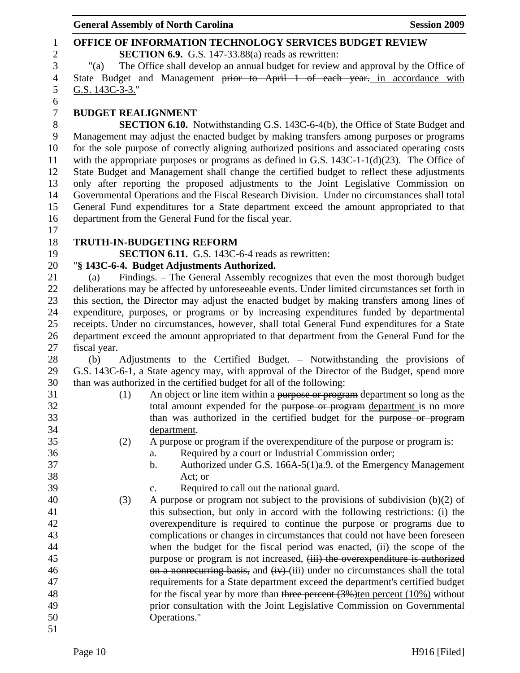### 1 **OFFICE OF INFORMATION TECHNOLOGY SERVICES BUDGET REVIEW**  2 **SECTION 6.9.** G.S. 147-33.88(a) reads as rewritten: 3 "(a) The Office shall develop an annual budget for review and approval by the Office of 4 State Budget and Management prior to April 1 of each year. in accordance with 5 G.S. 143C-3-3." 6 7 **BUDGET REALIGNMENT**  8 **SECTION 6.10.** Notwithstanding G.S. 143C-6-4(b), the Office of State Budget and 9 Management may adjust the enacted budget by making transfers among purposes or programs 10 for the sole purpose of correctly aligning authorized positions and associated operating costs 11 with the appropriate purposes or programs as defined in G.S. 143C-1-1(d)(23). The Office of 12 State Budget and Management shall change the certified budget to reflect these adjustments 13 only after reporting the proposed adjustments to the Joint Legislative Commission on 14 Governmental Operations and the Fiscal Research Division. Under no circumstances shall total 15 General Fund expenditures for a State department exceed the amount appropriated to that 16 department from the General Fund for the fiscal year. 17 18 **TRUTH-IN-BUDGETING REFORM**  19 **SECTION 6.11.** G.S. 143C-6-4 reads as rewritten: 20 "**§ 143C-6-4. Budget Adjustments Authorized.**  21 (a) Findings. – The General Assembly recognizes that even the most thorough budget 22 deliberations may be affected by unforeseeable events. Under limited circumstances set forth in 23 this section, the Director may adjust the enacted budget by making transfers among lines of 24 expenditure, purposes, or programs or by increasing expenditures funded by departmental 25 receipts. Under no circumstances, however, shall total General Fund expenditures for a State 26 department exceed the amount appropriated to that department from the General Fund for the 27 fiscal year. 28 (b) Adjustments to the Certified Budget. – Notwithstanding the provisions of 29 G.S. 143C-6-1, a State agency may, with approval of the Director of the Budget, spend more 30 than was authorized in the certified budget for all of the following: 31 (1) An object or line item within a purpose or program department so long as the 32 total amount expended for the purpose or program department is no more 33 than was authorized in the certified budget for the purpose or program 34 department. 35 (2) A purpose or program if the overexpenditure of the purpose or program is: 36 a. Required by a court or Industrial Commission order; 37 b. Authorized under G.S. 166A-5(1)a.9. of the Emergency Management 38 Act; or 39 c. Required to call out the national guard. 40 (3) A purpose or program not subject to the provisions of subdivision (b)(2) of 41 this subsection, but only in accord with the following restrictions: (i) the 42 overexpenditure is required to continue the purpose or programs due to 43 complications or changes in circumstances that could not have been foreseen 44 when the budget for the fiscal period was enacted, (ii) the scope of the 45 purpose or program is not increased,  $(iii)$  the overexpenditure is authorized 46 on a nonrecurring basis, and (iv) (iii) under no circumstances shall the total 47 requirements for a State department exceed the department's certified budget 48 for the fiscal year by more than three percent (3%)ten percent (10%) without 49 prior consultation with the Joint Legislative Commission on Governmental 50 Operations." 51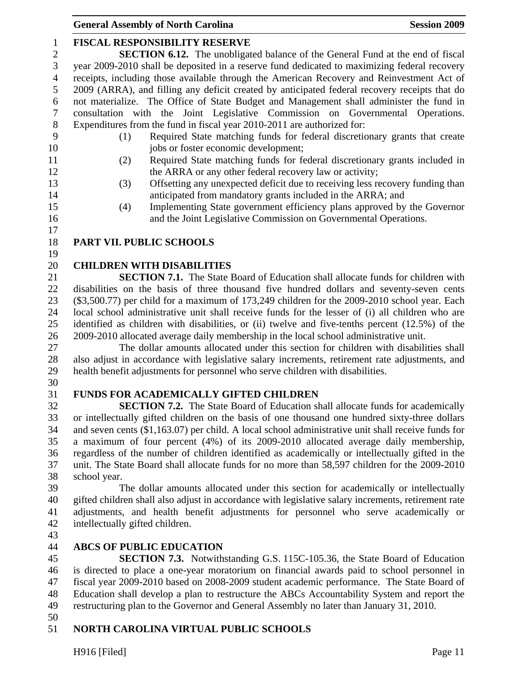# 1 **FISCAL RESPONSIBILITY RESERVE**

2 **SECTION 6.12.** The unobligated balance of the General Fund at the end of fiscal 3 year 2009-2010 shall be deposited in a reserve fund dedicated to maximizing federal recovery 4 receipts, including those available through the American Recovery and Reinvestment Act of 5 2009 (ARRA), and filling any deficit created by anticipated federal recovery receipts that do 6 not materialize. The Office of State Budget and Management shall administer the fund in 7 consultation with the Joint Legislative Commission on Governmental Operations. 8 Expenditures from the fund in fiscal year 2010-2011 are authorized for:

- 
- 9 (1) Required State matching funds for federal discretionary grants that create 10 jobs or foster economic development;
- 11 (2) Required State matching funds for federal discretionary grants included in 12 the ARRA or any other federal recovery law or activity;
- 13 (3) Offsetting any unexpected deficit due to receiving less recovery funding than 14 anticipated from mandatory grants included in the ARRA; and
- 15 (4) Implementing State government efficiency plans approved by the Governor 16 and the Joint Legislative Commission on Governmental Operations.
- 17

# 18 **PART VII. PUBLIC SCHOOLS**

19

# 20 **CHILDREN WITH DISABILITIES**

21 **SECTION 7.1.** The State Board of Education shall allocate funds for children with 22 disabilities on the basis of three thousand five hundred dollars and seventy-seven cents 23 (\$3,500.77) per child for a maximum of 173,249 children for the 2009-2010 school year. Each 24 local school administrative unit shall receive funds for the lesser of (i) all children who are 25 identified as children with disabilities, or (ii) twelve and five-tenths percent (12.5%) of the 26 2009-2010 allocated average daily membership in the local school administrative unit.

27 The dollar amounts allocated under this section for children with disabilities shall 28 also adjust in accordance with legislative salary increments, retirement rate adjustments, and 29 health benefit adjustments for personnel who serve children with disabilities.

30

# 31 **FUNDS FOR ACADEMICALLY GIFTED CHILDREN**

32 **SECTION 7.2.** The State Board of Education shall allocate funds for academically 33 or intellectually gifted children on the basis of one thousand one hundred sixty-three dollars 34 and seven cents (\$1,163.07) per child. A local school administrative unit shall receive funds for 35 a maximum of four percent (4%) of its 2009-2010 allocated average daily membership, 36 regardless of the number of children identified as academically or intellectually gifted in the 37 unit. The State Board shall allocate funds for no more than 58,597 children for the 2009-2010 38 school year.

39 The dollar amounts allocated under this section for academically or intellectually 40 gifted children shall also adjust in accordance with legislative salary increments, retirement rate 41 adjustments, and health benefit adjustments for personnel who serve academically or 42 intellectually gifted children.

43

# 44 **ABCS OF PUBLIC EDUCATION**

45 **SECTION 7.3.** Notwithstanding G.S. 115C-105.36, the State Board of Education 46 is directed to place a one-year moratorium on financial awards paid to school personnel in 47 fiscal year 2009-2010 based on 2008-2009 student academic performance. The State Board of 48 Education shall develop a plan to restructure the ABCs Accountability System and report the 49 restructuring plan to the Governor and General Assembly no later than January 31, 2010.

50

# 51 **NORTH CAROLINA VIRTUAL PUBLIC SCHOOLS**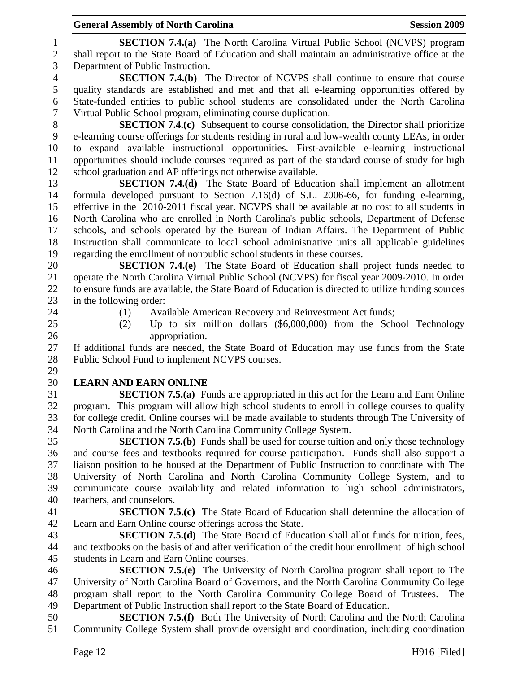1 **SECTION 7.4.(a)** The North Carolina Virtual Public School (NCVPS) program 2 shall report to the State Board of Education and shall maintain an administrative office at the 3 Department of Public Instruction.

4 **SECTION 7.4.(b)** The Director of NCVPS shall continue to ensure that course 5 quality standards are established and met and that all e-learning opportunities offered by 6 State-funded entities to public school students are consolidated under the North Carolina 7 Virtual Public School program, eliminating course duplication.

8 **SECTION 7.4.(c)** Subsequent to course consolidation, the Director shall prioritize 9 e-learning course offerings for students residing in rural and low-wealth county LEAs, in order 10 to expand available instructional opportunities. First-available e-learning instructional 11 opportunities should include courses required as part of the standard course of study for high 12 school graduation and AP offerings not otherwise available.

13 **SECTION 7.4.(d)** The State Board of Education shall implement an allotment 14 formula developed pursuant to Section 7.16(d) of S.L. 2006-66, for funding e-learning, 15 effective in the 2010-2011 fiscal year. NCVPS shall be available at no cost to all students in 16 North Carolina who are enrolled in North Carolina's public schools, Department of Defense 17 schools, and schools operated by the Bureau of Indian Affairs. The Department of Public 18 Instruction shall communicate to local school administrative units all applicable guidelines 19 regarding the enrollment of nonpublic school students in these courses.

20 **SECTION 7.4.(e)** The State Board of Education shall project funds needed to 21 operate the North Carolina Virtual Public School (NCVPS) for fiscal year 2009-2010. In order 22 to ensure funds are available, the State Board of Education is directed to utilize funding sources 23 in the following order:

- 
- 24 (1) Available American Recovery and Reinvestment Act funds;
- 25 (2) Up to six million dollars (\$6,000,000) from the School Technology 26 appropriation.

27 If additional funds are needed, the State Board of Education may use funds from the State 28 Public School Fund to implement NCVPS courses. 29

#### 30 **LEARN AND EARN ONLINE**

31 **SECTION 7.5.(a)** Funds are appropriated in this act for the Learn and Earn Online 32 program. This program will allow high school students to enroll in college courses to qualify 33 for college credit. Online courses will be made available to students through The University of 34 North Carolina and the North Carolina Community College System.

35 **SECTION 7.5.(b)** Funds shall be used for course tuition and only those technology 36 and course fees and textbooks required for course participation. Funds shall also support a 37 liaison position to be housed at the Department of Public Instruction to coordinate with The 38 University of North Carolina and North Carolina Community College System, and to 39 communicate course availability and related information to high school administrators, 40 teachers, and counselors.

41 **SECTION 7.5.(c)** The State Board of Education shall determine the allocation of 42 Learn and Earn Online course offerings across the State.

43 **SECTION 7.5.(d)** The State Board of Education shall allot funds for tuition, fees, 44 and textbooks on the basis of and after verification of the credit hour enrollment of high school 45 students in Learn and Earn Online courses.

46 **SECTION 7.5.(e)** The University of North Carolina program shall report to The 47 University of North Carolina Board of Governors, and the North Carolina Community College 48 program shall report to the North Carolina Community College Board of Trustees. The 49 Department of Public Instruction shall report to the State Board of Education.

50 **SECTION 7.5.(f)** Both The University of North Carolina and the North Carolina 51 Community College System shall provide oversight and coordination, including coordination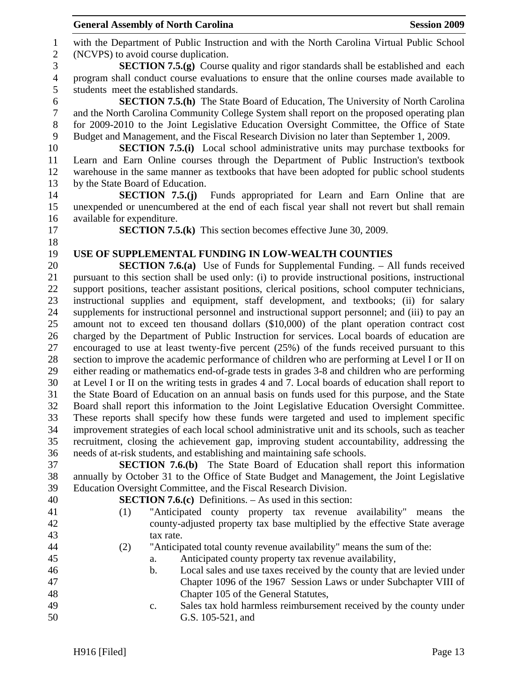|                  | <b>General Assembly of North Carolina</b> |                                                                                                                                                                         | <b>Session 2009</b> |
|------------------|-------------------------------------------|-------------------------------------------------------------------------------------------------------------------------------------------------------------------------|---------------------|
| $\mathbf{1}$     |                                           | with the Department of Public Instruction and with the North Carolina Virtual Public School                                                                             |                     |
| $\mathbf{2}$     | (NCVPS) to avoid course duplication.      |                                                                                                                                                                         |                     |
| $\mathfrak{Z}$   |                                           | <b>SECTION 7.5.(g)</b> Course quality and rigor standards shall be established and each                                                                                 |                     |
| $\overline{4}$   |                                           | program shall conduct course evaluations to ensure that the online courses made available to                                                                            |                     |
| 5                | students meet the established standards.  |                                                                                                                                                                         |                     |
| 6                |                                           | <b>SECTION 7.5.(h)</b> The State Board of Education, The University of North Carolina                                                                                   |                     |
| $\boldsymbol{7}$ |                                           | and the North Carolina Community College System shall report on the proposed operating plan                                                                             |                     |
| 8                |                                           | for 2009-2010 to the Joint Legislative Education Oversight Committee, the Office of State                                                                               |                     |
| 9                |                                           | Budget and Management, and the Fiscal Research Division no later than September 1, 2009.                                                                                |                     |
| 10               |                                           | <b>SECTION 7.5.(i)</b> Local school administrative units may purchase textbooks for                                                                                     |                     |
| 11               |                                           | Learn and Earn Online courses through the Department of Public Instruction's textbook                                                                                   |                     |
| 12               |                                           | warehouse in the same manner as textbooks that have been adopted for public school students                                                                             |                     |
| 13               | by the State Board of Education.          |                                                                                                                                                                         |                     |
| 14               |                                           | <b>SECTION 7.5.(j)</b> Funds appropriated for Learn and Earn Online that are                                                                                            |                     |
| 15               |                                           | unexpended or unencumbered at the end of each fiscal year shall not revert but shall remain                                                                             |                     |
| 16<br>17         | available for expenditure.                |                                                                                                                                                                         |                     |
| 18               |                                           | <b>SECTION 7.5.(k)</b> This section becomes effective June 30, 2009.                                                                                                    |                     |
| 19               |                                           | USE OF SUPPLEMENTAL FUNDING IN LOW-WEALTH COUNTIES                                                                                                                      |                     |
| 20               |                                           | <b>SECTION 7.6.(a)</b> Use of Funds for Supplemental Funding. – All funds received                                                                                      |                     |
| 21               |                                           | pursuant to this section shall be used only: (i) to provide instructional positions, instructional                                                                      |                     |
| 22               |                                           | support positions, teacher assistant positions, clerical positions, school computer technicians,                                                                        |                     |
| 23               |                                           | instructional supplies and equipment, staff development, and textbooks; (ii) for salary                                                                                 |                     |
| 24               |                                           | supplements for instructional personnel and instructional support personnel; and (iii) to pay an                                                                        |                     |
| 25               |                                           | amount not to exceed ten thousand dollars (\$10,000) of the plant operation contract cost                                                                               |                     |
| 26               |                                           | charged by the Department of Public Instruction for services. Local boards of education are                                                                             |                     |
| 27               |                                           | encouraged to use at least twenty-five percent (25%) of the funds received pursuant to this                                                                             |                     |
| 28               |                                           | section to improve the academic performance of children who are performing at Level I or II on                                                                          |                     |
| 29               |                                           | either reading or mathematics end-of-grade tests in grades 3-8 and children who are performing                                                                          |                     |
| 30               |                                           | at Level I or II on the writing tests in grades 4 and 7. Local boards of education shall report to                                                                      |                     |
| 31               |                                           | the State Board of Education on an annual basis on funds used for this purpose, and the State                                                                           |                     |
| 32               |                                           | Board shall report this information to the Joint Legislative Education Oversight Committee.                                                                             |                     |
| 33               |                                           | These reports shall specify how these funds were targeted and used to implement specific                                                                                |                     |
| 34               |                                           | improvement strategies of each local school administrative unit and its schools, such as teacher                                                                        |                     |
| 35<br>36         |                                           | recruitment, closing the achievement gap, improving student accountability, addressing the<br>needs of at-risk students, and establishing and maintaining safe schools. |                     |
| 37               |                                           | <b>SECTION 7.6.(b)</b> The State Board of Education shall report this information                                                                                       |                     |
| 38               |                                           | annually by October 31 to the Office of State Budget and Management, the Joint Legislative                                                                              |                     |
| 39               |                                           | Education Oversight Committee, and the Fiscal Research Division.                                                                                                        |                     |
| 40               |                                           | <b>SECTION 7.6.(c)</b> Definitions. $-$ As used in this section:                                                                                                        |                     |
| 41               | (1)                                       | "Anticipated county property tax revenue availability" means                                                                                                            | the                 |
| 42               |                                           | county-adjusted property tax base multiplied by the effective State average                                                                                             |                     |
| 43               | tax rate.                                 |                                                                                                                                                                         |                     |
| 44               | (2)                                       | "Anticipated total county revenue availability" means the sum of the:                                                                                                   |                     |
| 45               | a.                                        | Anticipated county property tax revenue availability,                                                                                                                   |                     |
| 46               | b.                                        | Local sales and use taxes received by the county that are levied under                                                                                                  |                     |
| 47               |                                           | Chapter 1096 of the 1967 Session Laws or under Subchapter VIII of                                                                                                       |                     |
| 48               |                                           | Chapter 105 of the General Statutes,                                                                                                                                    |                     |
| 49               | c.                                        | Sales tax hold harmless reimbursement received by the county under                                                                                                      |                     |
| 50               |                                           | G.S. 105-521, and                                                                                                                                                       |                     |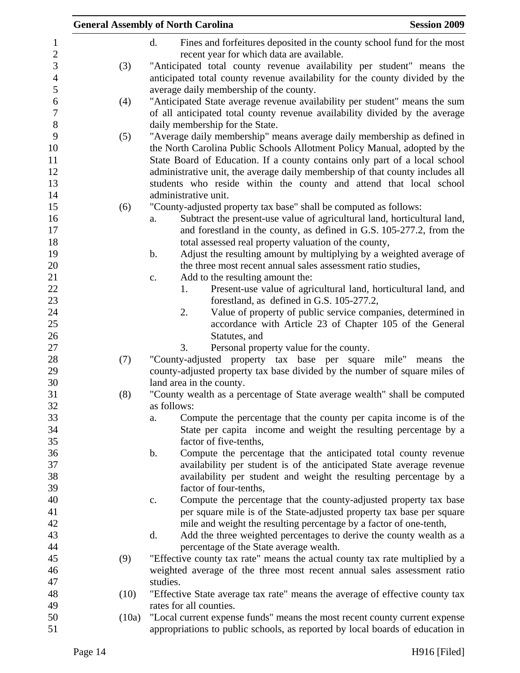|       | <b>General Assembly of North Carolina</b><br><b>Session 2009</b>               |
|-------|--------------------------------------------------------------------------------|
|       | d.<br>Fines and forfeitures deposited in the county school fund for the most   |
|       | recent year for which data are available.                                      |
| (3)   | "Anticipated total county revenue availability per student" means the          |
|       | anticipated total county revenue availability for the county divided by the    |
|       | average daily membership of the county.                                        |
| (4)   | "Anticipated State average revenue availability per student" means the sum     |
|       | of all anticipated total county revenue availability divided by the average    |
|       | daily membership for the State.                                                |
| (5)   | "Average daily membership" means average daily membership as defined in        |
|       | the North Carolina Public Schools Allotment Policy Manual, adopted by the      |
|       | State Board of Education. If a county contains only part of a local school     |
|       | administrative unit, the average daily membership of that county includes all  |
|       | students who reside within the county and attend that local school             |
|       | administrative unit.                                                           |
| (6)   | "County-adjusted property tax base" shall be computed as follows:              |
|       | Subtract the present-use value of agricultural land, horticultural land,<br>a. |
|       | and forestland in the county, as defined in G.S. 105-277.2, from the           |
|       | total assessed real property valuation of the county,                          |
|       | Adjust the resulting amount by multiplying by a weighted average of<br>b.      |
|       | the three most recent annual sales assessment ratio studies,                   |
|       | Add to the resulting amount the:<br>c.                                         |
|       | Present-use value of agricultural land, horticultural land, and<br>1.          |
|       | forestland, as defined in G.S. 105-277.2,                                      |
|       | Value of property of public service companies, determined in<br>2.             |
|       | accordance with Article 23 of Chapter 105 of the General                       |
|       | Statutes, and                                                                  |
|       | 3.<br>Personal property value for the county.                                  |
| (7)   | "County-adjusted property tax base per square<br>mile" means<br>the            |
|       | county-adjusted property tax base divided by the number of square miles of     |
|       | land area in the county.                                                       |
| (8)   | "County wealth as a percentage of State average wealth" shall be computed      |
|       | as follows:                                                                    |
|       | Compute the percentage that the county per capita income is of the<br>a.       |
|       | State per capita income and weight the resulting percentage by a               |
|       | factor of five-tenths,                                                         |
|       | b.<br>Compute the percentage that the anticipated total county revenue         |
|       | availability per student is of the anticipated State average revenue           |
|       | availability per student and weight the resulting percentage by a              |
|       | factor of four-tenths,                                                         |
|       | Compute the percentage that the county-adjusted property tax base<br>c.        |
|       | per square mile is of the State-adjusted property tax base per square          |
|       | mile and weight the resulting percentage by a factor of one-tenth,             |
|       | d.<br>Add the three weighted percentages to derive the county wealth as a      |
|       | percentage of the State average wealth.                                        |
| (9)   | "Effective county tax rate" means the actual county tax rate multiplied by a   |
|       | weighted average of the three most recent annual sales assessment ratio        |
|       | studies.                                                                       |
| (10)  | "Effective State average tax rate" means the average of effective county tax   |
|       | rates for all counties.                                                        |
| (10a) | "Local current expense funds" means the most recent county current expense     |
|       | appropriations to public schools, as reported by local boards of education in  |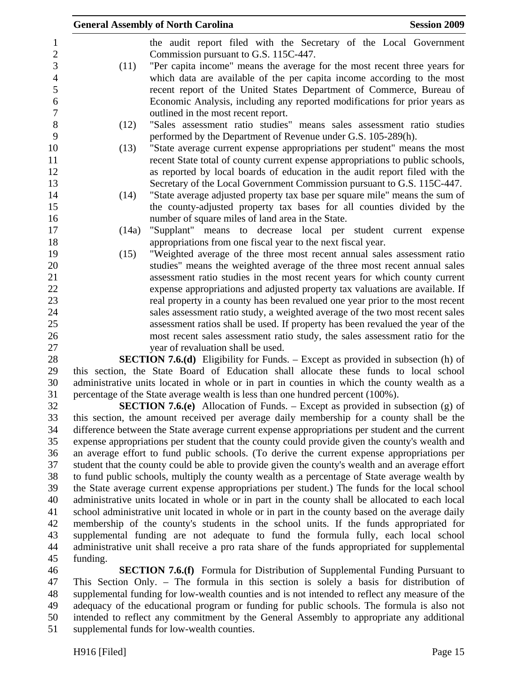|                     |          | <b>General Assembly of North Carolina</b><br><b>Session 2009</b>                                                                                                                                   |  |
|---------------------|----------|----------------------------------------------------------------------------------------------------------------------------------------------------------------------------------------------------|--|
| 1<br>$\overline{2}$ |          | the audit report filed with the Secretary of the Local Government<br>Commission pursuant to G.S. 115C-447.                                                                                         |  |
| 3                   | (11)     | "Per capita income" means the average for the most recent three years for                                                                                                                          |  |
| $\overline{4}$      |          | which data are available of the per capita income according to the most                                                                                                                            |  |
| 5                   |          | recent report of the United States Department of Commerce, Bureau of                                                                                                                               |  |
| 6                   |          | Economic Analysis, including any reported modifications for prior years as                                                                                                                         |  |
| $\boldsymbol{7}$    |          | outlined in the most recent report.                                                                                                                                                                |  |
| $8\,$               | (12)     | "Sales assessment ratio studies" means sales assessment ratio studies                                                                                                                              |  |
| 9                   |          | performed by the Department of Revenue under G.S. 105-289(h).                                                                                                                                      |  |
| 10                  | (13)     | "State average current expense appropriations per student" means the most                                                                                                                          |  |
| 11                  |          | recent State total of county current expense appropriations to public schools,                                                                                                                     |  |
| 12                  |          | as reported by local boards of education in the audit report filed with the                                                                                                                        |  |
| 13<br>14            | (14)     | Secretary of the Local Government Commission pursuant to G.S. 115C-447.<br>"State average adjusted property tax base per square mile" means the sum of                                             |  |
| 15                  |          | the county-adjusted property tax bases for all counties divided by the                                                                                                                             |  |
| 16                  |          | number of square miles of land area in the State.                                                                                                                                                  |  |
| 17                  | (14a)    | "Supplant" means to decrease local per student current expense                                                                                                                                     |  |
| 18                  |          | appropriations from one fiscal year to the next fiscal year.                                                                                                                                       |  |
| 19                  | (15)     | "Weighted average of the three most recent annual sales assessment ratio                                                                                                                           |  |
| 20                  |          | studies" means the weighted average of the three most recent annual sales                                                                                                                          |  |
| 21                  |          | assessment ratio studies in the most recent years for which county current                                                                                                                         |  |
| 22                  |          | expense appropriations and adjusted property tax valuations are available. If                                                                                                                      |  |
| 23                  |          | real property in a county has been revalued one year prior to the most recent                                                                                                                      |  |
| 24                  |          | sales assessment ratio study, a weighted average of the two most recent sales                                                                                                                      |  |
| 25                  |          | assessment ratios shall be used. If property has been revalued the year of the                                                                                                                     |  |
| 26<br>27            |          | most recent sales assessment ratio study, the sales assessment ratio for the                                                                                                                       |  |
| 28                  |          | year of revaluation shall be used.<br><b>SECTION 7.6.(d)</b> Eligibility for Funds. – Except as provided in subsection (h) of                                                                      |  |
| 29                  |          | this section, the State Board of Education shall allocate these funds to local school                                                                                                              |  |
| 30                  |          | administrative units located in whole or in part in counties in which the county wealth as a                                                                                                       |  |
| 31                  |          | percentage of the State average wealth is less than one hundred percent (100%).                                                                                                                    |  |
| 32                  |          | <b>SECTION 7.6.(e)</b> Allocation of Funds. – Except as provided in subsection (g) of                                                                                                              |  |
| 33                  |          | this section, the amount received per average daily membership for a county shall be the                                                                                                           |  |
| 34                  |          | difference between the State average current expense appropriations per student and the current                                                                                                    |  |
| 35                  |          | expense appropriations per student that the county could provide given the county's wealth and                                                                                                     |  |
| 36                  |          | an average effort to fund public schools. (To derive the current expense appropriations per                                                                                                        |  |
| 37                  |          | student that the county could be able to provide given the county's wealth and an average effort                                                                                                   |  |
| 38                  |          | to fund public schools, multiply the county wealth as a percentage of State average wealth by                                                                                                      |  |
| 39                  |          | the State average current expense appropriations per student.) The funds for the local school                                                                                                      |  |
| 40<br>41            |          | administrative units located in whole or in part in the county shall be allocated to each local<br>school administrative unit located in whole or in part in the county based on the average daily |  |
| 42                  |          | membership of the county's students in the school units. If the funds appropriated for                                                                                                             |  |
| 43                  |          | supplemental funding are not adequate to fund the formula fully, each local school                                                                                                                 |  |
| 44                  |          | administrative unit shall receive a pro rata share of the funds appropriated for supplemental                                                                                                      |  |
| 45                  | funding. |                                                                                                                                                                                                    |  |
| 46                  |          | <b>SECTION 7.6.(f)</b> Formula for Distribution of Supplemental Funding Pursuant to                                                                                                                |  |

46 **SECTION 7.6.(f)** Formula for Distribution of Supplemental Funding Pursuant to 47 This Section Only. – The formula in this section is solely a basis for distribution of 48 supplemental funding for low-wealth counties and is not intended to reflect any measure of the 49 adequacy of the educational program or funding for public schools. The formula is also not 50 intended to reflect any commitment by the General Assembly to appropriate any additional 51 supplemental funds for low-wealth counties.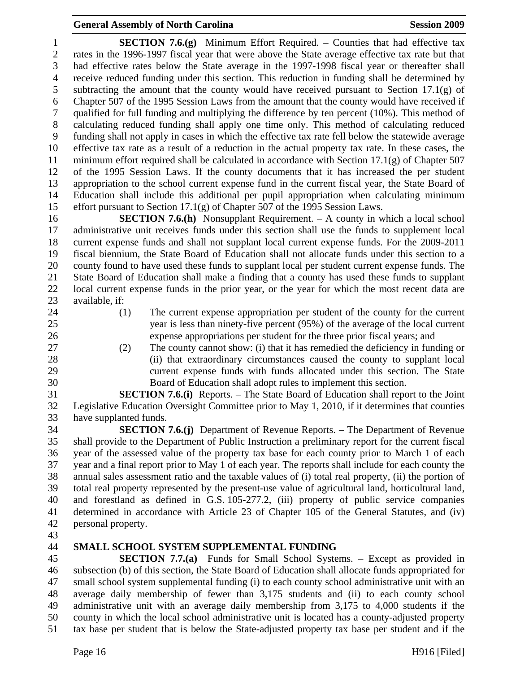1 **SECTION 7.6.(g)** Minimum Effort Required. – Counties that had effective tax 2 rates in the 1996-1997 fiscal year that were above the State average effective tax rate but that 3 had effective rates below the State average in the 1997-1998 fiscal year or thereafter shall 4 receive reduced funding under this section. This reduction in funding shall be determined by 5 subtracting the amount that the county would have received pursuant to Section 17.1(g) of 6 Chapter 507 of the 1995 Session Laws from the amount that the county would have received if 7 qualified for full funding and multiplying the difference by ten percent (10%). This method of 8 calculating reduced funding shall apply one time only. This method of calculating reduced 9 funding shall not apply in cases in which the effective tax rate fell below the statewide average 10 effective tax rate as a result of a reduction in the actual property tax rate. In these cases, the 11 minimum effort required shall be calculated in accordance with Section  $17.1(g)$  of Chapter 507 12 of the 1995 Session Laws. If the county documents that it has increased the per student 13 appropriation to the school current expense fund in the current fiscal year, the State Board of 14 Education shall include this additional per pupil appropriation when calculating minimum 15 effort pursuant to Section 17.1(g) of Chapter 507 of the 1995 Session Laws.

16 **SECTION 7.6.(h)** Nonsupplant Requirement. – A county in which a local school 17 administrative unit receives funds under this section shall use the funds to supplement local 18 current expense funds and shall not supplant local current expense funds. For the 2009-2011 19 fiscal biennium, the State Board of Education shall not allocate funds under this section to a 20 county found to have used these funds to supplant local per student current expense funds. The 21 State Board of Education shall make a finding that a county has used these funds to supplant 22 local current expense funds in the prior year, or the year for which the most recent data are 23 available, if:

- 
- 
- 24 (1) The current expense appropriation per student of the county for the current 25 year is less than ninety-five percent (95%) of the average of the local current 26 expense appropriations per student for the three prior fiscal years; and
- 
- 27 (2) The county cannot show: (i) that it has remedied the deficiency in funding or 28 (ii) that extraordinary circumstances caused the county to supplant local 29 current expense funds with funds allocated under this section. The State 30 Board of Education shall adopt rules to implement this section.

31 **SECTION 7.6.(i)** Reports. – The State Board of Education shall report to the Joint 32 Legislative Education Oversight Committee prior to May 1, 2010, if it determines that counties 33 have supplanted funds.

34 **SECTION 7.6.(j)** Department of Revenue Reports. – The Department of Revenue 35 shall provide to the Department of Public Instruction a preliminary report for the current fiscal 36 year of the assessed value of the property tax base for each county prior to March 1 of each 37 year and a final report prior to May 1 of each year. The reports shall include for each county the 38 annual sales assessment ratio and the taxable values of (i) total real property, (ii) the portion of 39 total real property represented by the present-use value of agricultural land, horticultural land, 40 and forestland as defined in G.S. 105-277.2, (iii) property of public service companies 41 determined in accordance with Article 23 of Chapter 105 of the General Statutes, and (iv) 42 personal property.

43

# 44 **SMALL SCHOOL SYSTEM SUPPLEMENTAL FUNDING**

45 **SECTION 7.7.(a)** Funds for Small School Systems. – Except as provided in 46 subsection (b) of this section, the State Board of Education shall allocate funds appropriated for 47 small school system supplemental funding (i) to each county school administrative unit with an 48 average daily membership of fewer than 3,175 students and (ii) to each county school 49 administrative unit with an average daily membership from 3,175 to 4,000 students if the 50 county in which the local school administrative unit is located has a county-adjusted property 51 tax base per student that is below the State-adjusted property tax base per student and if the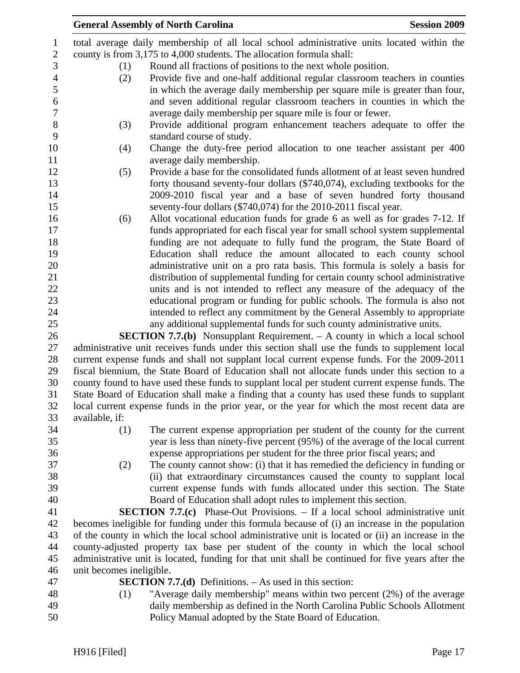|                | <b>General Assembly of North Carolina</b>                                                                                                                                                  | <b>Session 2009</b> |
|----------------|--------------------------------------------------------------------------------------------------------------------------------------------------------------------------------------------|---------------------|
| 1              | total average daily membership of all local school administrative units located within the                                                                                                 |                     |
| $\sqrt{2}$     | county is from 3,175 to 4,000 students. The allocation formula shall:                                                                                                                      |                     |
| 3              | Round all fractions of positions to the next whole position.<br>(1)                                                                                                                        |                     |
| $\overline{4}$ | Provide five and one-half additional regular classroom teachers in counties<br>(2)                                                                                                         |                     |
| 5              | in which the average daily membership per square mile is greater than four,                                                                                                                |                     |
| 6              | and seven additional regular classroom teachers in counties in which the                                                                                                                   |                     |
| $\tau$         | average daily membership per square mile is four or fewer.                                                                                                                                 |                     |
| $8\,$          | Provide additional program enhancement teachers adequate to offer the<br>(3)                                                                                                               |                     |
| 9              | standard course of study.                                                                                                                                                                  |                     |
| 10             | Change the duty-free period allocation to one teacher assistant per 400<br>(4)                                                                                                             |                     |
| 11             | average daily membership.                                                                                                                                                                  |                     |
| 12             | Provide a base for the consolidated funds allotment of at least seven hundred<br>(5)                                                                                                       |                     |
| 13             | forty thousand seventy-four dollars (\$740,074), excluding textbooks for the                                                                                                               |                     |
| 14             | 2009-2010 fiscal year and a base of seven hundred forty thousand                                                                                                                           |                     |
| 15             | seventy-four dollars (\$740,074) for the 2010-2011 fiscal year.                                                                                                                            |                     |
| 16             | Allot vocational education funds for grade 6 as well as for grades 7-12. If<br>(6)                                                                                                         |                     |
| 17             | funds appropriated for each fiscal year for small school system supplemental                                                                                                               |                     |
| 18             | funding are not adequate to fully fund the program, the State Board of                                                                                                                     |                     |
| 19             | Education shall reduce the amount allocated to each county school                                                                                                                          |                     |
| 20             | administrative unit on a pro rata basis. This formula is solely a basis for                                                                                                                |                     |
| 21<br>22       | distribution of supplemental funding for certain county school administrative<br>units and is not intended to reflect any measure of the adequacy of the                                   |                     |
| 23             | educational program or funding for public schools. The formula is also not                                                                                                                 |                     |
| 24             | intended to reflect any commitment by the General Assembly to appropriate                                                                                                                  |                     |
| 25             | any additional supplemental funds for such county administrative units.                                                                                                                    |                     |
| 26             | <b>SECTION 7.7.(b)</b> Nonsupplant Requirement. - A county in which a local school                                                                                                         |                     |
| 27             | administrative unit receives funds under this section shall use the funds to supplement local                                                                                              |                     |
| 28             | current expense funds and shall not supplant local current expense funds. For the 2009-2011                                                                                                |                     |
| 29             | fiscal biennium, the State Board of Education shall not allocate funds under this section to a                                                                                             |                     |
| 30             | county found to have used these funds to supplant local per student current expense funds. The                                                                                             |                     |
| 31             | State Board of Education shall make a finding that a county has used these funds to supplant                                                                                               |                     |
| 32             | local current expense funds in the prior year, or the year for which the most recent data are                                                                                              |                     |
| 33             | available, if:                                                                                                                                                                             |                     |
| 34             | The current expense appropriation per student of the county for the current<br>(1)                                                                                                         |                     |
| 35             | year is less than ninety-five percent (95%) of the average of the local current                                                                                                            |                     |
| 36             | expense appropriations per student for the three prior fiscal years; and                                                                                                                   |                     |
| 37             | The county cannot show: (i) that it has remedied the deficiency in funding or<br>(2)                                                                                                       |                     |
| 38             | (ii) that extraordinary circumstances caused the county to supplant local                                                                                                                  |                     |
| 39             | current expense funds with funds allocated under this section. The State                                                                                                                   |                     |
| 40             | Board of Education shall adopt rules to implement this section.                                                                                                                            |                     |
| 41             | <b>SECTION 7.7.(c)</b> Phase-Out Provisions. – If a local school administrative unit                                                                                                       |                     |
| 42             | becomes ineligible for funding under this formula because of (i) an increase in the population                                                                                             |                     |
| 43             | of the county in which the local school administrative unit is located or (ii) an increase in the                                                                                          |                     |
| 44<br>45       | county-adjusted property tax base per student of the county in which the local school<br>administrative unit is located, funding for that unit shall be continued for five years after the |                     |
| 46             | unit becomes ineligible.                                                                                                                                                                   |                     |
| 47             | <b>SECTION 7.7.(d)</b> Definitions. $-$ As used in this section:                                                                                                                           |                     |
| 48             | "Average daily membership" means within two percent (2%) of the average<br>(1)                                                                                                             |                     |
| 49             | daily membership as defined in the North Carolina Public Schools Allotment                                                                                                                 |                     |
| 50             | Policy Manual adopted by the State Board of Education.                                                                                                                                     |                     |
|                |                                                                                                                                                                                            |                     |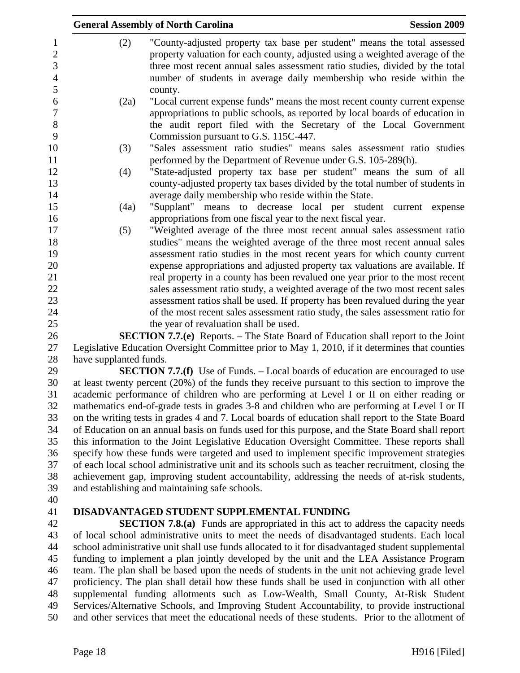|                        | <b>Session 2009</b><br><b>General Assembly of North Carolina</b>                                                                                                                                                                                                                                                             |
|------------------------|------------------------------------------------------------------------------------------------------------------------------------------------------------------------------------------------------------------------------------------------------------------------------------------------------------------------------|
| (2)                    | "County-adjusted property tax base per student" means the total assessed<br>property valuation for each county, adjusted using a weighted average of the<br>three most recent annual sales assessment ratio studies, divided by the total<br>number of students in average daily membership who reside within the<br>county. |
| (2a)                   | "Local current expense funds" means the most recent county current expense<br>appropriations to public schools, as reported by local boards of education in<br>the audit report filed with the Secretary of the Local Government<br>Commission pursuant to G.S. 115C-447.                                                    |
| (3)                    | "Sales assessment ratio studies" means sales assessment ratio studies<br>performed by the Department of Revenue under G.S. 105-289(h).                                                                                                                                                                                       |
| (4)                    | "State-adjusted property tax base per student" means the sum of all<br>county-adjusted property tax bases divided by the total number of students in<br>average daily membership who reside within the State.                                                                                                                |
| (4a)                   | "Supplant" means to decrease local per student current expense<br>appropriations from one fiscal year to the next fiscal year.                                                                                                                                                                                               |
| (5)                    | "Weighted average of the three most recent annual sales assessment ratio<br>studies" means the weighted average of the three most recent annual sales                                                                                                                                                                        |
|                        | assessment ratio studies in the most recent years for which county current<br>expense appropriations and adjusted property tax valuations are available. If<br>real property in a county has been revalued one year prior to the most recent                                                                                 |
|                        | sales assessment ratio study, a weighted average of the two most recent sales<br>assessment ratios shall be used. If property has been revalued during the year                                                                                                                                                              |
|                        | of the most recent sales assessment ratio study, the sales assessment ratio for<br>the year of revaluation shall be used.                                                                                                                                                                                                    |
|                        | <b>SECTION 7.7.(e)</b> Reports. – The State Board of Education shall report to the Joint                                                                                                                                                                                                                                     |
|                        | Legislative Education Oversight Committee prior to May 1, 2010, if it determines that counties                                                                                                                                                                                                                               |
| have supplanted funds. |                                                                                                                                                                                                                                                                                                                              |
|                        | <b>SECTION 7.7.(f)</b> Use of Funds. – Local boards of education are encouraged to use                                                                                                                                                                                                                                       |
|                        | at least twenty percent (20%) of the funds they receive pursuant to this section to improve the                                                                                                                                                                                                                              |
|                        | academic performance of children who are performing at Level I or II on either reading or                                                                                                                                                                                                                                    |
|                        | mathematics end-of-grade tests in grades 3-8 and children who are performing at Level I or II                                                                                                                                                                                                                                |
|                        | on the writing tests in grades 4 and 7. Local boards of education shall report to the State Board                                                                                                                                                                                                                            |
|                        | of Education on an annual basis on funds used for this purpose, and the State Board shall report                                                                                                                                                                                                                             |
|                        | this information to the Joint Legislative Education Oversight Committee. These reports shall<br>specify how these funds were targeted and used to implement specific improvement strategies                                                                                                                                  |
|                        | of each local school administrative unit and its schools such as teacher recruitment, closing the                                                                                                                                                                                                                            |

39 and establishing and maintaining safe schools. 40

# 41 **DISADVANTAGED STUDENT SUPPLEMENTAL FUNDING**

42 **SECTION 7.8.(a)** Funds are appropriated in this act to address the capacity needs 43 of local school administrative units to meet the needs of disadvantaged students. Each local 44 school administrative unit shall use funds allocated to it for disadvantaged student supplemental 45 funding to implement a plan jointly developed by the unit and the LEA Assistance Program 46 team. The plan shall be based upon the needs of students in the unit not achieving grade level 47 proficiency. The plan shall detail how these funds shall be used in conjunction with all other 48 supplemental funding allotments such as Low-Wealth, Small County, At-Risk Student 49 Services/Alternative Schools, and Improving Student Accountability, to provide instructional 50 and other services that meet the educational needs of these students. Prior to the allotment of

38 achievement gap, improving student accountability, addressing the needs of at-risk students,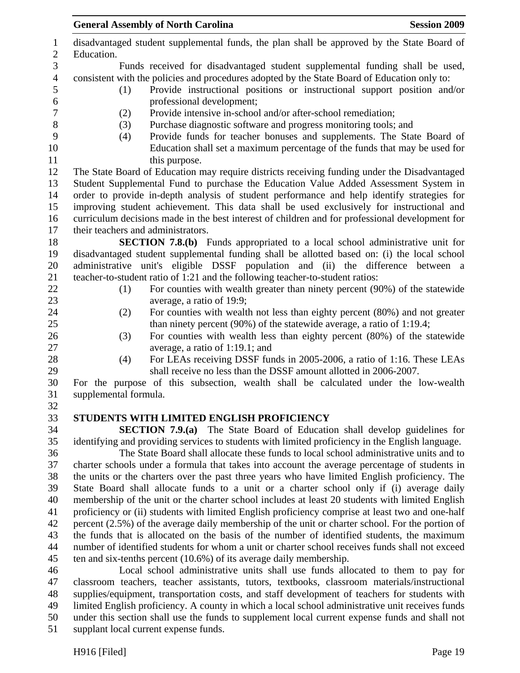| $\mathbf{1}$<br>$\mathbf{2}$ | disadvantaged student supplemental funds, the plan shall be approved by the State Board of<br>Education.                                                                                             |
|------------------------------|------------------------------------------------------------------------------------------------------------------------------------------------------------------------------------------------------|
| $\mathfrak{Z}$               | Funds received for disadvantaged student supplemental funding shall be used,                                                                                                                         |
| $\overline{4}$               | consistent with the policies and procedures adopted by the State Board of Education only to:                                                                                                         |
| 5                            | Provide instructional positions or instructional support position and/or<br>(1)                                                                                                                      |
| 6                            | professional development;                                                                                                                                                                            |
| $\boldsymbol{7}$             | Provide intensive in-school and/or after-school remediation;<br>(2)                                                                                                                                  |
| $8\,$                        | Purchase diagnostic software and progress monitoring tools; and<br>(3)                                                                                                                               |
| 9                            | Provide funds for teacher bonuses and supplements. The State Board of<br>(4)                                                                                                                         |
| 10                           | Education shall set a maximum percentage of the funds that may be used for                                                                                                                           |
| 11                           | this purpose.                                                                                                                                                                                        |
| 12                           | The State Board of Education may require districts receiving funding under the Disadvantaged                                                                                                         |
| 13                           | Student Supplemental Fund to purchase the Education Value Added Assessment System in                                                                                                                 |
| 14                           | order to provide in-depth analysis of student performance and help identify strategies for                                                                                                           |
| 15                           | improving student achievement. This data shall be used exclusively for instructional and                                                                                                             |
| 16                           | curriculum decisions made in the best interest of children and for professional development for                                                                                                      |
| 17                           | their teachers and administrators.                                                                                                                                                                   |
| 18                           | <b>SECTION 7.8.(b)</b> Funds appropriated to a local school administrative unit for                                                                                                                  |
| 19                           | disadvantaged student supplemental funding shall be allotted based on: (i) the local school                                                                                                          |
| 20                           | administrative unit's eligible DSSF population and (ii) the difference between a                                                                                                                     |
| 21                           | teacher-to-student ratio of 1:21 and the following teacher-to-student ratios:                                                                                                                        |
| 22                           | For counties with wealth greater than ninety percent (90%) of the statewide<br>(1)                                                                                                                   |
| 23                           | average, a ratio of 19:9;                                                                                                                                                                            |
| 24                           | For counties with wealth not less than eighty percent (80%) and not greater<br>(2)                                                                                                                   |
| 25                           | than ninety percent $(90\%)$ of the statewide average, a ratio of 1:19.4;                                                                                                                            |
| 26                           | For counties with wealth less than eighty percent (80%) of the statewide<br>(3)                                                                                                                      |
| 27                           | average, a ratio of 1:19.1; and                                                                                                                                                                      |
| 28                           | For LEAs receiving DSSF funds in 2005-2006, a ratio of 1:16. These LEAs<br>(4)                                                                                                                       |
| 29                           | shall receive no less than the DSSF amount allotted in 2006-2007.                                                                                                                                    |
| 30                           | For the purpose of this subsection, wealth shall be calculated under the low-wealth                                                                                                                  |
| 31                           | supplemental formula.                                                                                                                                                                                |
| 32                           |                                                                                                                                                                                                      |
| 33                           | STUDENTS WITH LIMITED ENGLISH PROFICIENCY                                                                                                                                                            |
| 34                           | <b>SECTION 7.9.(a)</b> The State Board of Education shall develop guidelines for                                                                                                                     |
| 35                           | identifying and providing services to students with limited proficiency in the English language.                                                                                                     |
| 36                           | The State Board shall allocate these funds to local school administrative units and to                                                                                                               |
| 37                           | charter schools under a formula that takes into account the average percentage of students in                                                                                                        |
| 38<br>39                     | the units or the charters over the past three years who have limited English proficiency. The                                                                                                        |
|                              | State Board shall allocate funds to a unit or a charter school only if (i) average daily<br>membership of the unit or the charter school includes at least 20 students with limited English          |
| 40                           |                                                                                                                                                                                                      |
| 41<br>42                     | proficiency or (ii) students with limited English proficiency comprise at least two and one-half<br>percent (2.5%) of the average daily membership of the unit or charter school. For the portion of |
| 43                           |                                                                                                                                                                                                      |
| 44                           | the funds that is allocated on the basis of the number of identified students, the maximum<br>number of identified students for whom a unit or charter school receives funds shall not exceed        |
|                              |                                                                                                                                                                                                      |
| 45<br>46                     | ten and six-tenths percent $(10.6%)$ of its average daily membership.                                                                                                                                |
| 47                           | Local school administrative units shall use funds allocated to them to pay for<br>classroom teachers, teacher assistants, tutors, textbooks, classroom materials/instructional                       |
| 48                           | supplies/equipment, transportation costs, and staff development of teachers for students with                                                                                                        |
| 49                           | limited English proficiency. A county in which a local school administrative unit receives funds                                                                                                     |
|                              |                                                                                                                                                                                                      |

50 under this section shall use the funds to supplement local current expense funds and shall not

51 supplant local current expense funds.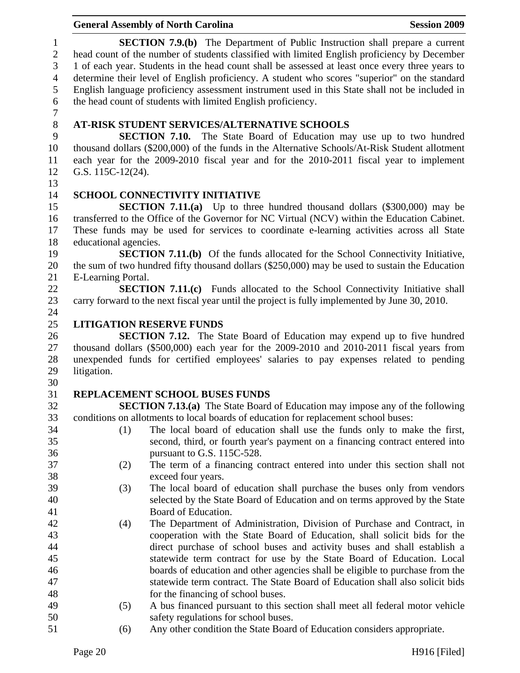|                |                       | <b>General Assembly of North Carolina</b>                                                                                                                      | <b>Session 2009</b> |
|----------------|-----------------------|----------------------------------------------------------------------------------------------------------------------------------------------------------------|---------------------|
| $\mathbf{1}$   |                       | <b>SECTION 7.9.(b)</b> The Department of Public Instruction shall prepare a current                                                                            |                     |
| $\mathbf{2}$   |                       | head count of the number of students classified with limited English proficiency by December                                                                   |                     |
| 3              |                       | 1 of each year. Students in the head count shall be assessed at least once every three years to                                                                |                     |
| $\overline{4}$ |                       | determine their level of English proficiency. A student who scores "superior" on the standard                                                                  |                     |
| 5              |                       | English language proficiency assessment instrument used in this State shall not be included in                                                                 |                     |
| 6              |                       | the head count of students with limited English proficiency.                                                                                                   |                     |
| $\tau$         |                       |                                                                                                                                                                |                     |
| $8\,$          |                       | AT-RISK STUDENT SERVICES/ALTERNATIVE SCHOOLS                                                                                                                   |                     |
| 9              |                       | <b>SECTION 7.10.</b> The State Board of Education may use up to two hundred                                                                                    |                     |
| 10             |                       | thousand dollars (\$200,000) of the funds in the Alternative Schools/At-Risk Student allotment                                                                 |                     |
| 11             |                       | each year for the 2009-2010 fiscal year and for the 2010-2011 fiscal year to implement                                                                         |                     |
| 12             | G.S. 115C-12(24).     |                                                                                                                                                                |                     |
| 13             |                       |                                                                                                                                                                |                     |
| 14             |                       | <b>SCHOOL CONNECTIVITY INITIATIVE</b>                                                                                                                          |                     |
| 15             |                       | <b>SECTION 7.11.(a)</b> Up to three hundred thousand dollars (\$300,000) may be                                                                                |                     |
| 16             |                       | transferred to the Office of the Governor for NC Virtual (NCV) within the Education Cabinet.                                                                   |                     |
| 17             |                       | These funds may be used for services to coordinate e-learning activities across all State                                                                      |                     |
| 18             | educational agencies. |                                                                                                                                                                |                     |
| 19             |                       | <b>SECTION 7.11.(b)</b> Of the funds allocated for the School Connectivity Initiative,                                                                         |                     |
| 20             |                       | the sum of two hundred fifty thousand dollars (\$250,000) may be used to sustain the Education                                                                 |                     |
| 21             | E-Learning Portal.    |                                                                                                                                                                |                     |
| 22             |                       | <b>SECTION 7.11.(c)</b> Funds allocated to the School Connectivity Initiative shall                                                                            |                     |
| 23             |                       | carry forward to the next fiscal year until the project is fully implemented by June 30, 2010.                                                                 |                     |
| 24<br>25       |                       | <b>LITIGATION RESERVE FUNDS</b>                                                                                                                                |                     |
| 26             |                       | <b>SECTION 7.12.</b> The State Board of Education may expend up to five hundred                                                                                |                     |
| 27             |                       | thousand dollars $(\$500,000)$ each year for the 2009-2010 and 2010-2011 fiscal years from                                                                     |                     |
| 28             |                       | unexpended funds for certified employees' salaries to pay expenses related to pending                                                                          |                     |
| 29             | litigation.           |                                                                                                                                                                |                     |
| 30             |                       |                                                                                                                                                                |                     |
| 31             |                       | REPLACEMENT SCHOOL BUSES FUNDS                                                                                                                                 |                     |
| 32             |                       | <b>SECTION 7.13.(a)</b> The State Board of Education may impose any of the following                                                                           |                     |
| 33             |                       | conditions on allotments to local boards of education for replacement school buses:                                                                            |                     |
| 34             | (1)                   | The local board of education shall use the funds only to make the first,                                                                                       |                     |
| 35             |                       | second, third, or fourth year's payment on a financing contract entered into                                                                                   |                     |
| 36             |                       | pursuant to G.S. 115C-528.                                                                                                                                     |                     |
| 37             | (2)                   | The term of a financing contract entered into under this section shall not                                                                                     |                     |
| 38             |                       | exceed four years.                                                                                                                                             |                     |
| 39             | (3)                   | The local board of education shall purchase the buses only from vendors                                                                                        |                     |
| 40             |                       | selected by the State Board of Education and on terms approved by the State                                                                                    |                     |
| 41             |                       | Board of Education.                                                                                                                                            |                     |
| 42             | (4)                   | The Department of Administration, Division of Purchase and Contract, in                                                                                        |                     |
| 43             |                       | cooperation with the State Board of Education, shall solicit bids for the                                                                                      |                     |
| 44             |                       | direct purchase of school buses and activity buses and shall establish a                                                                                       |                     |
| 45             |                       | statewide term contract for use by the State Board of Education. Local                                                                                         |                     |
| 46<br>47       |                       | boards of education and other agencies shall be eligible to purchase from the<br>statewide term contract. The State Board of Education shall also solicit bids |                     |
| 48             |                       | for the financing of school buses.                                                                                                                             |                     |
| 49             | (5)                   | A bus financed pursuant to this section shall meet all federal motor vehicle                                                                                   |                     |
| 50             |                       | safety regulations for school buses.                                                                                                                           |                     |
| $\mathbf{r}$ 1 |                       |                                                                                                                                                                |                     |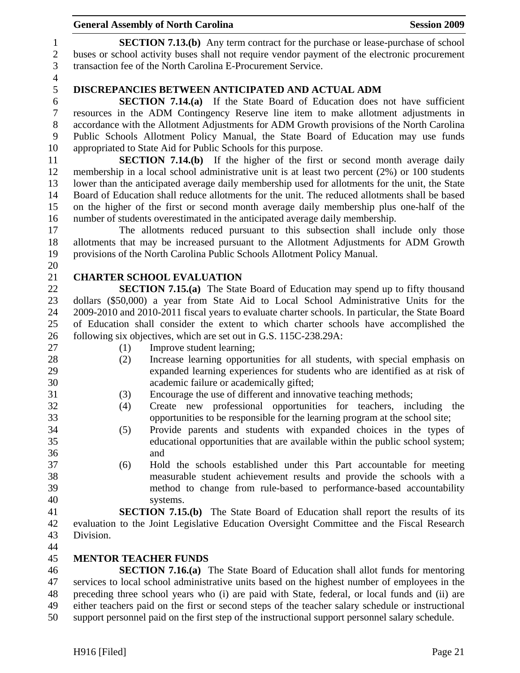1 **SECTION 7.13.(b)** Any term contract for the purchase or lease-purchase of school 2 buses or school activity buses shall not require vendor payment of the electronic procurement 3 transaction fee of the North Carolina E-Procurement Service.

4

## 5 **DISCREPANCIES BETWEEN ANTICIPATED AND ACTUAL ADM**

6 **SECTION 7.14.(a)** If the State Board of Education does not have sufficient 7 resources in the ADM Contingency Reserve line item to make allotment adjustments in 8 accordance with the Allotment Adjustments for ADM Growth provisions of the North Carolina 9 Public Schools Allotment Policy Manual, the State Board of Education may use funds 10 appropriated to State Aid for Public Schools for this purpose.

11 **SECTION 7.14.(b)** If the higher of the first or second month average daily 12 membership in a local school administrative unit is at least two percent (2%) or 100 students 13 lower than the anticipated average daily membership used for allotments for the unit, the State 14 Board of Education shall reduce allotments for the unit. The reduced allotments shall be based 15 on the higher of the first or second month average daily membership plus one-half of the 16 number of students overestimated in the anticipated average daily membership.

17 The allotments reduced pursuant to this subsection shall include only those 18 allotments that may be increased pursuant to the Allotment Adjustments for ADM Growth 19 provisions of the North Carolina Public Schools Allotment Policy Manual.

### 21 **CHARTER SCHOOL EVALUATION**

22 **SECTION 7.15.(a)** The State Board of Education may spend up to fifty thousand 23 dollars (\$50,000) a year from State Aid to Local School Administrative Units for the 24 2009-2010 and 2010-2011 fiscal years to evaluate charter schools. In particular, the State Board 25 of Education shall consider the extent to which charter schools have accomplished the 26 following six objectives, which are set out in G.S. 115C-238.29A:

20

- 27 (1) Improve student learning;
- 28 (2) Increase learning opportunities for all students, with special emphasis on 29 expanded learning experiences for students who are identified as at risk of 30 academic failure or academically gifted;
- 31 (3) Encourage the use of different and innovative teaching methods;
- 32 (4) Create new professional opportunities for teachers, including the 33 opportunities to be responsible for the learning program at the school site;
- 34 (5) Provide parents and students with expanded choices in the types of 35 educational opportunities that are available within the public school system; 36 and
- 37 (6) Hold the schools established under this Part accountable for meeting 38 measurable student achievement results and provide the schools with a 39 method to change from rule-based to performance-based accountability 40 systems.

41 **SECTION 7.15.(b)** The State Board of Education shall report the results of its 42 evaluation to the Joint Legislative Education Oversight Committee and the Fiscal Research 43 Division.

44

### 45 **MENTOR TEACHER FUNDS**

46 **SECTION 7.16.(a)** The State Board of Education shall allot funds for mentoring 47 services to local school administrative units based on the highest number of employees in the 48 preceding three school years who (i) are paid with State, federal, or local funds and (ii) are 49 either teachers paid on the first or second steps of the teacher salary schedule or instructional 50 support personnel paid on the first step of the instructional support personnel salary schedule.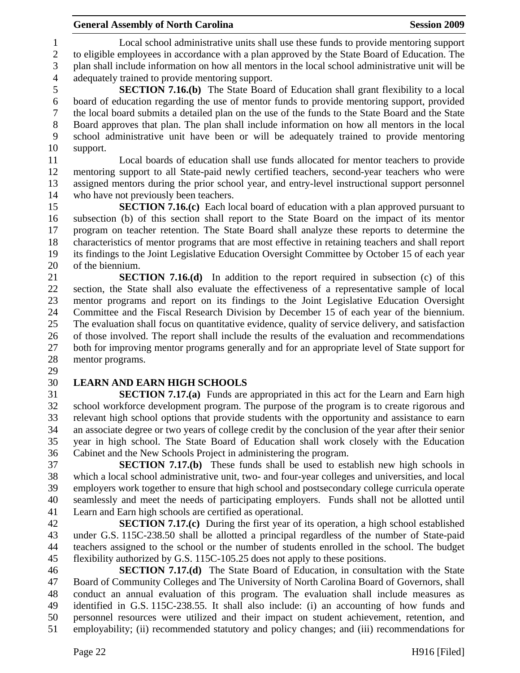1 Local school administrative units shall use these funds to provide mentoring support 2 to eligible employees in accordance with a plan approved by the State Board of Education. The 3 plan shall include information on how all mentors in the local school administrative unit will be 4 adequately trained to provide mentoring support.

5 **SECTION 7.16.(b)** The State Board of Education shall grant flexibility to a local 6 board of education regarding the use of mentor funds to provide mentoring support, provided 7 the local board submits a detailed plan on the use of the funds to the State Board and the State 8 Board approves that plan. The plan shall include information on how all mentors in the local 9 school administrative unit have been or will be adequately trained to provide mentoring 10 support.

11 Local boards of education shall use funds allocated for mentor teachers to provide 12 mentoring support to all State-paid newly certified teachers, second-year teachers who were 13 assigned mentors during the prior school year, and entry-level instructional support personnel 14 who have not previously been teachers.

15 **SECTION 7.16.(c)** Each local board of education with a plan approved pursuant to 16 subsection (b) of this section shall report to the State Board on the impact of its mentor 17 program on teacher retention. The State Board shall analyze these reports to determine the 18 characteristics of mentor programs that are most effective in retaining teachers and shall report 19 its findings to the Joint Legislative Education Oversight Committee by October 15 of each year 20 of the biennium.

21 **SECTION 7.16.(d)** In addition to the report required in subsection (c) of this 22 section, the State shall also evaluate the effectiveness of a representative sample of local 23 mentor programs and report on its findings to the Joint Legislative Education Oversight 24 Committee and the Fiscal Research Division by December 15 of each year of the biennium. 25 The evaluation shall focus on quantitative evidence, quality of service delivery, and satisfaction 26 of those involved. The report shall include the results of the evaluation and recommendations 27 both for improving mentor programs generally and for an appropriate level of State support for 28 mentor programs.

29

# 30 **LEARN AND EARN HIGH SCHOOLS**

31 **SECTION 7.17.(a)** Funds are appropriated in this act for the Learn and Earn high 32 school workforce development program. The purpose of the program is to create rigorous and 33 relevant high school options that provide students with the opportunity and assistance to earn 34 an associate degree or two years of college credit by the conclusion of the year after their senior 35 year in high school. The State Board of Education shall work closely with the Education 36 Cabinet and the New Schools Project in administering the program.

37 **SECTION 7.17.(b)** These funds shall be used to establish new high schools in 38 which a local school administrative unit, two- and four-year colleges and universities, and local 39 employers work together to ensure that high school and postsecondary college curricula operate 40 seamlessly and meet the needs of participating employers. Funds shall not be allotted until 41 Learn and Earn high schools are certified as operational.

42 **SECTION 7.17.(c)** During the first year of its operation, a high school established 43 under G.S. 115C-238.50 shall be allotted a principal regardless of the number of State-paid 44 teachers assigned to the school or the number of students enrolled in the school. The budget 45 flexibility authorized by G.S. 115C-105.25 does not apply to these positions.

46 **SECTION 7.17.(d)** The State Board of Education, in consultation with the State 47 Board of Community Colleges and The University of North Carolina Board of Governors, shall 48 conduct an annual evaluation of this program. The evaluation shall include measures as 49 identified in G.S. 115C-238.55. It shall also include: (i) an accounting of how funds and 50 personnel resources were utilized and their impact on student achievement, retention, and 51 employability; (ii) recommended statutory and policy changes; and (iii) recommendations for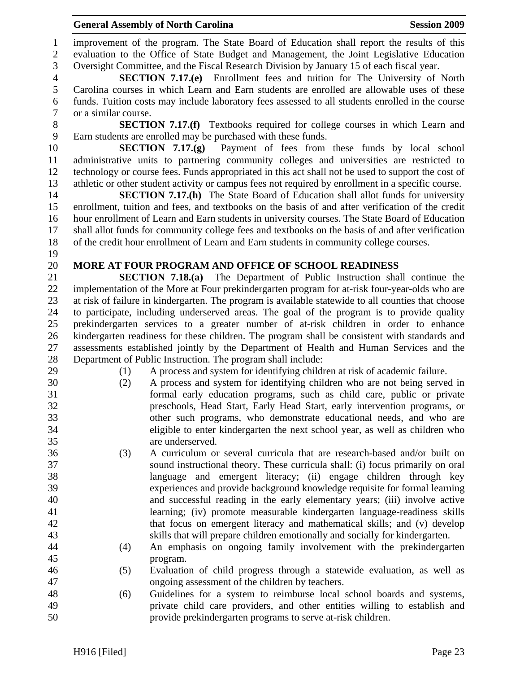1 improvement of the program. The State Board of Education shall report the results of this 2 evaluation to the Office of State Budget and Management, the Joint Legislative Education 3 Oversight Committee, and the Fiscal Research Division by January 15 of each fiscal year. 4 **SECTION 7.17.(e)** Enrollment fees and tuition for The University of North 5 Carolina courses in which Learn and Earn students are enrolled are allowable uses of these 6 funds. Tuition costs may include laboratory fees assessed to all students enrolled in the course 7 or a similar course. 8 **SECTION 7.17.(f)** Textbooks required for college courses in which Learn and 9 Earn students are enrolled may be purchased with these funds. 10 **SECTION 7.17.(g)** Payment of fees from these funds by local school 11 administrative units to partnering community colleges and universities are restricted to 12 technology or course fees. Funds appropriated in this act shall not be used to support the cost of 13 athletic or other student activity or campus fees not required by enrollment in a specific course. 14 **SECTION 7.17.(h)** The State Board of Education shall allot funds for university 15 enrollment, tuition and fees, and textbooks on the basis of and after verification of the credit 16 hour enrollment of Learn and Earn students in university courses. The State Board of Education 17 shall allot funds for community college fees and textbooks on the basis of and after verification 18 of the credit hour enrollment of Learn and Earn students in community college courses. 19 20 **MORE AT FOUR PROGRAM AND OFFICE OF SCHOOL READINESS**  21 **SECTION 7.18.(a)** The Department of Public Instruction shall continue the 22 implementation of the More at Four prekindergarten program for at-risk four-year-olds who are 23 at risk of failure in kindergarten. The program is available statewide to all counties that choose 24 to participate, including underserved areas. The goal of the program is to provide quality 25 prekindergarten services to a greater number of at-risk children in order to enhance 26 kindergarten readiness for these children. The program shall be consistent with standards and 27 assessments established jointly by the Department of Health and Human Services and the 28 Department of Public Instruction. The program shall include: 29 (1) A process and system for identifying children at risk of academic failure. 30 (2) A process and system for identifying children who are not being served in 31 formal early education programs, such as child care, public or private 32 preschools, Head Start, Early Head Start, early intervention programs, or 33 other such programs, who demonstrate educational needs, and who are 34 eligible to enter kindergarten the next school year, as well as children who 35 are underserved. 36 (3) A curriculum or several curricula that are research-based and/or built on 37 sound instructional theory. These curricula shall: (i) focus primarily on oral 38 language and emergent literacy; (ii) engage children through key 39 experiences and provide background knowledge requisite for formal learning 40 and successful reading in the early elementary years; (iii) involve active 41 learning; (iv) promote measurable kindergarten language-readiness skills 42 that focus on emergent literacy and mathematical skills; and (v) develop 43 skills that will prepare children emotionally and socially for kindergarten. 44 (4) An emphasis on ongoing family involvement with the prekindergarten 45 program. 46 (5) Evaluation of child progress through a statewide evaluation, as well as 47 ongoing assessment of the children by teachers. 48 (6) Guidelines for a system to reimburse local school boards and systems, 49 private child care providers, and other entities willing to establish and 50 provide prekindergarten programs to serve at-risk children.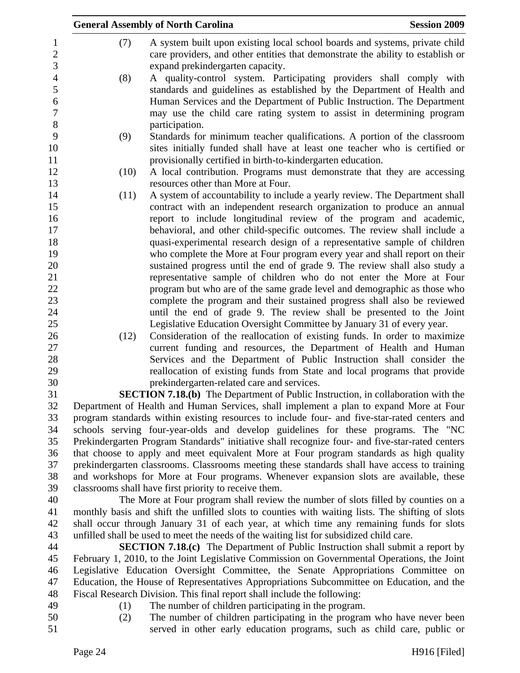|      | <b>General Assembly of North Carolina</b>                                                                                                                                                                                                                                                          | <b>Session 2009</b> |
|------|----------------------------------------------------------------------------------------------------------------------------------------------------------------------------------------------------------------------------------------------------------------------------------------------------|---------------------|
| (7)  | A system built upon existing local school boards and systems, private child<br>care providers, and other entities that demonstrate the ability to establish or<br>expand prekindergarten capacity.                                                                                                 |                     |
| (8)  | A quality-control system. Participating providers shall comply with<br>standards and guidelines as established by the Department of Health and<br>Human Services and the Department of Public Instruction. The Department<br>may use the child care rating system to assist in determining program |                     |
|      | participation.                                                                                                                                                                                                                                                                                     |                     |
| (9)  | Standards for minimum teacher qualifications. A portion of the classroom                                                                                                                                                                                                                           |                     |
|      | sites initially funded shall have at least one teacher who is certified or<br>provisionally certified in birth-to-kindergarten education.                                                                                                                                                          |                     |
| (10) | A local contribution. Programs must demonstrate that they are accessing                                                                                                                                                                                                                            |                     |
|      | resources other than More at Four.                                                                                                                                                                                                                                                                 |                     |
| (11) | A system of accountability to include a yearly review. The Department shall                                                                                                                                                                                                                        |                     |
|      | contract with an independent research organization to produce an annual                                                                                                                                                                                                                            |                     |
|      | report to include longitudinal review of the program and academic,                                                                                                                                                                                                                                 |                     |
|      | behavioral, and other child-specific outcomes. The review shall include a                                                                                                                                                                                                                          |                     |
|      | quasi-experimental research design of a representative sample of children                                                                                                                                                                                                                          |                     |
|      | who complete the More at Four program every year and shall report on their                                                                                                                                                                                                                         |                     |
|      | sustained progress until the end of grade 9. The review shall also study a                                                                                                                                                                                                                         |                     |
|      | representative sample of children who do not enter the More at Four                                                                                                                                                                                                                                |                     |
|      | program but who are of the same grade level and demographic as those who                                                                                                                                                                                                                           |                     |
|      | complete the program and their sustained progress shall also be reviewed                                                                                                                                                                                                                           |                     |
|      | until the end of grade 9. The review shall be presented to the Joint                                                                                                                                                                                                                               |                     |
|      | Legislative Education Oversight Committee by January 31 of every year.                                                                                                                                                                                                                             |                     |
| (12) | Consideration of the reallocation of existing funds. In order to maximize<br>current funding and resources, the Department of Health and Human                                                                                                                                                     |                     |
|      | Services and the Department of Public Instruction shall consider the                                                                                                                                                                                                                               |                     |
|      | reallocation of existing funds from State and local programs that provide                                                                                                                                                                                                                          |                     |
|      | prekindergarten-related care and services.                                                                                                                                                                                                                                                         |                     |
|      | <b>SECTION 7.18.(b)</b> The Department of Public Instruction, in collaboration with the                                                                                                                                                                                                            |                     |
|      | Department of Health and Human Services, shall implement a plan to expand More at Four                                                                                                                                                                                                             |                     |
|      | program standards within existing resources to include four- and five-star-rated centers and                                                                                                                                                                                                       |                     |
|      | schools serving four-year-olds and develop guidelines for these programs. The "NC                                                                                                                                                                                                                  |                     |
|      | Prekindergarten Program Standards" initiative shall recognize four- and five-star-rated centers                                                                                                                                                                                                    |                     |
|      | that choose to apply and meet equivalent More at Four program standards as high quality                                                                                                                                                                                                            |                     |
|      | prekindergarten classrooms. Classrooms meeting these standards shall have access to training                                                                                                                                                                                                       |                     |
|      | and workshops for More at Four programs. Whenever expansion slots are available, these                                                                                                                                                                                                             |                     |
|      | classrooms shall have first priority to receive them.                                                                                                                                                                                                                                              |                     |
|      | The More at Four program shall review the number of slots filled by counties on a                                                                                                                                                                                                                  |                     |
|      | monthly basis and shift the unfilled slots to counties with waiting lists. The shifting of slots                                                                                                                                                                                                   |                     |

41 monthly basis and shift the unfilled slots to counties with waiting lists. The shifting of slots 42 shall occur through January 31 of each year, at which time any remaining funds for slots 43 unfilled shall be used to meet the needs of the waiting list for subsidized child care. 44 **SECTION 7.18.(c)** The Department of Public Instruction shall submit a report by

45 February 1, 2010, to the Joint Legislative Commission on Governmental Operations, the Joint 46 Legislative Education Oversight Committee, the Senate Appropriations Committee on 47 Education, the House of Representatives Appropriations Subcommittee on Education, and the 48 Fiscal Research Division. This final report shall include the following:

- 
- 49 (1) The number of children participating in the program.
- 50 (2) The number of children participating in the program who have never been 51 served in other early education programs, such as child care, public or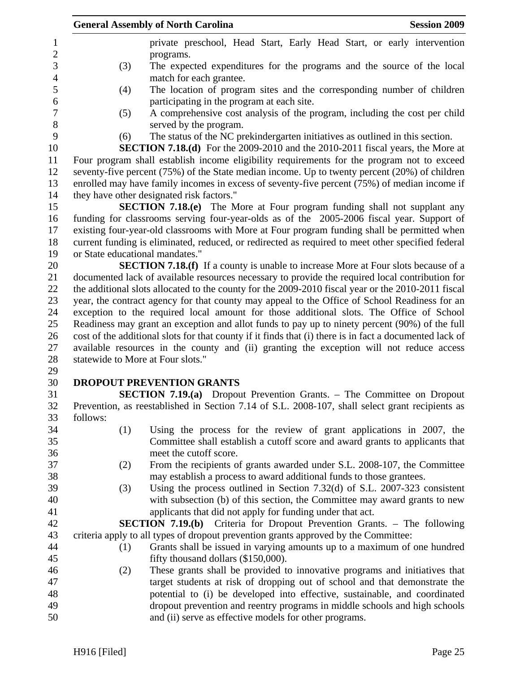|          | <b>General Assembly of North Carolina</b>                                                               | <b>Session 2009</b> |
|----------|---------------------------------------------------------------------------------------------------------|---------------------|
|          | private preschool, Head Start, Early Head Start, or early intervention                                  |                     |
|          | programs.                                                                                               |                     |
| (3)      | The expected expenditures for the programs and the source of the local                                  |                     |
|          | match for each grantee.                                                                                 |                     |
| (4)      | The location of program sites and the corresponding number of children                                  |                     |
|          | participating in the program at each site.                                                              |                     |
| (5)      | A comprehensive cost analysis of the program, including the cost per child                              |                     |
|          | served by the program.                                                                                  |                     |
| (6)      | The status of the NC prekindergarten initiatives as outlined in this section.                           |                     |
|          | <b>SECTION 7.18.(d)</b> For the 2009-2010 and the 2010-2011 fiscal years, the More at                   |                     |
|          | Four program shall establish income eligibility requirements for the program not to exceed              |                     |
|          | seventy-five percent $(75%)$ of the State median income. Up to twenty percent $(20%)$ of children       |                     |
|          | enrolled may have family incomes in excess of seventy-five percent (75%) of median income if            |                     |
|          | they have other designated risk factors."                                                               |                     |
|          | SECTION 7.18.(e) The More at Four program funding shall not supplant any                                |                     |
|          | funding for classrooms serving four-year-olds as of the 2005-2006 fiscal year. Support of               |                     |
|          | existing four-year-old classrooms with More at Four program funding shall be permitted when             |                     |
|          | current funding is eliminated, reduced, or redirected as required to meet other specified federal       |                     |
|          | or State educational mandates."                                                                         |                     |
|          | <b>SECTION 7.18.(f)</b> If a county is unable to increase More at Four slots because of a               |                     |
|          | documented lack of available resources necessary to provide the required local contribution for         |                     |
|          | the additional slots allocated to the county for the 2009-2010 fiscal year or the 2010-2011 fiscal      |                     |
|          | year, the contract agency for that county may appeal to the Office of School Readiness for an           |                     |
|          | exception to the required local amount for those additional slots. The Office of School                 |                     |
|          | Readiness may grant an exception and allot funds to pay up to ninety percent (90%) of the full          |                     |
|          | cost of the additional slots for that county if it finds that (i) there is in fact a documented lack of |                     |
|          | available resources in the county and (ii) granting the exception will not reduce access                |                     |
|          | statewide to More at Four slots."                                                                       |                     |
|          |                                                                                                         |                     |
|          | <b>DROPOUT PREVENTION GRANTS</b>                                                                        |                     |
|          | <b>SECTION 7.19.(a)</b> Dropout Prevention Grants. – The Committee on Dropout                           |                     |
|          | Prevention, as reestablished in Section 7.14 of S.L. 2008-107, shall select grant recipients as         |                     |
| follows: |                                                                                                         |                     |
| (1)      | Using the process for the review of grant applications in 2007, the                                     |                     |
|          | Committee shall establish a cutoff score and award grants to applicants that                            |                     |
|          | meet the cutoff score.                                                                                  |                     |
| (2)      | From the recipients of grants awarded under S.L. 2008-107, the Committee                                |                     |
|          | may establish a process to award additional funds to those grantees.                                    |                     |
| (3)      | Using the process outlined in Section $7.32(d)$ of S.L. 2007-323 consistent                             |                     |
|          | with subsection (b) of this section, the Committee may award grants to new                              |                     |
|          | applicants that did not apply for funding under that act.                                               |                     |
|          | <b>SECTION 7.19.(b)</b> Criteria for Dropout Prevention Grants. – The following                         |                     |
|          | criteria apply to all types of dropout prevention grants approved by the Committee:                     |                     |
| (1)      | Grants shall be issued in varying amounts up to a maximum of one hundred                                |                     |
|          | fifty thousand dollars (\$150,000).                                                                     |                     |
| (2)      | These grants shall be provided to innovative programs and initiatives that                              |                     |
|          | target students at risk of dropping out of school and that demonstrate the                              |                     |
|          | potential to (i) be developed into effective, sustainable, and coordinated                              |                     |
|          | dropout prevention and reentry programs in middle schools and high schools                              |                     |
|          | and (ii) serve as effective models for other programs.                                                  |                     |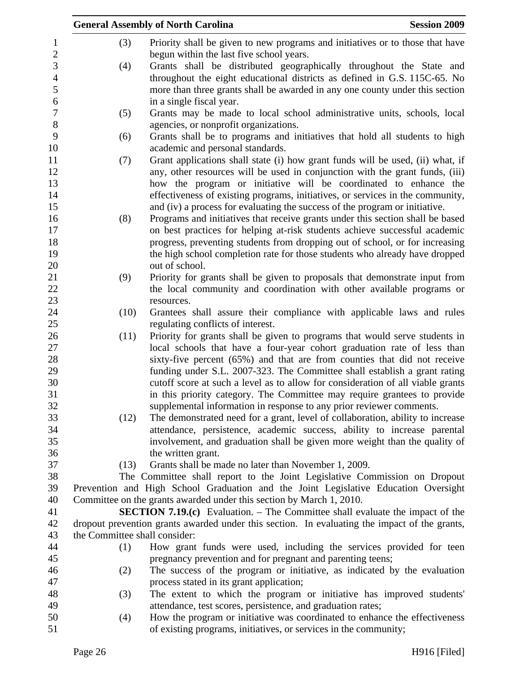|                  |                               | <b>General Assembly of North Carolina</b><br><b>Session 2009</b>                                                                                       |
|------------------|-------------------------------|--------------------------------------------------------------------------------------------------------------------------------------------------------|
| 1                | (3)                           | Priority shall be given to new programs and initiatives or to those that have                                                                          |
| $\sqrt{2}$       |                               | begun within the last five school years.                                                                                                               |
| 3                | (4)                           | Grants shall be distributed geographically throughout the State and                                                                                    |
| $\overline{4}$   |                               | throughout the eight educational districts as defined in G.S. 115C-65. No                                                                              |
| 5                |                               | more than three grants shall be awarded in any one county under this section                                                                           |
| 6                |                               | in a single fiscal year.                                                                                                                               |
| $\boldsymbol{7}$ | (5)                           | Grants may be made to local school administrative units, schools, local                                                                                |
| $8\phantom{1}$   |                               | agencies, or nonprofit organizations.                                                                                                                  |
| 9                | (6)                           | Grants shall be to programs and initiatives that hold all students to high                                                                             |
| 10               |                               | academic and personal standards.                                                                                                                       |
| 11               | (7)                           | Grant applications shall state (i) how grant funds will be used, (ii) what, if                                                                         |
| 12               |                               | any, other resources will be used in conjunction with the grant funds, (iii)                                                                           |
| 13               |                               | how the program or initiative will be coordinated to enhance the                                                                                       |
| 14               |                               | effectiveness of existing programs, initiatives, or services in the community,                                                                         |
| 15               |                               | and (iv) a process for evaluating the success of the program or initiative.                                                                            |
| 16               | (8)                           | Programs and initiatives that receive grants under this section shall be based                                                                         |
| 17               |                               | on best practices for helping at-risk students achieve successful academic                                                                             |
| 18               |                               | progress, preventing students from dropping out of school, or for increasing                                                                           |
| 19               |                               | the high school completion rate for those students who already have dropped                                                                            |
| 20               |                               | out of school.                                                                                                                                         |
| 21               | (9)                           | Priority for grants shall be given to proposals that demonstrate input from                                                                            |
| 22               |                               | the local community and coordination with other available programs or                                                                                  |
| 23               |                               | resources.                                                                                                                                             |
| 24               | (10)                          | Grantees shall assure their compliance with applicable laws and rules                                                                                  |
| 25               |                               | regulating conflicts of interest.                                                                                                                      |
| 26               | (11)                          | Priority for grants shall be given to programs that would serve students in                                                                            |
| 27               |                               | local schools that have a four-year cohort graduation rate of less than                                                                                |
| 28               |                               | sixty-five percent (65%) and that are from counties that did not receive                                                                               |
| 29               |                               | funding under S.L. 2007-323. The Committee shall establish a grant rating                                                                              |
| 30<br>31         |                               | cutoff score at such a level as to allow for consideration of all viable grants                                                                        |
| 32               |                               | in this priority category. The Committee may require grantees to provide                                                                               |
| 33               | (12)                          | supplemental information in response to any prior reviewer comments.<br>The demonstrated need for a grant, level of collaboration, ability to increase |
| 34               |                               | attendance, persistence, academic success, ability to increase parental                                                                                |
| 35               |                               | involvement, and graduation shall be given more weight than the quality of                                                                             |
| 36               |                               | the written grant.                                                                                                                                     |
| 37               | (13)                          | Grants shall be made no later than November 1, 2009.                                                                                                   |
| 38               |                               | The Committee shall report to the Joint Legislative Commission on Dropout                                                                              |
| 39               |                               | Prevention and High School Graduation and the Joint Legislative Education Oversight                                                                    |
| 40               |                               | Committee on the grants awarded under this section by March 1, 2010.                                                                                   |
| 41               |                               | <b>SECTION 7.19.(c)</b> Evaluation. – The Committee shall evaluate the impact of the                                                                   |
| 42               |                               | dropout prevention grants awarded under this section. In evaluating the impact of the grants,                                                          |
| 43               | the Committee shall consider: |                                                                                                                                                        |
| 44               | (1)                           | How grant funds were used, including the services provided for teen                                                                                    |
| 45               |                               | pregnancy prevention and for pregnant and parenting teens;                                                                                             |
| 46               | (2)                           | The success of the program or initiative, as indicated by the evaluation                                                                               |
| 47               |                               | process stated in its grant application;                                                                                                               |
| 48               | (3)                           | The extent to which the program or initiative has improved students'                                                                                   |
| 49               |                               | attendance, test scores, persistence, and graduation rates;                                                                                            |
| 50               | (4)                           | How the program or initiative was coordinated to enhance the effectiveness                                                                             |
| 51               |                               | of existing programs, initiatives, or services in the community;                                                                                       |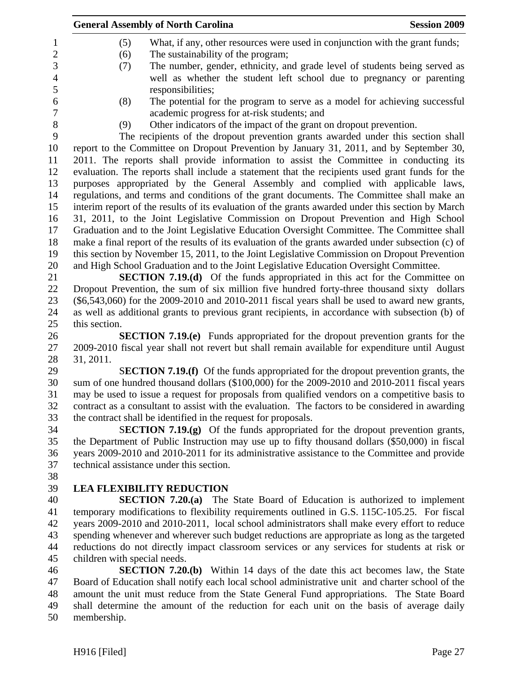| <b>General Assembly of North Carolina</b><br><b>Session 2009</b>                                   |
|----------------------------------------------------------------------------------------------------|
| What, if any, other resources were used in conjunction with the grant funds;<br>(5)                |
| The sustainability of the program;<br>(6)                                                          |
| The number, gender, ethnicity, and grade level of students being served as<br>(7)                  |
| well as whether the student left school due to pregnancy or parenting                              |
| responsibilities;                                                                                  |
| The potential for the program to serve as a model for achieving successful<br>(8)                  |
| academic progress for at-risk students; and                                                        |
| Other indicators of the impact of the grant on dropout prevention.<br>(9)                          |
| The recipients of the dropout prevention grants awarded under this section shall                   |
| report to the Committee on Dropout Prevention by January 31, 2011, and by September 30,            |
| 2011. The reports shall provide information to assist the Committee in conducting its              |
| evaluation. The reports shall include a statement that the recipients used grant funds for the     |
| purposes appropriated by the General Assembly and complied with applicable laws,                   |
| regulations, and terms and conditions of the grant documents. The Committee shall make an          |
| interim report of the results of its evaluation of the grants awarded under this section by March  |
| 31, 2011, to the Joint Legislative Commission on Dropout Prevention and High School                |
| Graduation and to the Joint Legislative Education Oversight Committee. The Committee shall         |
| make a final report of the results of its evaluation of the grants awarded under subsection (c) of |
| this section by November 15, 2011, to the Joint Legislative Commission on Dropout Prevention       |
| and High School Graduation and to the Joint Legislative Education Oversight Committee.             |
| <b>SECTION 7.19.(d)</b> Of the funds appropriated in this act for the Committee on                 |
| Dropout Prevention, the sum of six million five hundred forty-three thousand sixty dollars         |
| $(\$6,543,060)$ for the 2009-2010 and 2010-2011 fiscal years shall be used to award new grants,    |
| as well as additional grants to previous grant recipients, in accordance with subsection (b) of    |
| this section.                                                                                      |
| <b>SECTION 7.19.(e)</b> Funds appropriated for the dropout prevention grants for the               |
| 2009-2010 fiscal year shall not revert but shall remain available for expenditure until August     |
| 31, 2011.                                                                                          |
| <b>SECTION 7.19.(f)</b> Of the funds appropriated for the dropout prevention grants, the           |
| sum of one hundred thousand dollars (\$100,000) for the 2009-2010 and 2010-2011 fiscal years       |
| may be used to issue a request for proposals from qualified vendors on a competitive basis to      |
| contract as a consultant to assist with the evaluation. The factors to be considered in awarding   |
| the contract shall be identified in the request for proposals.                                     |
| <b>SECTION 7.19.(g)</b> Of the funds appropriated for the dropout prevention grants,               |
| the Department of Public Instruction may use up to fifty thousand dollars (\$50,000) in fiscal     |
| years 2009-2010 and 2010-2011 for its administrative assistance to the Committee and provide       |
| technical assistance under this section.                                                           |
|                                                                                                    |
| <b>LEA FLEXIBILITY REDUCTION</b>                                                                   |
| <b>SECTION 7.20.(a)</b> The State Board of Education is authorized to implement                    |
| temporary modifications to flexibility requirements outlined in G.S. 115C-105.25. For fiscal       |
| years 2009-2010 and 2010-2011, local school administrators shall make every effort to reduce       |
| spending whenever and wherever such budget reductions are appropriate as long as the targeted      |
| reductions do not directly impact classroom services or any services for students at risk or       |
| children with special needs.                                                                       |
| <b>SECTION 7.20.(b)</b> Within 14 days of the date this act becomes law, the State                 |
| Board of Education shall notify each local school administrative unit and charter school of the    |
| amount the unit must reduce from the State General Fund appropriations. The State Board            |
| shall determine the amount of the reduction for each unit on the basis of average daily            |

50 membership.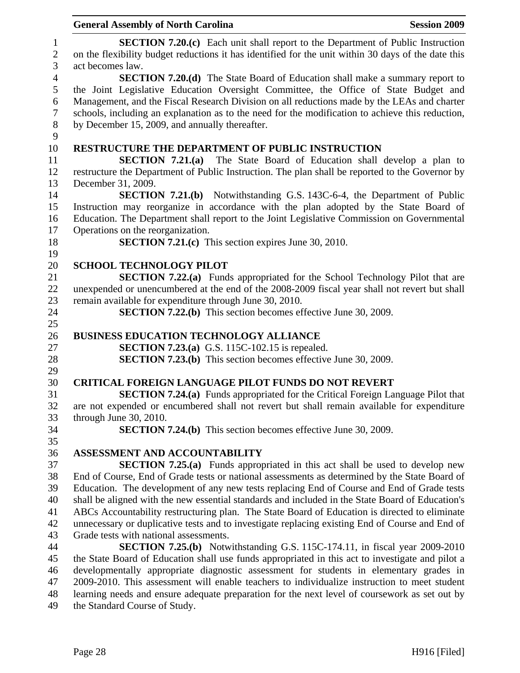|                                     | <b>Session 2009</b><br><b>General Assembly of North Carolina</b>                                                                                                                                                  |
|-------------------------------------|-------------------------------------------------------------------------------------------------------------------------------------------------------------------------------------------------------------------|
| $\mathbf{1}$<br>$\overline{2}$<br>3 | <b>SECTION 7.20.(c)</b> Each unit shall report to the Department of Public Instruction<br>on the flexibility budget reductions it has identified for the unit within 30 days of the date this<br>act becomes law. |
| $\overline{4}$<br>5                 | <b>SECTION 7.20.(d)</b> The State Board of Education shall make a summary report to<br>the Joint Legislative Education Oversight Committee, the Office of State Budget and                                        |
| $\boldsymbol{6}$<br>$\tau$          | Management, and the Fiscal Research Division on all reductions made by the LEAs and charter<br>schools, including an explanation as to the need for the modification to achieve this reduction,                   |
| $8\,$<br>9                          | by December 15, 2009, and annually thereafter.                                                                                                                                                                    |
| 10                                  | RESTRUCTURE THE DEPARTMENT OF PUBLIC INSTRUCTION                                                                                                                                                                  |
| 11                                  | SECTION $7.21(a)$<br>The State Board of Education shall develop a plan to                                                                                                                                         |
| 12                                  | restructure the Department of Public Instruction. The plan shall be reported to the Governor by                                                                                                                   |
| 13                                  | December 31, 2009.                                                                                                                                                                                                |
| 14                                  | <b>SECTION 7.21.(b)</b> Notwithstanding G.S. 143C-6-4, the Department of Public                                                                                                                                   |
| 15                                  | Instruction may reorganize in accordance with the plan adopted by the State Board of                                                                                                                              |
| 16                                  | Education. The Department shall report to the Joint Legislative Commission on Governmental                                                                                                                        |
| 17                                  | Operations on the reorganization.                                                                                                                                                                                 |
| 18                                  | <b>SECTION 7.21.(c)</b> This section expires June 30, 2010.                                                                                                                                                       |
| 19                                  |                                                                                                                                                                                                                   |
| 20                                  | <b>SCHOOL TECHNOLOGY PILOT</b>                                                                                                                                                                                    |
| 21                                  | <b>SECTION 7.22.(a)</b> Funds appropriated for the School Technology Pilot that are                                                                                                                               |
| 22                                  | unexpended or unencumbered at the end of the 2008-2009 fiscal year shall not revert but shall                                                                                                                     |
| 23                                  | remain available for expenditure through June 30, 2010.                                                                                                                                                           |
| 24                                  | <b>SECTION 7.22.(b)</b> This section becomes effective June 30, 2009.                                                                                                                                             |
| 25                                  |                                                                                                                                                                                                                   |
| 26                                  | <b>BUSINESS EDUCATION TECHNOLOGY ALLIANCE</b>                                                                                                                                                                     |
| 27                                  | <b>SECTION 7.23.(a)</b> G.S. 115C-102.15 is repealed.                                                                                                                                                             |
| 28                                  | <b>SECTION 7.23.(b)</b> This section becomes effective June 30, 2009.                                                                                                                                             |
| 29                                  |                                                                                                                                                                                                                   |
| 30                                  | <b>CRITICAL FOREIGN LANGUAGE PILOT FUNDS DO NOT REVERT</b>                                                                                                                                                        |
| 31                                  | <b>SECTION 7.24.(a)</b> Funds appropriated for the Critical Foreign Language Pilot that                                                                                                                           |
| 32                                  | are not expended or encumbered shall not revert but shall remain available for expenditure                                                                                                                        |
| 33                                  | through June 30, 2010.                                                                                                                                                                                            |
| 34                                  | <b>SECTION 7.24.(b)</b> This section becomes effective June 30, 2009.                                                                                                                                             |
| 35                                  |                                                                                                                                                                                                                   |
| 36                                  | ASSESSMENT AND ACCOUNTABILITY                                                                                                                                                                                     |
| 37                                  | <b>SECTION 7.25.(a)</b> Funds appropriated in this act shall be used to develop new                                                                                                                               |
| 38                                  | End of Course, End of Grade tests or national assessments as determined by the State Board of                                                                                                                     |
| 39                                  | Education. The development of any new tests replacing End of Course and End of Grade tests                                                                                                                        |
| 40                                  | shall be aligned with the new essential standards and included in the State Board of Education's                                                                                                                  |
| 41                                  | ABCs Accountability restructuring plan. The State Board of Education is directed to eliminate                                                                                                                     |
| 42                                  | unnecessary or duplicative tests and to investigate replacing existing End of Course and End of                                                                                                                   |
| 43                                  | Grade tests with national assessments.                                                                                                                                                                            |
| 44                                  | <b>SECTION 7.25.(b)</b> Notwithstanding G.S. 115C-174.11, in fiscal year 2009-2010                                                                                                                                |
| 45                                  | the State Board of Education shall use funds appropriated in this act to investigate and pilot a                                                                                                                  |
| 46<br>47                            | developmentally appropriate diagnostic assessment for students in elementary grades in<br>2009-2010. This assessment will enable teachers to individualize instruction to meet student                            |
| 48                                  | learning needs and ensure adequate preparation for the next level of coursework as set out by                                                                                                                     |
| 49                                  | the Standard Course of Study.                                                                                                                                                                                     |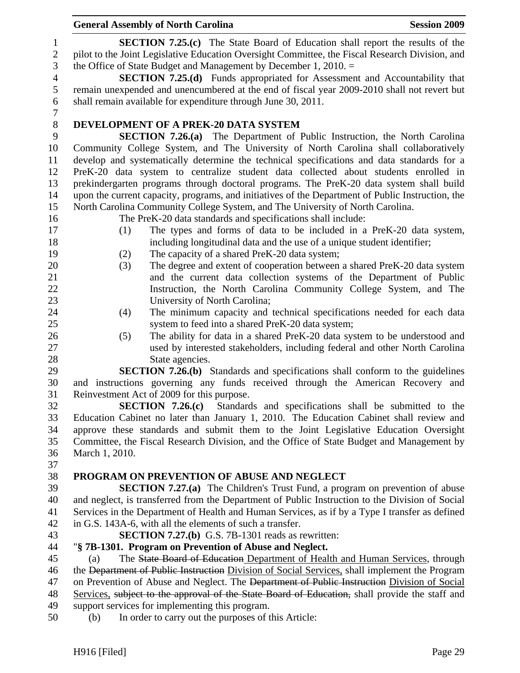1 **SECTION 7.25.(c)** The State Board of Education shall report the results of the 2 pilot to the Joint Legislative Education Oversight Committee, the Fiscal Research Division, and 3 the Office of State Budget and Management by December 1, 2010. = 4 **SECTION 7.25.(d)** Funds appropriated for Assessment and Accountability that 5 remain unexpended and unencumbered at the end of fiscal year 2009-2010 shall not revert but 6 shall remain available for expenditure through June 30, 2011. 7 8 **DEVELOPMENT OF A PREK-20 DATA SYSTEM**  9 **SECTION 7.26.(a)** The Department of Public Instruction, the North Carolina 10 Community College System, and The University of North Carolina shall collaboratively 11 develop and systematically determine the technical specifications and data standards for a 12 PreK-20 data system to centralize student data collected about students enrolled in 13 prekindergarten programs through doctoral programs. The PreK-20 data system shall build 14 upon the current capacity, programs, and initiatives of the Department of Public Instruction, the 15 North Carolina Community College System, and The University of North Carolina. 16 The PreK-20 data standards and specifications shall include: 17 (1) The types and forms of data to be included in a PreK-20 data system, 18 including longitudinal data and the use of a unique student identifier; 19 (2) The capacity of a shared PreK-20 data system; 20 (3) The degree and extent of cooperation between a shared PreK-20 data system 21 and the current data collection systems of the Department of Public 22 Instruction, the North Carolina Community College System, and The 23 University of North Carolina; 24 (4) The minimum capacity and technical specifications needed for each data 25 system to feed into a shared PreK-20 data system; 26 (5) The ability for data in a shared PreK-20 data system to be understood and 27 used by interested stakeholders, including federal and other North Carolina 28 State agencies. 29 **SECTION 7.26.(b)** Standards and specifications shall conform to the guidelines 30 and instructions governing any funds received through the American Recovery and 31 Reinvestment Act of 2009 for this purpose. 32 **SECTION 7.26.(c)** Standards and specifications shall be submitted to the 33 Education Cabinet no later than January 1, 2010. The Education Cabinet shall review and 34 approve these standards and submit them to the Joint Legislative Education Oversight 35 Committee, the Fiscal Research Division, and the Office of State Budget and Management by 36 March 1, 2010. 37 38 **PROGRAM ON PREVENTION OF ABUSE AND NEGLECT**  39 **SECTION 7.27.(a)** The Children's Trust Fund, a program on prevention of abuse 40 and neglect, is transferred from the Department of Public Instruction to the Division of Social 41 Services in the Department of Health and Human Services, as if by a Type I transfer as defined 42 in G.S. 143A-6, with all the elements of such a transfer. 43 **SECTION 7.27.(b)** G.S. 7B-1301 reads as rewritten: 44 "**§ 7B-1301. Program on Prevention of Abuse and Neglect.**  45 (a) The State Board of Education Department of Health and Human Services, through 46 the Department of Public Instruction Division of Social Services, shall implement the Program 47 on Prevention of Abuse and Neglect. The <del>Department of Public Instruction</del> Division of Social 48 Services, subject to the approval of the State Board of Education, shall provide the staff and 49 support services for implementing this program. 50 (b) In order to carry out the purposes of this Article: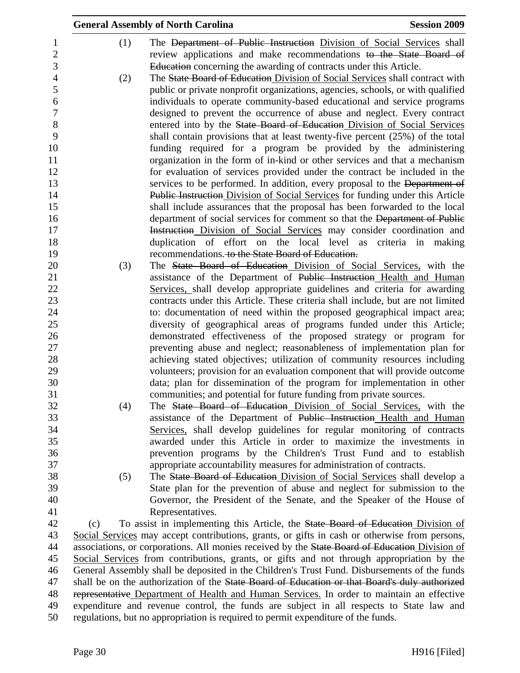|     |     | <b>General Assembly of North Carolina</b>                                                                                               | <b>Session 2009</b> |
|-----|-----|-----------------------------------------------------------------------------------------------------------------------------------------|---------------------|
|     | (1) | The Department of Public Instruction Division of Social Services shall                                                                  |                     |
|     |     | review applications and make recommendations to the State Board of                                                                      |                     |
|     |     | Education concerning the awarding of contracts under this Article.                                                                      |                     |
|     | (2) | The State Board of Education Division of Social Services shall contract with                                                            |                     |
|     |     | public or private nonprofit organizations, agencies, schools, or with qualified                                                         |                     |
|     |     | individuals to operate community-based educational and service programs                                                                 |                     |
|     |     | designed to prevent the occurrence of abuse and neglect. Every contract                                                                 |                     |
|     |     | entered into by the State Board of Education Division of Social Services                                                                |                     |
|     |     | shall contain provisions that at least twenty-five percent (25%) of the total                                                           |                     |
|     |     | funding required for a program be provided by the administering                                                                         |                     |
|     |     | organization in the form of in-kind or other services and that a mechanism                                                              |                     |
|     |     | for evaluation of services provided under the contract be included in the                                                               |                     |
|     |     | services to be performed. In addition, every proposal to the Department of                                                              |                     |
|     |     | <b>Public Instruction Division of Social Services for funding under this Article</b>                                                    |                     |
|     |     | shall include assurances that the proposal has been forwarded to the local                                                              |                     |
|     |     | department of social services for comment so that the Department of Public                                                              |                     |
|     |     | Instruction Division of Social Services may consider coordination and                                                                   |                     |
|     |     | duplication of effort on the local level as criteria in making<br>recommendations. to the State Board of Education.                     |                     |
|     | (3) | The State Board of Education Division of Social Services, with the                                                                      |                     |
|     |     | assistance of the Department of Public Instruction Health and Human                                                                     |                     |
|     |     | Services, shall develop appropriate guidelines and criteria for awarding                                                                |                     |
|     |     | contracts under this Article. These criteria shall include, but are not limited                                                         |                     |
|     |     | to: documentation of need within the proposed geographical impact area;                                                                 |                     |
|     |     | diversity of geographical areas of programs funded under this Article;                                                                  |                     |
|     |     | demonstrated effectiveness of the proposed strategy or program for                                                                      |                     |
|     |     | preventing abuse and neglect; reasonableness of implementation plan for                                                                 |                     |
|     |     | achieving stated objectives; utilization of community resources including                                                               |                     |
|     |     | volunteers; provision for an evaluation component that will provide outcome                                                             |                     |
|     |     | data; plan for dissemination of the program for implementation in other                                                                 |                     |
|     |     | communities; and potential for future funding from private sources.                                                                     |                     |
|     | (4) | The State Board of Education Division of Social Services, with the                                                                      |                     |
|     |     | assistance of the Department of Public Instruction Health and Human                                                                     |                     |
|     |     | Services, shall develop guidelines for regular monitoring of contracts                                                                  |                     |
|     |     | awarded under this Article in order to maximize the investments in<br>prevention programs by the Children's Trust Fund and to establish |                     |
|     |     | appropriate accountability measures for administration of contracts.                                                                    |                     |
|     | (5) | The State Board of Education Division of Social Services shall develop a                                                                |                     |
|     |     | State plan for the prevention of abuse and neglect for submission to the                                                                |                     |
|     |     | Governor, the President of the Senate, and the Speaker of the House of                                                                  |                     |
|     |     | Representatives.                                                                                                                        |                     |
| (c) |     | To assist in implementing this Article, the State Board of Education Division of                                                        |                     |
|     |     | Social Services may accept contributions, grants, or gifts in cash or otherwise from persons,                                           |                     |
|     |     | associations, or corporations. All monies received by the State Board of Education Division of                                          |                     |
|     |     | Social Services from contributions, grants, or gifts and not through appropriation by the                                               |                     |
|     |     | General Assembly shall be deposited in the Children's Trust Fund. Disbursements of the funds                                            |                     |
|     |     | shall be on the authorization of the State Board of Education or that Board's duly authorized                                           |                     |
|     |     | representative Department of Health and Human Services. In order to maintain an effective                                               |                     |
|     |     | expenditure and revenue control, the funds are subject in all respects to State law and                                                 |                     |
|     |     | regulations, but no appropriation is required to permit expenditure of the funds.                                                       |                     |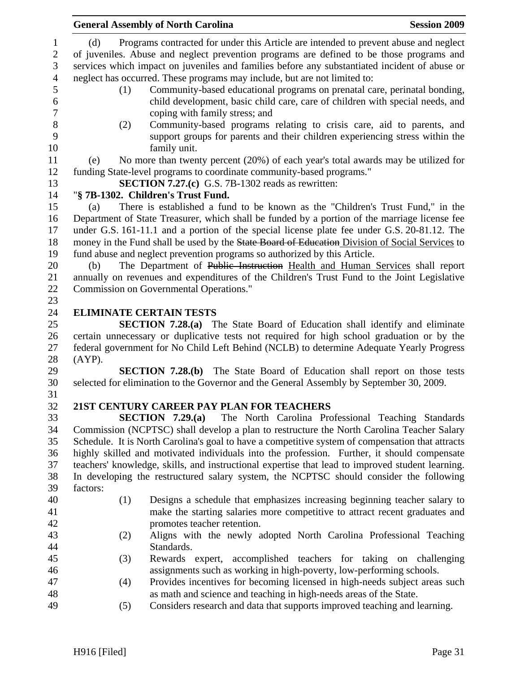|                                                     | <b>General Assembly of North Carolina</b> | <b>Session 2009</b>                                                                                                                                                                                                                                                                                                                                            |  |
|-----------------------------------------------------|-------------------------------------------|----------------------------------------------------------------------------------------------------------------------------------------------------------------------------------------------------------------------------------------------------------------------------------------------------------------------------------------------------------------|--|
| $\mathbf{1}$<br>$\mathbf{2}$<br>3<br>$\overline{4}$ | (d)                                       | Programs contracted for under this Article are intended to prevent abuse and neglect<br>of juveniles. Abuse and neglect prevention programs are defined to be those programs and<br>services which impact on juveniles and families before any substantiated incident of abuse or<br>neglect has occurred. These programs may include, but are not limited to: |  |
| 5<br>6<br>$\boldsymbol{7}$                          | (1)                                       | Community-based educational programs on prenatal care, perinatal bonding,<br>child development, basic child care, care of children with special needs, and<br>coping with family stress; and                                                                                                                                                                   |  |
| 8<br>9<br>10                                        | (2)                                       | Community-based programs relating to crisis care, aid to parents, and<br>support groups for parents and their children experiencing stress within the<br>family unit.                                                                                                                                                                                          |  |
| 11                                                  | (e)                                       | No more than twenty percent (20%) of each year's total awards may be utilized for                                                                                                                                                                                                                                                                              |  |
| 12<br>13                                            |                                           | funding State-level programs to coordinate community-based programs."<br>SECTION 7.27.(c) G.S. 7B-1302 reads as rewritten:                                                                                                                                                                                                                                     |  |
| 14                                                  |                                           | "§ 7B-1302. Children's Trust Fund.                                                                                                                                                                                                                                                                                                                             |  |
| 15                                                  | (a)                                       | There is established a fund to be known as the "Children's Trust Fund," in the                                                                                                                                                                                                                                                                                 |  |
| 16<br>17<br>18                                      |                                           | Department of State Treasurer, which shall be funded by a portion of the marriage license fee<br>under G.S. 161-11.1 and a portion of the special license plate fee under G.S. 20-81.12. The<br>money in the Fund shall be used by the State Board of Education Division of Social Services to                                                                 |  |
| 19<br>20                                            | (b)                                       | fund abuse and neglect prevention programs so authorized by this Article.<br>The Department of Public Instruction Health and Human Services shall report                                                                                                                                                                                                       |  |
| 21                                                  |                                           | annually on revenues and expenditures of the Children's Trust Fund to the Joint Legislative                                                                                                                                                                                                                                                                    |  |
| 22                                                  |                                           | Commission on Governmental Operations."                                                                                                                                                                                                                                                                                                                        |  |
| 23                                                  |                                           |                                                                                                                                                                                                                                                                                                                                                                |  |
| 24                                                  |                                           | <b>ELIMINATE CERTAIN TESTS</b>                                                                                                                                                                                                                                                                                                                                 |  |
|                                                     |                                           |                                                                                                                                                                                                                                                                                                                                                                |  |
| 25<br>26                                            |                                           | <b>SECTION 7.28.(a)</b> The State Board of Education shall identify and eliminate<br>certain unnecessary or duplicative tests not required for high school graduation or by the                                                                                                                                                                                |  |
| 27                                                  |                                           | federal government for No Child Left Behind (NCLB) to determine Adequate Yearly Progress                                                                                                                                                                                                                                                                       |  |
| 28                                                  | $(AYP)$ .                                 |                                                                                                                                                                                                                                                                                                                                                                |  |
| 29                                                  |                                           | <b>SECTION 7.28.(b)</b> The State Board of Education shall report on those tests                                                                                                                                                                                                                                                                               |  |
| 30<br>31                                            |                                           | selected for elimination to the Governor and the General Assembly by September 30, 2009.                                                                                                                                                                                                                                                                       |  |
| 32                                                  |                                           | 21ST CENTURY CAREER PAY PLAN FOR TEACHERS                                                                                                                                                                                                                                                                                                                      |  |
| 33                                                  |                                           | The North Carolina Professional Teaching Standards<br>SECTION $7.29(a)$                                                                                                                                                                                                                                                                                        |  |
| 34                                                  |                                           | Commission (NCPTSC) shall develop a plan to restructure the North Carolina Teacher Salary                                                                                                                                                                                                                                                                      |  |
| 35                                                  |                                           | Schedule. It is North Carolina's goal to have a competitive system of compensation that attracts                                                                                                                                                                                                                                                               |  |
| 36                                                  |                                           | highly skilled and motivated individuals into the profession. Further, it should compensate                                                                                                                                                                                                                                                                    |  |
| 37                                                  |                                           | teachers' knowledge, skills, and instructional expertise that lead to improved student learning.                                                                                                                                                                                                                                                               |  |
| 38                                                  |                                           | In developing the restructured salary system, the NCPTSC should consider the following                                                                                                                                                                                                                                                                         |  |
| 39                                                  | factors:                                  |                                                                                                                                                                                                                                                                                                                                                                |  |
| 40                                                  | (1)                                       | Designs a schedule that emphasizes increasing beginning teacher salary to                                                                                                                                                                                                                                                                                      |  |
| 41                                                  |                                           | make the starting salaries more competitive to attract recent graduates and                                                                                                                                                                                                                                                                                    |  |
| 42                                                  |                                           | promotes teacher retention.                                                                                                                                                                                                                                                                                                                                    |  |
| 43                                                  | (2)                                       | Aligns with the newly adopted North Carolina Professional Teaching                                                                                                                                                                                                                                                                                             |  |
| 44                                                  |                                           | Standards.                                                                                                                                                                                                                                                                                                                                                     |  |
| 45                                                  | (3)                                       | Rewards expert, accomplished teachers for taking on challenging                                                                                                                                                                                                                                                                                                |  |
| 46                                                  |                                           | assignments such as working in high-poverty, low-performing schools.                                                                                                                                                                                                                                                                                           |  |
| 47                                                  | (4)                                       | Provides incentives for becoming licensed in high-needs subject areas such                                                                                                                                                                                                                                                                                     |  |
| 48                                                  |                                           | as math and science and teaching in high-needs areas of the State.                                                                                                                                                                                                                                                                                             |  |
| 49                                                  | (5)                                       | Considers research and data that supports improved teaching and learning.                                                                                                                                                                                                                                                                                      |  |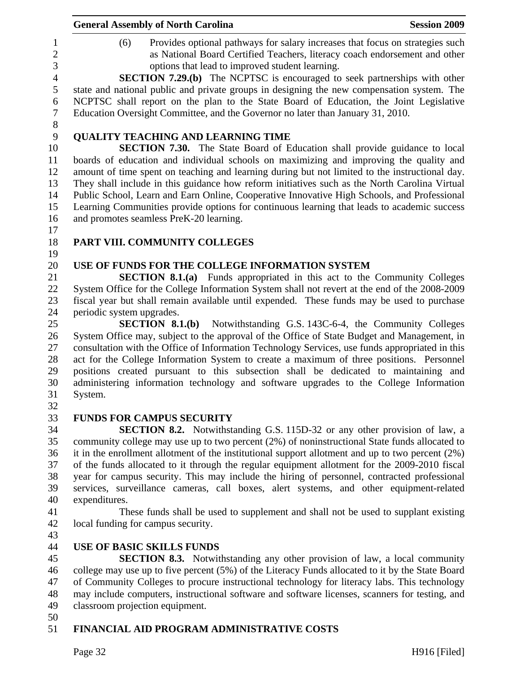|                               | <b>General Assembly of North Carolina</b><br><b>Session 2009</b>                                                                                                                                                                                                                                                                                            |
|-------------------------------|-------------------------------------------------------------------------------------------------------------------------------------------------------------------------------------------------------------------------------------------------------------------------------------------------------------------------------------------------------------|
| 1<br>$\overline{2}$<br>3      | Provides optional pathways for salary increases that focus on strategies such<br>(6)<br>as National Board Certified Teachers, literacy coach endorsement and other<br>options that lead to improved student learning.                                                                                                                                       |
| $\overline{4}$<br>5<br>6<br>7 | <b>SECTION 7.29.(b)</b> The NCPTSC is encouraged to seek partnerships with other<br>state and national public and private groups in designing the new compensation system. The<br>NCPTSC shall report on the plan to the State Board of Education, the Joint Legislative<br>Education Oversight Committee, and the Governor no later than January 31, 2010. |
| $8\phantom{1}$                |                                                                                                                                                                                                                                                                                                                                                             |
| 9<br>10                       | <b>QUALITY TEACHING AND LEARNING TIME</b><br><b>SECTION 7.30.</b> The State Board of Education shall provide guidance to local                                                                                                                                                                                                                              |
| 11<br>12                      | boards of education and individual schools on maximizing and improving the quality and<br>amount of time spent on teaching and learning during but not limited to the instructional day.                                                                                                                                                                    |
| 13<br>14                      | They shall include in this guidance how reform initiatives such as the North Carolina Virtual<br>Public School, Learn and Earn Online, Cooperative Innovative High Schools, and Professional                                                                                                                                                                |
| 15<br>16<br>17                | Learning Communities provide options for continuous learning that leads to academic success<br>and promotes seamless PreK-20 learning.                                                                                                                                                                                                                      |
| 18                            | PART VIII. COMMUNITY COLLEGES                                                                                                                                                                                                                                                                                                                               |
| 19<br>20                      | USE OF FUNDS FOR THE COLLEGE INFORMATION SYSTEM                                                                                                                                                                                                                                                                                                             |
| 21                            | <b>SECTION 8.1.(a)</b> Funds appropriated in this act to the Community Colleges                                                                                                                                                                                                                                                                             |
| 22                            | System Office for the College Information System shall not revert at the end of the 2008-2009                                                                                                                                                                                                                                                               |
| 23<br>24                      | fiscal year but shall remain available until expended. These funds may be used to purchase<br>periodic system upgrades.                                                                                                                                                                                                                                     |
| 25                            | <b>SECTION 8.1.(b)</b> Notwithstanding G.S. 143C-6-4, the Community Colleges                                                                                                                                                                                                                                                                                |
| 26                            | System Office may, subject to the approval of the Office of State Budget and Management, in                                                                                                                                                                                                                                                                 |
| 27                            | consultation with the Office of Information Technology Services, use funds appropriated in this                                                                                                                                                                                                                                                             |
| 28                            | act for the College Information System to create a maximum of three positions. Personnel                                                                                                                                                                                                                                                                    |
| 29                            | positions created pursuant to this subsection shall be dedicated to maintaining and                                                                                                                                                                                                                                                                         |
| 30                            | administering information technology and software upgrades to the College Information                                                                                                                                                                                                                                                                       |
| 31                            | System.                                                                                                                                                                                                                                                                                                                                                     |
| 32                            |                                                                                                                                                                                                                                                                                                                                                             |
| 33                            | <b>FUNDS FOR CAMPUS SECURITY</b>                                                                                                                                                                                                                                                                                                                            |
| 34                            | <b>SECTION 8.2.</b> Notwithstanding G.S. 115D-32 or any other provision of law, a                                                                                                                                                                                                                                                                           |
| 35<br>36                      | community college may use up to two percent (2%) of noninstructional State funds allocated to<br>it in the enrollment allotment of the institutional support allotment and up to two percent $(2\%)$                                                                                                                                                        |
| 37                            | of the funds allocated to it through the regular equipment allotment for the 2009-2010 fiscal                                                                                                                                                                                                                                                               |
| 38                            | year for campus security. This may include the hiring of personnel, contracted professional                                                                                                                                                                                                                                                                 |
| 39                            | services, surveillance cameras, call boxes, alert systems, and other equipment-related                                                                                                                                                                                                                                                                      |
| 40                            | expenditures.                                                                                                                                                                                                                                                                                                                                               |
| 41                            | These funds shall be used to supplement and shall not be used to supplant existing                                                                                                                                                                                                                                                                          |
| 42                            | local funding for campus security.                                                                                                                                                                                                                                                                                                                          |
| 43                            |                                                                                                                                                                                                                                                                                                                                                             |
| 44                            | <b>USE OF BASIC SKILLS FUNDS</b>                                                                                                                                                                                                                                                                                                                            |
| 45                            | <b>SECTION 8.3.</b> Notwithstanding any other provision of law, a local community                                                                                                                                                                                                                                                                           |
| 46                            | college may use up to five percent (5%) of the Literacy Funds allocated to it by the State Board                                                                                                                                                                                                                                                            |
| 47                            | of Community Colleges to procure instructional technology for literacy labs. This technology                                                                                                                                                                                                                                                                |
| 48                            | may include computers, instructional software and software licenses, scanners for testing, and                                                                                                                                                                                                                                                              |
| 49<br>50                      | classroom projection equipment.                                                                                                                                                                                                                                                                                                                             |
| 51                            | FINANCIAL AID PROGRAM ADMINISTRATIVE COSTS                                                                                                                                                                                                                                                                                                                  |
|                               |                                                                                                                                                                                                                                                                                                                                                             |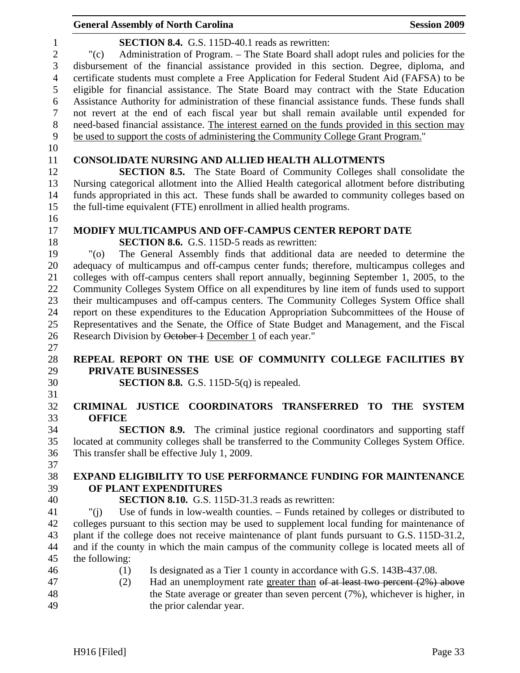|                                | <b>General Assembly of North Carolina</b>                                                                                                                                               | <b>Session 2009</b> |
|--------------------------------|-----------------------------------------------------------------------------------------------------------------------------------------------------------------------------------------|---------------------|
| $\mathbf{1}$<br>$\overline{2}$ | <b>SECTION 8.4.</b> G.S. 115D-40.1 reads as rewritten:<br>Administration of Program. – The State Board shall adopt rules and policies for the<br>"(c)                                   |                     |
| 3                              | disbursement of the financial assistance provided in this section. Degree, diploma, and                                                                                                 |                     |
| $\overline{4}$<br>5            | certificate students must complete a Free Application for Federal Student Aid (FAFSA) to be<br>eligible for financial assistance. The State Board may contract with the State Education |                     |
| 6                              | Assistance Authority for administration of these financial assistance funds. These funds shall                                                                                          |                     |
| $\overline{7}$                 | not revert at the end of each fiscal year but shall remain available until expended for                                                                                                 |                     |
| $8\,$                          | need-based financial assistance. The interest earned on the funds provided in this section may                                                                                          |                     |
| 9                              | be used to support the costs of administering the Community College Grant Program."                                                                                                     |                     |
| 10<br>11                       | <b>CONSOLIDATE NURSING AND ALLIED HEALTH ALLOTMENTS</b>                                                                                                                                 |                     |
| 12                             | <b>SECTION 8.5.</b> The State Board of Community Colleges shall consolidate the                                                                                                         |                     |
| 13                             | Nursing categorical allotment into the Allied Health categorical allotment before distributing                                                                                          |                     |
| 14                             | funds appropriated in this act. These funds shall be awarded to community colleges based on                                                                                             |                     |
| 15                             | the full-time equivalent (FTE) enrollment in allied health programs.                                                                                                                    |                     |
| 16                             |                                                                                                                                                                                         |                     |
| 17<br>18                       | <b>MODIFY MULTICAMPUS AND OFF-CAMPUS CENTER REPORT DATE</b><br><b>SECTION 8.6.</b> G.S. 115D-5 reads as rewritten:                                                                      |                     |
| 19                             | The General Assembly finds that additional data are needed to determine the<br>"(0)                                                                                                     |                     |
| 20                             | adequacy of multicampus and off-campus center funds; therefore, multicampus colleges and                                                                                                |                     |
| 21                             | colleges with off-campus centers shall report annually, beginning September 1, 2005, to the                                                                                             |                     |
| 22                             | Community Colleges System Office on all expenditures by line item of funds used to support                                                                                              |                     |
| 23                             | their multicampuses and off-campus centers. The Community Colleges System Office shall                                                                                                  |                     |
| 24                             | report on these expenditures to the Education Appropriation Subcommittees of the House of                                                                                               |                     |
| 25                             | Representatives and the Senate, the Office of State Budget and Management, and the Fiscal                                                                                               |                     |
| 26                             | Research Division by October 1 December 1 of each year."                                                                                                                                |                     |
| 27                             |                                                                                                                                                                                         |                     |
| 28                             | REPEAL REPORT ON THE USE OF COMMUNITY COLLEGE FACILITIES BY                                                                                                                             |                     |
| 29                             | PRIVATE BUSINESSES                                                                                                                                                                      |                     |
| 30<br>31                       | <b>SECTION 8.8.</b> G.S. 115D-5 $(q)$ is repealed.                                                                                                                                      |                     |
| 32                             | JUSTICE COORDINATORS TRANSFERRED TO THE SYSTEM<br><b>CRIMINAL</b>                                                                                                                       |                     |
| 33                             | <b>OFFICE</b>                                                                                                                                                                           |                     |
| 34                             | <b>SECTION 8.9.</b> The criminal justice regional coordinators and supporting staff                                                                                                     |                     |
| 35                             | located at community colleges shall be transferred to the Community Colleges System Office.                                                                                             |                     |
| 36                             | This transfer shall be effective July 1, 2009.                                                                                                                                          |                     |
| 37                             |                                                                                                                                                                                         |                     |
| 38                             | <b>EXPAND ELIGIBILITY TO USE PERFORMANCE FUNDING FOR MAINTENANCE</b>                                                                                                                    |                     |
| 39                             | OF PLANT EXPENDITURES                                                                                                                                                                   |                     |
| 40                             | <b>SECTION 8.10.</b> G.S. 115D-31.3 reads as rewritten:                                                                                                                                 |                     |
| 41                             | Use of funds in low-wealth counties. - Funds retained by colleges or distributed to<br>" $(i)$                                                                                          |                     |
| 42                             | colleges pursuant to this section may be used to supplement local funding for maintenance of                                                                                            |                     |
| 43                             | plant if the college does not receive maintenance of plant funds pursuant to G.S. 115D-31.2,                                                                                            |                     |
| 44<br>45                       | and if the county in which the main campus of the community college is located meets all of<br>the following:                                                                           |                     |
| 46                             | Is designated as a Tier 1 county in accordance with G.S. 143B-437.08.<br>(1)                                                                                                            |                     |
| 47                             | Had an unemployment rate greater than $\theta$ at least two percent (2%) above<br>(2)                                                                                                   |                     |
| 48                             | the State average or greater than seven percent (7%), whichever is higher, in                                                                                                           |                     |
| 49                             | the prior calendar year.                                                                                                                                                                |                     |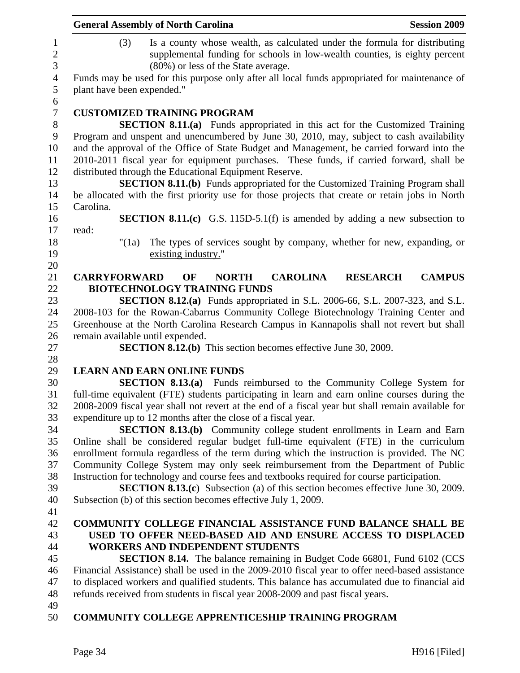|                                     | <b>General Assembly of North Carolina</b><br><b>Session 2009</b>                                                                                                                                       |
|-------------------------------------|--------------------------------------------------------------------------------------------------------------------------------------------------------------------------------------------------------|
| $\mathbf{1}$<br>$\overline{c}$<br>3 | Is a county whose wealth, as calculated under the formula for distributing<br>(3)<br>supplemental funding for schools in low-wealth counties, is eighty percent<br>(80%) or less of the State average. |
| $\overline{4}$<br>5                 | Funds may be used for this purpose only after all local funds appropriated for maintenance of<br>plant have been expended."                                                                            |
| 6                                   |                                                                                                                                                                                                        |
| $\boldsymbol{7}$                    | <b>CUSTOMIZED TRAINING PROGRAM</b>                                                                                                                                                                     |
| $8\,$                               | <b>SECTION 8.11.(a)</b> Funds appropriated in this act for the Customized Training                                                                                                                     |
| 9                                   | Program and unspent and unencumbered by June 30, 2010, may, subject to cash availability                                                                                                               |
| 10                                  | and the approval of the Office of State Budget and Management, be carried forward into the                                                                                                             |
| 11                                  | 2010-2011 fiscal year for equipment purchases. These funds, if carried forward, shall be                                                                                                               |
| 12                                  | distributed through the Educational Equipment Reserve.                                                                                                                                                 |
| 13                                  | <b>SECTION 8.11.(b)</b> Funds appropriated for the Customized Training Program shall                                                                                                                   |
| 14                                  | be allocated with the first priority use for those projects that create or retain jobs in North                                                                                                        |
| 15                                  | Carolina.                                                                                                                                                                                              |
| 16                                  | <b>SECTION 8.11.(c)</b> G.S. 115D-5.1(f) is amended by adding a new subsection to                                                                                                                      |
| 17                                  | read:                                                                                                                                                                                                  |
| 18                                  | The types of services sought by company, whether for new, expanding, or<br>" $(1a)$                                                                                                                    |
| 19                                  | existing industry."                                                                                                                                                                                    |
| 20                                  |                                                                                                                                                                                                        |
| 21                                  | <b>CAROLINA</b><br><b>CAMPUS</b><br><b>CARRYFORWARD</b><br>OF<br><b>NORTH</b><br><b>RESEARCH</b>                                                                                                       |
| 22                                  | <b>BIOTECHNOLOGY TRAINING FUNDS</b>                                                                                                                                                                    |
| 23                                  | <b>SECTION 8.12.(a)</b> Funds appropriated in S.L. 2006-66, S.L. 2007-323, and S.L.                                                                                                                    |
| 24                                  | 2008-103 for the Rowan-Cabarrus Community College Biotechnology Training Center and                                                                                                                    |
| 25                                  | Greenhouse at the North Carolina Research Campus in Kannapolis shall not revert but shall                                                                                                              |
| 26                                  | remain available until expended.                                                                                                                                                                       |
| 27                                  | <b>SECTION 8.12.(b)</b> This section becomes effective June 30, 2009.                                                                                                                                  |
| 28                                  |                                                                                                                                                                                                        |
| 29                                  | <b>LEARN AND EARN ONLINE FUNDS</b>                                                                                                                                                                     |
| 30                                  | <b>SECTION 8.13.(a)</b> Funds reimbursed to the Community College System for                                                                                                                           |
| 31                                  | full-time equivalent (FTE) students participating in learn and earn online courses during the                                                                                                          |
| 32                                  | 2008-2009 fiscal year shall not revert at the end of a fiscal year but shall remain available for                                                                                                      |
| 33                                  | expenditure up to 12 months after the close of a fiscal year.                                                                                                                                          |
| 34                                  | <b>SECTION 8.13.(b)</b> Community college student enrollments in Learn and Earn                                                                                                                        |
| 35                                  | Online shall be considered regular budget full-time equivalent (FTE) in the curriculum                                                                                                                 |
| 36                                  | enrollment formula regardless of the term during which the instruction is provided. The NC                                                                                                             |
| 37                                  | Community College System may only seek reimbursement from the Department of Public                                                                                                                     |
| 38                                  | Instruction for technology and course fees and textbooks required for course participation.                                                                                                            |
| 39                                  | <b>SECTION 8.13.(c)</b> Subsection (a) of this section becomes effective June 30, 2009.                                                                                                                |
| 40                                  | Subsection (b) of this section becomes effective July 1, 2009.                                                                                                                                         |
| 41                                  |                                                                                                                                                                                                        |
| 42                                  | <b>COMMUNITY COLLEGE FINANCIAL ASSISTANCE FUND BALANCE SHALL BE</b>                                                                                                                                    |
| 43                                  | USED TO OFFER NEED-BASED AID AND ENSURE ACCESS TO DISPLACED                                                                                                                                            |
| 44                                  | <b>WORKERS AND INDEPENDENT STUDENTS</b>                                                                                                                                                                |
| 45                                  | <b>SECTION 8.14.</b> The balance remaining in Budget Code 66801, Fund 6102 (CCS                                                                                                                        |
| 46                                  | Financial Assistance) shall be used in the 2009-2010 fiscal year to offer need-based assistance                                                                                                        |
| 47                                  | to displaced workers and qualified students. This balance has accumulated due to financial aid                                                                                                         |
| 48                                  | refunds received from students in fiscal year 2008-2009 and past fiscal years.                                                                                                                         |
| 49                                  |                                                                                                                                                                                                        |
| 50                                  | <b>COMMUNITY COLLEGE APPRENTICESHIP TRAINING PROGRAM</b>                                                                                                                                               |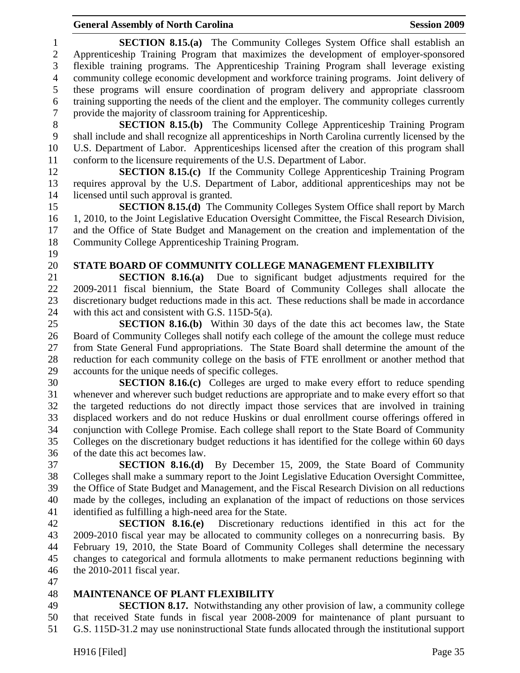1 **SECTION 8.15.(a)** The Community Colleges System Office shall establish an 2 Apprenticeship Training Program that maximizes the development of employer-sponsored 3 flexible training programs. The Apprenticeship Training Program shall leverage existing 4 community college economic development and workforce training programs. Joint delivery of 5 these programs will ensure coordination of program delivery and appropriate classroom 6 training supporting the needs of the client and the employer. The community colleges currently 7 provide the majority of classroom training for Apprenticeship. 8 **SECTION 8.15.(b)** The Community College Apprenticeship Training Program 9 shall include and shall recognize all apprenticeships in North Carolina currently licensed by the 10 U.S. Department of Labor. Apprenticeships licensed after the creation of this program shall 11 conform to the licensure requirements of the U.S. Department of Labor. 12 **SECTION 8.15.(c)** If the Community College Apprenticeship Training Program 13 requires approval by the U.S. Department of Labor, additional apprenticeships may not be 14 licensed until such approval is granted. 15 **SECTION 8.15.(d)** The Community Colleges System Office shall report by March 16 1, 2010, to the Joint Legislative Education Oversight Committee, the Fiscal Research Division, 17 and the Office of State Budget and Management on the creation and implementation of the 18 Community College Apprenticeship Training Program. 19 20 **STATE BOARD OF COMMUNITY COLLEGE MANAGEMENT FLEXIBILITY**  21 **SECTION 8.16.(a)** Due to significant budget adjustments required for the 22 2009-2011 fiscal biennium, the State Board of Community Colleges shall allocate the 23 discretionary budget reductions made in this act. These reductions shall be made in accordance 24 with this act and consistent with G.S. 115D-5(a). 25 **SECTION 8.16.(b)** Within 30 days of the date this act becomes law, the State 26 Board of Community Colleges shall notify each college of the amount the college must reduce 27 from State General Fund appropriations. The State Board shall determine the amount of the 28 reduction for each community college on the basis of FTE enrollment or another method that 29 accounts for the unique needs of specific colleges. 30 **SECTION 8.16.(c)** Colleges are urged to make every effort to reduce spending 31 whenever and wherever such budget reductions are appropriate and to make every effort so that 32 the targeted reductions do not directly impact those services that are involved in training 33 displaced workers and do not reduce Huskins or dual enrollment course offerings offered in 34 conjunction with College Promise. Each college shall report to the State Board of Community 35 Colleges on the discretionary budget reductions it has identified for the college within 60 days 36 of the date this act becomes law. 37 **SECTION 8.16.(d)** By December 15, 2009, the State Board of Community 38 Colleges shall make a summary report to the Joint Legislative Education Oversight Committee, 39 the Office of State Budget and Management, and the Fiscal Research Division on all reductions 40 made by the colleges, including an explanation of the impact of reductions on those services 41 identified as fulfilling a high-need area for the State. 42 **SECTION 8.16.(e)** Discretionary reductions identified in this act for the 43 2009-2010 fiscal year may be allocated to community colleges on a nonrecurring basis. By 44 February 19, 2010, the State Board of Community Colleges shall determine the necessary 45 changes to categorical and formula allotments to make permanent reductions beginning with

- 46 the 2010-2011 fiscal year.
- 47

### 48 **MAINTENANCE OF PLANT FLEXIBILITY**

49 **SECTION 8.17.** Notwithstanding any other provision of law, a community college 50 that received State funds in fiscal year 2008-2009 for maintenance of plant pursuant to 51 G.S. 115D-31.2 may use noninstructional State funds allocated through the institutional support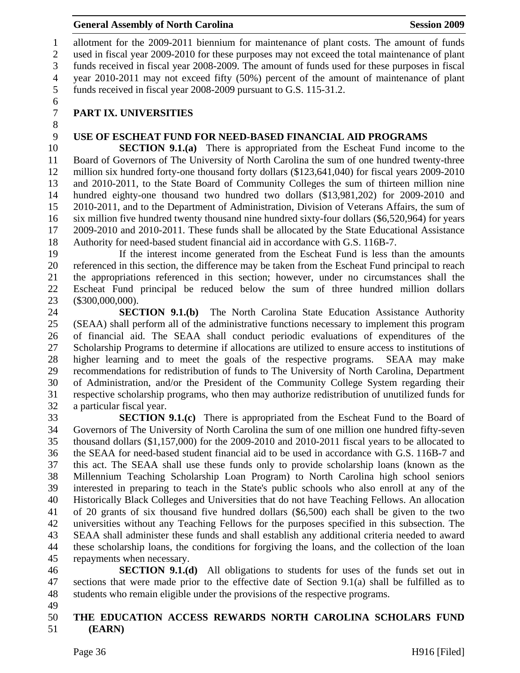1 allotment for the 2009-2011 biennium for maintenance of plant costs. The amount of funds 2 used in fiscal year 2009-2010 for these purposes may not exceed the total maintenance of plant 3 funds received in fiscal year 2008-2009. The amount of funds used for these purposes in fiscal 4 year 2010-2011 may not exceed fifty (50%) percent of the amount of maintenance of plant 5 funds received in fiscal year 2008-2009 pursuant to G.S. 115-31.2.

6

8

# 7 **PART IX. UNIVERSITIES**

## 9 **USE OF ESCHEAT FUND FOR NEED-BASED FINANCIAL AID PROGRAMS**

10 **SECTION 9.1.(a)** There is appropriated from the Escheat Fund income to the 11 Board of Governors of The University of North Carolina the sum of one hundred twenty-three 12 million six hundred forty-one thousand forty dollars (\$123,641,040) for fiscal years 2009-2010 13 and 2010-2011, to the State Board of Community Colleges the sum of thirteen million nine 14 hundred eighty-one thousand two hundred two dollars (\$13,981,202) for 2009-2010 and 15 2010-2011, and to the Department of Administration, Division of Veterans Affairs, the sum of 16 six million five hundred twenty thousand nine hundred sixty-four dollars (\$6,520,964) for years 17 2009-2010 and 2010-2011. These funds shall be allocated by the State Educational Assistance 18 Authority for need-based student financial aid in accordance with G.S. 116B-7.

19 If the interest income generated from the Escheat Fund is less than the amounts 20 referenced in this section, the difference may be taken from the Escheat Fund principal to reach 21 the appropriations referenced in this section; however, under no circumstances shall the 22 Escheat Fund principal be reduced below the sum of three hundred million dollars 23 (\$300,000,000).

24 **SECTION 9.1.(b)** The North Carolina State Education Assistance Authority 25 (SEAA) shall perform all of the administrative functions necessary to implement this program 26 of financial aid. The SEAA shall conduct periodic evaluations of expenditures of the 27 Scholarship Programs to determine if allocations are utilized to ensure access to institutions of 28 higher learning and to meet the goals of the respective programs. SEAA may make 29 recommendations for redistribution of funds to The University of North Carolina, Department 30 of Administration, and/or the President of the Community College System regarding their 31 respective scholarship programs, who then may authorize redistribution of unutilized funds for 32 a particular fiscal year.

**SECTION 9.1.(c)** There is appropriated from the Escheat Fund to the Board of 34 Governors of The University of North Carolina the sum of one million one hundred fifty-seven 35 thousand dollars (\$1,157,000) for the 2009-2010 and 2010-2011 fiscal years to be allocated to 36 the SEAA for need-based student financial aid to be used in accordance with G.S. 116B-7 and 37 this act. The SEAA shall use these funds only to provide scholarship loans (known as the 38 Millennium Teaching Scholarship Loan Program) to North Carolina high school seniors 39 interested in preparing to teach in the State's public schools who also enroll at any of the 40 Historically Black Colleges and Universities that do not have Teaching Fellows. An allocation 41 of 20 grants of six thousand five hundred dollars (\$6,500) each shall be given to the two 42 universities without any Teaching Fellows for the purposes specified in this subsection. The 43 SEAA shall administer these funds and shall establish any additional criteria needed to award 44 these scholarship loans, the conditions for forgiving the loans, and the collection of the loan 45 repayments when necessary.

46 **SECTION 9.1.(d)** All obligations to students for uses of the funds set out in 47 sections that were made prior to the effective date of Section 9.1(a) shall be fulfilled as to 48 students who remain eligible under the provisions of the respective programs.

49

### 50 **THE EDUCATION ACCESS REWARDS NORTH CAROLINA SCHOLARS FUND**  51 **(EARN)**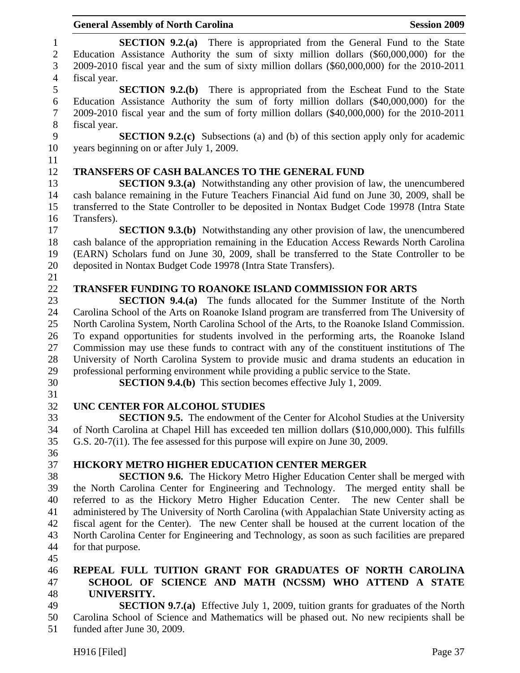|                              | <b>General Assembly of North Carolina</b><br><b>Session 2009</b>                                                                                                                                                                                                         |
|------------------------------|--------------------------------------------------------------------------------------------------------------------------------------------------------------------------------------------------------------------------------------------------------------------------|
| $\mathbf{1}$<br>$\mathbf{2}$ | <b>SECTION 9.2.(a)</b> There is appropriated from the General Fund to the State<br>Education Assistance Authority the sum of sixty million dollars (\$60,000,000) for the                                                                                                |
| 3                            | 2009-2010 fiscal year and the sum of sixty million dollars (\$60,000,000) for the 2010-2011                                                                                                                                                                              |
| $\overline{4}$               | fiscal year.                                                                                                                                                                                                                                                             |
| 5<br>6<br>$\tau$             | <b>SECTION 9.2.(b)</b> There is appropriated from the Escheat Fund to the State<br>Education Assistance Authority the sum of forty million dollars (\$40,000,000) for the<br>2009-2010 fiscal year and the sum of forty million dollars (\$40,000,000) for the 2010-2011 |
| 8                            | fiscal year.                                                                                                                                                                                                                                                             |
| 9                            | <b>SECTION 9.2.(c)</b> Subsections (a) and (b) of this section apply only for academic                                                                                                                                                                                   |
| 10                           | years beginning on or after July 1, 2009.                                                                                                                                                                                                                                |
| 11                           |                                                                                                                                                                                                                                                                          |
| 12                           | <b>TRANSFERS OF CASH BALANCES TO THE GENERAL FUND</b>                                                                                                                                                                                                                    |
| 13<br>14                     | <b>SECTION 9.3.(a)</b> Notwithstanding any other provision of law, the unencumbered<br>cash balance remaining in the Future Teachers Financial Aid fund on June 30, 2009, shall be                                                                                       |
| 15                           | transferred to the State Controller to be deposited in Nontax Budget Code 19978 (Intra State                                                                                                                                                                             |
| 16                           | Transfers).                                                                                                                                                                                                                                                              |
| 17                           | <b>SECTION 9.3.(b)</b> Notwithstanding any other provision of law, the unencumbered                                                                                                                                                                                      |
| 18<br>19                     | cash balance of the appropriation remaining in the Education Access Rewards North Carolina<br>(EARN) Scholars fund on June 30, 2009, shall be transferred to the State Controller to be                                                                                  |
| 20                           | deposited in Nontax Budget Code 19978 (Intra State Transfers).                                                                                                                                                                                                           |
| 21                           |                                                                                                                                                                                                                                                                          |
| 22                           | <b>TRANSFER FUNDING TO ROANOKE ISLAND COMMISSION FOR ARTS</b>                                                                                                                                                                                                            |
| 23                           | <b>SECTION 9.4.(a)</b> The funds allocated for the Summer Institute of the North                                                                                                                                                                                         |
| 24                           | Carolina School of the Arts on Roanoke Island program are transferred from The University of                                                                                                                                                                             |
| 25                           | North Carolina System, North Carolina School of the Arts, to the Roanoke Island Commission.                                                                                                                                                                              |
| 26                           | To expand opportunities for students involved in the performing arts, the Roanoke Island                                                                                                                                                                                 |
| 27                           | Commission may use these funds to contract with any of the constituent institutions of The                                                                                                                                                                               |
| 28                           | University of North Carolina System to provide music and drama students an education in                                                                                                                                                                                  |
| 29                           | professional performing environment while providing a public service to the State.                                                                                                                                                                                       |
| 30                           | <b>SECTION 9.4.(b)</b> This section becomes effective July 1, 2009.                                                                                                                                                                                                      |
| 31                           |                                                                                                                                                                                                                                                                          |
| 32                           | UNC CENTER FOR ALCOHOL STUDIES                                                                                                                                                                                                                                           |
| 33                           | <b>SECTION 9.5.</b> The endowment of the Center for Alcohol Studies at the University                                                                                                                                                                                    |
| 34                           | of North Carolina at Chapel Hill has exceeded ten million dollars (\$10,000,000). This fulfills                                                                                                                                                                          |
| 35                           | G.S. 20-7(i1). The fee assessed for this purpose will expire on June 30, 2009.                                                                                                                                                                                           |
| 36                           |                                                                                                                                                                                                                                                                          |
| 37                           | <b>HICKORY METRO HIGHER EDUCATION CENTER MERGER</b>                                                                                                                                                                                                                      |
| 38                           | <b>SECTION 9.6.</b> The Hickory Metro Higher Education Center shall be merged with                                                                                                                                                                                       |
| 39                           | the North Carolina Center for Engineering and Technology. The merged entity shall be                                                                                                                                                                                     |
| 40                           | referred to as the Hickory Metro Higher Education Center. The new Center shall be                                                                                                                                                                                        |
| 41                           | administered by The University of North Carolina (with Appalachian State University acting as                                                                                                                                                                            |
| 42                           | fiscal agent for the Center). The new Center shall be housed at the current location of the                                                                                                                                                                              |
| 43                           | North Carolina Center for Engineering and Technology, as soon as such facilities are prepared                                                                                                                                                                            |
| 44                           | for that purpose.                                                                                                                                                                                                                                                        |
| 45                           |                                                                                                                                                                                                                                                                          |
| 46                           | REPEAL FULL TUITION GRANT FOR GRADUATES OF NORTH CAROLINA                                                                                                                                                                                                                |
| 47                           | SCHOOL OF SCIENCE AND MATH (NCSSM) WHO ATTEND A STATE                                                                                                                                                                                                                    |
| 48                           | UNIVERSITY.                                                                                                                                                                                                                                                              |
| 49                           | <b>SECTION 9.7.(a)</b> Effective July 1, 2009, tuition grants for graduates of the North                                                                                                                                                                                 |
| 50<br>51                     | Carolina School of Science and Mathematics will be phased out. No new recipients shall be<br>funded after June 30, 2009.                                                                                                                                                 |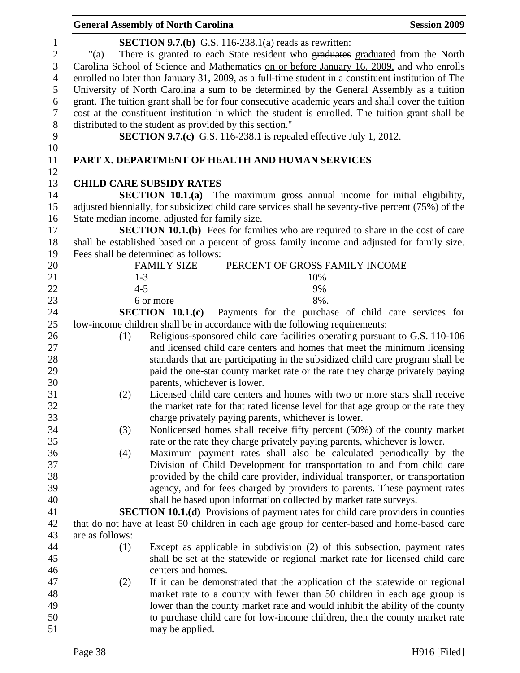|                                                                                    | <b>General Assembly of North Carolina</b>                |                                                                                                                                                                                                                                                                                                                                                                                                                                                                                                                                                                                                                                                         | <b>Session 2009</b> |
|------------------------------------------------------------------------------------|----------------------------------------------------------|---------------------------------------------------------------------------------------------------------------------------------------------------------------------------------------------------------------------------------------------------------------------------------------------------------------------------------------------------------------------------------------------------------------------------------------------------------------------------------------------------------------------------------------------------------------------------------------------------------------------------------------------------------|---------------------|
| $\mathbf{1}$<br>$\sqrt{2}$<br>$\mathfrak{Z}$<br>$\overline{4}$<br>5<br>6<br>$\tau$ | "(a)                                                     | <b>SECTION 9.7.(b)</b> G.S. 116-238.1(a) reads as rewritten:<br>There is granted to each State resident who graduates graduated from the North<br>Carolina School of Science and Mathematics on or before January 16, 2009, and who enrolls<br>enrolled no later than January 31, 2009, as a full-time student in a constituent institution of The<br>University of North Carolina a sum to be determined by the General Assembly as a tuition<br>grant. The tuition grant shall be for four consecutive academic years and shall cover the tuition<br>cost at the constituent institution in which the student is enrolled. The tuition grant shall be |                     |
| $8\,$                                                                              | distributed to the student as provided by this section." |                                                                                                                                                                                                                                                                                                                                                                                                                                                                                                                                                                                                                                                         |                     |
| 9                                                                                  |                                                          | <b>SECTION 9.7.(c)</b> G.S. 116-238.1 is repealed effective July 1, 2012.                                                                                                                                                                                                                                                                                                                                                                                                                                                                                                                                                                               |                     |
| 10                                                                                 |                                                          |                                                                                                                                                                                                                                                                                                                                                                                                                                                                                                                                                                                                                                                         |                     |
| 11<br>12                                                                           |                                                          | PART X. DEPARTMENT OF HEALTH AND HUMAN SERVICES                                                                                                                                                                                                                                                                                                                                                                                                                                                                                                                                                                                                         |                     |
| 13                                                                                 | <b>CHILD CARE SUBSIDY RATES</b>                          |                                                                                                                                                                                                                                                                                                                                                                                                                                                                                                                                                                                                                                                         |                     |
| 14                                                                                 |                                                          | <b>SECTION 10.1.(a)</b> The maximum gross annual income for initial eligibility,                                                                                                                                                                                                                                                                                                                                                                                                                                                                                                                                                                        |                     |
| 15                                                                                 |                                                          | adjusted biennially, for subsidized child care services shall be seventy-five percent (75%) of the                                                                                                                                                                                                                                                                                                                                                                                                                                                                                                                                                      |                     |
| 16                                                                                 | State median income, adjusted for family size.           |                                                                                                                                                                                                                                                                                                                                                                                                                                                                                                                                                                                                                                                         |                     |
| 17                                                                                 |                                                          | <b>SECTION 10.1.(b)</b> Fees for families who are required to share in the cost of care                                                                                                                                                                                                                                                                                                                                                                                                                                                                                                                                                                 |                     |
| 18                                                                                 |                                                          | shall be established based on a percent of gross family income and adjusted for family size.                                                                                                                                                                                                                                                                                                                                                                                                                                                                                                                                                            |                     |
| 19                                                                                 | Fees shall be determined as follows:                     |                                                                                                                                                                                                                                                                                                                                                                                                                                                                                                                                                                                                                                                         |                     |
| 20                                                                                 | <b>FAMILY SIZE</b>                                       | PERCENT OF GROSS FAMILY INCOME                                                                                                                                                                                                                                                                                                                                                                                                                                                                                                                                                                                                                          |                     |
| 21                                                                                 | $1 - 3$                                                  | 10%                                                                                                                                                                                                                                                                                                                                                                                                                                                                                                                                                                                                                                                     |                     |
| 22                                                                                 | $4 - 5$                                                  | 9%                                                                                                                                                                                                                                                                                                                                                                                                                                                                                                                                                                                                                                                      |                     |
| 23                                                                                 | 6 or more                                                | 8%.                                                                                                                                                                                                                                                                                                                                                                                                                                                                                                                                                                                                                                                     |                     |
| 24                                                                                 | SECTION 10.1(c)                                          | Payments for the purchase of child care services for                                                                                                                                                                                                                                                                                                                                                                                                                                                                                                                                                                                                    |                     |
| 25                                                                                 |                                                          | low-income children shall be in accordance with the following requirements:                                                                                                                                                                                                                                                                                                                                                                                                                                                                                                                                                                             |                     |
| 26                                                                                 | (1)                                                      | Religious-sponsored child care facilities operating pursuant to G.S. 110-106                                                                                                                                                                                                                                                                                                                                                                                                                                                                                                                                                                            |                     |
| 27                                                                                 |                                                          | and licensed child care centers and homes that meet the minimum licensing                                                                                                                                                                                                                                                                                                                                                                                                                                                                                                                                                                               |                     |
| 28                                                                                 |                                                          | standards that are participating in the subsidized child care program shall be                                                                                                                                                                                                                                                                                                                                                                                                                                                                                                                                                                          |                     |
| 29                                                                                 |                                                          | paid the one-star county market rate or the rate they charge privately paying                                                                                                                                                                                                                                                                                                                                                                                                                                                                                                                                                                           |                     |
| 30                                                                                 |                                                          | parents, whichever is lower.                                                                                                                                                                                                                                                                                                                                                                                                                                                                                                                                                                                                                            |                     |
| 31                                                                                 | (2)                                                      | Licensed child care centers and homes with two or more stars shall receive                                                                                                                                                                                                                                                                                                                                                                                                                                                                                                                                                                              |                     |
| 32                                                                                 |                                                          | the market rate for that rated license level for that age group or the rate they                                                                                                                                                                                                                                                                                                                                                                                                                                                                                                                                                                        |                     |
| 33                                                                                 |                                                          | charge privately paying parents, whichever is lower.                                                                                                                                                                                                                                                                                                                                                                                                                                                                                                                                                                                                    |                     |
| 34                                                                                 | (3)                                                      | Nonlicensed homes shall receive fifty percent (50%) of the county market                                                                                                                                                                                                                                                                                                                                                                                                                                                                                                                                                                                |                     |
| 35                                                                                 |                                                          | rate or the rate they charge privately paying parents, whichever is lower.                                                                                                                                                                                                                                                                                                                                                                                                                                                                                                                                                                              |                     |
| 36                                                                                 | (4)                                                      | Maximum payment rates shall also be calculated periodically by the                                                                                                                                                                                                                                                                                                                                                                                                                                                                                                                                                                                      |                     |
| 37                                                                                 |                                                          | Division of Child Development for transportation to and from child care                                                                                                                                                                                                                                                                                                                                                                                                                                                                                                                                                                                 |                     |
| 38                                                                                 |                                                          | provided by the child care provider, individual transporter, or transportation                                                                                                                                                                                                                                                                                                                                                                                                                                                                                                                                                                          |                     |
| 39                                                                                 |                                                          | agency, and for fees charged by providers to parents. These payment rates                                                                                                                                                                                                                                                                                                                                                                                                                                                                                                                                                                               |                     |
| 40                                                                                 |                                                          | shall be based upon information collected by market rate surveys.                                                                                                                                                                                                                                                                                                                                                                                                                                                                                                                                                                                       |                     |
| 41                                                                                 |                                                          | <b>SECTION 10.1.(d)</b> Provisions of payment rates for child care providers in counties                                                                                                                                                                                                                                                                                                                                                                                                                                                                                                                                                                |                     |
| 42                                                                                 |                                                          | that do not have at least 50 children in each age group for center-based and home-based care                                                                                                                                                                                                                                                                                                                                                                                                                                                                                                                                                            |                     |
| 43                                                                                 | are as follows:                                          |                                                                                                                                                                                                                                                                                                                                                                                                                                                                                                                                                                                                                                                         |                     |
| 44                                                                                 | (1)                                                      | Except as applicable in subdivision (2) of this subsection, payment rates                                                                                                                                                                                                                                                                                                                                                                                                                                                                                                                                                                               |                     |
| 45                                                                                 |                                                          | shall be set at the statewide or regional market rate for licensed child care                                                                                                                                                                                                                                                                                                                                                                                                                                                                                                                                                                           |                     |
| 46                                                                                 | centers and homes.                                       |                                                                                                                                                                                                                                                                                                                                                                                                                                                                                                                                                                                                                                                         |                     |
| 47                                                                                 | (2)                                                      | If it can be demonstrated that the application of the statewide or regional                                                                                                                                                                                                                                                                                                                                                                                                                                                                                                                                                                             |                     |
| 48                                                                                 |                                                          | market rate to a county with fewer than 50 children in each age group is                                                                                                                                                                                                                                                                                                                                                                                                                                                                                                                                                                                |                     |
| 49                                                                                 |                                                          | lower than the county market rate and would inhibit the ability of the county                                                                                                                                                                                                                                                                                                                                                                                                                                                                                                                                                                           |                     |
| 50                                                                                 |                                                          | to purchase child care for low-income children, then the county market rate                                                                                                                                                                                                                                                                                                                                                                                                                                                                                                                                                                             |                     |
| 51                                                                                 | may be applied.                                          |                                                                                                                                                                                                                                                                                                                                                                                                                                                                                                                                                                                                                                                         |                     |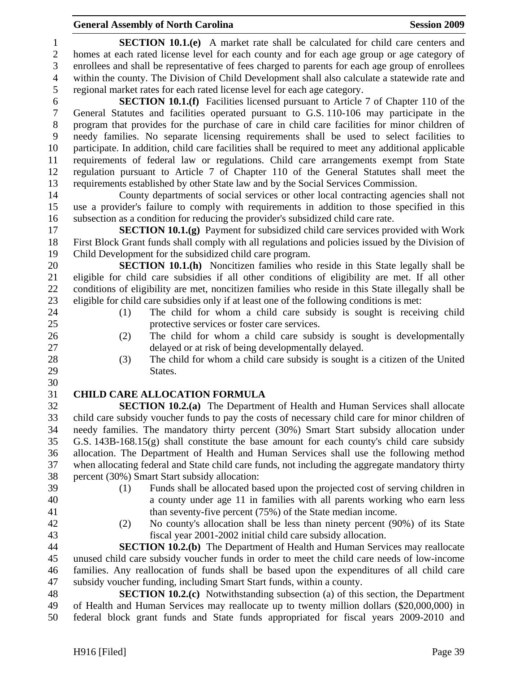# **General Assembly of North Carolina Session 2009 Session 2009**

| $\mathbf{1}$             | <b>SECTION 10.1.(e)</b> A market rate shall be calculated for child care centers and                |  |  |  |  |  |
|--------------------------|-----------------------------------------------------------------------------------------------------|--|--|--|--|--|
| $\mathbf{2}$             | homes at each rated license level for each county and for each age group or age category of         |  |  |  |  |  |
| 3                        | enrollees and shall be representative of fees charged to parents for each age group of enrollees    |  |  |  |  |  |
| $\overline{\mathcal{A}}$ | within the county. The Division of Child Development shall also calculate a statewide rate and      |  |  |  |  |  |
| 5                        | regional market rates for each rated license level for each age category.                           |  |  |  |  |  |
| 6                        | <b>SECTION 10.1.(f)</b> Facilities licensed pursuant to Article 7 of Chapter 110 of the             |  |  |  |  |  |
| $\boldsymbol{7}$         | General Statutes and facilities operated pursuant to G.S. 110-106 may participate in the            |  |  |  |  |  |
| $8\,$                    | program that provides for the purchase of care in child care facilities for minor children of       |  |  |  |  |  |
| 9                        | needy families. No separate licensing requirements shall be used to select facilities to            |  |  |  |  |  |
| 10                       | participate. In addition, child care facilities shall be required to meet any additional applicable |  |  |  |  |  |
| 11                       | requirements of federal law or regulations. Child care arrangements exempt from State               |  |  |  |  |  |
| 12                       | regulation pursuant to Article 7 of Chapter 110 of the General Statutes shall meet the              |  |  |  |  |  |
| 13                       | requirements established by other State law and by the Social Services Commission.                  |  |  |  |  |  |
| 14                       | County departments of social services or other local contracting agencies shall not                 |  |  |  |  |  |
| 15                       | use a provider's failure to comply with requirements in addition to those specified in this         |  |  |  |  |  |
| 16                       | subsection as a condition for reducing the provider's subsidized child care rate.                   |  |  |  |  |  |
| 17                       | <b>SECTION 10.1.(g)</b> Payment for subsidized child care services provided with Work               |  |  |  |  |  |
| 18                       | First Block Grant funds shall comply with all regulations and policies issued by the Division of    |  |  |  |  |  |
| 19                       | Child Development for the subsidized child care program.                                            |  |  |  |  |  |
| 20                       | SECTION 10.1.(h) Noncitizen families who reside in this State legally shall be                      |  |  |  |  |  |
| 21                       | eligible for child care subsidies if all other conditions of eligibility are met. If all other      |  |  |  |  |  |
| 22                       | conditions of eligibility are met, noncitizen families who reside in this State illegally shall be  |  |  |  |  |  |
| 23                       | eligible for child care subsidies only if at least one of the following conditions is met:          |  |  |  |  |  |
| 24                       | The child for whom a child care subsidy is sought is receiving child<br>(1)                         |  |  |  |  |  |
| 25                       | protective services or foster care services.                                                        |  |  |  |  |  |
| 26                       | The child for whom a child care subsidy is sought is developmentally<br>(2)                         |  |  |  |  |  |
| 27                       | delayed or at risk of being developmentally delayed.                                                |  |  |  |  |  |
| 28                       | The child for whom a child care subsidy is sought is a citizen of the United<br>(3)                 |  |  |  |  |  |
| 29                       | States.                                                                                             |  |  |  |  |  |
| 30                       |                                                                                                     |  |  |  |  |  |
| 31                       | <b>CHILD CARE ALLOCATION FORMULA</b>                                                                |  |  |  |  |  |
| 32                       | <b>SECTION 10.2.(a)</b> The Department of Health and Human Services shall allocate                  |  |  |  |  |  |
| 33                       | child care subsidy voucher funds to pay the costs of necessary child care for minor children of     |  |  |  |  |  |
| 34                       | needy families. The mandatory thirty percent (30%) Smart Start subsidy allocation under             |  |  |  |  |  |
| 35                       | G.S. $143B-168.15(g)$ shall constitute the base amount for each county's child care subsidy         |  |  |  |  |  |
| 36                       | allocation. The Department of Health and Human Services shall use the following method              |  |  |  |  |  |
| 37                       | when allocating federal and State child care funds, not including the aggregate mandatory thirty    |  |  |  |  |  |
| 38                       | percent (30%) Smart Start subsidy allocation:                                                       |  |  |  |  |  |
| 39                       | Funds shall be allocated based upon the projected cost of serving children in<br>(1)                |  |  |  |  |  |
| 40                       | a county under age 11 in families with all parents working who earn less                            |  |  |  |  |  |
| 41                       | than seventy-five percent (75%) of the State median income.                                         |  |  |  |  |  |
| 42                       | No county's allocation shall be less than ninety percent (90%) of its State<br>(2)                  |  |  |  |  |  |
| 43                       | fiscal year 2001-2002 initial child care subsidy allocation.                                        |  |  |  |  |  |
| 44                       | <b>SECTION 10.2.(b)</b> The Department of Health and Human Services may reallocate                  |  |  |  |  |  |
| 45                       | unused child care subsidy voucher funds in order to meet the child care needs of low-income         |  |  |  |  |  |
| 46                       | families. Any reallocation of funds shall be based upon the expenditures of all child care          |  |  |  |  |  |
| 47                       | subsidy voucher funding, including Smart Start funds, within a county.                              |  |  |  |  |  |
| 48                       | <b>SECTION 10.2.(c)</b> Notwithstanding subsection (a) of this section, the Department              |  |  |  |  |  |
| 49                       | of Health and Human Services may reallocate up to twenty million dollars (\$20,000,000) in          |  |  |  |  |  |
| 50                       | federal block grant funds and State funds appropriated for fiscal years 2009-2010 and               |  |  |  |  |  |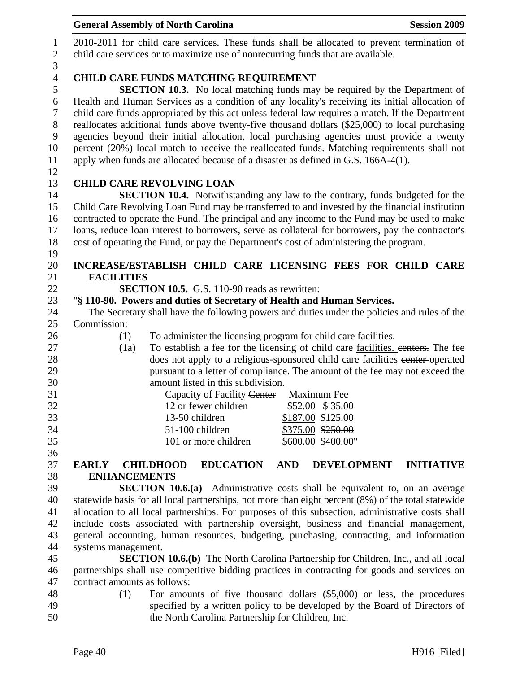|                  | <b>General Assembly of North Carolina</b><br><b>Session 2009</b>                                              |  |  |  |
|------------------|---------------------------------------------------------------------------------------------------------------|--|--|--|
| $\mathbf{1}$     | 2010-2011 for child care services. These funds shall be allocated to prevent termination of                   |  |  |  |
| $\sqrt{2}$       | child care services or to maximize use of nonrecurring funds that are available.                              |  |  |  |
| 3                |                                                                                                               |  |  |  |
| $\overline{4}$   | <b>CHILD CARE FUNDS MATCHING REQUIREMENT</b>                                                                  |  |  |  |
| 5                | <b>SECTION 10.3.</b> No local matching funds may be required by the Department of                             |  |  |  |
| $\sqrt{6}$       | Health and Human Services as a condition of any locality's receiving its initial allocation of                |  |  |  |
| $\overline{7}$   | child care funds appropriated by this act unless federal law requires a match. If the Department              |  |  |  |
| $8\,$            | reallocates additional funds above twenty-five thousand dollars (\$25,000) to local purchasing                |  |  |  |
| $\boldsymbol{9}$ | agencies beyond their initial allocation, local purchasing agencies must provide a twenty                     |  |  |  |
| 10               | percent (20%) local match to receive the reallocated funds. Matching requirements shall not                   |  |  |  |
| 11               | apply when funds are allocated because of a disaster as defined in G.S. 166A-4(1).                            |  |  |  |
| 12               |                                                                                                               |  |  |  |
| 13               | <b>CHILD CARE REVOLVING LOAN</b>                                                                              |  |  |  |
| 14               | <b>SECTION 10.4.</b> Notwithstanding any law to the contrary, funds budgeted for the                          |  |  |  |
| 15               | Child Care Revolving Loan Fund may be transferred to and invested by the financial institution                |  |  |  |
| 16               | contracted to operate the Fund. The principal and any income to the Fund may be used to make                  |  |  |  |
| 17<br>18         | loans, reduce loan interest to borrowers, serve as collateral for borrowers, pay the contractor's             |  |  |  |
| 19               | cost of operating the Fund, or pay the Department's cost of administering the program.                        |  |  |  |
| 20               | INCREASE/ESTABLISH CHILD CARE LICENSING FEES FOR CHILD CARE                                                   |  |  |  |
| 21               | <b>FACILITIES</b>                                                                                             |  |  |  |
| 22               | <b>SECTION 10.5.</b> G.S. 110-90 reads as rewritten:                                                          |  |  |  |
| 23               | "§ 110-90. Powers and duties of Secretary of Health and Human Services.                                       |  |  |  |
| 24               | The Secretary shall have the following powers and duties under the policies and rules of the                  |  |  |  |
| 25               | Commission:                                                                                                   |  |  |  |
| 26               | To administer the licensing program for child care facilities.<br>(1)                                         |  |  |  |
| 27               | To establish a fee for the licensing of child care facilities, centers. The fee<br>(1a)                       |  |  |  |
| 28               | does not apply to a religious-sponsored child care facilities eenter-operated                                 |  |  |  |
| 29               | pursuant to a letter of compliance. The amount of the fee may not exceed the                                  |  |  |  |
| 30               | amount listed in this subdivision.                                                                            |  |  |  |
| 31               | Capacity of Facility Center Maximum Fee                                                                       |  |  |  |
| 32               | 12 or fewer children<br>$$52.00$ \$35.00                                                                      |  |  |  |
| 33               | \$187.00 \$125.00<br>13-50 children                                                                           |  |  |  |
| 34               | 51-100 children<br>\$375.00 \$250.00                                                                          |  |  |  |
| 35               | 101 or more children<br>\$600.00 \$400.00"                                                                    |  |  |  |
| 36<br>37         | <b>EDUCATION</b><br><b>AND</b><br><b>DEVELOPMENT</b><br><b>INITIATIVE</b><br><b>EARLY</b><br><b>CHILDHOOD</b> |  |  |  |
| 38               | <b>ENHANCEMENTS</b>                                                                                           |  |  |  |
| 39               | <b>SECTION 10.6.(a)</b> Administrative costs shall be equivalent to, on an average                            |  |  |  |
| 40               | statewide basis for all local partnerships, not more than eight percent (8%) of the total statewide           |  |  |  |
| 41               | allocation to all local partnerships. For purposes of this subsection, administrative costs shall             |  |  |  |
| 42               | include costs associated with partnership oversight, business and financial management,                       |  |  |  |
| 43               | general accounting, human resources, budgeting, purchasing, contracting, and information                      |  |  |  |
| 44               | systems management.                                                                                           |  |  |  |
| 45               | <b>SECTION 10.6.(b)</b> The North Carolina Partnership for Children, Inc., and all local                      |  |  |  |
| 46               | partnerships shall use competitive bidding practices in contracting for goods and services on                 |  |  |  |
| 47               | contract amounts as follows:                                                                                  |  |  |  |
| 48               | For amounts of five thousand dollars $(\$5,000)$ or less, the procedures<br>(1)                               |  |  |  |
| 49               | specified by a written policy to be developed by the Board of Directors of                                    |  |  |  |
| 50               | the North Carolina Partnership for Children, Inc.                                                             |  |  |  |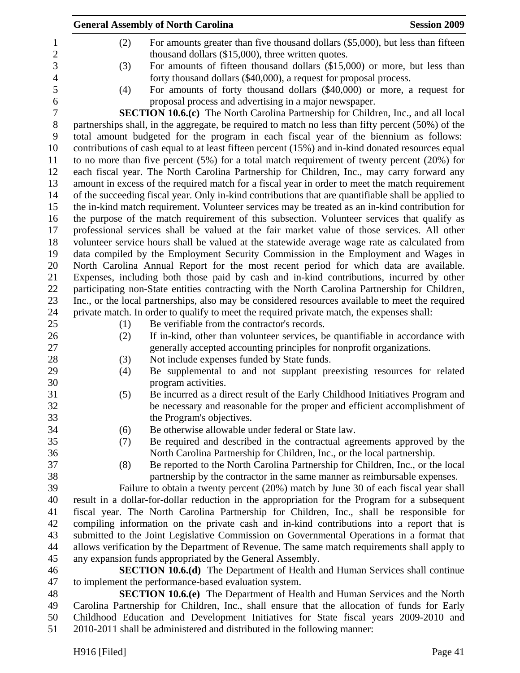|                | <b>General Assembly of North Carolina</b>                                                                                                                     | <b>Session 2009</b> |
|----------------|---------------------------------------------------------------------------------------------------------------------------------------------------------------|---------------------|
| 1              | For amounts greater than five thousand dollars (\$5,000), but less than fifteen<br>(2)                                                                        |                     |
| $\overline{2}$ | thousand dollars (\$15,000), three written quotes.                                                                                                            |                     |
| 3              | For amounts of fifteen thousand dollars (\$15,000) or more, but less than<br>(3)                                                                              |                     |
| $\overline{4}$ | forty thousand dollars (\$40,000), a request for proposal process.                                                                                            |                     |
| 5              | For amounts of forty thousand dollars (\$40,000) or more, a request for<br>(4)                                                                                |                     |
| 6              | proposal process and advertising in a major newspaper.                                                                                                        |                     |
| $\tau$         | <b>SECTION 10.6.(c)</b> The North Carolina Partnership for Children, Inc., and all local                                                                      |                     |
| 8              | partnerships shall, in the aggregate, be required to match no less than fifty percent (50%) of the                                                            |                     |
| 9              | total amount budgeted for the program in each fiscal year of the biennium as follows:                                                                         |                     |
| 10             | contributions of cash equal to at least fifteen percent (15%) and in-kind donated resources equal                                                             |                     |
| 11             | to no more than five percent $(5%)$ for a total match requirement of twenty percent $(20%)$ for                                                               |                     |
| 12             | each fiscal year. The North Carolina Partnership for Children, Inc., may carry forward any                                                                    |                     |
| 13             | amount in excess of the required match for a fiscal year in order to meet the match requirement                                                               |                     |
| 14             | of the succeeding fiscal year. Only in-kind contributions that are quantifiable shall be applied to                                                           |                     |
| 15             | the in-kind match requirement. Volunteer services may be treated as an in-kind contribution for                                                               |                     |
| 16             | the purpose of the match requirement of this subsection. Volunteer services that qualify as                                                                   |                     |
| 17             | professional services shall be valued at the fair market value of those services. All other                                                                   |                     |
| 18             | volunteer service hours shall be valued at the statewide average wage rate as calculated from                                                                 |                     |
| 19             | data compiled by the Employment Security Commission in the Employment and Wages in                                                                            |                     |
| 20             | North Carolina Annual Report for the most recent period for which data are available.                                                                         |                     |
| 21             | Expenses, including both those paid by cash and in-kind contributions, incurred by other                                                                      |                     |
| 22             | participating non-State entities contracting with the North Carolina Partnership for Children,                                                                |                     |
| 23             | Inc., or the local partnerships, also may be considered resources available to meet the required                                                              |                     |
| 24             | private match. In order to qualify to meet the required private match, the expenses shall:                                                                    |                     |
| 25             | Be verifiable from the contractor's records.<br>(1)                                                                                                           |                     |
| 26<br>27       | If in-kind, other than volunteer services, be quantifiable in accordance with<br>(2)<br>generally accepted accounting principles for nonprofit organizations. |                     |
| 28             | Not include expenses funded by State funds.<br>(3)                                                                                                            |                     |
| 29             | Be supplemental to and not supplant preexisting resources for related<br>(4)                                                                                  |                     |
| 30             | program activities.                                                                                                                                           |                     |
| 31             | Be incurred as a direct result of the Early Childhood Initiatives Program and<br>(5)                                                                          |                     |
| 32             | be necessary and reasonable for the proper and efficient accomplishment of                                                                                    |                     |
| 33             | the Program's objectives.                                                                                                                                     |                     |
| 34             | Be otherwise allowable under federal or State law.<br>(6)                                                                                                     |                     |
| 35             | Be required and described in the contractual agreements approved by the<br>(7)                                                                                |                     |
| 36             | North Carolina Partnership for Children, Inc., or the local partnership.                                                                                      |                     |
| 37             | Be reported to the North Carolina Partnership for Children, Inc., or the local<br>(8)                                                                         |                     |
| 38             | partnership by the contractor in the same manner as reimbursable expenses.                                                                                    |                     |
| 39             | Failure to obtain a twenty percent (20%) match by June 30 of each fiscal year shall                                                                           |                     |
| 40             | result in a dollar-for-dollar reduction in the appropriation for the Program for a subsequent                                                                 |                     |
| 41             | fiscal year. The North Carolina Partnership for Children, Inc., shall be responsible for                                                                      |                     |
| 42             | compiling information on the private cash and in-kind contributions into a report that is                                                                     |                     |
| 43             | submitted to the Joint Legislative Commission on Governmental Operations in a format that                                                                     |                     |
| 44             | allows verification by the Department of Revenue. The same match requirements shall apply to                                                                  |                     |
| 45             | any expansion funds appropriated by the General Assembly.                                                                                                     |                     |
| 46             | <b>SECTION 10.6.(d)</b> The Department of Health and Human Services shall continue                                                                            |                     |
| 47             | to implement the performance-based evaluation system.                                                                                                         |                     |
| 48             | <b>SECTION 10.6.(e)</b> The Department of Health and Human Services and the North                                                                             |                     |
| 49             | Carolina Partnership for Children, Inc., shall ensure that the allocation of funds for Early                                                                  |                     |
| 50             | Childhood Education and Development Initiatives for State fiscal years 2009-2010 and                                                                          |                     |
| 51             | 2010-2011 shall be administered and distributed in the following manner:                                                                                      |                     |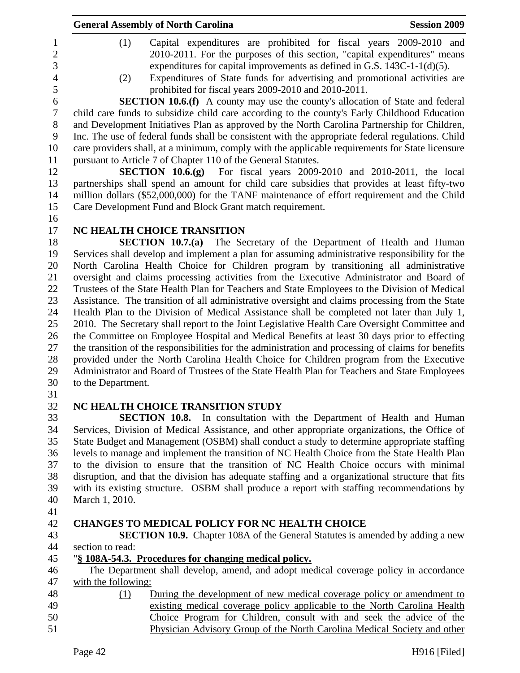|                                                            | <b>General Assembly of North Carolina</b>                                                                                                                                                                                                                                                                                                                                          | <b>Session 2009</b> |  |  |  |  |
|------------------------------------------------------------|------------------------------------------------------------------------------------------------------------------------------------------------------------------------------------------------------------------------------------------------------------------------------------------------------------------------------------------------------------------------------------|---------------------|--|--|--|--|
| $\mathbf{1}$<br>$\overline{2}$<br>3<br>$\overline{4}$<br>5 | (1)<br>Capital expenditures are prohibited for fiscal years 2009-2010 and<br>2010-2011. For the purposes of this section, "capital expenditures" means<br>expenditures for capital improvements as defined in G.S. $143C-1-1(d)(5)$ .<br>Expenditures of State funds for advertising and promotional activities are<br>(2)<br>prohibited for fiscal years 2009-2010 and 2010-2011. |                     |  |  |  |  |
| 6                                                          | <b>SECTION 10.6.(f)</b> A county may use the county's allocation of State and federal                                                                                                                                                                                                                                                                                              |                     |  |  |  |  |
| $\boldsymbol{7}$<br>8                                      | child care funds to subsidize child care according to the county's Early Childhood Education<br>and Development Initiatives Plan as approved by the North Carolina Partnership for Children,                                                                                                                                                                                       |                     |  |  |  |  |
| 9<br>10                                                    | Inc. The use of federal funds shall be consistent with the appropriate federal regulations. Child<br>care providers shall, at a minimum, comply with the applicable requirements for State licensure                                                                                                                                                                               |                     |  |  |  |  |
| 11                                                         | pursuant to Article 7 of Chapter 110 of the General Statutes.                                                                                                                                                                                                                                                                                                                      |                     |  |  |  |  |
| 12                                                         | <b>SECTION 10.6.(g)</b> For fiscal years $2009-2010$ and $2010-2011$ , the local                                                                                                                                                                                                                                                                                                   |                     |  |  |  |  |
| 13                                                         | partnerships shall spend an amount for child care subsidies that provides at least fifty-two                                                                                                                                                                                                                                                                                       |                     |  |  |  |  |
| 14                                                         | million dollars (\$52,000,000) for the TANF maintenance of effort requirement and the Child                                                                                                                                                                                                                                                                                        |                     |  |  |  |  |
| 15                                                         | Care Development Fund and Block Grant match requirement.                                                                                                                                                                                                                                                                                                                           |                     |  |  |  |  |
| 16                                                         |                                                                                                                                                                                                                                                                                                                                                                                    |                     |  |  |  |  |
| 17                                                         | NC HEALTH CHOICE TRANSITION                                                                                                                                                                                                                                                                                                                                                        |                     |  |  |  |  |
| 18                                                         | SECTION 10.7.(a) The Secretary of the Department of Health and Human                                                                                                                                                                                                                                                                                                               |                     |  |  |  |  |
| 19                                                         | Services shall develop and implement a plan for assuming administrative responsibility for the                                                                                                                                                                                                                                                                                     |                     |  |  |  |  |
| 20                                                         | North Carolina Health Choice for Children program by transitioning all administrative                                                                                                                                                                                                                                                                                              |                     |  |  |  |  |
| 21<br>22                                                   | oversight and claims processing activities from the Executive Administrator and Board of                                                                                                                                                                                                                                                                                           |                     |  |  |  |  |
| 23                                                         | Trustees of the State Health Plan for Teachers and State Employees to the Division of Medical<br>Assistance. The transition of all administrative oversight and claims processing from the State                                                                                                                                                                                   |                     |  |  |  |  |
| 24                                                         |                                                                                                                                                                                                                                                                                                                                                                                    |                     |  |  |  |  |
| 25                                                         | Health Plan to the Division of Medical Assistance shall be completed not later than July 1,<br>2010. The Secretary shall report to the Joint Legislative Health Care Oversight Committee and                                                                                                                                                                                       |                     |  |  |  |  |
| 26                                                         | the Committee on Employee Hospital and Medical Benefits at least 30 days prior to effecting                                                                                                                                                                                                                                                                                        |                     |  |  |  |  |
| 27                                                         | the transition of the responsibilities for the administration and processing of claims for benefits                                                                                                                                                                                                                                                                                |                     |  |  |  |  |
| 28                                                         | provided under the North Carolina Health Choice for Children program from the Executive                                                                                                                                                                                                                                                                                            |                     |  |  |  |  |
| 29                                                         | Administrator and Board of Trustees of the State Health Plan for Teachers and State Employees                                                                                                                                                                                                                                                                                      |                     |  |  |  |  |
| 30<br>31                                                   | to the Department.                                                                                                                                                                                                                                                                                                                                                                 |                     |  |  |  |  |
| 32                                                         | NC HEALTH CHOICE TRANSITION STUDY                                                                                                                                                                                                                                                                                                                                                  |                     |  |  |  |  |
| 33                                                         | <b>SECTION 10.8.</b> In consultation with the Department of Health and Human                                                                                                                                                                                                                                                                                                       |                     |  |  |  |  |
| 34                                                         | Services, Division of Medical Assistance, and other appropriate organizations, the Office of                                                                                                                                                                                                                                                                                       |                     |  |  |  |  |
| 35                                                         | State Budget and Management (OSBM) shall conduct a study to determine appropriate staffing                                                                                                                                                                                                                                                                                         |                     |  |  |  |  |
| 36                                                         | levels to manage and implement the transition of NC Health Choice from the State Health Plan                                                                                                                                                                                                                                                                                       |                     |  |  |  |  |
| 37                                                         | to the division to ensure that the transition of NC Health Choice occurs with minimal                                                                                                                                                                                                                                                                                              |                     |  |  |  |  |
| 38                                                         | disruption, and that the division has adequate staffing and a organizational structure that fits                                                                                                                                                                                                                                                                                   |                     |  |  |  |  |
| 39                                                         | with its existing structure. OSBM shall produce a report with staffing recommendations by                                                                                                                                                                                                                                                                                          |                     |  |  |  |  |
| 40                                                         | March 1, 2010.                                                                                                                                                                                                                                                                                                                                                                     |                     |  |  |  |  |
| 41<br>42                                                   | <b>CHANGES TO MEDICAL POLICY FOR NC HEALTH CHOICE</b>                                                                                                                                                                                                                                                                                                                              |                     |  |  |  |  |
| 43                                                         | <b>SECTION 10.9.</b> Chapter 108A of the General Statutes is amended by adding a new                                                                                                                                                                                                                                                                                               |                     |  |  |  |  |
| 44                                                         | section to read:                                                                                                                                                                                                                                                                                                                                                                   |                     |  |  |  |  |
| 45                                                         | "§ 108A-54.3. Procedures for changing medical policy.                                                                                                                                                                                                                                                                                                                              |                     |  |  |  |  |
| 46                                                         | The Department shall develop, amend, and adopt medical coverage policy in accordance                                                                                                                                                                                                                                                                                               |                     |  |  |  |  |
| 47                                                         | with the following:                                                                                                                                                                                                                                                                                                                                                                |                     |  |  |  |  |
|                                                            | During the development of new medical coverage policy or amendment to<br>(1)                                                                                                                                                                                                                                                                                                       |                     |  |  |  |  |
|                                                            | existing medical coverage policy applicable to the North Carolina Health                                                                                                                                                                                                                                                                                                           |                     |  |  |  |  |
|                                                            | Choice Program for Children, consult with and seek the advice of the                                                                                                                                                                                                                                                                                                               |                     |  |  |  |  |
|                                                            | Physician Advisory Group of the North Carolina Medical Society and other                                                                                                                                                                                                                                                                                                           |                     |  |  |  |  |
|                                                            | Page 42                                                                                                                                                                                                                                                                                                                                                                            | H916 [Filed]        |  |  |  |  |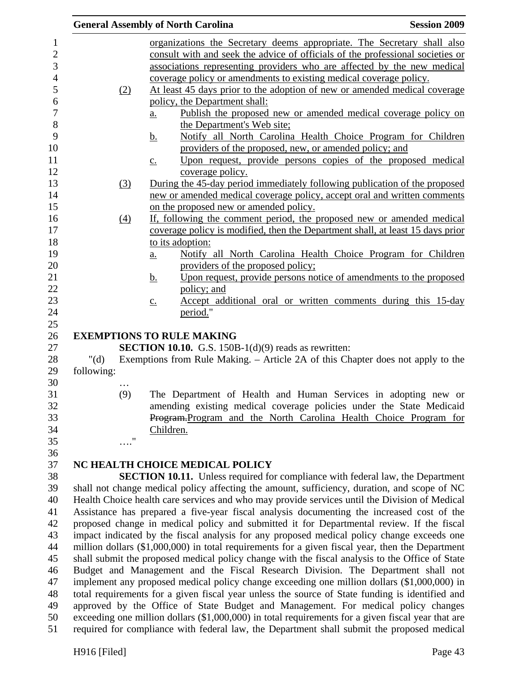|            |                   | <b>General Assembly of North Carolina</b>                                                          | <b>Session 2009</b> |
|------------|-------------------|----------------------------------------------------------------------------------------------------|---------------------|
|            |                   | organizations the Secretary deems appropriate. The Secretary shall also                            |                     |
|            |                   | consult with and seek the advice of officials of the professional societies or                     |                     |
|            |                   | associations representing providers who are affected by the new medical                            |                     |
|            |                   | coverage policy or amendments to existing medical coverage policy.                                 |                     |
|            | (2)               | At least 45 days prior to the adoption of new or amended medical coverage                          |                     |
|            |                   | policy, the Department shall:                                                                      |                     |
|            |                   | Publish the proposed new or amended medical coverage policy on<br>$\underline{a}$ .                |                     |
|            |                   | the Department's Web site;                                                                         |                     |
|            |                   | Notify all North Carolina Health Choice Program for Children<br><u>b.</u>                          |                     |
|            |                   | providers of the proposed, new, or amended policy; and                                             |                     |
|            |                   | Upon request, provide persons copies of the proposed medical<br>$\underline{c}$ .                  |                     |
|            |                   | coverage policy.                                                                                   |                     |
|            | (3)               | During the 45-day period immediately following publication of the proposed                         |                     |
|            |                   | new or amended medical coverage policy, accept oral and written comments                           |                     |
|            |                   | on the proposed new or amended policy.                                                             |                     |
|            | $\underline{(4)}$ | If, following the comment period, the proposed new or amended medical                              |                     |
|            |                   | coverage policy is modified, then the Department shall, at least 15 days prior<br>to its adoption: |                     |
|            |                   | Notify all North Carolina Health Choice Program for Children<br>$\underline{a}$ .                  |                     |
|            |                   | providers of the proposed policy;                                                                  |                     |
|            |                   | Upon request, provide persons notice of amendments to the proposed<br><u>b.</u>                    |                     |
|            |                   | policy; and                                                                                        |                     |
|            |                   | Accept additional oral or written comments during this 15-day<br>$\underline{c}$ .                 |                     |
|            |                   | period."                                                                                           |                     |
|            |                   | <b>EXEMPTIONS TO RULE MAKING</b>                                                                   |                     |
|            |                   | <b>SECTION 10.10.</b> G.S. 150B-1( $d$ )(9) reads as rewritten:                                    |                     |
| " $(d)$    |                   | Exemptions from Rule Making. – Article 2A of this Chapter does not apply to the                    |                     |
| following: |                   |                                                                                                    |                     |
|            | .                 |                                                                                                    |                     |
|            | (9)               | The Department of Health and Human Services in adopting new or                                     |                     |
|            |                   | amending existing medical coverage policies under the State Medicaid                               |                     |
|            |                   | Program-Program and the North Carolina Health Choice Program for                                   |                     |
|            | 11                | Children.                                                                                          |                     |
|            |                   |                                                                                                    |                     |
|            |                   | NC HEALTH CHOICE MEDICAL POLICY                                                                    |                     |
|            |                   | <b>SECTION 10.11.</b> Unless required for compliance with federal law, the Department              |                     |
|            |                   | shall not change medical policy affecting the amount, sufficiency, duration, and scope of NC       |                     |
|            |                   | Health Choice health care services and who may provide services until the Division of Medical      |                     |
|            |                   | Assistance has prepared a five-year fiscal analysis documenting the increased cost of the          |                     |
|            |                   | proposed change in medical policy and submitted it for Departmental review. If the fiscal          |                     |
|            |                   | impact indicated by the fiscal analysis for any proposed medical policy change exceeds one         |                     |
|            |                   | million dollars (\$1,000,000) in total requirements for a given fiscal year, then the Department   |                     |
|            |                   | shall submit the proposed medical policy change with the fiscal analysis to the Office of State    |                     |
|            |                   | Budget and Management and the Fiscal Research Division. The Department shall not                   |                     |
|            |                   | implement any proposed medical policy change exceeding one million dollars (\$1,000,000) in        |                     |
|            |                   | total requirements for a given fiscal year unless the source of State funding is identified and    |                     |
|            |                   | approved by the Office of State Budget and Management. For medical policy changes                  |                     |
|            |                   | exceeding one million dollars (\$1,000,000) in total requirements for a given fiscal year that are |                     |
|            |                   | required for compliance with federal law, the Department shall submit the proposed medical         |                     |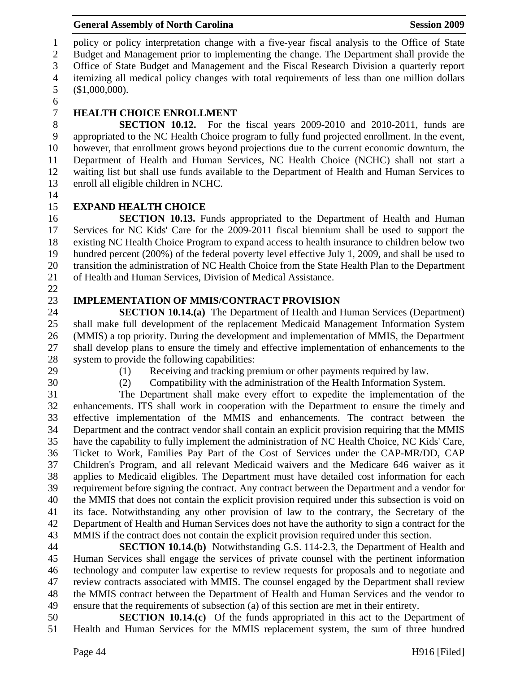1 policy or policy interpretation change with a five-year fiscal analysis to the Office of State 2 Budget and Management prior to implementing the change. The Department shall provide the 3 Office of State Budget and Management and the Fiscal Research Division a quarterly report 4 itemizing all medical policy changes with total requirements of less than one million dollars 5 (\$1,000,000).

6

# 7 **HEALTH CHOICE ENROLLMENT**

8 **SECTION 10.12.** For the fiscal years 2009-2010 and 2010-2011, funds are 9 appropriated to the NC Health Choice program to fully fund projected enrollment. In the event, 10 however, that enrollment grows beyond projections due to the current economic downturn, the 11 Department of Health and Human Services, NC Health Choice (NCHC) shall not start a 12 waiting list but shall use funds available to the Department of Health and Human Services to 13 enroll all eligible children in NCHC.

14

# 15 **EXPAND HEALTH CHOICE**

16 **SECTION 10.13.** Funds appropriated to the Department of Health and Human 17 Services for NC Kids' Care for the 2009-2011 fiscal biennium shall be used to support the 18 existing NC Health Choice Program to expand access to health insurance to children below two 19 hundred percent (200%) of the federal poverty level effective July 1, 2009, and shall be used to 20 transition the administration of NC Health Choice from the State Health Plan to the Department 21 of Health and Human Services, Division of Medical Assistance.

22

## 23 **IMPLEMENTATION OF MMIS/CONTRACT PROVISION**

24 **SECTION 10.14.(a)** The Department of Health and Human Services (Department) 25 shall make full development of the replacement Medicaid Management Information System 26 (MMIS) a top priority. During the development and implementation of MMIS, the Department 27 shall develop plans to ensure the timely and effective implementation of enhancements to the 28 system to provide the following capabilities:

- 
- 

29 (1) Receiving and tracking premium or other payments required by law.

30 (2) Compatibility with the administration of the Health Information System.

31 The Department shall make every effort to expedite the implementation of the 32 enhancements. ITS shall work in cooperation with the Department to ensure the timely and 33 effective implementation of the MMIS and enhancements. The contract between the 34 Department and the contract vendor shall contain an explicit provision requiring that the MMIS 35 have the capability to fully implement the administration of NC Health Choice, NC Kids' Care, 36 Ticket to Work, Families Pay Part of the Cost of Services under the CAP-MR/DD, CAP 37 Children's Program, and all relevant Medicaid waivers and the Medicare 646 waiver as it 38 applies to Medicaid eligibles. The Department must have detailed cost information for each 39 requirement before signing the contract. Any contract between the Department and a vendor for 40 the MMIS that does not contain the explicit provision required under this subsection is void on 41 its face. Notwithstanding any other provision of law to the contrary, the Secretary of the 42 Department of Health and Human Services does not have the authority to sign a contract for the 43 MMIS if the contract does not contain the explicit provision required under this section.

44 **SECTION 10.14.(b)** Notwithstanding G.S. 114-2.3, the Department of Health and 45 Human Services shall engage the services of private counsel with the pertinent information 46 technology and computer law expertise to review requests for proposals and to negotiate and 47 review contracts associated with MMIS. The counsel engaged by the Department shall review 48 the MMIS contract between the Department of Health and Human Services and the vendor to 49 ensure that the requirements of subsection (a) of this section are met in their entirety.

50 **SECTION 10.14.(c)** Of the funds appropriated in this act to the Department of 51 Health and Human Services for the MMIS replacement system, the sum of three hundred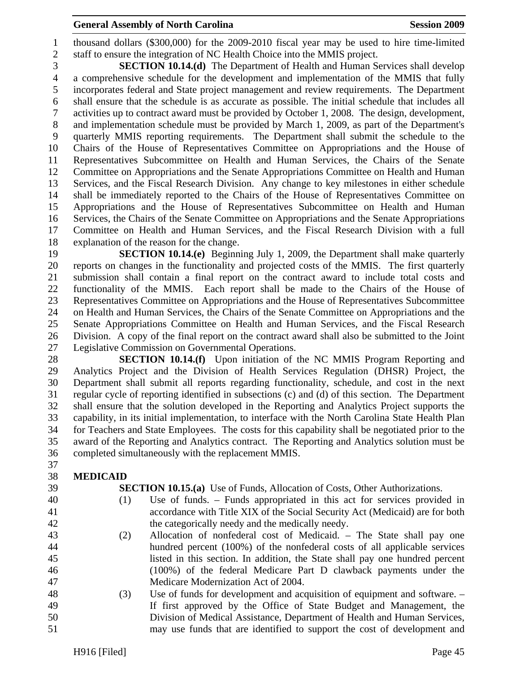#### **General Assembly of North Carolina**  Session 2009 **Session 2009**

1 thousand dollars (\$300,000) for the 2009-2010 fiscal year may be used to hire time-limited 2 staff to ensure the integration of NC Health Choice into the MMIS project.

3 **SECTION 10.14.(d)** The Department of Health and Human Services shall develop 4 a comprehensive schedule for the development and implementation of the MMIS that fully 5 incorporates federal and State project management and review requirements. The Department 6 shall ensure that the schedule is as accurate as possible. The initial schedule that includes all 7 activities up to contract award must be provided by October 1, 2008. The design, development, 8 and implementation schedule must be provided by March 1, 2009, as part of the Department's 9 quarterly MMIS reporting requirements. The Department shall submit the schedule to the 10 Chairs of the House of Representatives Committee on Appropriations and the House of 11 Representatives Subcommittee on Health and Human Services, the Chairs of the Senate 12 Committee on Appropriations and the Senate Appropriations Committee on Health and Human 13 Services, and the Fiscal Research Division. Any change to key milestones in either schedule 14 shall be immediately reported to the Chairs of the House of Representatives Committee on 15 Appropriations and the House of Representatives Subcommittee on Health and Human 16 Services, the Chairs of the Senate Committee on Appropriations and the Senate Appropriations 17 Committee on Health and Human Services, and the Fiscal Research Division with a full 18 explanation of the reason for the change.

19 **SECTION 10.14.(e)** Beginning July 1, 2009, the Department shall make quarterly 20 reports on changes in the functionality and projected costs of the MMIS. The first quarterly 21 submission shall contain a final report on the contract award to include total costs and 22 functionality of the MMIS. Each report shall be made to the Chairs of the House of 23 Representatives Committee on Appropriations and the House of Representatives Subcommittee 24 on Health and Human Services, the Chairs of the Senate Committee on Appropriations and the 25 Senate Appropriations Committee on Health and Human Services, and the Fiscal Research 26 Division. A copy of the final report on the contract award shall also be submitted to the Joint 27 Legislative Commission on Governmental Operations.

28 **SECTION 10.14.(f)** Upon initiation of the NC MMIS Program Reporting and 29 Analytics Project and the Division of Health Services Regulation (DHSR) Project, the 30 Department shall submit all reports regarding functionality, schedule, and cost in the next 31 regular cycle of reporting identified in subsections (c) and (d) of this section. The Department 32 shall ensure that the solution developed in the Reporting and Analytics Project supports the 33 capability, in its initial implementation, to interface with the North Carolina State Health Plan 34 for Teachers and State Employees. The costs for this capability shall be negotiated prior to the 35 award of the Reporting and Analytics contract. The Reporting and Analytics solution must be 36 completed simultaneously with the replacement MMIS.

- 37
- 38 **MEDICAID**
- 
- 

39 **SECTION 10.15.(a)** Use of Funds, Allocation of Costs, Other Authorizations.

- 40 (1) Use of funds. Funds appropriated in this act for services provided in 41 accordance with Title XIX of the Social Security Act (Medicaid) are for both 42 the categorically needy and the medically needy.
- 43 (2) Allocation of nonfederal cost of Medicaid. The State shall pay one 44 hundred percent (100%) of the nonfederal costs of all applicable services 45 listed in this section. In addition, the State shall pay one hundred percent 46 (100%) of the federal Medicare Part D clawback payments under the 47 Medicare Modernization Act of 2004.
- 48 (3) Use of funds for development and acquisition of equipment and software. 49 If first approved by the Office of State Budget and Management, the 50 Division of Medical Assistance, Department of Health and Human Services, 51 may use funds that are identified to support the cost of development and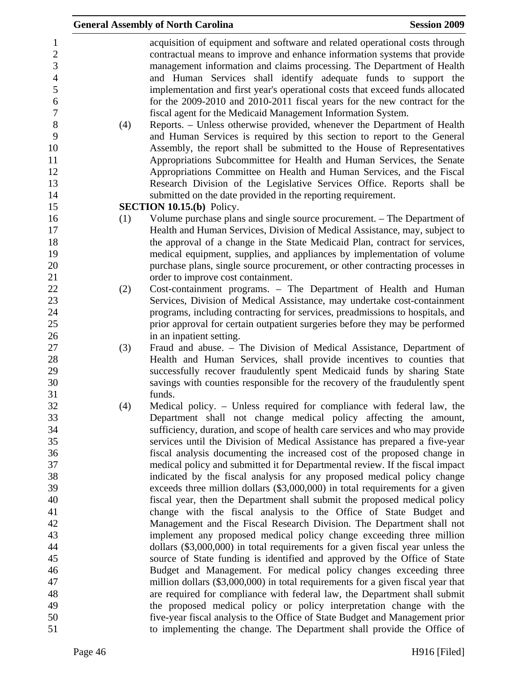|                                                                                                                                   |     | <b>General Assembly of North Carolina</b>                                                                                                                                                                                                                                                                                                                                                                                                                                                                                                                                                                                                                                                                                                                                                                                                                                                                                                                                                                                                                        | <b>Session 2009</b> |
|-----------------------------------------------------------------------------------------------------------------------------------|-----|------------------------------------------------------------------------------------------------------------------------------------------------------------------------------------------------------------------------------------------------------------------------------------------------------------------------------------------------------------------------------------------------------------------------------------------------------------------------------------------------------------------------------------------------------------------------------------------------------------------------------------------------------------------------------------------------------------------------------------------------------------------------------------------------------------------------------------------------------------------------------------------------------------------------------------------------------------------------------------------------------------------------------------------------------------------|---------------------|
| $\mathbf{1}$<br>$\boldsymbol{2}$<br>3<br>$\overline{4}$<br>5<br>6<br>$\boldsymbol{7}$<br>$8\,$<br>9<br>10<br>11<br>12<br>13<br>14 | (4) | acquisition of equipment and software and related operational costs through<br>contractual means to improve and enhance information systems that provide<br>management information and claims processing. The Department of Health<br>and Human Services shall identify adequate funds to support the<br>implementation and first year's operational costs that exceed funds allocated<br>for the 2009-2010 and 2010-2011 fiscal years for the new contract for the<br>fiscal agent for the Medicaid Management Information System.<br>Reports. – Unless otherwise provided, whenever the Department of Health<br>and Human Services is required by this section to report to the General<br>Assembly, the report shall be submitted to the House of Representatives<br>Appropriations Subcommittee for Health and Human Services, the Senate<br>Appropriations Committee on Health and Human Services, and the Fiscal<br>Research Division of the Legislative Services Office. Reports shall be<br>submitted on the date provided in the reporting requirement. |                     |
| 15                                                                                                                                |     | <b>SECTION 10.15.(b)</b> Policy.                                                                                                                                                                                                                                                                                                                                                                                                                                                                                                                                                                                                                                                                                                                                                                                                                                                                                                                                                                                                                                 |                     |
| 16<br>17<br>18<br>19<br>20<br>21                                                                                                  | (1) | Volume purchase plans and single source procurement. – The Department of<br>Health and Human Services, Division of Medical Assistance, may, subject to<br>the approval of a change in the State Medicaid Plan, contract for services,<br>medical equipment, supplies, and appliances by implementation of volume<br>purchase plans, single source procurement, or other contracting processes in<br>order to improve cost containment.                                                                                                                                                                                                                                                                                                                                                                                                                                                                                                                                                                                                                           |                     |
| 22                                                                                                                                | (2) | Cost-containment programs. - The Department of Health and Human                                                                                                                                                                                                                                                                                                                                                                                                                                                                                                                                                                                                                                                                                                                                                                                                                                                                                                                                                                                                  |                     |
| 23                                                                                                                                |     | Services, Division of Medical Assistance, may undertake cost-containment                                                                                                                                                                                                                                                                                                                                                                                                                                                                                                                                                                                                                                                                                                                                                                                                                                                                                                                                                                                         |                     |
| 24                                                                                                                                |     | programs, including contracting for services, preadmissions to hospitals, and                                                                                                                                                                                                                                                                                                                                                                                                                                                                                                                                                                                                                                                                                                                                                                                                                                                                                                                                                                                    |                     |
| 25                                                                                                                                |     | prior approval for certain outpatient surgeries before they may be performed                                                                                                                                                                                                                                                                                                                                                                                                                                                                                                                                                                                                                                                                                                                                                                                                                                                                                                                                                                                     |                     |
| 26                                                                                                                                |     | in an inpatient setting.                                                                                                                                                                                                                                                                                                                                                                                                                                                                                                                                                                                                                                                                                                                                                                                                                                                                                                                                                                                                                                         |                     |
| 27                                                                                                                                | (3) | Fraud and abuse. - The Division of Medical Assistance, Department of                                                                                                                                                                                                                                                                                                                                                                                                                                                                                                                                                                                                                                                                                                                                                                                                                                                                                                                                                                                             |                     |
| 28                                                                                                                                |     | Health and Human Services, shall provide incentives to counties that                                                                                                                                                                                                                                                                                                                                                                                                                                                                                                                                                                                                                                                                                                                                                                                                                                                                                                                                                                                             |                     |
| 29                                                                                                                                |     | successfully recover fraudulently spent Medicaid funds by sharing State                                                                                                                                                                                                                                                                                                                                                                                                                                                                                                                                                                                                                                                                                                                                                                                                                                                                                                                                                                                          |                     |
| 30                                                                                                                                |     | savings with counties responsible for the recovery of the fraudulently spent                                                                                                                                                                                                                                                                                                                                                                                                                                                                                                                                                                                                                                                                                                                                                                                                                                                                                                                                                                                     |                     |
| 31                                                                                                                                |     | funds.                                                                                                                                                                                                                                                                                                                                                                                                                                                                                                                                                                                                                                                                                                                                                                                                                                                                                                                                                                                                                                                           |                     |
| 32                                                                                                                                | (4) | Medical policy. – Unless required for compliance with federal law, the                                                                                                                                                                                                                                                                                                                                                                                                                                                                                                                                                                                                                                                                                                                                                                                                                                                                                                                                                                                           |                     |
| 33                                                                                                                                |     | Department shall not change medical policy affecting the amount,                                                                                                                                                                                                                                                                                                                                                                                                                                                                                                                                                                                                                                                                                                                                                                                                                                                                                                                                                                                                 |                     |
| 34                                                                                                                                |     | sufficiency, duration, and scope of health care services and who may provide                                                                                                                                                                                                                                                                                                                                                                                                                                                                                                                                                                                                                                                                                                                                                                                                                                                                                                                                                                                     |                     |
| 35                                                                                                                                |     | services until the Division of Medical Assistance has prepared a five-year                                                                                                                                                                                                                                                                                                                                                                                                                                                                                                                                                                                                                                                                                                                                                                                                                                                                                                                                                                                       |                     |
| 36<br>37                                                                                                                          |     | fiscal analysis documenting the increased cost of the proposed change in                                                                                                                                                                                                                                                                                                                                                                                                                                                                                                                                                                                                                                                                                                                                                                                                                                                                                                                                                                                         |                     |
| 38                                                                                                                                |     | medical policy and submitted it for Departmental review. If the fiscal impact<br>indicated by the fiscal analysis for any proposed medical policy change                                                                                                                                                                                                                                                                                                                                                                                                                                                                                                                                                                                                                                                                                                                                                                                                                                                                                                         |                     |
| 39                                                                                                                                |     | exceeds three million dollars (\$3,000,000) in total requirements for a given                                                                                                                                                                                                                                                                                                                                                                                                                                                                                                                                                                                                                                                                                                                                                                                                                                                                                                                                                                                    |                     |
| 40                                                                                                                                |     | fiscal year, then the Department shall submit the proposed medical policy                                                                                                                                                                                                                                                                                                                                                                                                                                                                                                                                                                                                                                                                                                                                                                                                                                                                                                                                                                                        |                     |
| 41                                                                                                                                |     | change with the fiscal analysis to the Office of State Budget and                                                                                                                                                                                                                                                                                                                                                                                                                                                                                                                                                                                                                                                                                                                                                                                                                                                                                                                                                                                                |                     |
| 42                                                                                                                                |     | Management and the Fiscal Research Division. The Department shall not                                                                                                                                                                                                                                                                                                                                                                                                                                                                                                                                                                                                                                                                                                                                                                                                                                                                                                                                                                                            |                     |
| 43                                                                                                                                |     | implement any proposed medical policy change exceeding three million                                                                                                                                                                                                                                                                                                                                                                                                                                                                                                                                                                                                                                                                                                                                                                                                                                                                                                                                                                                             |                     |
| 44                                                                                                                                |     | dollars (\$3,000,000) in total requirements for a given fiscal year unless the                                                                                                                                                                                                                                                                                                                                                                                                                                                                                                                                                                                                                                                                                                                                                                                                                                                                                                                                                                                   |                     |
| 45                                                                                                                                |     | source of State funding is identified and approved by the Office of State                                                                                                                                                                                                                                                                                                                                                                                                                                                                                                                                                                                                                                                                                                                                                                                                                                                                                                                                                                                        |                     |
| 46                                                                                                                                |     | Budget and Management. For medical policy changes exceeding three                                                                                                                                                                                                                                                                                                                                                                                                                                                                                                                                                                                                                                                                                                                                                                                                                                                                                                                                                                                                |                     |
| 47                                                                                                                                |     | million dollars (\$3,000,000) in total requirements for a given fiscal year that                                                                                                                                                                                                                                                                                                                                                                                                                                                                                                                                                                                                                                                                                                                                                                                                                                                                                                                                                                                 |                     |
| 48                                                                                                                                |     | are required for compliance with federal law, the Department shall submit                                                                                                                                                                                                                                                                                                                                                                                                                                                                                                                                                                                                                                                                                                                                                                                                                                                                                                                                                                                        |                     |
| 49                                                                                                                                |     | the proposed medical policy or policy interpretation change with the                                                                                                                                                                                                                                                                                                                                                                                                                                                                                                                                                                                                                                                                                                                                                                                                                                                                                                                                                                                             |                     |
| 50                                                                                                                                |     | five-year fiscal analysis to the Office of State Budget and Management prior                                                                                                                                                                                                                                                                                                                                                                                                                                                                                                                                                                                                                                                                                                                                                                                                                                                                                                                                                                                     |                     |
| 51                                                                                                                                |     | to implementing the change. The Department shall provide the Office of                                                                                                                                                                                                                                                                                                                                                                                                                                                                                                                                                                                                                                                                                                                                                                                                                                                                                                                                                                                           |                     |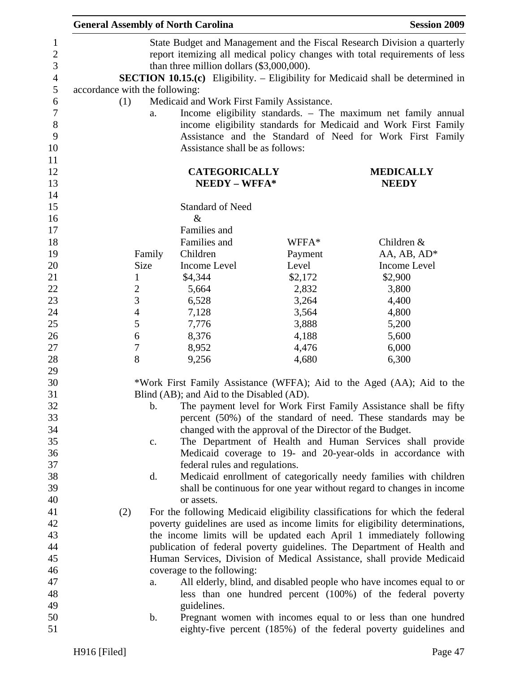| <b>General Assembly of North Carolina</b> |                |                                            |                                                          | <b>Session 2009</b>                                                                                                                 |
|-------------------------------------------|----------------|--------------------------------------------|----------------------------------------------------------|-------------------------------------------------------------------------------------------------------------------------------------|
|                                           |                |                                            |                                                          | State Budget and Management and the Fiscal Research Division a quarterly                                                            |
|                                           |                |                                            |                                                          | report itemizing all medical policy changes with total requirements of less                                                         |
|                                           |                | than three million dollars (\$3,000,000).  |                                                          |                                                                                                                                     |
|                                           |                |                                            |                                                          | <b>SECTION 10.15.(c)</b> Eligibility. - Eligibility for Medicaid shall be determined in                                             |
| accordance with the following:            |                |                                            |                                                          |                                                                                                                                     |
| (1)                                       |                | Medicaid and Work First Family Assistance. |                                                          |                                                                                                                                     |
|                                           | a.             |                                            |                                                          | Income eligibility standards. - The maximum net family annual                                                                       |
|                                           |                |                                            |                                                          | income eligibility standards for Medicaid and Work First Family                                                                     |
|                                           |                |                                            |                                                          | Assistance and the Standard of Need for Work First Family                                                                           |
|                                           |                | Assistance shall be as follows:            |                                                          |                                                                                                                                     |
|                                           |                |                                            |                                                          |                                                                                                                                     |
|                                           |                | <b>CATEGORICALLY</b>                       |                                                          | <b>MEDICALLY</b>                                                                                                                    |
|                                           |                | NEEDY - WFFA*                              |                                                          | <b>NEEDY</b>                                                                                                                        |
|                                           |                |                                            |                                                          |                                                                                                                                     |
|                                           |                | <b>Standard of Need</b>                    |                                                          |                                                                                                                                     |
|                                           |                | $\&$                                       |                                                          |                                                                                                                                     |
|                                           |                | Families and                               |                                                          |                                                                                                                                     |
|                                           |                | Families and                               | WFFA*                                                    | Children &                                                                                                                          |
|                                           | Family         | Children                                   | Payment                                                  | AA, AB, AD*                                                                                                                         |
|                                           | Size           | Income Level                               | Level                                                    | Income Level                                                                                                                        |
|                                           | $\mathbf{1}$   | \$4,344                                    | \$2,172                                                  | \$2,900                                                                                                                             |
| $\overline{c}$                            |                | 5,664                                      | 2,832                                                    | 3,800                                                                                                                               |
| $\overline{3}$                            |                | 6,528                                      | 3,264                                                    | 4,400                                                                                                                               |
| $\overline{4}$                            |                | 7,128                                      | 3,564                                                    | 4,800                                                                                                                               |
| 5                                         |                | 7,776                                      | 3,888                                                    | 5,200                                                                                                                               |
|                                           | 6              | 8,376                                      | 4,188                                                    | 5,600                                                                                                                               |
| $\boldsymbol{7}$                          |                | 8,952                                      | 4,476                                                    | 6,000                                                                                                                               |
| 8                                         |                | 9,256                                      | 4,680                                                    | 6,300                                                                                                                               |
|                                           |                |                                            |                                                          |                                                                                                                                     |
|                                           |                |                                            |                                                          | *Work First Family Assistance (WFFA); Aid to the Aged (AA); Aid to the                                                              |
|                                           |                | Blind (AB); and Aid to the Disabled (AD).  |                                                          |                                                                                                                                     |
|                                           | b.             |                                            |                                                          | The payment level for Work First Family Assistance shall be fifty                                                                   |
|                                           |                |                                            |                                                          | percent (50%) of the standard of need. These standards may be                                                                       |
|                                           |                |                                            | changed with the approval of the Director of the Budget. |                                                                                                                                     |
|                                           | $\mathbf{C}$ . |                                            |                                                          | The Department of Health and Human Services shall provide                                                                           |
|                                           |                |                                            |                                                          | Medicaid coverage to 19- and 20-year-olds in accordance with                                                                        |
|                                           |                | federal rules and regulations.             |                                                          |                                                                                                                                     |
|                                           | d.             |                                            |                                                          | Medicaid enrollment of categorically needy families with children                                                                   |
|                                           |                |                                            |                                                          | shall be continuous for one year without regard to changes in income                                                                |
|                                           |                | or assets.                                 |                                                          |                                                                                                                                     |
| (2)                                       |                |                                            |                                                          | For the following Medicaid eligibility classifications for which the federal                                                        |
|                                           |                |                                            |                                                          | poverty guidelines are used as income limits for eligibility determinations,                                                        |
|                                           |                |                                            |                                                          | the income limits will be updated each April 1 immediately following                                                                |
|                                           |                |                                            |                                                          | publication of federal poverty guidelines. The Department of Health and                                                             |
|                                           |                |                                            |                                                          | Human Services, Division of Medical Assistance, shall provide Medicaid                                                              |
|                                           |                | coverage to the following:                 |                                                          |                                                                                                                                     |
|                                           |                |                                            |                                                          |                                                                                                                                     |
|                                           | a.             |                                            |                                                          | All elderly, blind, and disabled people who have incomes equal to or<br>less than one hundred percent (100%) of the federal poverty |
|                                           |                |                                            |                                                          |                                                                                                                                     |
|                                           |                | guidelines.                                |                                                          |                                                                                                                                     |
|                                           | b.             |                                            |                                                          | Pregnant women with incomes equal to or less than one hundred                                                                       |
|                                           |                |                                            |                                                          | eighty-five percent (185%) of the federal poverty guidelines and                                                                    |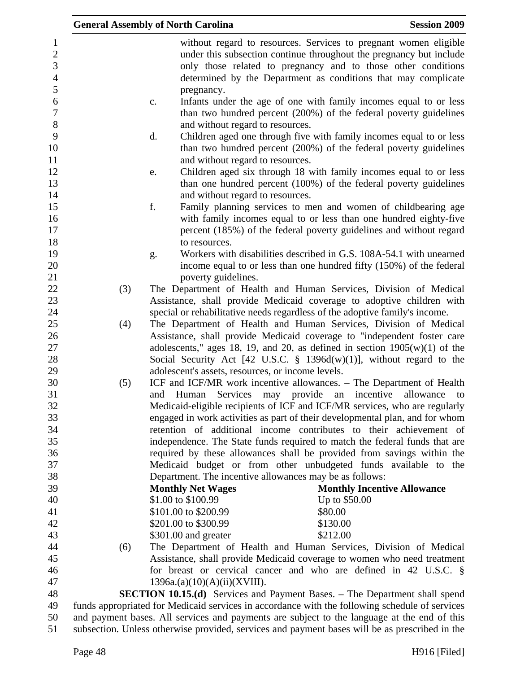|                                                       |     | <b>General Assembly of North Carolina</b>          | <b>Session 2009</b>                                                                                                                                                                                                                                                        |
|-------------------------------------------------------|-----|----------------------------------------------------|----------------------------------------------------------------------------------------------------------------------------------------------------------------------------------------------------------------------------------------------------------------------------|
| $\mathbf{1}$<br>$\overline{c}$<br>3<br>$\overline{4}$ |     |                                                    | without regard to resources. Services to pregnant women eligible<br>under this subsection continue throughout the pregnancy but include<br>only those related to pregnancy and to those other conditions<br>determined by the Department as conditions that may complicate |
| 5                                                     |     | pregnancy.                                         |                                                                                                                                                                                                                                                                            |
| 6<br>$\boldsymbol{7}$<br>$8\,$                        |     | $\mathbf{c}$ .<br>and without regard to resources. | Infants under the age of one with family incomes equal to or less<br>than two hundred percent (200%) of the federal poverty guidelines                                                                                                                                     |
| 9<br>10<br>11                                         |     | d.<br>and without regard to resources.             | Children aged one through five with family incomes equal to or less<br>than two hundred percent (200%) of the federal poverty guidelines                                                                                                                                   |
| 12<br>13<br>14                                        |     | e.<br>and without regard to resources.             | Children aged six through 18 with family incomes equal to or less<br>than one hundred percent (100%) of the federal poverty guidelines                                                                                                                                     |
| 15<br>16<br>17                                        |     | f.                                                 | Family planning services to men and women of childbearing age<br>with family incomes equal to or less than one hundred eighty-five<br>percent (185%) of the federal poverty guidelines and without regard                                                                  |
| 18                                                    |     | to resources.                                      |                                                                                                                                                                                                                                                                            |
| 19                                                    |     | g.                                                 | Workers with disabilities described in G.S. 108A-54.1 with unearned                                                                                                                                                                                                        |
| 20                                                    |     |                                                    | income equal to or less than one hundred fifty (150%) of the federal                                                                                                                                                                                                       |
| 21<br>22                                              | (3) | poverty guidelines.                                | The Department of Health and Human Services, Division of Medical                                                                                                                                                                                                           |
| 23                                                    |     |                                                    | Assistance, shall provide Medicaid coverage to adoptive children with                                                                                                                                                                                                      |
| 24                                                    |     |                                                    | special or rehabilitative needs regardless of the adoptive family's income.                                                                                                                                                                                                |
| 25                                                    | (4) |                                                    | The Department of Health and Human Services, Division of Medical                                                                                                                                                                                                           |
| 26                                                    |     |                                                    | Assistance, shall provide Medicaid coverage to "independent foster care                                                                                                                                                                                                    |
| 27                                                    |     |                                                    | adolescents," ages 18, 19, and 20, as defined in section $1905(w)(1)$ of the                                                                                                                                                                                               |
| 28                                                    |     |                                                    | Social Security Act [42 U.S.C. $\S$ 1396d(w)(1)], without regard to the                                                                                                                                                                                                    |
| 29                                                    |     | adolescent's assets, resources, or income levels.  |                                                                                                                                                                                                                                                                            |
| 30                                                    | (5) |                                                    | ICF and ICF/MR work incentive allowances. – The Department of Health                                                                                                                                                                                                       |
| 31                                                    |     | Services may<br>and<br>Human                       | provide<br>incentive<br>allowance<br>an<br>to                                                                                                                                                                                                                              |
| 32                                                    |     |                                                    | Medicaid-eligible recipients of ICF and ICF/MR services, who are regularly                                                                                                                                                                                                 |
| 33                                                    |     |                                                    | engaged in work activities as part of their developmental plan, and for whom                                                                                                                                                                                               |
| 34                                                    |     |                                                    | retention of additional income contributes to their achievement of                                                                                                                                                                                                         |
| 35                                                    |     |                                                    | independence. The State funds required to match the federal funds that are                                                                                                                                                                                                 |
| 36                                                    |     |                                                    | required by these allowances shall be provided from savings within the                                                                                                                                                                                                     |
| 37                                                    |     |                                                    | Medicaid budget or from other unbudgeted funds available to the                                                                                                                                                                                                            |
| 38                                                    |     |                                                    | Department. The incentive allowances may be as follows:                                                                                                                                                                                                                    |
| 39                                                    |     | <b>Monthly Net Wages</b>                           | <b>Monthly Incentive Allowance</b>                                                                                                                                                                                                                                         |
| 40                                                    |     | \$1.00 to \$100.99                                 | Up to \$50.00                                                                                                                                                                                                                                                              |
| 41<br>42                                              |     | \$101.00 to \$200.99                               | \$80.00                                                                                                                                                                                                                                                                    |
| 43                                                    |     | \$201.00 to \$300.99<br>\$301.00 and greater       | \$130.00<br>\$212.00                                                                                                                                                                                                                                                       |
| 44                                                    | (6) |                                                    | The Department of Health and Human Services, Division of Medical                                                                                                                                                                                                           |
| 45                                                    |     |                                                    | Assistance, shall provide Medicaid coverage to women who need treatment                                                                                                                                                                                                    |
| 46                                                    |     |                                                    | for breast or cervical cancer and who are defined in 42 U.S.C. $\S$                                                                                                                                                                                                        |
| 47                                                    |     | 1396a.(a)(10)(A)(ii)(XVIII).                       |                                                                                                                                                                                                                                                                            |
| 48                                                    |     |                                                    | <b>SECTION 10.15.(d)</b> Services and Payment Bases. – The Department shall spend                                                                                                                                                                                          |
| 49                                                    |     |                                                    | funds appropriated for Medicaid services in accordance with the following schedule of services                                                                                                                                                                             |
| 50                                                    |     |                                                    | and payment bases. All services and payments are subject to the language at the end of this                                                                                                                                                                                |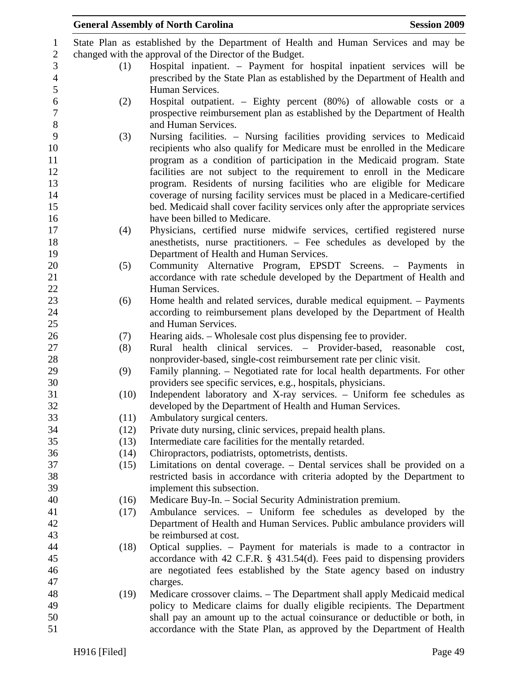|      | <b>General Assembly of North Carolina</b><br><b>Session 2009</b>                    |
|------|-------------------------------------------------------------------------------------|
|      | State Plan as established by the Department of Health and Human Services and may be |
|      | changed with the approval of the Director of the Budget.                            |
| (1)  | Hospital inpatient. – Payment for hospital inpatient services will be               |
|      | prescribed by the State Plan as established by the Department of Health and         |
|      | Human Services.                                                                     |
| (2)  | Hospital outpatient. – Eighty percent (80%) of allowable costs or a                 |
|      | prospective reimbursement plan as established by the Department of Health           |
|      | and Human Services.                                                                 |
| (3)  | Nursing facilities. – Nursing facilities providing services to Medicaid             |
|      | recipients who also qualify for Medicare must be enrolled in the Medicare           |
|      | program as a condition of participation in the Medicaid program. State              |
|      | facilities are not subject to the requirement to enroll in the Medicare             |
|      | program. Residents of nursing facilities who are eligible for Medicare              |
|      | coverage of nursing facility services must be placed in a Medicare-certified        |
|      | bed. Medicaid shall cover facility services only after the appropriate services     |
|      | have been billed to Medicare.                                                       |
| (4)  | Physicians, certified nurse midwife services, certified registered nurse            |
|      | anesthetists, nurse practitioners. – Fee schedules as developed by the              |
|      | Department of Health and Human Services.                                            |
| (5)  | Community Alternative Program, EPSDT Screens. - Payments in                         |
|      | accordance with rate schedule developed by the Department of Health and             |
|      | Human Services.                                                                     |
| (6)  | Home health and related services, durable medical equipment. – Payments             |
|      | according to reimbursement plans developed by the Department of Health              |
|      | and Human Services.                                                                 |
| (7)  | Hearing aids. – Wholesale cost plus dispensing fee to provider.                     |
| (8)  | Rural health clinical services. – Provider-based, reasonable<br>cost,               |
|      | nonprovider-based, single-cost reimbursement rate per clinic visit.                 |
| (9)  | Family planning. – Negotiated rate for local health departments. For other          |
|      | providers see specific services, e.g., hospitals, physicians.                       |
| (10) | Independent laboratory and X-ray services. - Uniform fee schedules as               |
|      | developed by the Department of Health and Human Services.                           |
| (11) | Ambulatory surgical centers.                                                        |
| (12) | Private duty nursing, clinic services, prepaid health plans.                        |
| (13) | Intermediate care facilities for the mentally retarded.                             |
| (14) | Chiropractors, podiatrists, optometrists, dentists.                                 |
| (15) | Limitations on dental coverage. – Dental services shall be provided on a            |
|      | restricted basis in accordance with criteria adopted by the Department to           |
|      | implement this subsection.                                                          |
| (16) | Medicare Buy-In. - Social Security Administration premium.                          |
| (17) | Ambulance services. - Uniform fee schedules as developed by the                     |
|      | Department of Health and Human Services. Public ambulance providers will            |
|      | be reimbursed at cost.                                                              |
| (18) | Optical supplies. – Payment for materials is made to a contractor in                |
|      | accordance with 42 C.F.R. $\S$ 431.54(d). Fees paid to dispensing providers         |
|      | are negotiated fees established by the State agency based on industry               |
|      | charges.                                                                            |
| (19) | Medicare crossover claims. – The Department shall apply Medicaid medical            |
|      | policy to Medicare claims for dually eligible recipients. The Department            |
|      | shall pay an amount up to the actual coinsurance or deductible or both, in          |
|      | accordance with the State Plan, as approved by the Department of Health             |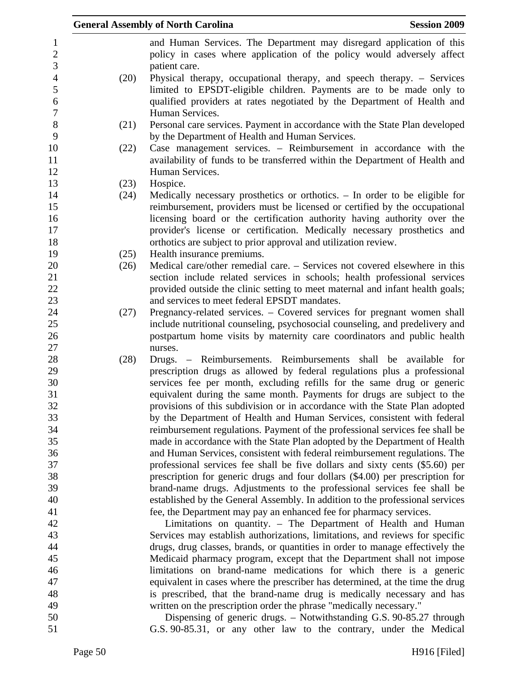|      | <b>General Assembly of North Carolina</b><br><b>Session 2009</b>                                                                                                                                                         |
|------|--------------------------------------------------------------------------------------------------------------------------------------------------------------------------------------------------------------------------|
|      | and Human Services. The Department may disregard application of this<br>policy in cases where application of the policy would adversely affect                                                                           |
|      | patient care.                                                                                                                                                                                                            |
| (20) | Physical therapy, occupational therapy, and speech therapy. – Services<br>limited to EPSDT-eligible children. Payments are to be made only to<br>qualified providers at rates negotiated by the Department of Health and |
|      | Human Services.                                                                                                                                                                                                          |
| (21) | Personal care services. Payment in accordance with the State Plan developed<br>by the Department of Health and Human Services.                                                                                           |
| (22) | Case management services. – Reimbursement in accordance with the<br>availability of funds to be transferred within the Department of Health and                                                                          |
|      | Human Services.                                                                                                                                                                                                          |
| (23) | Hospice.                                                                                                                                                                                                                 |
| (24) | Medically necessary prosthetics or orthotics. $-$ In order to be eligible for                                                                                                                                            |
|      | reimbursement, providers must be licensed or certified by the occupational                                                                                                                                               |
|      | licensing board or the certification authority having authority over the                                                                                                                                                 |
|      | provider's license or certification. Medically necessary prosthetics and                                                                                                                                                 |
|      | orthotics are subject to prior approval and utilization review.                                                                                                                                                          |
| (25) | Health insurance premiums.                                                                                                                                                                                               |
| (26) | Medical care/other remedial care. – Services not covered elsewhere in this                                                                                                                                               |
|      | section include related services in schools; health professional services                                                                                                                                                |
|      | provided outside the clinic setting to meet maternal and infant health goals;                                                                                                                                            |
|      | and services to meet federal EPSDT mandates.                                                                                                                                                                             |
| (27) | Pregnancy-related services. – Covered services for pregnant women shall                                                                                                                                                  |
|      | include nutritional counseling, psychosocial counseling, and predelivery and                                                                                                                                             |
|      | postpartum home visits by maternity care coordinators and public health                                                                                                                                                  |
|      | nurses.                                                                                                                                                                                                                  |
| (28) | Drugs. – Reimbursements. Reimbursements shall be available for                                                                                                                                                           |
|      | prescription drugs as allowed by federal regulations plus a professional                                                                                                                                                 |
|      | services fee per month, excluding refills for the same drug or generic                                                                                                                                                   |
|      | equivalent during the same month. Payments for drugs are subject to the                                                                                                                                                  |
|      | provisions of this subdivision or in accordance with the State Plan adopted                                                                                                                                              |
|      | by the Department of Health and Human Services, consistent with federal                                                                                                                                                  |
|      | reimbursement regulations. Payment of the professional services fee shall be                                                                                                                                             |
|      | made in accordance with the State Plan adopted by the Department of Health                                                                                                                                               |
|      | and Human Services, consistent with federal reimbursement regulations. The                                                                                                                                               |
|      | professional services fee shall be five dollars and sixty cents (\$5.60) per                                                                                                                                             |
|      | prescription for generic drugs and four dollars (\$4.00) per prescription for                                                                                                                                            |
|      | brand-name drugs. Adjustments to the professional services fee shall be                                                                                                                                                  |
|      | established by the General Assembly. In addition to the professional services                                                                                                                                            |
|      | fee, the Department may pay an enhanced fee for pharmacy services.                                                                                                                                                       |
|      | Limitations on quantity. - The Department of Health and Human                                                                                                                                                            |
|      | Services may establish authorizations, limitations, and reviews for specific                                                                                                                                             |
|      | drugs, drug classes, brands, or quantities in order to manage effectively the                                                                                                                                            |
|      | Medicaid pharmacy program, except that the Department shall not impose                                                                                                                                                   |
|      | limitations on brand-name medications for which there is a generic                                                                                                                                                       |
|      | equivalent in cases where the prescriber has determined, at the time the drug                                                                                                                                            |
|      | is prescribed, that the brand-name drug is medically necessary and has                                                                                                                                                   |
|      | written on the prescription order the phrase "medically necessary."                                                                                                                                                      |
|      | Dispensing of generic drugs. – Notwithstanding G.S. 90-85.27 through                                                                                                                                                     |
|      | G.S. 90-85.31, or any other law to the contrary, under the Medical                                                                                                                                                       |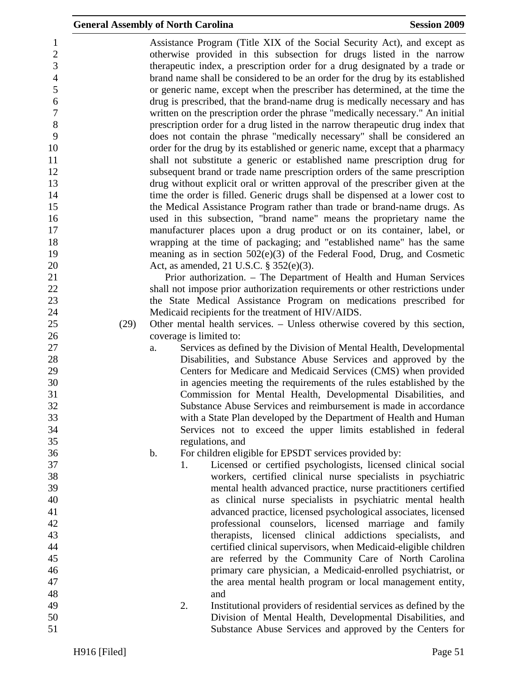| $\mathbf{1}$     |      |    |    | Assistance Program (Title XIX of the Social Security Act), and except as       |
|------------------|------|----|----|--------------------------------------------------------------------------------|
| $\sqrt{2}$       |      |    |    | otherwise provided in this subsection for drugs listed in the narrow           |
| 3                |      |    |    | therapeutic index, a prescription order for a drug designated by a trade or    |
| $\overline{4}$   |      |    |    | brand name shall be considered to be an order for the drug by its established  |
| 5                |      |    |    | or generic name, except when the prescriber has determined, at the time the    |
| $\boldsymbol{6}$ |      |    |    | drug is prescribed, that the brand-name drug is medically necessary and has    |
| $\boldsymbol{7}$ |      |    |    | written on the prescription order the phrase "medically necessary." An initial |
| 8                |      |    |    | prescription order for a drug listed in the narrow therapeutic drug index that |
| 9                |      |    |    | does not contain the phrase "medically necessary" shall be considered an       |
| 10               |      |    |    | order for the drug by its established or generic name, except that a pharmacy  |
| 11               |      |    |    | shall not substitute a generic or established name prescription drug for       |
| 12               |      |    |    | subsequent brand or trade name prescription orders of the same prescription    |
| 13               |      |    |    | drug without explicit oral or written approval of the prescriber given at the  |
| 14               |      |    |    | time the order is filled. Generic drugs shall be dispensed at a lower cost to  |
| 15               |      |    |    | the Medical Assistance Program rather than trade or brand-name drugs. As       |
| 16               |      |    |    | used in this subsection, "brand name" means the proprietary name the           |
| 17               |      |    |    | manufacturer places upon a drug product or on its container, label, or         |
| 18               |      |    |    | wrapping at the time of packaging; and "established name" has the same         |
| 19               |      |    |    | meaning as in section $502(e)(3)$ of the Federal Food, Drug, and Cosmetic      |
| 20               |      |    |    | Act, as amended, 21 U.S.C. § 352(e)(3).                                        |
| 21               |      |    |    | Prior authorization. – The Department of Health and Human Services             |
| 22               |      |    |    | shall not impose prior authorization requirements or other restrictions under  |
| 23               |      |    |    |                                                                                |
|                  |      |    |    | the State Medical Assistance Program on medications prescribed for             |
| 24               |      |    |    | Medicaid recipients for the treatment of HIV/AIDS.                             |
| 25               | (29) |    |    | Other mental health services. – Unless otherwise covered by this section,      |
| 26               |      |    |    | coverage is limited to:                                                        |
| 27               |      | a. |    | Services as defined by the Division of Mental Health, Developmental            |
| 28               |      |    |    | Disabilities, and Substance Abuse Services and approved by the                 |
| 29               |      |    |    | Centers for Medicare and Medicaid Services (CMS) when provided                 |
| 30               |      |    |    | in agencies meeting the requirements of the rules established by the           |
| 31               |      |    |    | Commission for Mental Health, Developmental Disabilities, and                  |
| 32               |      |    |    | Substance Abuse Services and reimbursement is made in accordance               |
| 33               |      |    |    | with a State Plan developed by the Department of Health and Human              |
| 34               |      |    |    | Services not to exceed the upper limits established in federal                 |
| 35               |      |    |    | regulations, and                                                               |
| 36               |      | b. |    | For children eligible for EPSDT services provided by:                          |
| 37               |      |    | 1. | Licensed or certified psychologists, licensed clinical social                  |
| 38               |      |    |    | workers, certified clinical nurse specialists in psychiatric                   |
| 39               |      |    |    | mental health advanced practice, nurse practitioners certified                 |
| 40               |      |    |    | as clinical nurse specialists in psychiatric mental health                     |
| 41               |      |    |    | advanced practice, licensed psychological associates, licensed                 |
| 42               |      |    |    | professional counselors, licensed marriage and family                          |
| 43               |      |    |    | therapists, licensed clinical addictions specialists, and                      |
| 44               |      |    |    | certified clinical supervisors, when Medicaid-eligible children                |
| 45               |      |    |    | are referred by the Community Care of North Carolina                           |
| 46               |      |    |    | primary care physician, a Medicaid-enrolled psychiatrist, or                   |
| 47               |      |    |    | the area mental health program or local management entity,                     |
| 48               |      |    |    | and                                                                            |
| 49               |      |    | 2. | Institutional providers of residential services as defined by the              |
| 50               |      |    |    | Division of Mental Health, Developmental Disabilities, and                     |
|                  |      |    |    |                                                                                |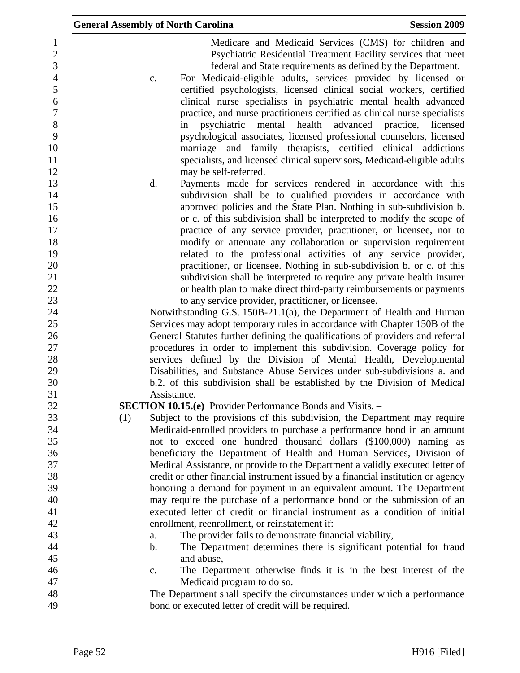|                                                                                                    | <b>General Assembly of North Carolina</b>                                                                                                                                                                                                                                                                                                                                                                                                                                                                                                                                                                                                                                                                                                                                            | <b>Session 2009</b> |
|----------------------------------------------------------------------------------------------------|--------------------------------------------------------------------------------------------------------------------------------------------------------------------------------------------------------------------------------------------------------------------------------------------------------------------------------------------------------------------------------------------------------------------------------------------------------------------------------------------------------------------------------------------------------------------------------------------------------------------------------------------------------------------------------------------------------------------------------------------------------------------------------------|---------------------|
| 1<br>$\overline{2}$<br>3<br>$\overline{4}$<br>5<br>6<br>$\overline{7}$<br>8<br>9<br>10<br>11<br>12 | Medicare and Medicaid Services (CMS) for children and<br>Psychiatric Residential Treatment Facility services that meet<br>federal and State requirements as defined by the Department.<br>For Medicaid-eligible adults, services provided by licensed or<br>c.<br>certified psychologists, licensed clinical social workers, certified<br>clinical nurse specialists in psychiatric mental health advanced<br>practice, and nurse practitioners certified as clinical nurse specialists<br>psychiatric mental health<br>advanced<br>in<br>psychological associates, licensed professional counselors, licensed<br>marriage and family therapists, certified clinical addictions<br>specialists, and licensed clinical supervisors, Medicaid-eligible adults<br>may be self-referred. | practice, licensed  |
| 13<br>14<br>15<br>16<br>17                                                                         | d.<br>Payments made for services rendered in accordance with this<br>subdivision shall be to qualified providers in accordance with<br>approved policies and the State Plan. Nothing in sub-subdivision b.<br>or c. of this subdivision shall be interpreted to modify the scope of<br>practice of any service provider, practitioner, or licensee, nor to                                                                                                                                                                                                                                                                                                                                                                                                                           |                     |
| 18<br>19<br>20<br>21<br>22<br>23                                                                   | modify or attenuate any collaboration or supervision requirement<br>related to the professional activities of any service provider,<br>practitioner, or licensee. Nothing in sub-subdivision b. or c. of this<br>subdivision shall be interpreted to require any private health insurer<br>or health plan to make direct third-party reimbursements or payments<br>to any service provider, practitioner, or licensee.                                                                                                                                                                                                                                                                                                                                                               |                     |
| 24<br>25<br>26<br>27                                                                               | Notwithstanding G.S. 150B-21.1(a), the Department of Health and Human<br>Services may adopt temporary rules in accordance with Chapter 150B of the<br>General Statutes further defining the qualifications of providers and referral<br>procedures in order to implement this subdivision. Coverage policy for                                                                                                                                                                                                                                                                                                                                                                                                                                                                       |                     |
| 28<br>29<br>30                                                                                     | services defined by the Division of Mental Health, Developmental<br>Disabilities, and Substance Abuse Services under sub-subdivisions a. and<br>b.2. of this subdivision shall be established by the Division of Medical                                                                                                                                                                                                                                                                                                                                                                                                                                                                                                                                                             |                     |
| 31<br>32                                                                                           | Assistance.<br>SECTION 10.15.(e) Provider Performance Bonds and Visits. -                                                                                                                                                                                                                                                                                                                                                                                                                                                                                                                                                                                                                                                                                                            |                     |
| 33<br>34<br>35                                                                                     | Subject to the provisions of this subdivision, the Department may require<br>(1)<br>Medicaid-enrolled providers to purchase a performance bond in an amount<br>not to exceed one hundred thousand dollars (\$100,000) naming as                                                                                                                                                                                                                                                                                                                                                                                                                                                                                                                                                      |                     |
| 36<br>37<br>38                                                                                     | beneficiary the Department of Health and Human Services, Division of<br>Medical Assistance, or provide to the Department a validly executed letter of<br>credit or other financial instrument issued by a financial institution or agency                                                                                                                                                                                                                                                                                                                                                                                                                                                                                                                                            |                     |
| 39<br>40<br>41                                                                                     | honoring a demand for payment in an equivalent amount. The Department<br>may require the purchase of a performance bond or the submission of an<br>executed letter of credit or financial instrument as a condition of initial                                                                                                                                                                                                                                                                                                                                                                                                                                                                                                                                                       |                     |
| 42<br>43<br>44                                                                                     | enrollment, reenrollment, or reinstatement if:<br>The provider fails to demonstrate financial viability,<br>a.<br>The Department determines there is significant potential for fraud<br>$\mathbf b$ .                                                                                                                                                                                                                                                                                                                                                                                                                                                                                                                                                                                |                     |
| 45<br>46<br>47                                                                                     | and abuse,<br>The Department otherwise finds it is in the best interest of the<br>c.<br>Medicaid program to do so.                                                                                                                                                                                                                                                                                                                                                                                                                                                                                                                                                                                                                                                                   |                     |
| 48<br>49                                                                                           | The Department shall specify the circumstances under which a performance<br>bond or executed letter of credit will be required.                                                                                                                                                                                                                                                                                                                                                                                                                                                                                                                                                                                                                                                      |                     |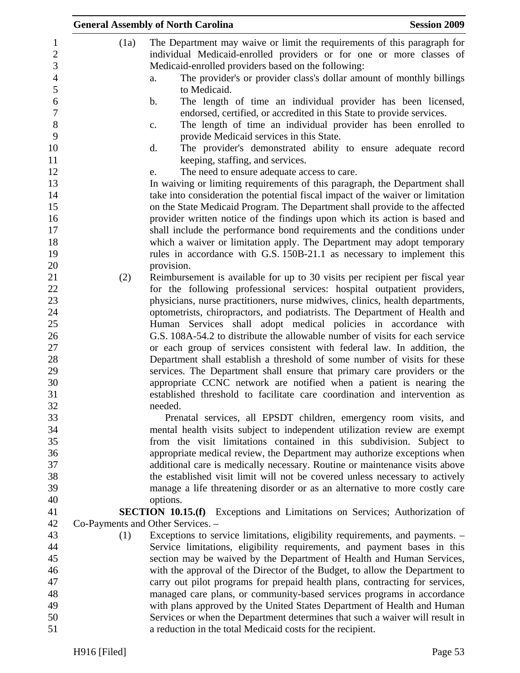|                                   | <b>General Assembly of North Carolina</b>                                                                                                                 | <b>Session 2009</b> |
|-----------------------------------|-----------------------------------------------------------------------------------------------------------------------------------------------------------|---------------------|
| (1a)                              | The Department may waive or limit the requirements of this paragraph for<br>individual Medicaid-enrolled providers or for one or more classes of          |                     |
|                                   | Medicaid-enrolled providers based on the following:                                                                                                       |                     |
|                                   | The provider's or provider class's dollar amount of monthly billings<br>a.<br>to Medicaid.                                                                |                     |
|                                   | The length of time an individual provider has been licensed,<br>b.                                                                                        |                     |
|                                   | endorsed, certified, or accredited in this State to provide services.<br>The length of time an individual provider has been enrolled to<br>$\mathbf{C}$ . |                     |
|                                   | provide Medicaid services in this State.                                                                                                                  |                     |
|                                   | d.<br>The provider's demonstrated ability to ensure adequate record<br>keeping, staffing, and services.                                                   |                     |
|                                   | The need to ensure adequate access to care.<br>e.                                                                                                         |                     |
|                                   | In waiving or limiting requirements of this paragraph, the Department shall                                                                               |                     |
|                                   | take into consideration the potential fiscal impact of the waiver or limitation                                                                           |                     |
|                                   | on the State Medicaid Program. The Department shall provide to the affected                                                                               |                     |
|                                   | provider written notice of the findings upon which its action is based and                                                                                |                     |
|                                   | shall include the performance bond requirements and the conditions under                                                                                  |                     |
|                                   | which a waiver or limitation apply. The Department may adopt temporary                                                                                    |                     |
|                                   | rules in accordance with G.S. 150B-21.1 as necessary to implement this                                                                                    |                     |
| (2)                               | provision.<br>Reimbursement is available for up to 30 visits per recipient per fiscal year                                                                |                     |
|                                   | for the following professional services: hospital outpatient providers,                                                                                   |                     |
|                                   | physicians, nurse practitioners, nurse midwives, clinics, health departments,                                                                             |                     |
|                                   | optometrists, chiropractors, and podiatrists. The Department of Health and                                                                                |                     |
|                                   | Human Services shall adopt medical policies in accordance with                                                                                            |                     |
|                                   | G.S. 108A-54.2 to distribute the allowable number of visits for each service                                                                              |                     |
|                                   | or each group of services consistent with federal law. In addition, the                                                                                   |                     |
|                                   | Department shall establish a threshold of some number of visits for these                                                                                 |                     |
|                                   | services. The Department shall ensure that primary care providers or the                                                                                  |                     |
|                                   | appropriate CCNC network are notified when a patient is nearing the                                                                                       |                     |
|                                   | established threshold to facilitate care coordination and intervention as<br>needed.                                                                      |                     |
|                                   | Prenatal services, all EPSDT children, emergency room visits, and                                                                                         |                     |
|                                   | mental health visits subject to independent utilization review are exempt                                                                                 |                     |
|                                   | from the visit limitations contained in this subdivision. Subject to                                                                                      |                     |
|                                   | appropriate medical review, the Department may authorize exceptions when                                                                                  |                     |
|                                   | additional care is medically necessary. Routine or maintenance visits above                                                                               |                     |
|                                   | the established visit limit will not be covered unless necessary to actively                                                                              |                     |
|                                   | manage a life threatening disorder or as an alternative to more costly care                                                                               |                     |
|                                   | options.                                                                                                                                                  |                     |
| Co-Payments and Other Services. - | <b>SECTION 10.15.(f)</b> Exceptions and Limitations on Services; Authorization of                                                                         |                     |
| (1)                               | Exceptions to service limitations, eligibility requirements, and payments. -                                                                              |                     |
|                                   | Service limitations, eligibility requirements, and payment bases in this                                                                                  |                     |
|                                   | section may be waived by the Department of Health and Human Services,                                                                                     |                     |
|                                   | with the approval of the Director of the Budget, to allow the Department to                                                                               |                     |
|                                   | carry out pilot programs for prepaid health plans, contracting for services,                                                                              |                     |
|                                   | managed care plans, or community-based services programs in accordance                                                                                    |                     |
|                                   | with plans approved by the United States Department of Health and Human                                                                                   |                     |
|                                   | Services or when the Department determines that such a waiver will result in                                                                              |                     |
|                                   | a reduction in the total Medicaid costs for the recipient.                                                                                                |                     |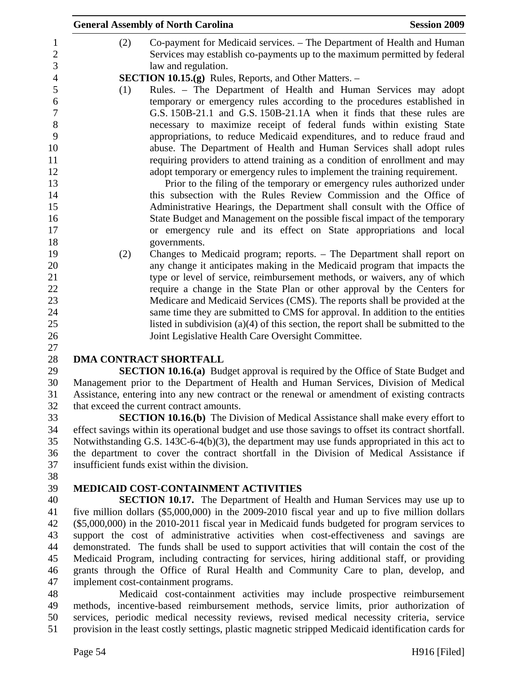|     | <b>General Assembly of North Carolina</b>                                                                                                                                                                                                                                                                                                                                                                                                                                                                                                                                                                                                                                                                                                                                                                                                                                                                              | <b>Session 2009</b> |
|-----|------------------------------------------------------------------------------------------------------------------------------------------------------------------------------------------------------------------------------------------------------------------------------------------------------------------------------------------------------------------------------------------------------------------------------------------------------------------------------------------------------------------------------------------------------------------------------------------------------------------------------------------------------------------------------------------------------------------------------------------------------------------------------------------------------------------------------------------------------------------------------------------------------------------------|---------------------|
| (2) | Co-payment for Medicaid services. – The Department of Health and Human<br>Services may establish co-payments up to the maximum permitted by federal<br>law and regulation.                                                                                                                                                                                                                                                                                                                                                                                                                                                                                                                                                                                                                                                                                                                                             |                     |
|     | <b>SECTION 10.15.(g)</b> Rules, Reports, and Other Matters. –                                                                                                                                                                                                                                                                                                                                                                                                                                                                                                                                                                                                                                                                                                                                                                                                                                                          |                     |
| (1) | Rules. - The Department of Health and Human Services may adopt<br>temporary or emergency rules according to the procedures established in<br>G.S. 150B-21.1 and G.S. 150B-21.1A when it finds that these rules are<br>necessary to maximize receipt of federal funds within existing State<br>appropriations, to reduce Medicaid expenditures, and to reduce fraud and<br>abuse. The Department of Health and Human Services shall adopt rules<br>requiring providers to attend training as a condition of enrollment and may<br>adopt temporary or emergency rules to implement the training requirement.<br>Prior to the filing of the temporary or emergency rules authorized under<br>this subsection with the Rules Review Commission and the Office of<br>Administrative Hearings, the Department shall consult with the Office of<br>State Budget and Management on the possible fiscal impact of the temporary |                     |
|     | or emergency rule and its effect on State appropriations and local                                                                                                                                                                                                                                                                                                                                                                                                                                                                                                                                                                                                                                                                                                                                                                                                                                                     |                     |
|     | governments.                                                                                                                                                                                                                                                                                                                                                                                                                                                                                                                                                                                                                                                                                                                                                                                                                                                                                                           |                     |
|     | Changes to Medicaid program; reports. - The Department shall report on                                                                                                                                                                                                                                                                                                                                                                                                                                                                                                                                                                                                                                                                                                                                                                                                                                                 |                     |
| (2) | any change it anticipates making in the Medicaid program that impacts the                                                                                                                                                                                                                                                                                                                                                                                                                                                                                                                                                                                                                                                                                                                                                                                                                                              |                     |
|     | type or level of service, reimbursement methods, or waivers, any of which                                                                                                                                                                                                                                                                                                                                                                                                                                                                                                                                                                                                                                                                                                                                                                                                                                              |                     |
|     | require a change in the State Plan or other approval by the Centers for                                                                                                                                                                                                                                                                                                                                                                                                                                                                                                                                                                                                                                                                                                                                                                                                                                                |                     |
|     | Medicare and Medicaid Services (CMS). The reports shall be provided at the                                                                                                                                                                                                                                                                                                                                                                                                                                                                                                                                                                                                                                                                                                                                                                                                                                             |                     |
|     | same time they are submitted to CMS for approval. In addition to the entities                                                                                                                                                                                                                                                                                                                                                                                                                                                                                                                                                                                                                                                                                                                                                                                                                                          |                     |
|     | listed in subdivision $(a)(4)$ of this section, the report shall be submitted to the                                                                                                                                                                                                                                                                                                                                                                                                                                                                                                                                                                                                                                                                                                                                                                                                                                   |                     |
|     | Joint Legislative Health Care Oversight Committee.                                                                                                                                                                                                                                                                                                                                                                                                                                                                                                                                                                                                                                                                                                                                                                                                                                                                     |                     |
|     |                                                                                                                                                                                                                                                                                                                                                                                                                                                                                                                                                                                                                                                                                                                                                                                                                                                                                                                        |                     |
|     | <b>DMA CONTRACT SHORTFALL</b>                                                                                                                                                                                                                                                                                                                                                                                                                                                                                                                                                                                                                                                                                                                                                                                                                                                                                          |                     |
|     | <b>SECTION 10.16.(a)</b> Budget approval is required by the Office of State Budget and                                                                                                                                                                                                                                                                                                                                                                                                                                                                                                                                                                                                                                                                                                                                                                                                                                 |                     |
|     | Management prior to the Department of Health and Human Services, Division of Medical                                                                                                                                                                                                                                                                                                                                                                                                                                                                                                                                                                                                                                                                                                                                                                                                                                   |                     |
|     | Assistance, entering into any new contract or the renewal or amendment of existing contracts                                                                                                                                                                                                                                                                                                                                                                                                                                                                                                                                                                                                                                                                                                                                                                                                                           |                     |
|     | that exceed the current contract amounts.                                                                                                                                                                                                                                                                                                                                                                                                                                                                                                                                                                                                                                                                                                                                                                                                                                                                              |                     |
|     | <b>SECTION 10.16.(b)</b> The Division of Medical Assistance shall make every effort to                                                                                                                                                                                                                                                                                                                                                                                                                                                                                                                                                                                                                                                                                                                                                                                                                                 |                     |
|     | effect savings within its operational budget and use those savings to offset its contract shortfall.                                                                                                                                                                                                                                                                                                                                                                                                                                                                                                                                                                                                                                                                                                                                                                                                                   |                     |
|     | Notwithstanding G.S. 143C-6-4(b)(3), the department may use funds appropriated in this act to                                                                                                                                                                                                                                                                                                                                                                                                                                                                                                                                                                                                                                                                                                                                                                                                                          |                     |
|     | the department to cover the contract shortfall in the Division of Medical Assistance if                                                                                                                                                                                                                                                                                                                                                                                                                                                                                                                                                                                                                                                                                                                                                                                                                                |                     |
|     | insufficient funds exist within the division.                                                                                                                                                                                                                                                                                                                                                                                                                                                                                                                                                                                                                                                                                                                                                                                                                                                                          |                     |
|     |                                                                                                                                                                                                                                                                                                                                                                                                                                                                                                                                                                                                                                                                                                                                                                                                                                                                                                                        |                     |
|     | <b>MEDICAID COST-CONTAINMENT ACTIVITIES</b>                                                                                                                                                                                                                                                                                                                                                                                                                                                                                                                                                                                                                                                                                                                                                                                                                                                                            |                     |
|     | <b>SECTION 10.17.</b> The Department of Health and Human Services may use up to                                                                                                                                                                                                                                                                                                                                                                                                                                                                                                                                                                                                                                                                                                                                                                                                                                        |                     |
|     | five million dollars (\$5,000,000) in the 2009-2010 fiscal year and up to five million dollars                                                                                                                                                                                                                                                                                                                                                                                                                                                                                                                                                                                                                                                                                                                                                                                                                         |                     |
|     | (\$5,000,000) in the 2010-2011 fiscal year in Medicaid funds budgeted for program services to                                                                                                                                                                                                                                                                                                                                                                                                                                                                                                                                                                                                                                                                                                                                                                                                                          |                     |
|     | support the cost of administrative activities when cost-effectiveness and savings are<br>demonstrated. The funds shall be used to support activities that will contain the cost of the                                                                                                                                                                                                                                                                                                                                                                                                                                                                                                                                                                                                                                                                                                                                 |                     |

45 Medicaid Program, including contracting for services, hiring additional staff, or providing 46 grants through the Office of Rural Health and Community Care to plan, develop, and 47 implement cost-containment programs.

48 Medicaid cost-containment activities may include prospective reimbursement 49 methods, incentive-based reimbursement methods, service limits, prior authorization of 50 services, periodic medical necessity reviews, revised medical necessity criteria, service 51 provision in the least costly settings, plastic magnetic stripped Medicaid identification cards for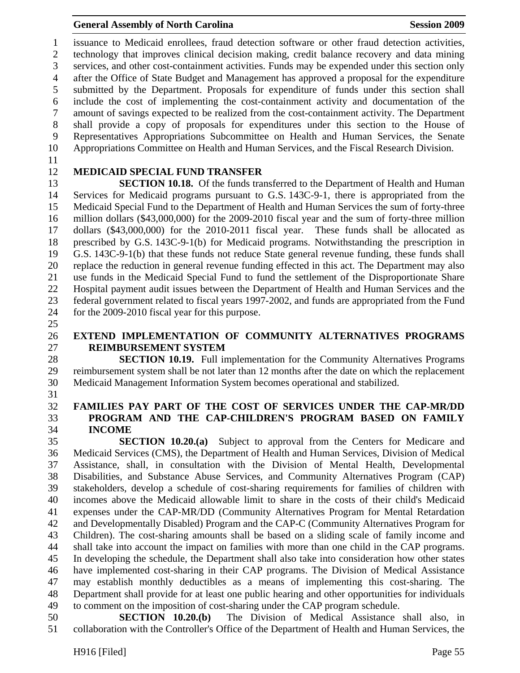1 issuance to Medicaid enrollees, fraud detection software or other fraud detection activities, 2 technology that improves clinical decision making, credit balance recovery and data mining 3 services, and other cost-containment activities. Funds may be expended under this section only 4 after the Office of State Budget and Management has approved a proposal for the expenditure 5 submitted by the Department. Proposals for expenditure of funds under this section shall 6 include the cost of implementing the cost-containment activity and documentation of the 7 amount of savings expected to be realized from the cost-containment activity. The Department 8 shall provide a copy of proposals for expenditures under this section to the House of 9 Representatives Appropriations Subcommittee on Health and Human Services, the Senate 10 Appropriations Committee on Health and Human Services, and the Fiscal Research Division.

11

### 12 **MEDICAID SPECIAL FUND TRANSFER**

13 **SECTION 10.18.** Of the funds transferred to the Department of Health and Human 14 Services for Medicaid programs pursuant to G.S. 143C-9-1, there is appropriated from the 15 Medicaid Special Fund to the Department of Health and Human Services the sum of forty-three 16 million dollars (\$43,000,000) for the 2009-2010 fiscal year and the sum of forty-three million 17 dollars (\$43,000,000) for the 2010-2011 fiscal year. These funds shall be allocated as 18 prescribed by G.S. 143C-9-1(b) for Medicaid programs. Notwithstanding the prescription in 19 G.S. 143C-9-1(b) that these funds not reduce State general revenue funding, these funds shall 20 replace the reduction in general revenue funding effected in this act. The Department may also 21 use funds in the Medicaid Special Fund to fund the settlement of the Disproportionate Share 22 Hospital payment audit issues between the Department of Health and Human Services and the 23 federal government related to fiscal years 1997-2002, and funds are appropriated from the Fund 24 for the 2009-2010 fiscal year for this purpose.

25

# 26 **EXTEND IMPLEMENTATION OF COMMUNITY ALTERNATIVES PROGRAMS**  27 **REIMBURSEMENT SYSTEM**

28 **SECTION 10.19.** Full implementation for the Community Alternatives Programs 29 reimbursement system shall be not later than 12 months after the date on which the replacement 30 Medicaid Management Information System becomes operational and stabilized.

31

#### 32 **FAMILIES PAY PART OF THE COST OF SERVICES UNDER THE CAP-MR/DD**  33 **PROGRAM AND THE CAP-CHILDREN'S PROGRAM BASED ON FAMILY**  34 **INCOME**

35 **SECTION 10.20.(a)** Subject to approval from the Centers for Medicare and 36 Medicaid Services (CMS), the Department of Health and Human Services, Division of Medical 37 Assistance, shall, in consultation with the Division of Mental Health, Developmental 38 Disabilities, and Substance Abuse Services, and Community Alternatives Program (CAP) 39 stakeholders, develop a schedule of cost-sharing requirements for families of children with 40 incomes above the Medicaid allowable limit to share in the costs of their child's Medicaid 41 expenses under the CAP-MR/DD (Community Alternatives Program for Mental Retardation 42 and Developmentally Disabled) Program and the CAP-C (Community Alternatives Program for 43 Children). The cost-sharing amounts shall be based on a sliding scale of family income and 44 shall take into account the impact on families with more than one child in the CAP programs. 45 In developing the schedule, the Department shall also take into consideration how other states 46 have implemented cost-sharing in their CAP programs. The Division of Medical Assistance 47 may establish monthly deductibles as a means of implementing this cost-sharing. The 48 Department shall provide for at least one public hearing and other opportunities for individuals 49 to comment on the imposition of cost-sharing under the CAP program schedule.

50 **SECTION 10.20.(b)** The Division of Medical Assistance shall also, in 51 collaboration with the Controller's Office of the Department of Health and Human Services, the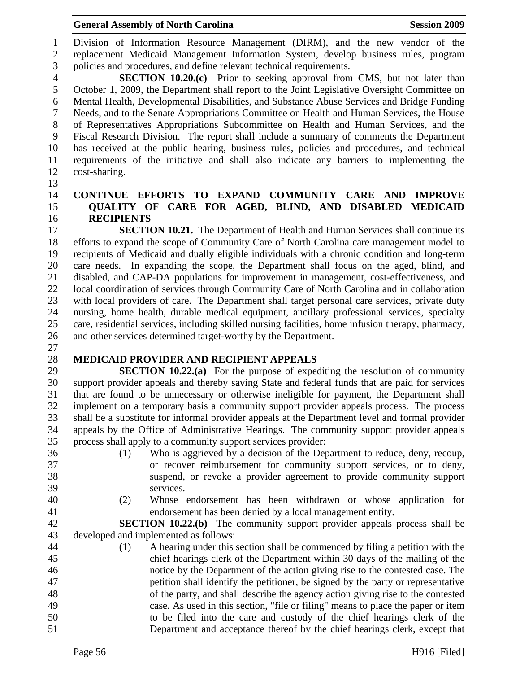#### General Assembly of North Carolina **Session 2009**

1 Division of Information Resource Management (DIRM), and the new vendor of the 2 replacement Medicaid Management Information System, develop business rules, program 3 policies and procedures, and define relevant technical requirements.

4 **SECTION 10.20.(c)** Prior to seeking approval from CMS, but not later than 5 October 1, 2009, the Department shall report to the Joint Legislative Oversight Committee on 6 Mental Health, Developmental Disabilities, and Substance Abuse Services and Bridge Funding 7 Needs, and to the Senate Appropriations Committee on Health and Human Services, the House 8 of Representatives Appropriations Subcommittee on Health and Human Services, and the 9 Fiscal Research Division. The report shall include a summary of comments the Department 10 has received at the public hearing, business rules, policies and procedures, and technical 11 requirements of the initiative and shall also indicate any barriers to implementing the 12 cost-sharing.

13

#### 14 **CONTINUE EFFORTS TO EXPAND COMMUNITY CARE AND IMPROVE**  15 **QUALITY OF CARE FOR AGED, BLIND, AND DISABLED MEDICAID**  16 **RECIPIENTS**

17 **SECTION 10.21.** The Department of Health and Human Services shall continue its 18 efforts to expand the scope of Community Care of North Carolina care management model to 19 recipients of Medicaid and dually eligible individuals with a chronic condition and long-term 20 care needs. In expanding the scope, the Department shall focus on the aged, blind, and 21 disabled, and CAP-DA populations for improvement in management, cost-effectiveness, and 22 local coordination of services through Community Care of North Carolina and in collaboration 23 with local providers of care. The Department shall target personal care services, private duty 24 nursing, home health, durable medical equipment, ancillary professional services, specialty 25 care, residential services, including skilled nursing facilities, home infusion therapy, pharmacy, 26 and other services determined target-worthy by the Department.

27

# 28 **MEDICAID PROVIDER AND RECIPIENT APPEALS**

29 **SECTION 10.22.(a)** For the purpose of expediting the resolution of community 30 support provider appeals and thereby saving State and federal funds that are paid for services 31 that are found to be unnecessary or otherwise ineligible for payment, the Department shall 32 implement on a temporary basis a community support provider appeals process. The process 33 shall be a substitute for informal provider appeals at the Department level and formal provider 34 appeals by the Office of Administrative Hearings. The community support provider appeals 35 process shall apply to a community support services provider:

- 
- 
- 36 (1) Who is aggrieved by a decision of the Department to reduce, deny, recoup, 37 or recover reimbursement for community support services, or to deny, 38 suspend, or revoke a provider agreement to provide community support 39 services.
- 
- 40 (2) Whose endorsement has been withdrawn or whose application for 41 endorsement has been denied by a local management entity.

42 **SECTION 10.22.(b)** The community support provider appeals process shall be 43 developed and implemented as follows:

44 (1) A hearing under this section shall be commenced by filing a petition with the 45 chief hearings clerk of the Department within 30 days of the mailing of the 46 notice by the Department of the action giving rise to the contested case. The 47 petition shall identify the petitioner, be signed by the party or representative 48 of the party, and shall describe the agency action giving rise to the contested 49 case. As used in this section, "file or filing" means to place the paper or item 50 to be filed into the care and custody of the chief hearings clerk of the 51 Department and acceptance thereof by the chief hearings clerk, except that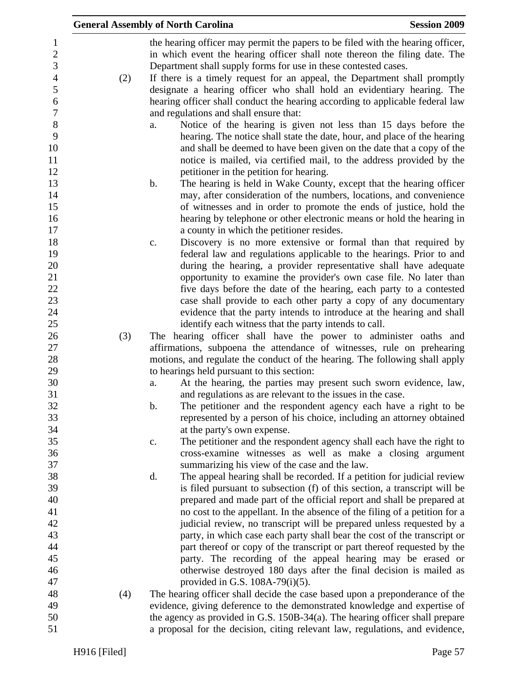|                                    |     | <b>General Assembly of North Carolina</b>                                                                                                                                                                                                                                                          | <b>Session 2009</b> |
|------------------------------------|-----|----------------------------------------------------------------------------------------------------------------------------------------------------------------------------------------------------------------------------------------------------------------------------------------------------|---------------------|
| $\mathbf{1}$<br>$\sqrt{2}$<br>3    |     | the hearing officer may permit the papers to be filed with the hearing officer,<br>in which event the hearing officer shall note thereon the filing date. The<br>Department shall supply forms for use in these contested cases.                                                                   |                     |
| $\overline{4}$<br>5                | (2) | If there is a timely request for an appeal, the Department shall promptly<br>designate a hearing officer who shall hold an evidentiary hearing. The                                                                                                                                                |                     |
| $\boldsymbol{6}$<br>$\overline{7}$ |     | hearing officer shall conduct the hearing according to applicable federal law<br>and regulations and shall ensure that:                                                                                                                                                                            |                     |
| $8\,$<br>9<br>10<br>11             |     | Notice of the hearing is given not less than 15 days before the<br>a.<br>hearing. The notice shall state the date, hour, and place of the hearing<br>and shall be deemed to have been given on the date that a copy of the<br>notice is mailed, via certified mail, to the address provided by the |                     |
| 12                                 |     | petitioner in the petition for hearing.                                                                                                                                                                                                                                                            |                     |
| 13<br>14                           |     | The hearing is held in Wake County, except that the hearing officer<br>b.<br>may, after consideration of the numbers, locations, and convenience                                                                                                                                                   |                     |
| 15<br>16                           |     | of witnesses and in order to promote the ends of justice, hold the<br>hearing by telephone or other electronic means or hold the hearing in                                                                                                                                                        |                     |
| 17                                 |     | a county in which the petitioner resides.                                                                                                                                                                                                                                                          |                     |
| 18                                 |     | Discovery is no more extensive or formal than that required by<br>c.                                                                                                                                                                                                                               |                     |
| 19                                 |     | federal law and regulations applicable to the hearings. Prior to and                                                                                                                                                                                                                               |                     |
| 20                                 |     | during the hearing, a provider representative shall have adequate                                                                                                                                                                                                                                  |                     |
| 21                                 |     | opportunity to examine the provider's own case file. No later than                                                                                                                                                                                                                                 |                     |
| 22                                 |     | five days before the date of the hearing, each party to a contested                                                                                                                                                                                                                                |                     |
| 23                                 |     | case shall provide to each other party a copy of any documentary                                                                                                                                                                                                                                   |                     |
| 24                                 |     | evidence that the party intends to introduce at the hearing and shall                                                                                                                                                                                                                              |                     |
| 25                                 |     | identify each witness that the party intends to call.                                                                                                                                                                                                                                              |                     |
| 26                                 | (3) | The hearing officer shall have the power to administer oaths and                                                                                                                                                                                                                                   |                     |
| 27                                 |     | affirmations, subpoena the attendance of witnesses, rule on prehearing                                                                                                                                                                                                                             |                     |
| 28                                 |     | motions, and regulate the conduct of the hearing. The following shall apply                                                                                                                                                                                                                        |                     |
| 29                                 |     | to hearings held pursuant to this section:                                                                                                                                                                                                                                                         |                     |
| 30                                 |     | At the hearing, the parties may present such sworn evidence, law,<br>a.                                                                                                                                                                                                                            |                     |
| 31                                 |     | and regulations as are relevant to the issues in the case.                                                                                                                                                                                                                                         |                     |
| 32                                 |     | The petitioner and the respondent agency each have a right to be<br>$\mathbf b$ .                                                                                                                                                                                                                  |                     |
| 33                                 |     | represented by a person of his choice, including an attorney obtained                                                                                                                                                                                                                              |                     |
| 34                                 |     | at the party's own expense.                                                                                                                                                                                                                                                                        |                     |
| 35                                 |     | The petitioner and the respondent agency shall each have the right to<br>$\mathbf{C}$ .                                                                                                                                                                                                            |                     |
| 36                                 |     | cross-examine witnesses as well as make a closing argument                                                                                                                                                                                                                                         |                     |
| 37                                 |     | summarizing his view of the case and the law.                                                                                                                                                                                                                                                      |                     |
| 38                                 |     | The appeal hearing shall be recorded. If a petition for judicial review<br>d.                                                                                                                                                                                                                      |                     |
| 39                                 |     | is filed pursuant to subsection (f) of this section, a transcript will be                                                                                                                                                                                                                          |                     |
| 40                                 |     | prepared and made part of the official report and shall be prepared at                                                                                                                                                                                                                             |                     |
| 41                                 |     | no cost to the appellant. In the absence of the filing of a petition for a                                                                                                                                                                                                                         |                     |
| 42                                 |     | judicial review, no transcript will be prepared unless requested by a                                                                                                                                                                                                                              |                     |
| 43                                 |     | party, in which case each party shall bear the cost of the transcript or                                                                                                                                                                                                                           |                     |
| 44<br>45                           |     | part thereof or copy of the transcript or part thereof requested by the                                                                                                                                                                                                                            |                     |
| 46                                 |     | party. The recording of the appeal hearing may be erased or                                                                                                                                                                                                                                        |                     |
| 47                                 |     | otherwise destroyed 180 days after the final decision is mailed as                                                                                                                                                                                                                                 |                     |
| 48                                 |     | provided in G.S. $108A-79(i)(5)$ .                                                                                                                                                                                                                                                                 |                     |
| 49                                 | (4) | The hearing officer shall decide the case based upon a preponderance of the<br>evidence, giving deference to the demonstrated knowledge and expertise of                                                                                                                                           |                     |
| 50                                 |     | the agency as provided in G.S. 150B-34(a). The hearing officer shall prepare                                                                                                                                                                                                                       |                     |
| 51                                 |     | a proposal for the decision, citing relevant law, regulations, and evidence,                                                                                                                                                                                                                       |                     |
|                                    |     |                                                                                                                                                                                                                                                                                                    |                     |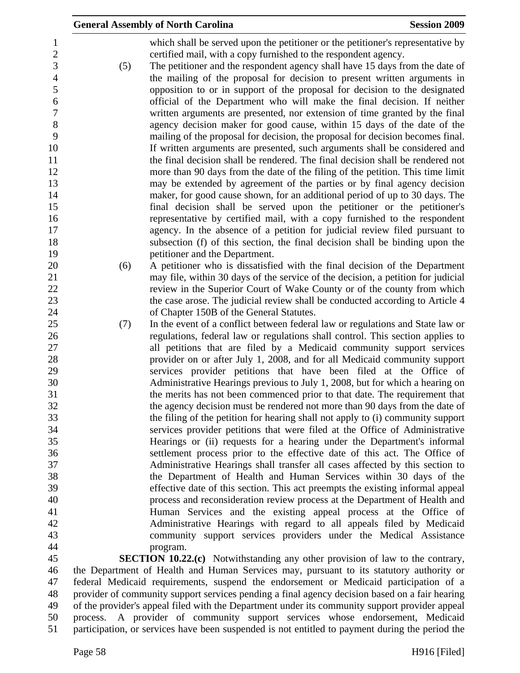|                     |     | <b>General Assembly of North Carolina</b>                                                                                                                      | <b>Session 2009</b> |
|---------------------|-----|----------------------------------------------------------------------------------------------------------------------------------------------------------------|---------------------|
| 1<br>$\mathbf{2}$   |     | which shall be served upon the petitioner or the petitioner's representative by<br>certified mail, with a copy furnished to the respondent agency.             |                     |
| 3<br>$\overline{4}$ | (5) | The petitioner and the respondent agency shall have 15 days from the date of<br>the mailing of the proposal for decision to present written arguments in       |                     |
| $\mathfrak s$       |     | opposition to or in support of the proposal for decision to the designated                                                                                     |                     |
| 6<br>$\tau$         |     | official of the Department who will make the final decision. If neither<br>written arguments are presented, nor extension of time granted by the final         |                     |
| 8                   |     | agency decision maker for good cause, within 15 days of the date of the                                                                                        |                     |
| 9                   |     | mailing of the proposal for decision, the proposal for decision becomes final.                                                                                 |                     |
| 10<br>11            |     | If written arguments are presented, such arguments shall be considered and<br>the final decision shall be rendered. The final decision shall be rendered not   |                     |
| 12                  |     | more than 90 days from the date of the filing of the petition. This time limit                                                                                 |                     |
| 13                  |     | may be extended by agreement of the parties or by final agency decision                                                                                        |                     |
| 14                  |     | maker, for good cause shown, for an additional period of up to 30 days. The                                                                                    |                     |
| 15<br>16            |     | final decision shall be served upon the petitioner or the petitioner's<br>representative by certified mail, with a copy furnished to the respondent            |                     |
| 17                  |     | agency. In the absence of a petition for judicial review filed pursuant to                                                                                     |                     |
| 18                  |     | subsection (f) of this section, the final decision shall be binding upon the                                                                                   |                     |
| 19<br>20            | (6) | petitioner and the Department.<br>A petitioner who is dissatisfied with the final decision of the Department                                                   |                     |
| 21                  |     | may file, within 30 days of the service of the decision, a petition for judicial                                                                               |                     |
| 22                  |     | review in the Superior Court of Wake County or of the county from which                                                                                        |                     |
| 23                  |     | the case arose. The judicial review shall be conducted according to Article 4                                                                                  |                     |
| 24<br>25            | (7) | of Chapter 150B of the General Statutes.<br>In the event of a conflict between federal law or regulations and State law or                                     |                     |
| 26                  |     | regulations, federal law or regulations shall control. This section applies to                                                                                 |                     |
| 27                  |     | all petitions that are filed by a Medicaid community support services                                                                                          |                     |
| 28<br>29            |     | provider on or after July 1, 2008, and for all Medicaid community support<br>services provider petitions that have been filed at the Office of                 |                     |
| 30                  |     | Administrative Hearings previous to July 1, 2008, but for which a hearing on                                                                                   |                     |
| 31                  |     | the merits has not been commenced prior to that date. The requirement that                                                                                     |                     |
| 32                  |     | the agency decision must be rendered not more than 90 days from the date of                                                                                    |                     |
| 33<br>34            |     | the filing of the petition for hearing shall not apply to (i) community support<br>services provider petitions that were filed at the Office of Administrative |                     |
| 35                  |     | Hearings or (ii) requests for a hearing under the Department's informal                                                                                        |                     |
| 36                  |     | settlement process prior to the effective date of this act. The Office of                                                                                      |                     |
| 37<br>38            |     | Administrative Hearings shall transfer all cases affected by this section to                                                                                   |                     |
| 39                  |     | the Department of Health and Human Services within 30 days of the<br>effective date of this section. This act preempts the existing informal appeal            |                     |
| 40                  |     | process and reconsideration review process at the Department of Health and                                                                                     |                     |
| 41                  |     | Human Services and the existing appeal process at the Office of                                                                                                |                     |
| 42<br>43            |     | Administrative Hearings with regard to all appeals filed by Medicaid<br>community support services providers under the Medical Assistance                      |                     |
| 44                  |     | program.                                                                                                                                                       |                     |
| 45                  |     | <b>SECTION 10.22.(c)</b> Notwithstanding any other provision of law to the contrary,                                                                           |                     |
| 46                  |     | the Department of Health and Human Services may, pursuant to its statutory authority or                                                                        |                     |
| 47                  |     | federal Medicaid requirements, suspend the endorsement or Medicaid participation of a                                                                          |                     |

48 provider of community support services pending a final agency decision based on a fair hearing<br>49 of the provider's appeal filed with the Department under its community support provider appeal of the provider's appeal filed with the Department under its community support provider appeal 50 process. A provider of community support services whose endorsement, Medicaid 51 participation, or services have been suspended is not entitled to payment during the period the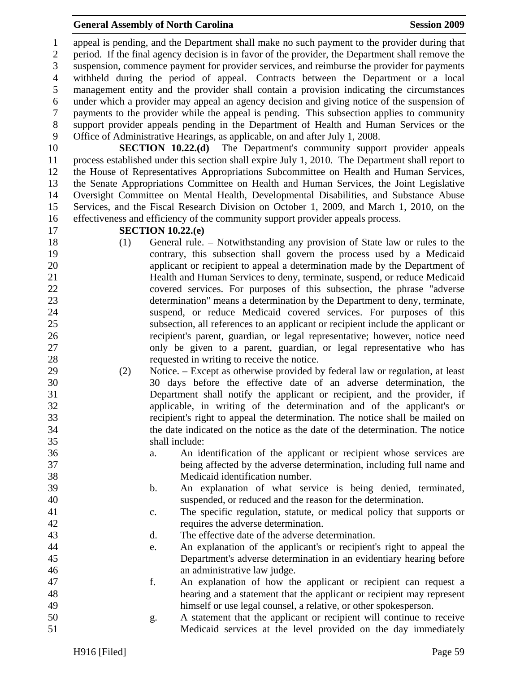#### **General Assembly of North Carolina**  Session 2009 **Session 2009**

1 appeal is pending, and the Department shall make no such payment to the provider during that 2 period. If the final agency decision is in favor of the provider, the Department shall remove the 3 suspension, commence payment for provider services, and reimburse the provider for payments 4 withheld during the period of appeal. Contracts between the Department or a local 5 management entity and the provider shall contain a provision indicating the circumstances 6 under which a provider may appeal an agency decision and giving notice of the suspension of 7 payments to the provider while the appeal is pending. This subsection applies to community 8 support provider appeals pending in the Department of Health and Human Services or the 9 Office of Administrative Hearings, as applicable, on and after July 1, 2008.

10 **SECTION 10.22.(d)** The Department's community support provider appeals 11 process established under this section shall expire July 1, 2010. The Department shall report to 12 the House of Representatives Appropriations Subcommittee on Health and Human Services, 13 the Senate Appropriations Committee on Health and Human Services, the Joint Legislative 14 Oversight Committee on Mental Health, Developmental Disabilities, and Substance Abuse 15 Services, and the Fiscal Research Division on October 1, 2009, and March 1, 2010, on the 16 effectiveness and efficiency of the community support provider appeals process.

#### 17 **SECTION 10.22.(e)**

- 18 (1) General rule. Notwithstanding any provision of State law or rules to the 19 contrary, this subsection shall govern the process used by a Medicaid 20 applicant or recipient to appeal a determination made by the Department of 21 Health and Human Services to deny, terminate, suspend, or reduce Medicaid 22 covered services. For purposes of this subsection, the phrase "adverse 23 determination" means a determination by the Department to deny, terminate, 24 suspend, or reduce Medicaid covered services. For purposes of this 25 subsection, all references to an applicant or recipient include the applicant or 26 recipient's parent, guardian, or legal representative; however, notice need 27 only be given to a parent, guardian, or legal representative who has 28 requested in writing to receive the notice.
- 29 (2) Notice. Except as otherwise provided by federal law or regulation, at least 30 30 days before the effective date of an adverse determination, the 31 Department shall notify the applicant or recipient, and the provider, if 32 applicable, in writing of the determination and of the applicant's or 33 recipient's right to appeal the determination. The notice shall be mailed on 34 the date indicated on the notice as the date of the determination. The notice 35 shall include:
- 36 a. An identification of the applicant or recipient whose services are 37 being affected by the adverse determination, including full name and 38 Medicaid identification number.
- 39 b. An explanation of what service is being denied, terminated, 40 suspended, or reduced and the reason for the determination.
- 41 c. The specific regulation, statute, or medical policy that supports or 42 requires the adverse determination.
- 43 d. The effective date of the adverse determination.
- 44 e. An explanation of the applicant's or recipient's right to appeal the 45 Department's adverse determination in an evidentiary hearing before 46 an administrative law judge.
- 47 f. An explanation of how the applicant or recipient can request a 48 hearing and a statement that the applicant or recipient may represent 49 himself or use legal counsel, a relative, or other spokesperson.
- 50 g. A statement that the applicant or recipient will continue to receive 51 Medicaid services at the level provided on the day immediately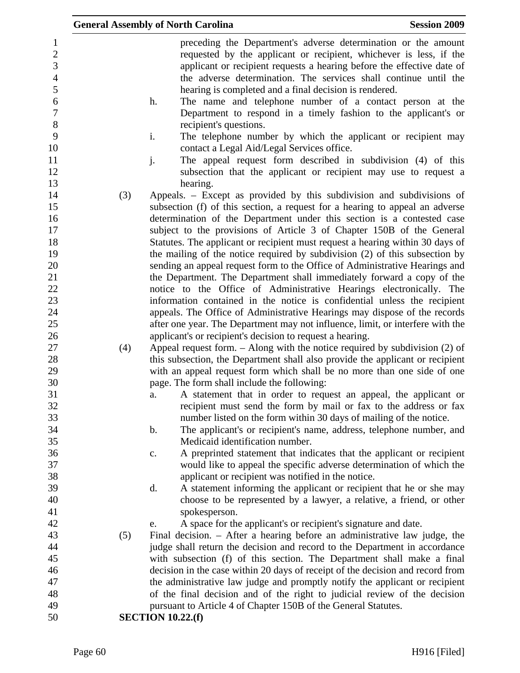|                                                     |     | <b>General Assembly of North Carolina</b><br><b>Session 2009</b>                                                                                                                                                                                                                   |
|-----------------------------------------------------|-----|------------------------------------------------------------------------------------------------------------------------------------------------------------------------------------------------------------------------------------------------------------------------------------|
| $\mathbf{1}$<br>$\mathbf{2}$<br>3<br>$\overline{4}$ |     | preceding the Department's adverse determination or the amount<br>requested by the applicant or recipient, whichever is less, if the<br>applicant or recipient requests a hearing before the effective date of<br>the adverse determination. The services shall continue until the |
| 5<br>6<br>$\overline{7}$                            |     | hearing is completed and a final decision is rendered.<br>The name and telephone number of a contact person at the<br>h.<br>Department to respond in a timely fashion to the applicant's or                                                                                        |
| $8\,$<br>9                                          |     | recipient's questions.<br>i.<br>The telephone number by which the applicant or recipient may                                                                                                                                                                                       |
| 10<br>11                                            |     | contact a Legal Aid/Legal Services office.<br>j.<br>The appeal request form described in subdivision (4) of this                                                                                                                                                                   |
| 12<br>13                                            |     | subsection that the applicant or recipient may use to request a<br>hearing.                                                                                                                                                                                                        |
| 14<br>15<br>16                                      | (3) | Appeals. – Except as provided by this subdivision and subdivisions of<br>subsection (f) of this section, a request for a hearing to appeal an adverse<br>determination of the Department under this section is a contested case                                                    |
| 17<br>18                                            |     | subject to the provisions of Article 3 of Chapter 150B of the General<br>Statutes. The applicant or recipient must request a hearing within 30 days of                                                                                                                             |
| 19<br>20                                            |     | the mailing of the notice required by subdivision (2) of this subsection by<br>sending an appeal request form to the Office of Administrative Hearings and                                                                                                                         |
| 21                                                  |     | the Department. The Department shall immediately forward a copy of the                                                                                                                                                                                                             |
| 22                                                  |     | notice to the Office of Administrative Hearings electronically. The                                                                                                                                                                                                                |
| 23<br>24                                            |     | information contained in the notice is confidential unless the recipient<br>appeals. The Office of Administrative Hearings may dispose of the records                                                                                                                              |
| 25                                                  |     | after one year. The Department may not influence, limit, or interfere with the                                                                                                                                                                                                     |
| 26                                                  |     | applicant's or recipient's decision to request a hearing.                                                                                                                                                                                                                          |
| 27                                                  | (4) | Appeal request form. $-$ Along with the notice required by subdivision (2) of                                                                                                                                                                                                      |
| 28<br>29                                            |     | this subsection, the Department shall also provide the applicant or recipient<br>with an appeal request form which shall be no more than one side of one                                                                                                                           |
| 30                                                  |     | page. The form shall include the following:                                                                                                                                                                                                                                        |
| 31                                                  |     | A statement that in order to request an appeal, the applicant or<br>a.                                                                                                                                                                                                             |
| 32<br>33                                            |     | recipient must send the form by mail or fax to the address or fax<br>number listed on the form within 30 days of mailing of the notice.                                                                                                                                            |
| 34                                                  |     | The applicant's or recipient's name, address, telephone number, and<br>$\mathbf b$ .                                                                                                                                                                                               |
| 35                                                  |     | Medicaid identification number.                                                                                                                                                                                                                                                    |
| 36<br>37                                            |     | A preprinted statement that indicates that the applicant or recipient<br>c.<br>would like to appeal the specific adverse determination of which the                                                                                                                                |
| 38                                                  |     | applicant or recipient was notified in the notice.                                                                                                                                                                                                                                 |
| 39                                                  |     | A statement informing the applicant or recipient that he or she may<br>d.                                                                                                                                                                                                          |
| 40                                                  |     | choose to be represented by a lawyer, a relative, a friend, or other                                                                                                                                                                                                               |
| 41                                                  |     | spokesperson.                                                                                                                                                                                                                                                                      |
| 42                                                  |     | A space for the applicant's or recipient's signature and date.<br>e.                                                                                                                                                                                                               |
| 43                                                  | (5) | Final decision. - After a hearing before an administrative law judge, the                                                                                                                                                                                                          |
| 44                                                  |     | judge shall return the decision and record to the Department in accordance                                                                                                                                                                                                         |
| 45                                                  |     | with subsection (f) of this section. The Department shall make a final                                                                                                                                                                                                             |
| 46                                                  |     | decision in the case within 20 days of receipt of the decision and record from                                                                                                                                                                                                     |
| 47<br>48                                            |     | the administrative law judge and promptly notify the applicant or recipient<br>of the final decision and of the right to judicial review of the decision                                                                                                                           |
| 49                                                  |     | pursuant to Article 4 of Chapter 150B of the General Statutes.                                                                                                                                                                                                                     |
| 50                                                  |     | <b>SECTION 10.22.(f)</b>                                                                                                                                                                                                                                                           |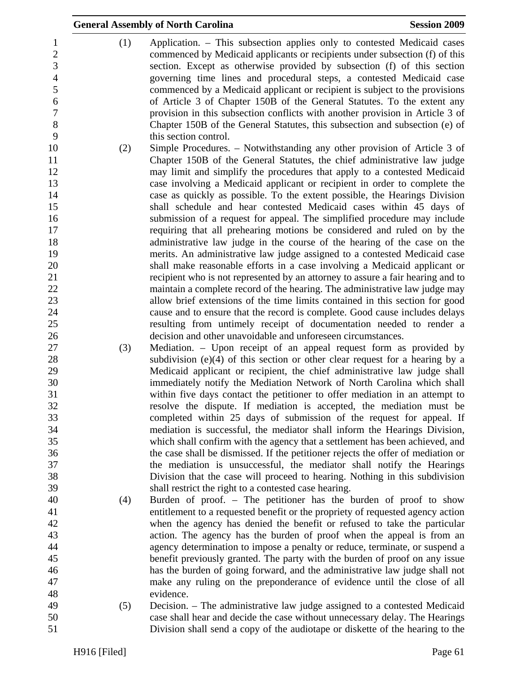|                                                   | <b>General Assembly of North Carolina</b>                                                                                                                                                                                                                                                                              | <b>Session 2009</b> |
|---------------------------------------------------|------------------------------------------------------------------------------------------------------------------------------------------------------------------------------------------------------------------------------------------------------------------------------------------------------------------------|---------------------|
| (1)<br>1<br>$\overline{2}$<br>3<br>$\overline{4}$ | Application. – This subsection applies only to contested Medicaid cases<br>commenced by Medicaid applicants or recipients under subsection (f) of this<br>section. Except as otherwise provided by subsection (f) of this section<br>governing time lines and procedural steps, a contested Medicaid case              |                     |
| 5<br>6<br>$\boldsymbol{7}$<br>$8\,$               | commenced by a Medicaid applicant or recipient is subject to the provisions<br>of Article 3 of Chapter 150B of the General Statutes. To the extent any<br>provision in this subsection conflicts with another provision in Article 3 of<br>Chapter 150B of the General Statutes, this subsection and subsection (e) of |                     |
| 9                                                 | this section control.                                                                                                                                                                                                                                                                                                  |                     |
| 10<br>(2)                                         | Simple Procedures. - Notwithstanding any other provision of Article 3 of                                                                                                                                                                                                                                               |                     |
| 11                                                | Chapter 150B of the General Statutes, the chief administrative law judge                                                                                                                                                                                                                                               |                     |
| 12                                                | may limit and simplify the procedures that apply to a contested Medicaid                                                                                                                                                                                                                                               |                     |
| 13                                                | case involving a Medicaid applicant or recipient in order to complete the                                                                                                                                                                                                                                              |                     |
| 14                                                | case as quickly as possible. To the extent possible, the Hearings Division                                                                                                                                                                                                                                             |                     |
| 15<br>16                                          | shall schedule and hear contested Medicaid cases within 45 days of<br>submission of a request for appeal. The simplified procedure may include                                                                                                                                                                         |                     |
| 17                                                | requiring that all prehearing motions be considered and ruled on by the                                                                                                                                                                                                                                                |                     |
| 18                                                | administrative law judge in the course of the hearing of the case on the                                                                                                                                                                                                                                               |                     |
| 19                                                | merits. An administrative law judge assigned to a contested Medicaid case                                                                                                                                                                                                                                              |                     |
| 20                                                | shall make reasonable efforts in a case involving a Medicaid applicant or                                                                                                                                                                                                                                              |                     |
| 21                                                | recipient who is not represented by an attorney to assure a fair hearing and to                                                                                                                                                                                                                                        |                     |
| 22                                                | maintain a complete record of the hearing. The administrative law judge may                                                                                                                                                                                                                                            |                     |
| 23                                                | allow brief extensions of the time limits contained in this section for good                                                                                                                                                                                                                                           |                     |
| 24                                                | cause and to ensure that the record is complete. Good cause includes delays                                                                                                                                                                                                                                            |                     |
| 25                                                | resulting from untimely receipt of documentation needed to render a                                                                                                                                                                                                                                                    |                     |
| 26                                                | decision and other unavoidable and unforeseen circumstances.                                                                                                                                                                                                                                                           |                     |
| 27<br>(3)                                         | Mediation. – Upon receipt of an appeal request form as provided by<br>subdivision $(e)(4)$ of this section or other clear request for a hearing by a                                                                                                                                                                   |                     |
| 28<br>29                                          | Medicaid applicant or recipient, the chief administrative law judge shall                                                                                                                                                                                                                                              |                     |
| 30                                                | immediately notify the Mediation Network of North Carolina which shall                                                                                                                                                                                                                                                 |                     |
| 31                                                | within five days contact the petitioner to offer mediation in an attempt to                                                                                                                                                                                                                                            |                     |
| 32                                                | resolve the dispute. If mediation is accepted, the mediation must be                                                                                                                                                                                                                                                   |                     |
| 33                                                | completed within 25 days of submission of the request for appeal. If                                                                                                                                                                                                                                                   |                     |
| 34                                                | mediation is successful, the mediator shall inform the Hearings Division,                                                                                                                                                                                                                                              |                     |
| 35                                                | which shall confirm with the agency that a settlement has been achieved, and                                                                                                                                                                                                                                           |                     |
| 36                                                | the case shall be dismissed. If the petitioner rejects the offer of mediation or                                                                                                                                                                                                                                       |                     |
| 37                                                | the mediation is unsuccessful, the mediator shall notify the Hearings                                                                                                                                                                                                                                                  |                     |
| 38<br>39                                          | Division that the case will proceed to hearing. Nothing in this subdivision                                                                                                                                                                                                                                            |                     |
| 40<br>(4)                                         | shall restrict the right to a contested case hearing.<br>Burden of proof. - The petitioner has the burden of proof to show                                                                                                                                                                                             |                     |
|                                                   | entitlement to a requested benefit or the propriety of requested agency action                                                                                                                                                                                                                                         |                     |
| 42                                                | when the agency has denied the benefit or refused to take the particular                                                                                                                                                                                                                                               |                     |
| 43                                                | action. The agency has the burden of proof when the appeal is from an                                                                                                                                                                                                                                                  |                     |
| 44                                                | agency determination to impose a penalty or reduce, terminate, or suspend a                                                                                                                                                                                                                                            |                     |
| 45                                                | benefit previously granted. The party with the burden of proof on any issue                                                                                                                                                                                                                                            |                     |
|                                                   | has the burden of going forward, and the administrative law judge shall not                                                                                                                                                                                                                                            |                     |
|                                                   | make any ruling on the preponderance of evidence until the close of all                                                                                                                                                                                                                                                |                     |
| 48<br>49                                          | evidence.                                                                                                                                                                                                                                                                                                              |                     |
| (5)<br>50                                         | Decision. – The administrative law judge assigned to a contested Medicaid                                                                                                                                                                                                                                              |                     |
|                                                   | case shall hear and decide the case without unnecessary delay. The Hearings<br>Division shall send a copy of the audiotape or diskette of the hearing to the                                                                                                                                                           |                     |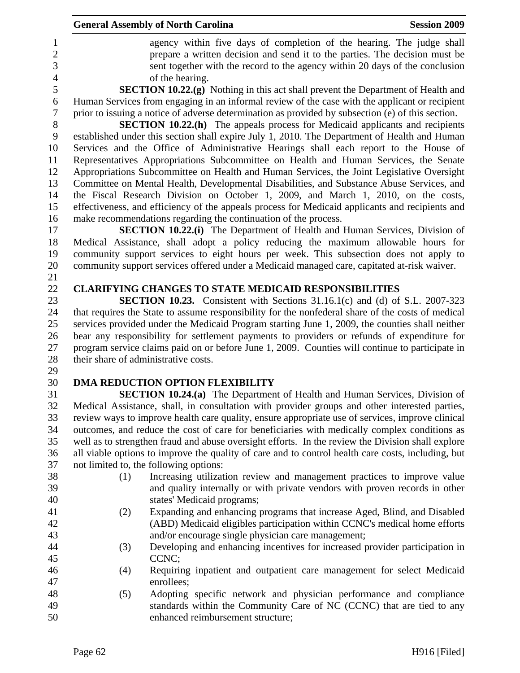| agency within five days of completion of the hearing. The judge shall<br>$\mathbf{1}$<br>$\overline{c}$<br>prepare a written decision and send it to the parties. The decision must be<br>$\overline{3}$<br>sent together with the record to the agency within 20 days of the conclusion<br>$\overline{4}$<br>of the hearing.<br>5<br><b>SECTION 10.22.(g)</b> Nothing in this act shall prevent the Department of Health and<br>Human Services from engaging in an informal review of the case with the applicant or recipient<br>6<br>$\boldsymbol{7}$<br>prior to issuing a notice of adverse determination as provided by subsection (e) of this section.<br>8<br><b>SECTION 10.22.(h)</b> The appeals process for Medicaid applicants and recipients<br>9<br>established under this section shall expire July 1, 2010. The Department of Health and Human<br>Services and the Office of Administrative Hearings shall each report to the House of<br>10<br>Representatives Appropriations Subcommittee on Health and Human Services, the Senate<br>11<br>12<br>Appropriations Subcommittee on Health and Human Services, the Joint Legislative Oversight<br>13<br>Committee on Mental Health, Developmental Disabilities, and Substance Abuse Services, and<br>the Fiscal Research Division on October 1, 2009, and March 1, 2010, on the costs,<br>14<br>15<br>effectiveness, and efficiency of the appeals process for Medicaid applicants and recipients and<br>make recommendations regarding the continuation of the process.<br>16<br>17<br><b>SECTION 10.22.(i)</b> The Department of Health and Human Services, Division of<br>18<br>Medical Assistance, shall adopt a policy reducing the maximum allowable hours for<br>19<br>community support services to eight hours per week. This subsection does not apply to<br>community support services offered under a Medicaid managed care, capitated at-risk waiver.<br>20<br>21<br>22<br><b>CLARIFYING CHANGES TO STATE MEDICAID RESPONSIBILITIES</b><br>23<br><b>SECTION 10.23.</b> Consistent with Sections 31.16.1(c) and (d) of S.L. 2007-323<br>24<br>that requires the State to assume responsibility for the nonfederal share of the costs of medical<br>services provided under the Medicaid Program starting June 1, 2009, the counties shall neither<br>25<br>26<br>bear any responsibility for settlement payments to providers or refunds of expenditure for<br>27<br>program service claims paid on or before June 1, 2009. Counties will continue to participate in<br>28<br>their share of administrative costs.<br>29<br>30<br>DMA REDUCTION OPTION FLEXIBILITY<br>31<br><b>SECTION 10.24.(a)</b> The Department of Health and Human Services, Division of<br>32<br>Medical Assistance, shall, in consultation with provider groups and other interested parties,<br>33<br>review ways to improve health care quality, ensure appropriate use of services, improve clinical<br>34<br>outcomes, and reduce the cost of care for beneficiaries with medically complex conditions as<br>35<br>well as to strengthen fraud and abuse oversight efforts. In the review the Division shall explore<br>36<br>all viable options to improve the quality of care and to control health care costs, including, but<br>37<br>not limited to, the following options:<br>38<br>(1)<br>Increasing utilization review and management practices to improve value<br>39<br>and quality internally or with private vendors with proven records in other<br>40<br>states' Medicaid programs;<br>41<br>Expanding and enhancing programs that increase Aged, Blind, and Disabled<br>(2)<br>42<br>(ABD) Medicaid eligibles participation within CCNC's medical home efforts<br>43<br>and/or encourage single physician care management;<br>44<br>Developing and enhancing incentives for increased provider participation in<br>(3)<br>45<br>CCNC;<br>46<br>Requiring inpatient and outpatient care management for select Medicaid<br>(4)<br>47<br>enrollees;<br>48<br>Adopting specific network and physician performance and compliance<br>(5) |    | <b>General Assembly of North Carolina</b> | <b>Session 2009</b> |
|----------------------------------------------------------------------------------------------------------------------------------------------------------------------------------------------------------------------------------------------------------------------------------------------------------------------------------------------------------------------------------------------------------------------------------------------------------------------------------------------------------------------------------------------------------------------------------------------------------------------------------------------------------------------------------------------------------------------------------------------------------------------------------------------------------------------------------------------------------------------------------------------------------------------------------------------------------------------------------------------------------------------------------------------------------------------------------------------------------------------------------------------------------------------------------------------------------------------------------------------------------------------------------------------------------------------------------------------------------------------------------------------------------------------------------------------------------------------------------------------------------------------------------------------------------------------------------------------------------------------------------------------------------------------------------------------------------------------------------------------------------------------------------------------------------------------------------------------------------------------------------------------------------------------------------------------------------------------------------------------------------------------------------------------------------------------------------------------------------------------------------------------------------------------------------------------------------------------------------------------------------------------------------------------------------------------------------------------------------------------------------------------------------------------------------------------------------------------------------------------------------------------------------------------------------------------------------------------------------------------------------------------------------------------------------------------------------------------------------------------------------------------------------------------------------------------------------------------------------------------------------------------------------------------------------------------------------------------------------------------------------------------------------------------------------------------------------------------------------------------------------------------------------------------------------------------------------------------------------------------------------------------------------------------------------------------------------------------------------------------------------------------------------------------------------------------------------------------------------------------------------------------------------------------------------------------------------------------------------------------------------------------------------------------------------------------------------------------------------------------------------------------------------------------------------------------------------------------------------------------------------------------------------------------------------------------------------------------------------------------------------------------------------------------------------------------------------------------------------|----|-------------------------------------------|---------------------|
|                                                                                                                                                                                                                                                                                                                                                                                                                                                                                                                                                                                                                                                                                                                                                                                                                                                                                                                                                                                                                                                                                                                                                                                                                                                                                                                                                                                                                                                                                                                                                                                                                                                                                                                                                                                                                                                                                                                                                                                                                                                                                                                                                                                                                                                                                                                                                                                                                                                                                                                                                                                                                                                                                                                                                                                                                                                                                                                                                                                                                                                                                                                                                                                                                                                                                                                                                                                                                                                                                                                                                                                                                                                                                                                                                                                                                                                                                                                                                                                                                                                                                                          |    |                                           |                     |
|                                                                                                                                                                                                                                                                                                                                                                                                                                                                                                                                                                                                                                                                                                                                                                                                                                                                                                                                                                                                                                                                                                                                                                                                                                                                                                                                                                                                                                                                                                                                                                                                                                                                                                                                                                                                                                                                                                                                                                                                                                                                                                                                                                                                                                                                                                                                                                                                                                                                                                                                                                                                                                                                                                                                                                                                                                                                                                                                                                                                                                                                                                                                                                                                                                                                                                                                                                                                                                                                                                                                                                                                                                                                                                                                                                                                                                                                                                                                                                                                                                                                                                          |    |                                           |                     |
|                                                                                                                                                                                                                                                                                                                                                                                                                                                                                                                                                                                                                                                                                                                                                                                                                                                                                                                                                                                                                                                                                                                                                                                                                                                                                                                                                                                                                                                                                                                                                                                                                                                                                                                                                                                                                                                                                                                                                                                                                                                                                                                                                                                                                                                                                                                                                                                                                                                                                                                                                                                                                                                                                                                                                                                                                                                                                                                                                                                                                                                                                                                                                                                                                                                                                                                                                                                                                                                                                                                                                                                                                                                                                                                                                                                                                                                                                                                                                                                                                                                                                                          |    |                                           |                     |
|                                                                                                                                                                                                                                                                                                                                                                                                                                                                                                                                                                                                                                                                                                                                                                                                                                                                                                                                                                                                                                                                                                                                                                                                                                                                                                                                                                                                                                                                                                                                                                                                                                                                                                                                                                                                                                                                                                                                                                                                                                                                                                                                                                                                                                                                                                                                                                                                                                                                                                                                                                                                                                                                                                                                                                                                                                                                                                                                                                                                                                                                                                                                                                                                                                                                                                                                                                                                                                                                                                                                                                                                                                                                                                                                                                                                                                                                                                                                                                                                                                                                                                          |    |                                           |                     |
|                                                                                                                                                                                                                                                                                                                                                                                                                                                                                                                                                                                                                                                                                                                                                                                                                                                                                                                                                                                                                                                                                                                                                                                                                                                                                                                                                                                                                                                                                                                                                                                                                                                                                                                                                                                                                                                                                                                                                                                                                                                                                                                                                                                                                                                                                                                                                                                                                                                                                                                                                                                                                                                                                                                                                                                                                                                                                                                                                                                                                                                                                                                                                                                                                                                                                                                                                                                                                                                                                                                                                                                                                                                                                                                                                                                                                                                                                                                                                                                                                                                                                                          |    |                                           |                     |
|                                                                                                                                                                                                                                                                                                                                                                                                                                                                                                                                                                                                                                                                                                                                                                                                                                                                                                                                                                                                                                                                                                                                                                                                                                                                                                                                                                                                                                                                                                                                                                                                                                                                                                                                                                                                                                                                                                                                                                                                                                                                                                                                                                                                                                                                                                                                                                                                                                                                                                                                                                                                                                                                                                                                                                                                                                                                                                                                                                                                                                                                                                                                                                                                                                                                                                                                                                                                                                                                                                                                                                                                                                                                                                                                                                                                                                                                                                                                                                                                                                                                                                          |    |                                           |                     |
|                                                                                                                                                                                                                                                                                                                                                                                                                                                                                                                                                                                                                                                                                                                                                                                                                                                                                                                                                                                                                                                                                                                                                                                                                                                                                                                                                                                                                                                                                                                                                                                                                                                                                                                                                                                                                                                                                                                                                                                                                                                                                                                                                                                                                                                                                                                                                                                                                                                                                                                                                                                                                                                                                                                                                                                                                                                                                                                                                                                                                                                                                                                                                                                                                                                                                                                                                                                                                                                                                                                                                                                                                                                                                                                                                                                                                                                                                                                                                                                                                                                                                                          |    |                                           |                     |
|                                                                                                                                                                                                                                                                                                                                                                                                                                                                                                                                                                                                                                                                                                                                                                                                                                                                                                                                                                                                                                                                                                                                                                                                                                                                                                                                                                                                                                                                                                                                                                                                                                                                                                                                                                                                                                                                                                                                                                                                                                                                                                                                                                                                                                                                                                                                                                                                                                                                                                                                                                                                                                                                                                                                                                                                                                                                                                                                                                                                                                                                                                                                                                                                                                                                                                                                                                                                                                                                                                                                                                                                                                                                                                                                                                                                                                                                                                                                                                                                                                                                                                          |    |                                           |                     |
|                                                                                                                                                                                                                                                                                                                                                                                                                                                                                                                                                                                                                                                                                                                                                                                                                                                                                                                                                                                                                                                                                                                                                                                                                                                                                                                                                                                                                                                                                                                                                                                                                                                                                                                                                                                                                                                                                                                                                                                                                                                                                                                                                                                                                                                                                                                                                                                                                                                                                                                                                                                                                                                                                                                                                                                                                                                                                                                                                                                                                                                                                                                                                                                                                                                                                                                                                                                                                                                                                                                                                                                                                                                                                                                                                                                                                                                                                                                                                                                                                                                                                                          |    |                                           |                     |
|                                                                                                                                                                                                                                                                                                                                                                                                                                                                                                                                                                                                                                                                                                                                                                                                                                                                                                                                                                                                                                                                                                                                                                                                                                                                                                                                                                                                                                                                                                                                                                                                                                                                                                                                                                                                                                                                                                                                                                                                                                                                                                                                                                                                                                                                                                                                                                                                                                                                                                                                                                                                                                                                                                                                                                                                                                                                                                                                                                                                                                                                                                                                                                                                                                                                                                                                                                                                                                                                                                                                                                                                                                                                                                                                                                                                                                                                                                                                                                                                                                                                                                          |    |                                           |                     |
|                                                                                                                                                                                                                                                                                                                                                                                                                                                                                                                                                                                                                                                                                                                                                                                                                                                                                                                                                                                                                                                                                                                                                                                                                                                                                                                                                                                                                                                                                                                                                                                                                                                                                                                                                                                                                                                                                                                                                                                                                                                                                                                                                                                                                                                                                                                                                                                                                                                                                                                                                                                                                                                                                                                                                                                                                                                                                                                                                                                                                                                                                                                                                                                                                                                                                                                                                                                                                                                                                                                                                                                                                                                                                                                                                                                                                                                                                                                                                                                                                                                                                                          |    |                                           |                     |
|                                                                                                                                                                                                                                                                                                                                                                                                                                                                                                                                                                                                                                                                                                                                                                                                                                                                                                                                                                                                                                                                                                                                                                                                                                                                                                                                                                                                                                                                                                                                                                                                                                                                                                                                                                                                                                                                                                                                                                                                                                                                                                                                                                                                                                                                                                                                                                                                                                                                                                                                                                                                                                                                                                                                                                                                                                                                                                                                                                                                                                                                                                                                                                                                                                                                                                                                                                                                                                                                                                                                                                                                                                                                                                                                                                                                                                                                                                                                                                                                                                                                                                          |    |                                           |                     |
|                                                                                                                                                                                                                                                                                                                                                                                                                                                                                                                                                                                                                                                                                                                                                                                                                                                                                                                                                                                                                                                                                                                                                                                                                                                                                                                                                                                                                                                                                                                                                                                                                                                                                                                                                                                                                                                                                                                                                                                                                                                                                                                                                                                                                                                                                                                                                                                                                                                                                                                                                                                                                                                                                                                                                                                                                                                                                                                                                                                                                                                                                                                                                                                                                                                                                                                                                                                                                                                                                                                                                                                                                                                                                                                                                                                                                                                                                                                                                                                                                                                                                                          |    |                                           |                     |
|                                                                                                                                                                                                                                                                                                                                                                                                                                                                                                                                                                                                                                                                                                                                                                                                                                                                                                                                                                                                                                                                                                                                                                                                                                                                                                                                                                                                                                                                                                                                                                                                                                                                                                                                                                                                                                                                                                                                                                                                                                                                                                                                                                                                                                                                                                                                                                                                                                                                                                                                                                                                                                                                                                                                                                                                                                                                                                                                                                                                                                                                                                                                                                                                                                                                                                                                                                                                                                                                                                                                                                                                                                                                                                                                                                                                                                                                                                                                                                                                                                                                                                          |    |                                           |                     |
|                                                                                                                                                                                                                                                                                                                                                                                                                                                                                                                                                                                                                                                                                                                                                                                                                                                                                                                                                                                                                                                                                                                                                                                                                                                                                                                                                                                                                                                                                                                                                                                                                                                                                                                                                                                                                                                                                                                                                                                                                                                                                                                                                                                                                                                                                                                                                                                                                                                                                                                                                                                                                                                                                                                                                                                                                                                                                                                                                                                                                                                                                                                                                                                                                                                                                                                                                                                                                                                                                                                                                                                                                                                                                                                                                                                                                                                                                                                                                                                                                                                                                                          |    |                                           |                     |
|                                                                                                                                                                                                                                                                                                                                                                                                                                                                                                                                                                                                                                                                                                                                                                                                                                                                                                                                                                                                                                                                                                                                                                                                                                                                                                                                                                                                                                                                                                                                                                                                                                                                                                                                                                                                                                                                                                                                                                                                                                                                                                                                                                                                                                                                                                                                                                                                                                                                                                                                                                                                                                                                                                                                                                                                                                                                                                                                                                                                                                                                                                                                                                                                                                                                                                                                                                                                                                                                                                                                                                                                                                                                                                                                                                                                                                                                                                                                                                                                                                                                                                          |    |                                           |                     |
|                                                                                                                                                                                                                                                                                                                                                                                                                                                                                                                                                                                                                                                                                                                                                                                                                                                                                                                                                                                                                                                                                                                                                                                                                                                                                                                                                                                                                                                                                                                                                                                                                                                                                                                                                                                                                                                                                                                                                                                                                                                                                                                                                                                                                                                                                                                                                                                                                                                                                                                                                                                                                                                                                                                                                                                                                                                                                                                                                                                                                                                                                                                                                                                                                                                                                                                                                                                                                                                                                                                                                                                                                                                                                                                                                                                                                                                                                                                                                                                                                                                                                                          |    |                                           |                     |
|                                                                                                                                                                                                                                                                                                                                                                                                                                                                                                                                                                                                                                                                                                                                                                                                                                                                                                                                                                                                                                                                                                                                                                                                                                                                                                                                                                                                                                                                                                                                                                                                                                                                                                                                                                                                                                                                                                                                                                                                                                                                                                                                                                                                                                                                                                                                                                                                                                                                                                                                                                                                                                                                                                                                                                                                                                                                                                                                                                                                                                                                                                                                                                                                                                                                                                                                                                                                                                                                                                                                                                                                                                                                                                                                                                                                                                                                                                                                                                                                                                                                                                          |    |                                           |                     |
|                                                                                                                                                                                                                                                                                                                                                                                                                                                                                                                                                                                                                                                                                                                                                                                                                                                                                                                                                                                                                                                                                                                                                                                                                                                                                                                                                                                                                                                                                                                                                                                                                                                                                                                                                                                                                                                                                                                                                                                                                                                                                                                                                                                                                                                                                                                                                                                                                                                                                                                                                                                                                                                                                                                                                                                                                                                                                                                                                                                                                                                                                                                                                                                                                                                                                                                                                                                                                                                                                                                                                                                                                                                                                                                                                                                                                                                                                                                                                                                                                                                                                                          |    |                                           |                     |
|                                                                                                                                                                                                                                                                                                                                                                                                                                                                                                                                                                                                                                                                                                                                                                                                                                                                                                                                                                                                                                                                                                                                                                                                                                                                                                                                                                                                                                                                                                                                                                                                                                                                                                                                                                                                                                                                                                                                                                                                                                                                                                                                                                                                                                                                                                                                                                                                                                                                                                                                                                                                                                                                                                                                                                                                                                                                                                                                                                                                                                                                                                                                                                                                                                                                                                                                                                                                                                                                                                                                                                                                                                                                                                                                                                                                                                                                                                                                                                                                                                                                                                          |    |                                           |                     |
|                                                                                                                                                                                                                                                                                                                                                                                                                                                                                                                                                                                                                                                                                                                                                                                                                                                                                                                                                                                                                                                                                                                                                                                                                                                                                                                                                                                                                                                                                                                                                                                                                                                                                                                                                                                                                                                                                                                                                                                                                                                                                                                                                                                                                                                                                                                                                                                                                                                                                                                                                                                                                                                                                                                                                                                                                                                                                                                                                                                                                                                                                                                                                                                                                                                                                                                                                                                                                                                                                                                                                                                                                                                                                                                                                                                                                                                                                                                                                                                                                                                                                                          |    |                                           |                     |
|                                                                                                                                                                                                                                                                                                                                                                                                                                                                                                                                                                                                                                                                                                                                                                                                                                                                                                                                                                                                                                                                                                                                                                                                                                                                                                                                                                                                                                                                                                                                                                                                                                                                                                                                                                                                                                                                                                                                                                                                                                                                                                                                                                                                                                                                                                                                                                                                                                                                                                                                                                                                                                                                                                                                                                                                                                                                                                                                                                                                                                                                                                                                                                                                                                                                                                                                                                                                                                                                                                                                                                                                                                                                                                                                                                                                                                                                                                                                                                                                                                                                                                          |    |                                           |                     |
|                                                                                                                                                                                                                                                                                                                                                                                                                                                                                                                                                                                                                                                                                                                                                                                                                                                                                                                                                                                                                                                                                                                                                                                                                                                                                                                                                                                                                                                                                                                                                                                                                                                                                                                                                                                                                                                                                                                                                                                                                                                                                                                                                                                                                                                                                                                                                                                                                                                                                                                                                                                                                                                                                                                                                                                                                                                                                                                                                                                                                                                                                                                                                                                                                                                                                                                                                                                                                                                                                                                                                                                                                                                                                                                                                                                                                                                                                                                                                                                                                                                                                                          |    |                                           |                     |
|                                                                                                                                                                                                                                                                                                                                                                                                                                                                                                                                                                                                                                                                                                                                                                                                                                                                                                                                                                                                                                                                                                                                                                                                                                                                                                                                                                                                                                                                                                                                                                                                                                                                                                                                                                                                                                                                                                                                                                                                                                                                                                                                                                                                                                                                                                                                                                                                                                                                                                                                                                                                                                                                                                                                                                                                                                                                                                                                                                                                                                                                                                                                                                                                                                                                                                                                                                                                                                                                                                                                                                                                                                                                                                                                                                                                                                                                                                                                                                                                                                                                                                          |    |                                           |                     |
|                                                                                                                                                                                                                                                                                                                                                                                                                                                                                                                                                                                                                                                                                                                                                                                                                                                                                                                                                                                                                                                                                                                                                                                                                                                                                                                                                                                                                                                                                                                                                                                                                                                                                                                                                                                                                                                                                                                                                                                                                                                                                                                                                                                                                                                                                                                                                                                                                                                                                                                                                                                                                                                                                                                                                                                                                                                                                                                                                                                                                                                                                                                                                                                                                                                                                                                                                                                                                                                                                                                                                                                                                                                                                                                                                                                                                                                                                                                                                                                                                                                                                                          |    |                                           |                     |
|                                                                                                                                                                                                                                                                                                                                                                                                                                                                                                                                                                                                                                                                                                                                                                                                                                                                                                                                                                                                                                                                                                                                                                                                                                                                                                                                                                                                                                                                                                                                                                                                                                                                                                                                                                                                                                                                                                                                                                                                                                                                                                                                                                                                                                                                                                                                                                                                                                                                                                                                                                                                                                                                                                                                                                                                                                                                                                                                                                                                                                                                                                                                                                                                                                                                                                                                                                                                                                                                                                                                                                                                                                                                                                                                                                                                                                                                                                                                                                                                                                                                                                          |    |                                           |                     |
|                                                                                                                                                                                                                                                                                                                                                                                                                                                                                                                                                                                                                                                                                                                                                                                                                                                                                                                                                                                                                                                                                                                                                                                                                                                                                                                                                                                                                                                                                                                                                                                                                                                                                                                                                                                                                                                                                                                                                                                                                                                                                                                                                                                                                                                                                                                                                                                                                                                                                                                                                                                                                                                                                                                                                                                                                                                                                                                                                                                                                                                                                                                                                                                                                                                                                                                                                                                                                                                                                                                                                                                                                                                                                                                                                                                                                                                                                                                                                                                                                                                                                                          |    |                                           |                     |
|                                                                                                                                                                                                                                                                                                                                                                                                                                                                                                                                                                                                                                                                                                                                                                                                                                                                                                                                                                                                                                                                                                                                                                                                                                                                                                                                                                                                                                                                                                                                                                                                                                                                                                                                                                                                                                                                                                                                                                                                                                                                                                                                                                                                                                                                                                                                                                                                                                                                                                                                                                                                                                                                                                                                                                                                                                                                                                                                                                                                                                                                                                                                                                                                                                                                                                                                                                                                                                                                                                                                                                                                                                                                                                                                                                                                                                                                                                                                                                                                                                                                                                          |    |                                           |                     |
|                                                                                                                                                                                                                                                                                                                                                                                                                                                                                                                                                                                                                                                                                                                                                                                                                                                                                                                                                                                                                                                                                                                                                                                                                                                                                                                                                                                                                                                                                                                                                                                                                                                                                                                                                                                                                                                                                                                                                                                                                                                                                                                                                                                                                                                                                                                                                                                                                                                                                                                                                                                                                                                                                                                                                                                                                                                                                                                                                                                                                                                                                                                                                                                                                                                                                                                                                                                                                                                                                                                                                                                                                                                                                                                                                                                                                                                                                                                                                                                                                                                                                                          |    |                                           |                     |
|                                                                                                                                                                                                                                                                                                                                                                                                                                                                                                                                                                                                                                                                                                                                                                                                                                                                                                                                                                                                                                                                                                                                                                                                                                                                                                                                                                                                                                                                                                                                                                                                                                                                                                                                                                                                                                                                                                                                                                                                                                                                                                                                                                                                                                                                                                                                                                                                                                                                                                                                                                                                                                                                                                                                                                                                                                                                                                                                                                                                                                                                                                                                                                                                                                                                                                                                                                                                                                                                                                                                                                                                                                                                                                                                                                                                                                                                                                                                                                                                                                                                                                          |    |                                           |                     |
|                                                                                                                                                                                                                                                                                                                                                                                                                                                                                                                                                                                                                                                                                                                                                                                                                                                                                                                                                                                                                                                                                                                                                                                                                                                                                                                                                                                                                                                                                                                                                                                                                                                                                                                                                                                                                                                                                                                                                                                                                                                                                                                                                                                                                                                                                                                                                                                                                                                                                                                                                                                                                                                                                                                                                                                                                                                                                                                                                                                                                                                                                                                                                                                                                                                                                                                                                                                                                                                                                                                                                                                                                                                                                                                                                                                                                                                                                                                                                                                                                                                                                                          |    |                                           |                     |
|                                                                                                                                                                                                                                                                                                                                                                                                                                                                                                                                                                                                                                                                                                                                                                                                                                                                                                                                                                                                                                                                                                                                                                                                                                                                                                                                                                                                                                                                                                                                                                                                                                                                                                                                                                                                                                                                                                                                                                                                                                                                                                                                                                                                                                                                                                                                                                                                                                                                                                                                                                                                                                                                                                                                                                                                                                                                                                                                                                                                                                                                                                                                                                                                                                                                                                                                                                                                                                                                                                                                                                                                                                                                                                                                                                                                                                                                                                                                                                                                                                                                                                          |    |                                           |                     |
|                                                                                                                                                                                                                                                                                                                                                                                                                                                                                                                                                                                                                                                                                                                                                                                                                                                                                                                                                                                                                                                                                                                                                                                                                                                                                                                                                                                                                                                                                                                                                                                                                                                                                                                                                                                                                                                                                                                                                                                                                                                                                                                                                                                                                                                                                                                                                                                                                                                                                                                                                                                                                                                                                                                                                                                                                                                                                                                                                                                                                                                                                                                                                                                                                                                                                                                                                                                                                                                                                                                                                                                                                                                                                                                                                                                                                                                                                                                                                                                                                                                                                                          |    |                                           |                     |
|                                                                                                                                                                                                                                                                                                                                                                                                                                                                                                                                                                                                                                                                                                                                                                                                                                                                                                                                                                                                                                                                                                                                                                                                                                                                                                                                                                                                                                                                                                                                                                                                                                                                                                                                                                                                                                                                                                                                                                                                                                                                                                                                                                                                                                                                                                                                                                                                                                                                                                                                                                                                                                                                                                                                                                                                                                                                                                                                                                                                                                                                                                                                                                                                                                                                                                                                                                                                                                                                                                                                                                                                                                                                                                                                                                                                                                                                                                                                                                                                                                                                                                          |    |                                           |                     |
|                                                                                                                                                                                                                                                                                                                                                                                                                                                                                                                                                                                                                                                                                                                                                                                                                                                                                                                                                                                                                                                                                                                                                                                                                                                                                                                                                                                                                                                                                                                                                                                                                                                                                                                                                                                                                                                                                                                                                                                                                                                                                                                                                                                                                                                                                                                                                                                                                                                                                                                                                                                                                                                                                                                                                                                                                                                                                                                                                                                                                                                                                                                                                                                                                                                                                                                                                                                                                                                                                                                                                                                                                                                                                                                                                                                                                                                                                                                                                                                                                                                                                                          |    |                                           |                     |
|                                                                                                                                                                                                                                                                                                                                                                                                                                                                                                                                                                                                                                                                                                                                                                                                                                                                                                                                                                                                                                                                                                                                                                                                                                                                                                                                                                                                                                                                                                                                                                                                                                                                                                                                                                                                                                                                                                                                                                                                                                                                                                                                                                                                                                                                                                                                                                                                                                                                                                                                                                                                                                                                                                                                                                                                                                                                                                                                                                                                                                                                                                                                                                                                                                                                                                                                                                                                                                                                                                                                                                                                                                                                                                                                                                                                                                                                                                                                                                                                                                                                                                          |    |                                           |                     |
|                                                                                                                                                                                                                                                                                                                                                                                                                                                                                                                                                                                                                                                                                                                                                                                                                                                                                                                                                                                                                                                                                                                                                                                                                                                                                                                                                                                                                                                                                                                                                                                                                                                                                                                                                                                                                                                                                                                                                                                                                                                                                                                                                                                                                                                                                                                                                                                                                                                                                                                                                                                                                                                                                                                                                                                                                                                                                                                                                                                                                                                                                                                                                                                                                                                                                                                                                                                                                                                                                                                                                                                                                                                                                                                                                                                                                                                                                                                                                                                                                                                                                                          |    |                                           |                     |
|                                                                                                                                                                                                                                                                                                                                                                                                                                                                                                                                                                                                                                                                                                                                                                                                                                                                                                                                                                                                                                                                                                                                                                                                                                                                                                                                                                                                                                                                                                                                                                                                                                                                                                                                                                                                                                                                                                                                                                                                                                                                                                                                                                                                                                                                                                                                                                                                                                                                                                                                                                                                                                                                                                                                                                                                                                                                                                                                                                                                                                                                                                                                                                                                                                                                                                                                                                                                                                                                                                                                                                                                                                                                                                                                                                                                                                                                                                                                                                                                                                                                                                          |    |                                           |                     |
|                                                                                                                                                                                                                                                                                                                                                                                                                                                                                                                                                                                                                                                                                                                                                                                                                                                                                                                                                                                                                                                                                                                                                                                                                                                                                                                                                                                                                                                                                                                                                                                                                                                                                                                                                                                                                                                                                                                                                                                                                                                                                                                                                                                                                                                                                                                                                                                                                                                                                                                                                                                                                                                                                                                                                                                                                                                                                                                                                                                                                                                                                                                                                                                                                                                                                                                                                                                                                                                                                                                                                                                                                                                                                                                                                                                                                                                                                                                                                                                                                                                                                                          |    |                                           |                     |
|                                                                                                                                                                                                                                                                                                                                                                                                                                                                                                                                                                                                                                                                                                                                                                                                                                                                                                                                                                                                                                                                                                                                                                                                                                                                                                                                                                                                                                                                                                                                                                                                                                                                                                                                                                                                                                                                                                                                                                                                                                                                                                                                                                                                                                                                                                                                                                                                                                                                                                                                                                                                                                                                                                                                                                                                                                                                                                                                                                                                                                                                                                                                                                                                                                                                                                                                                                                                                                                                                                                                                                                                                                                                                                                                                                                                                                                                                                                                                                                                                                                                                                          |    |                                           |                     |
|                                                                                                                                                                                                                                                                                                                                                                                                                                                                                                                                                                                                                                                                                                                                                                                                                                                                                                                                                                                                                                                                                                                                                                                                                                                                                                                                                                                                                                                                                                                                                                                                                                                                                                                                                                                                                                                                                                                                                                                                                                                                                                                                                                                                                                                                                                                                                                                                                                                                                                                                                                                                                                                                                                                                                                                                                                                                                                                                                                                                                                                                                                                                                                                                                                                                                                                                                                                                                                                                                                                                                                                                                                                                                                                                                                                                                                                                                                                                                                                                                                                                                                          |    |                                           |                     |
|                                                                                                                                                                                                                                                                                                                                                                                                                                                                                                                                                                                                                                                                                                                                                                                                                                                                                                                                                                                                                                                                                                                                                                                                                                                                                                                                                                                                                                                                                                                                                                                                                                                                                                                                                                                                                                                                                                                                                                                                                                                                                                                                                                                                                                                                                                                                                                                                                                                                                                                                                                                                                                                                                                                                                                                                                                                                                                                                                                                                                                                                                                                                                                                                                                                                                                                                                                                                                                                                                                                                                                                                                                                                                                                                                                                                                                                                                                                                                                                                                                                                                                          |    |                                           |                     |
|                                                                                                                                                                                                                                                                                                                                                                                                                                                                                                                                                                                                                                                                                                                                                                                                                                                                                                                                                                                                                                                                                                                                                                                                                                                                                                                                                                                                                                                                                                                                                                                                                                                                                                                                                                                                                                                                                                                                                                                                                                                                                                                                                                                                                                                                                                                                                                                                                                                                                                                                                                                                                                                                                                                                                                                                                                                                                                                                                                                                                                                                                                                                                                                                                                                                                                                                                                                                                                                                                                                                                                                                                                                                                                                                                                                                                                                                                                                                                                                                                                                                                                          |    |                                           |                     |
|                                                                                                                                                                                                                                                                                                                                                                                                                                                                                                                                                                                                                                                                                                                                                                                                                                                                                                                                                                                                                                                                                                                                                                                                                                                                                                                                                                                                                                                                                                                                                                                                                                                                                                                                                                                                                                                                                                                                                                                                                                                                                                                                                                                                                                                                                                                                                                                                                                                                                                                                                                                                                                                                                                                                                                                                                                                                                                                                                                                                                                                                                                                                                                                                                                                                                                                                                                                                                                                                                                                                                                                                                                                                                                                                                                                                                                                                                                                                                                                                                                                                                                          |    |                                           |                     |
| standards within the Community Care of NC (CCNC) that are tied to any                                                                                                                                                                                                                                                                                                                                                                                                                                                                                                                                                                                                                                                                                                                                                                                                                                                                                                                                                                                                                                                                                                                                                                                                                                                                                                                                                                                                                                                                                                                                                                                                                                                                                                                                                                                                                                                                                                                                                                                                                                                                                                                                                                                                                                                                                                                                                                                                                                                                                                                                                                                                                                                                                                                                                                                                                                                                                                                                                                                                                                                                                                                                                                                                                                                                                                                                                                                                                                                                                                                                                                                                                                                                                                                                                                                                                                                                                                                                                                                                                                    | 49 |                                           |                     |
| 50<br>enhanced reimbursement structure;                                                                                                                                                                                                                                                                                                                                                                                                                                                                                                                                                                                                                                                                                                                                                                                                                                                                                                                                                                                                                                                                                                                                                                                                                                                                                                                                                                                                                                                                                                                                                                                                                                                                                                                                                                                                                                                                                                                                                                                                                                                                                                                                                                                                                                                                                                                                                                                                                                                                                                                                                                                                                                                                                                                                                                                                                                                                                                                                                                                                                                                                                                                                                                                                                                                                                                                                                                                                                                                                                                                                                                                                                                                                                                                                                                                                                                                                                                                                                                                                                                                                  |    |                                           |                     |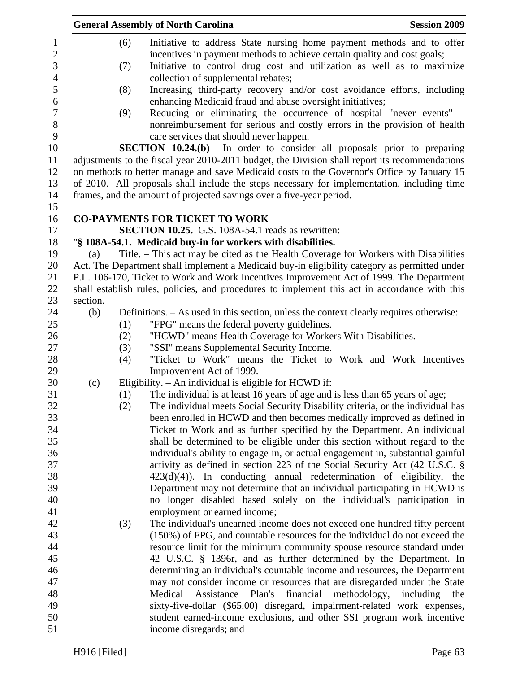|                                                |          |            | <b>General Assembly of North Carolina</b>                                                                                                                                                                                   | <b>Session 2009</b> |
|------------------------------------------------|----------|------------|-----------------------------------------------------------------------------------------------------------------------------------------------------------------------------------------------------------------------------|---------------------|
| $\mathbf{1}$<br>$\mathbf{2}$<br>$\mathfrak{Z}$ |          | (6)<br>(7) | Initiative to address State nursing home payment methods and to offer<br>incentives in payment methods to achieve certain quality and cost goals;<br>Initiative to control drug cost and utilization as well as to maximize |                     |
| $\overline{4}$<br>5                            |          | (8)        | collection of supplemental rebates;<br>Increasing third-party recovery and/or cost avoidance efforts, including                                                                                                             |                     |
| $\sqrt{6}$                                     |          |            | enhancing Medicaid fraud and abuse oversight initiatives;                                                                                                                                                                   |                     |
| $\tau$<br>$8\,$                                |          | (9)        | Reducing or eliminating the occurrence of hospital "never events" –<br>nonreimbursement for serious and costly errors in the provision of health                                                                            |                     |
| 9                                              |          |            | care services that should never happen.                                                                                                                                                                                     |                     |
| 10                                             |          |            | <b>SECTION 10.24.(b)</b> In order to consider all proposals prior to preparing                                                                                                                                              |                     |
| 11<br>12                                       |          |            | adjustments to the fiscal year 2010-2011 budget, the Division shall report its recommendations<br>on methods to better manage and save Medicaid costs to the Governor's Office by January 15                                |                     |
| 13                                             |          |            | of 2010. All proposals shall include the steps necessary for implementation, including time                                                                                                                                 |                     |
| 14                                             |          |            | frames, and the amount of projected savings over a five-year period.                                                                                                                                                        |                     |
| 15                                             |          |            |                                                                                                                                                                                                                             |                     |
| 16                                             |          |            | <b>CO-PAYMENTS FOR TICKET TO WORK</b>                                                                                                                                                                                       |                     |
| 17                                             |          |            | SECTION 10.25. G.S. 108A-54.1 reads as rewritten:                                                                                                                                                                           |                     |
| 18                                             |          |            | "§ 108A-54.1. Medicaid buy-in for workers with disabilities.                                                                                                                                                                |                     |
| 19                                             | (a)      |            | Title. – This act may be cited as the Health Coverage for Workers with Disabilities                                                                                                                                         |                     |
| 20                                             |          |            | Act. The Department shall implement a Medicaid buy-in eligibility category as permitted under                                                                                                                               |                     |
| 21                                             |          |            | P.L. 106-170, Ticket to Work and Work Incentives Improvement Act of 1999. The Department                                                                                                                                    |                     |
| 22                                             |          |            | shall establish rules, policies, and procedures to implement this act in accordance with this                                                                                                                               |                     |
| 23                                             | section. |            |                                                                                                                                                                                                                             |                     |
| 24                                             | (b)      |            | Definitions. – As used in this section, unless the context clearly requires otherwise:                                                                                                                                      |                     |
| 25                                             |          | (1)        | "FPG" means the federal poverty guidelines.                                                                                                                                                                                 |                     |
| 26                                             |          | (2)        | "HCWD" means Health Coverage for Workers With Disabilities.                                                                                                                                                                 |                     |
| 27                                             |          | (3)        | "SSI" means Supplemental Security Income.                                                                                                                                                                                   |                     |
| 28                                             |          | (4)        | "Ticket to Work" means the Ticket to Work and Work Incentives                                                                                                                                                               |                     |
| 29                                             |          |            | Improvement Act of 1999.                                                                                                                                                                                                    |                     |
| 30                                             | (c)      |            | Eligibility. - An individual is eligible for HCWD if:                                                                                                                                                                       |                     |
| 31                                             |          | (1)        | The individual is at least 16 years of age and is less than 65 years of age;                                                                                                                                                |                     |
| 32                                             |          | (2)        | The individual meets Social Security Disability criteria, or the individual has                                                                                                                                             |                     |
| 33                                             |          |            | been enrolled in HCWD and then becomes medically improved as defined in                                                                                                                                                     |                     |
| 34                                             |          |            | Ticket to Work and as further specified by the Department. An individual                                                                                                                                                    |                     |
| 35                                             |          |            | shall be determined to be eligible under this section without regard to the                                                                                                                                                 |                     |
| 36<br>37                                       |          |            | individual's ability to engage in, or actual engagement in, substantial gainful                                                                                                                                             |                     |
| 38                                             |          |            | activity as defined in section 223 of the Social Security Act (42 U.S.C. §<br>$423(d)(4)$ ). In conducting annual redetermination of eligibility, the                                                                       |                     |
| 39                                             |          |            | Department may not determine that an individual participating in HCWD is                                                                                                                                                    |                     |
| 40                                             |          |            | no longer disabled based solely on the individual's participation in                                                                                                                                                        |                     |
| 41                                             |          |            | employment or earned income;                                                                                                                                                                                                |                     |
| 42                                             |          | (3)        | The individual's unearned income does not exceed one hundred fifty percent                                                                                                                                                  |                     |
| 43                                             |          |            | (150%) of FPG, and countable resources for the individual do not exceed the                                                                                                                                                 |                     |
| 44                                             |          |            | resource limit for the minimum community spouse resource standard under                                                                                                                                                     |                     |
| 45                                             |          |            | 42 U.S.C. § 1396r, and as further determined by the Department. In                                                                                                                                                          |                     |
| 46                                             |          |            | determining an individual's countable income and resources, the Department                                                                                                                                                  |                     |
| 47                                             |          |            | may not consider income or resources that are disregarded under the State                                                                                                                                                   |                     |
| 48                                             |          |            | Plan's<br>financial<br>Medical<br>Assistance<br>methodology,                                                                                                                                                                | including<br>the    |
| 49                                             |          |            | sixty-five-dollar (\$65.00) disregard, impairment-related work expenses,                                                                                                                                                    |                     |
| 50                                             |          |            | student earned-income exclusions, and other SSI program work incentive                                                                                                                                                      |                     |
| 51                                             |          |            | income disregards; and                                                                                                                                                                                                      |                     |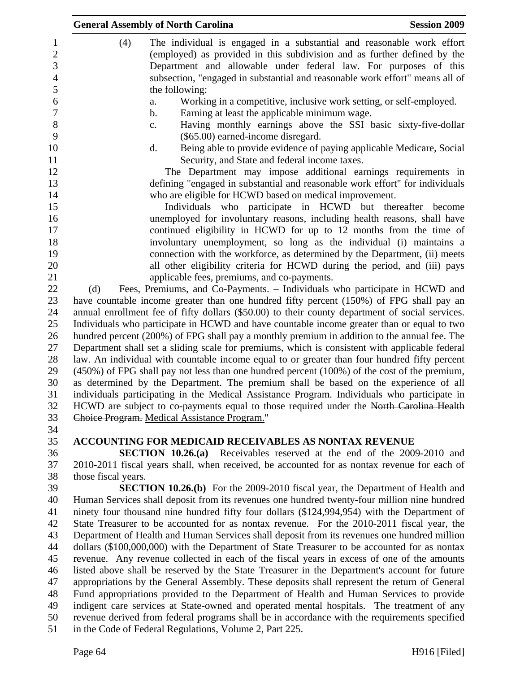|                          | <b>General Assembly of North Carolina</b><br><b>Session 2009</b>                                                                                                                                                             |
|--------------------------|------------------------------------------------------------------------------------------------------------------------------------------------------------------------------------------------------------------------------|
| 1<br>$\overline{c}$<br>3 | (4)<br>The individual is engaged in a substantial and reasonable work effort<br>(employed) as provided in this subdivision and as further defined by the<br>Department and allowable under federal law. For purposes of this |
| $\overline{4}$           | subsection, "engaged in substantial and reasonable work effort" means all of                                                                                                                                                 |
| 5                        | the following:                                                                                                                                                                                                               |
| 6                        | Working in a competitive, inclusive work setting, or self-employed.                                                                                                                                                          |
| $\boldsymbol{7}$         | a.                                                                                                                                                                                                                           |
| $8\,$                    | Earning at least the applicable minimum wage.<br>b.<br>Having monthly earnings above the SSI basic sixty-five-dollar<br>c.                                                                                                   |
| 9<br>10                  | (\$65.00) earned-income disregard.<br>Being able to provide evidence of paying applicable Medicare, Social<br>d.                                                                                                             |
| 11                       | Security, and State and federal income taxes.                                                                                                                                                                                |
| 12                       | The Department may impose additional earnings requirements in                                                                                                                                                                |
| 13                       | defining "engaged in substantial and reasonable work effort" for individuals                                                                                                                                                 |
| 14                       | who are eligible for HCWD based on medical improvement.                                                                                                                                                                      |
| 15                       | Individuals who participate in HCWD but thereafter become                                                                                                                                                                    |
| 16                       | unemployed for involuntary reasons, including health reasons, shall have                                                                                                                                                     |
| 17                       | continued eligibility in HCWD for up to 12 months from the time of                                                                                                                                                           |
| 18                       | involuntary unemployment, so long as the individual (i) maintains a                                                                                                                                                          |
| 19                       | connection with the workforce, as determined by the Department, (ii) meets                                                                                                                                                   |
| 20                       | all other eligibility criteria for HCWD during the period, and (iii) pays                                                                                                                                                    |
| 21<br>22                 | applicable fees, premiums, and co-payments.<br>Fees, Premiums, and Co-Payments. – Individuals who participate in HCWD and<br>(d)                                                                                             |
| 23                       | have countable income greater than one hundred fifty percent (150%) of FPG shall pay an                                                                                                                                      |
| 24                       | annual enrollment fee of fifty dollars (\$50.00) to their county department of social services.                                                                                                                              |
| 25                       | Individuals who participate in HCWD and have countable income greater than or equal to two                                                                                                                                   |
| 26                       | hundred percent (200%) of FPG shall pay a monthly premium in addition to the annual fee. The                                                                                                                                 |
| 27                       | Department shall set a sliding scale for premiums, which is consistent with applicable federal                                                                                                                               |
| 28                       | law. An individual with countable income equal to or greater than four hundred fifty percent                                                                                                                                 |
| 29                       | $(450\%)$ of FPG shall pay not less than one hundred percent $(100\%)$ of the cost of the premium,                                                                                                                           |
| 30                       | as determined by the Department. The premium shall be based on the experience of all                                                                                                                                         |
| 31                       | individuals participating in the Medical Assistance Program. Individuals who participate in                                                                                                                                  |
| 32                       | HCWD are subject to co-payments equal to those required under the North Carolina Health                                                                                                                                      |
| 33                       | Choice Program. Medical Assistance Program."                                                                                                                                                                                 |
| 34<br>35                 | <b>ACCOUNTING FOR MEDICAID RECEIVABLES AS NONTAX REVENUE</b>                                                                                                                                                                 |
| 36                       | <b>SECTION 10.26.(a)</b> Receivables reserved at the end of the 2009-2010 and                                                                                                                                                |
| 37                       | 2010-2011 fiscal years shall, when received, be accounted for as nontax revenue for each of                                                                                                                                  |
| 38                       | those fiscal years.                                                                                                                                                                                                          |
| 39                       | <b>SECTION 10.26.(b)</b> For the 2009-2010 fiscal year, the Department of Health and                                                                                                                                         |
| 40                       | Human Services shall deposit from its revenues one hundred twenty-four million nine hundred                                                                                                                                  |
| 41                       | ninety four thousand nine hundred fifty four dollars (\$124,994,954) with the Department of                                                                                                                                  |
| 42                       | State Treasurer to be accounted for as nontax revenue. For the 2010-2011 fiscal year, the                                                                                                                                    |
| 43                       | Department of Health and Human Services shall deposit from its revenues one hundred million                                                                                                                                  |
| 44                       | dollars (\$100,000,000) with the Department of State Treasurer to be accounted for as nontax                                                                                                                                 |
| 45                       | revenue. Any revenue collected in each of the fiscal years in excess of one of the amounts                                                                                                                                   |
| 46                       | listed above shall be reserved by the State Treasurer in the Department's account for future                                                                                                                                 |
| 47                       | appropriations by the General Assembly. These deposits shall represent the return of General                                                                                                                                 |
| 48                       | Fund appropriations provided to the Department of Health and Human Services to provide                                                                                                                                       |
| 49                       | indigent care services at State-owned and operated mental hospitals. The treatment of any                                                                                                                                    |
| 50                       | revenue derived from federal programs shall be in accordance with the requirements specified                                                                                                                                 |
| 51                       | in the Code of Federal Regulations, Volume 2, Part 225.                                                                                                                                                                      |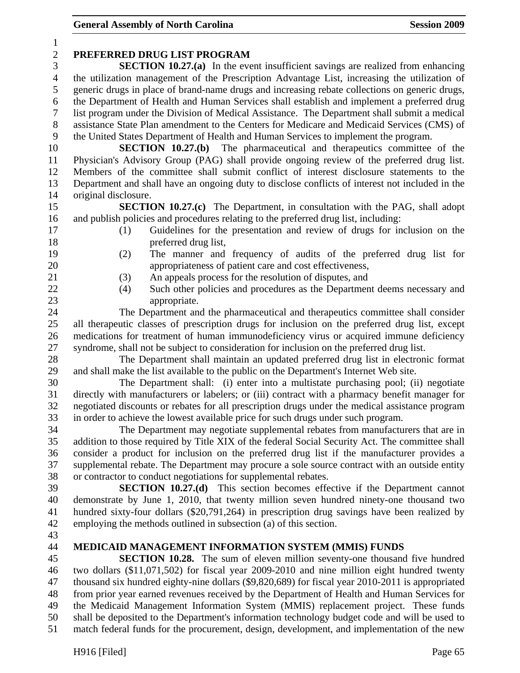| $\mathbf{1}$   |                                                                                                                                                                                                |
|----------------|------------------------------------------------------------------------------------------------------------------------------------------------------------------------------------------------|
| $\overline{c}$ | PREFERRED DRUG LIST PROGRAM                                                                                                                                                                    |
| 3              | <b>SECTION 10.27.(a)</b> In the event insufficient savings are realized from enhancing                                                                                                         |
| $\overline{4}$ | the utilization management of the Prescription Advantage List, increasing the utilization of                                                                                                   |
| 5              | generic drugs in place of brand-name drugs and increasing rebate collections on generic drugs,                                                                                                 |
| 6              | the Department of Health and Human Services shall establish and implement a preferred drug                                                                                                     |
| 7<br>$8\,$     | list program under the Division of Medical Assistance. The Department shall submit a medical<br>assistance State Plan amendment to the Centers for Medicare and Medicaid Services (CMS) of     |
| 9              | the United States Department of Health and Human Services to implement the program.                                                                                                            |
| 10             | <b>SECTION 10.27.(b)</b> The pharmaceutical and therapeutics committee of the                                                                                                                  |
| 11             | Physician's Advisory Group (PAG) shall provide ongoing review of the preferred drug list.                                                                                                      |
| 12             | Members of the committee shall submit conflict of interest disclosure statements to the                                                                                                        |
| 13             | Department and shall have an ongoing duty to disclose conflicts of interest not included in the                                                                                                |
| 14             | original disclosure.                                                                                                                                                                           |
| 15             | <b>SECTION 10.27.(c)</b> The Department, in consultation with the PAG, shall adopt                                                                                                             |
| 16             | and publish policies and procedures relating to the preferred drug list, including:                                                                                                            |
| 17             | Guidelines for the presentation and review of drugs for inclusion on the<br>(1)                                                                                                                |
| 18             | preferred drug list,                                                                                                                                                                           |
| 19             | (2)<br>The manner and frequency of audits of the preferred drug list for                                                                                                                       |
| 20             | appropriateness of patient care and cost effectiveness,                                                                                                                                        |
| 21             | An appeals process for the resolution of disputes, and<br>(3)                                                                                                                                  |
| 22             | Such other policies and procedures as the Department deems necessary and<br>(4)                                                                                                                |
| 23             | appropriate.                                                                                                                                                                                   |
| 24             | The Department and the pharmaceutical and therapeutics committee shall consider                                                                                                                |
| 25             | all therapeutic classes of prescription drugs for inclusion on the preferred drug list, except                                                                                                 |
| 26             | medications for treatment of human immunodeficiency virus or acquired immune deficiency                                                                                                        |
| 27<br>28       | syndrome, shall not be subject to consideration for inclusion on the preferred drug list.<br>The Department shall maintain an updated preferred drug list in electronic format                 |
| 29             | and shall make the list available to the public on the Department's Internet Web site.                                                                                                         |
| 30             | The Department shall: (i) enter into a multistate purchasing pool; (ii) negotiate                                                                                                              |
| 31             | directly with manufacturers or labelers; or (iii) contract with a pharmacy benefit manager for                                                                                                 |
| 32             | negotiated discounts or rebates for all prescription drugs under the medical assistance program                                                                                                |
| 33             | in order to achieve the lowest available price for such drugs under such program.                                                                                                              |
| 34             | The Department may negotiate supplemental rebates from manufacturers that are in                                                                                                               |
| 35             | addition to those required by Title XIX of the federal Social Security Act. The committee shall                                                                                                |
| 36             | consider a product for inclusion on the preferred drug list if the manufacturer provides a                                                                                                     |
| 37             | supplemental rebate. The Department may procure a sole source contract with an outside entity                                                                                                  |
| 38             | or contractor to conduct negotiations for supplemental rebates.                                                                                                                                |
| 39             | <b>SECTION 10.27.(d)</b> This section becomes effective if the Department cannot                                                                                                               |
| 40             | demonstrate by June 1, 2010, that twenty million seven hundred ninety-one thousand two                                                                                                         |
| 41             | hundred sixty-four dollars (\$20,791,264) in prescription drug savings have been realized by                                                                                                   |
| 42             | employing the methods outlined in subsection (a) of this section.                                                                                                                              |
| 43             |                                                                                                                                                                                                |
| 44             | MEDICAID MANAGEMENT INFORMATION SYSTEM (MMIS) FUNDS                                                                                                                                            |
| 45<br>46       | <b>SECTION 10.28.</b> The sum of eleven million seventy-one thousand five hundred                                                                                                              |
| 47             | two dollars (\$11,071,502) for fiscal year 2009-2010 and nine million eight hundred twenty<br>thousand six hundred eighty-nine dollars (\$9,820,689) for fiscal year 2010-2011 is appropriated |
| 48             | from prior year earned revenues received by the Department of Health and Human Services for                                                                                                    |
| 49             | the Medicaid Management Information System (MMIS) replacement project. These funds                                                                                                             |
| 50             | shall be deposited to the Department's information technology budget code and will be used to                                                                                                  |
| 51             | match federal funds for the procurement, design, development, and implementation of the new                                                                                                    |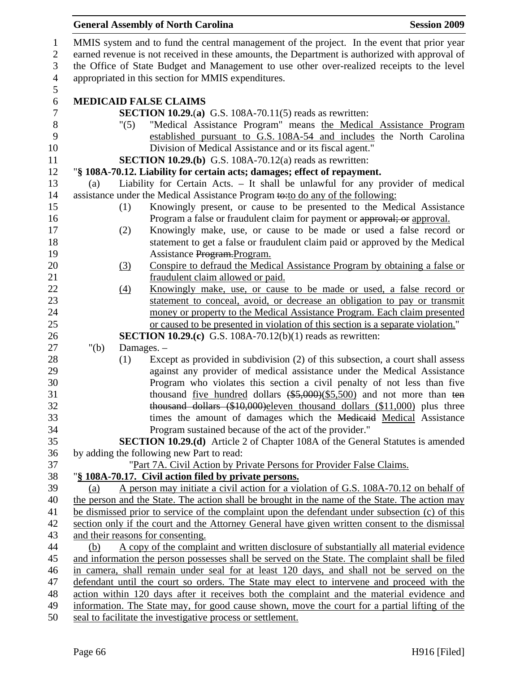|                |                                                                                                                                                              | <b>General Assembly of North Carolina</b><br><b>Session 2009</b>                                                                                   |  |  |
|----------------|--------------------------------------------------------------------------------------------------------------------------------------------------------------|----------------------------------------------------------------------------------------------------------------------------------------------------|--|--|
| $\mathbf{1}$   |                                                                                                                                                              | MMIS system and to fund the central management of the project. In the event that prior year                                                        |  |  |
| $\overline{2}$ | earned revenue is not received in these amounts, the Department is authorized with approval of                                                               |                                                                                                                                                    |  |  |
| 3              |                                                                                                                                                              | the Office of State Budget and Management to use other over-realized receipts to the level                                                         |  |  |
| $\overline{4}$ | appropriated in this section for MMIS expenditures.                                                                                                          |                                                                                                                                                    |  |  |
| $\mathfrak{S}$ |                                                                                                                                                              |                                                                                                                                                    |  |  |
| 6              |                                                                                                                                                              | <b>MEDICAID FALSE CLAIMS</b>                                                                                                                       |  |  |
| $\tau$         |                                                                                                                                                              | <b>SECTION 10.29.(a)</b> G.S. 108A-70.11(5) reads as rewritten:                                                                                    |  |  |
| $8\,$          | "(5)                                                                                                                                                         | "Medical Assistance Program" means the Medical Assistance Program                                                                                  |  |  |
| 9              |                                                                                                                                                              | established pursuant to G.S. 108A-54 and includes the North Carolina                                                                               |  |  |
| 10             |                                                                                                                                                              | Division of Medical Assistance and or its fiscal agent."                                                                                           |  |  |
| 11             |                                                                                                                                                              | <b>SECTION 10.29.(b)</b> G.S. 108A-70.12(a) reads as rewritten:                                                                                    |  |  |
| 12             |                                                                                                                                                              | "§ 108A-70.12. Liability for certain acts; damages; effect of repayment.                                                                           |  |  |
| 13             | (a)                                                                                                                                                          | Liability for Certain Acts. - It shall be unlawful for any provider of medical                                                                     |  |  |
| 14<br>15       |                                                                                                                                                              | assistance under the Medical Assistance Program to:to do any of the following:                                                                     |  |  |
| 16             | (1)                                                                                                                                                          | Knowingly present, or cause to be presented to the Medical Assistance<br>Program a false or fraudulent claim for payment or approval; or approval. |  |  |
| 17             | (2)                                                                                                                                                          | Knowingly make, use, or cause to be made or used a false record or                                                                                 |  |  |
| 18             |                                                                                                                                                              | statement to get a false or fraudulent claim paid or approved by the Medical                                                                       |  |  |
| 19             |                                                                                                                                                              | Assistance Program. Program.                                                                                                                       |  |  |
| 20             | $\left(3\right)$                                                                                                                                             | Conspire to defraud the Medical Assistance Program by obtaining a false or                                                                         |  |  |
| 21             |                                                                                                                                                              | fraudulent claim allowed or paid.                                                                                                                  |  |  |
| 22             | $\left(4\right)$                                                                                                                                             | Knowingly make, use, or cause to be made or used, a false record or                                                                                |  |  |
| 23             |                                                                                                                                                              | statement to conceal, avoid, or decrease an obligation to pay or transmit                                                                          |  |  |
| 24             |                                                                                                                                                              | money or property to the Medical Assistance Program. Each claim presented                                                                          |  |  |
| 25             |                                                                                                                                                              | or caused to be presented in violation of this section is a separate violation."                                                                   |  |  |
| 26             |                                                                                                                                                              | <b>SECTION 10.29.(c)</b> G.S. 108A-70.12(b)(1) reads as rewritten:                                                                                 |  |  |
| 27             | " $(b)$                                                                                                                                                      | Damages. -                                                                                                                                         |  |  |
| 28             | (1)                                                                                                                                                          | Except as provided in subdivision (2) of this subsection, a court shall assess                                                                     |  |  |
| 29             |                                                                                                                                                              | against any provider of medical assistance under the Medical Assistance                                                                            |  |  |
| 30             |                                                                                                                                                              | Program who violates this section a civil penalty of not less than five                                                                            |  |  |
| 31<br>32       |                                                                                                                                                              | thousand <u>five hundred</u> dollars $(*5,000)(\$5,500)$ and not more than ten                                                                     |  |  |
| 33             |                                                                                                                                                              | thousand dollars (\$10,000) eleven thousand dollars (\$11,000) plus three<br>times the amount of damages which the Medicaid Medical Assistance     |  |  |
| 34             |                                                                                                                                                              | Program sustained because of the act of the provider."                                                                                             |  |  |
| 35             |                                                                                                                                                              | <b>SECTION 10.29.(d)</b> Article 2 of Chapter 108A of the General Statutes is amended                                                              |  |  |
| 36             |                                                                                                                                                              | by adding the following new Part to read:                                                                                                          |  |  |
| 37             |                                                                                                                                                              | "Part 7A. Civil Action by Private Persons for Provider False Claims.                                                                               |  |  |
| 38             |                                                                                                                                                              | "§ 108A-70.17. Civil action filed by private persons.                                                                                              |  |  |
| 39             | (a)                                                                                                                                                          | A person may initiate a civil action for a violation of G.S. 108A-70.12 on behalf of                                                               |  |  |
| 40             |                                                                                                                                                              | the person and the State. The action shall be brought in the name of the State. The action may                                                     |  |  |
| 41             |                                                                                                                                                              | be dismissed prior to service of the complaint upon the defendant under subsection (c) of this                                                     |  |  |
| 42             |                                                                                                                                                              | section only if the court and the Attorney General have given written consent to the dismissal                                                     |  |  |
| 43             |                                                                                                                                                              | and their reasons for consenting.                                                                                                                  |  |  |
| 44             | (b)                                                                                                                                                          | A copy of the complaint and written disclosure of substantially all material evidence                                                              |  |  |
| 45             |                                                                                                                                                              | and information the person possesses shall be served on the State. The complaint shall be filed                                                    |  |  |
| 46             |                                                                                                                                                              | in camera, shall remain under seal for at least 120 days, and shall not be served on the                                                           |  |  |
| 47             |                                                                                                                                                              | defendant until the court so orders. The State may elect to intervene and proceed with the                                                         |  |  |
| 48             | action within 120 days after it receives both the complaint and the material evidence and                                                                    |                                                                                                                                                    |  |  |
| 49             | information. The State may, for good cause shown, move the court for a partial lifting of the<br>seal to facilitate the investigative process or settlement. |                                                                                                                                                    |  |  |
| 50             |                                                                                                                                                              |                                                                                                                                                    |  |  |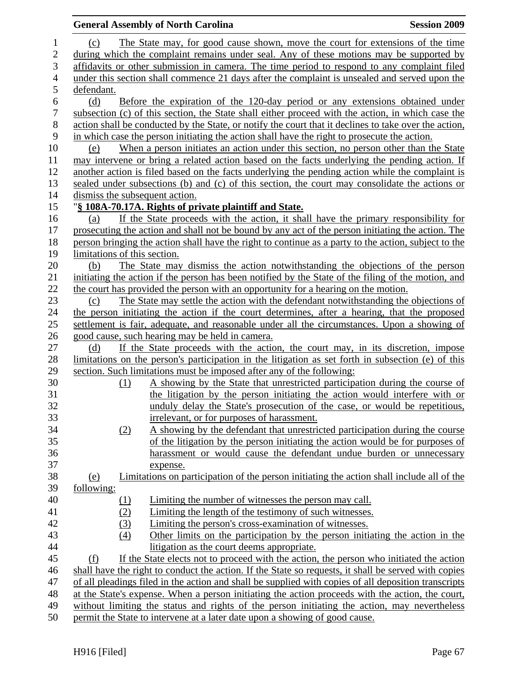|                  |                                | <b>General Assembly of North Carolina</b>                                                             | <b>Session 2009</b> |
|------------------|--------------------------------|-------------------------------------------------------------------------------------------------------|---------------------|
| $\mathbf{1}$     | (c)                            | The State may, for good cause shown, move the court for extensions of the time                        |                     |
| $\overline{2}$   |                                | during which the complaint remains under seal. Any of these motions may be supported by               |                     |
| 3                |                                | affidavits or other submission in camera. The time period to respond to any complaint filed           |                     |
| $\overline{4}$   |                                | under this section shall commence 21 days after the complaint is unsealed and served upon the         |                     |
| 5                | defendant.                     |                                                                                                       |                     |
| $\boldsymbol{6}$ | (d)                            | Before the expiration of the 120-day period or any extensions obtained under                          |                     |
| $\boldsymbol{7}$ |                                | subsection (c) of this section, the State shall either proceed with the action, in which case the     |                     |
| $8\,$            |                                | action shall be conducted by the State, or notify the court that it declines to take over the action, |                     |
| 9                |                                | in which case the person initiating the action shall have the right to prosecute the action.          |                     |
| 10               | (e)                            | When a person initiates an action under this section, no person other than the State                  |                     |
| 11               |                                | may intervene or bring a related action based on the facts underlying the pending action. If          |                     |
| 12               |                                | another action is filed based on the facts underlying the pending action while the complaint is       |                     |
| 13               |                                | sealed under subsections (b) and (c) of this section, the court may consolidate the actions or        |                     |
| 14               | dismiss the subsequent action. |                                                                                                       |                     |
| 15               |                                | "§ 108A-70.17A. Rights of private plaintiff and State.                                                |                     |
| 16               | (a)                            | If the State proceeds with the action, it shall have the primary responsibility for                   |                     |
| 17               |                                | prosecuting the action and shall not be bound by any act of the person initiating the action. The     |                     |
| 18               |                                | person bringing the action shall have the right to continue as a party to the action, subject to the  |                     |
| 19               | limitations of this section.   |                                                                                                       |                     |
| 20               | (b)                            | The State may dismiss the action notwithstanding the objections of the person                         |                     |
| 21               |                                | initiating the action if the person has been notified by the State of the filing of the motion, and   |                     |
| 22               |                                | the court has provided the person with an opportunity for a hearing on the motion.                    |                     |
| 23               | (c)                            | The State may settle the action with the defendant notwithstanding the objections of                  |                     |
| 24               |                                | the person initiating the action if the court determines, after a hearing, that the proposed          |                     |
| 25               |                                | settlement is fair, adequate, and reasonable under all the circumstances. Upon a showing of           |                     |
| 26               |                                | good cause, such hearing may be held in camera.                                                       |                     |
| 27               | (d)                            | If the State proceeds with the action, the court may, in its discretion, impose                       |                     |
| 28               |                                | limitations on the person's participation in the litigation as set forth in subsection (e) of this    |                     |
| 29               |                                | section. Such limitations must be imposed after any of the following:                                 |                     |
| 30               | (1)                            | A showing by the State that unrestricted participation during the course of                           |                     |
| 31               |                                | the litigation by the person initiating the action would interfere with or                            |                     |
| 32               |                                | unduly delay the State's prosecution of the case, or would be repetitious,                            |                     |
| 33               |                                | irrelevant, or for purposes of harassment.                                                            |                     |
| 34               | (2)                            | A showing by the defendant that unrestricted participation during the course                          |                     |
| 35               |                                | of the litigation by the person initiating the action would be for purposes of                        |                     |
| 36               |                                | harassment or would cause the defendant undue burden or unnecessary                                   |                     |
| 37               |                                | expense.                                                                                              |                     |
| 38               | <u>(e)</u>                     | Limitations on participation of the person initiating the action shall include all of the             |                     |
| 39               | <u>following:</u>              |                                                                                                       |                     |
| 40               | $\Omega$                       | Limiting the number of witnesses the person may call.                                                 |                     |
| 41               | (2)                            | Limiting the length of the testimony of such witnesses.                                               |                     |
| 42               | (3)                            | Limiting the person's cross-examination of witnesses.                                                 |                     |
| 43               | (4)                            | Other limits on the participation by the person initiating the action in the                          |                     |
| 44               |                                | litigation as the court deems appropriate.                                                            |                     |
| 45               | (f)                            | If the State elects not to proceed with the action, the person who initiated the action               |                     |
| 46               |                                | shall have the right to conduct the action. If the State so requests, it shall be served with copies  |                     |
| 47               |                                | of all pleadings filed in the action and shall be supplied with copies of all deposition transcripts  |                     |
| 48               |                                | at the State's expense. When a person initiating the action proceeds with the action, the court,      |                     |
| 49               |                                | without limiting the status and rights of the person initiating the action, may nevertheless          |                     |
| 50               |                                | permit the State to intervene at a later date upon a showing of good cause.                           |                     |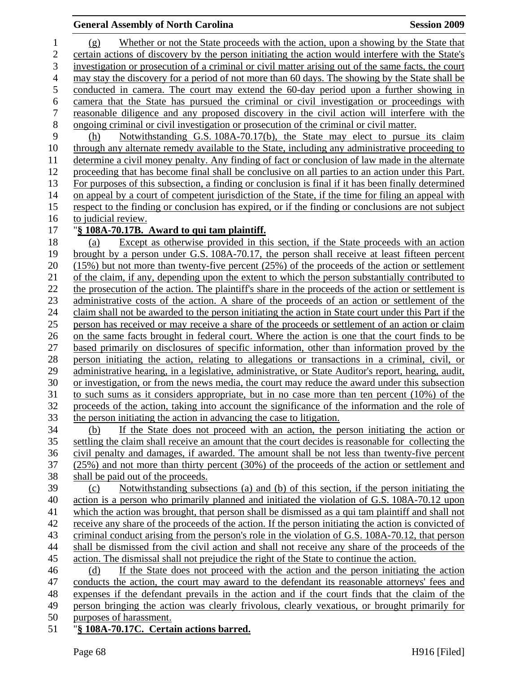#### **General Assembly of North Carolina Session 2009 Session 2009**

1 (g) Whether or not the State proceeds with the action, upon a showing by the State that 2 certain actions of discovery by the person initiating the action would interfere with the State's 3 investigation or prosecution of a criminal or civil matter arising out of the same facts, the court 4 may stay the discovery for a period of not more than 60 days. The showing by the State shall be 5 conducted in camera. The court may extend the 60-day period upon a further showing in 6 camera that the State has pursued the criminal or civil investigation or proceedings with 7 reasonable diligence and any proposed discovery in the civil action will interfere with the 8 ongoing criminal or civil investigation or prosecution of the criminal or civil matter. 9 (h) Notwithstanding G.S. 108A-70.17(b), the State may elect to pursue its claim 10 through any alternate remedy available to the State, including any administrative proceeding to 11 determine a civil money penalty. Any finding of fact or conclusion of law made in the alternate 12 proceeding that has become final shall be conclusive on all parties to an action under this Part. 13 For purposes of this subsection, a finding or conclusion is final if it has been finally determined 14 on appeal by a court of competent jurisdiction of the State, if the time for filing an appeal with 15 respect to the finding or conclusion has expired, or if the finding or conclusions are not subject 16 to judicial review. 17 "**§ 108A-70.17B. Award to qui tam plaintiff.** 18 (a) Except as otherwise provided in this section, if the State proceeds with an action 19 brought by a person under G.S. 108A-70.17, the person shall receive at least fifteen percent 20 (15%) but not more than twenty-five percent (25%) of the proceeds of the action or settlement 21 of the claim, if any, depending upon the extent to which the person substantially contributed to 22 the prosecution of the action. The plaintiff's share in the proceeds of the action or settlement is 23 administrative costs of the action. A share of the proceeds of an action or settlement of the 24 claim shall not be awarded to the person initiating the action in State court under this Part if the 25 person has received or may receive a share of the proceeds or settlement of an action or claim 26 on the same facts brought in federal court. Where the action is one that the court finds to be 27 based primarily on disclosures of specific information, other than information proved by the 28 person initiating the action, relating to allegations or transactions in a criminal, civil, or 29 administrative hearing, in a legislative, administrative, or State Auditor's report, hearing, audit, 30 or investigation, or from the news media, the court may reduce the award under this subsection 31 to such sums as it considers appropriate, but in no case more than ten percent (10%) of the 32 proceeds of the action, taking into account the significance of the information and the role of 33 the person initiating the action in advancing the case to litigation. 34 (b) If the State does not proceed with an action, the person initiating the action or 35 settling the claim shall receive an amount that the court decides is reasonable for collecting the 36 civil penalty and damages, if awarded. The amount shall be not less than twenty-five percent 37 (25%) and not more than thirty percent (30%) of the proceeds of the action or settlement and 38 shall be paid out of the proceeds. 39 (c) Notwithstanding subsections (a) and (b) of this section, if the person initiating the 40 action is a person who primarily planned and initiated the violation of G.S. 108A-70.12 upon 41 which the action was brought, that person shall be dismissed as a qui tam plaintiff and shall not 42 receive any share of the proceeds of the action. If the person initiating the action is convicted of 43 criminal conduct arising from the person's role in the violation of G.S. 108A-70.12, that person 44 shall be dismissed from the civil action and shall not receive any share of the proceeds of the 45 action. The dismissal shall not prejudice the right of the State to continue the action. 46 (d) If the State does not proceed with the action and the person initiating the action 47 conducts the action, the court may award to the defendant its reasonable attorneys' fees and 48 expenses if the defendant prevails in the action and if the court finds that the claim of the 49 person bringing the action was clearly frivolous, clearly vexatious, or brought primarily for 50 purposes of harassment. 51 "**§ 108A-70.17C. Certain actions barred.**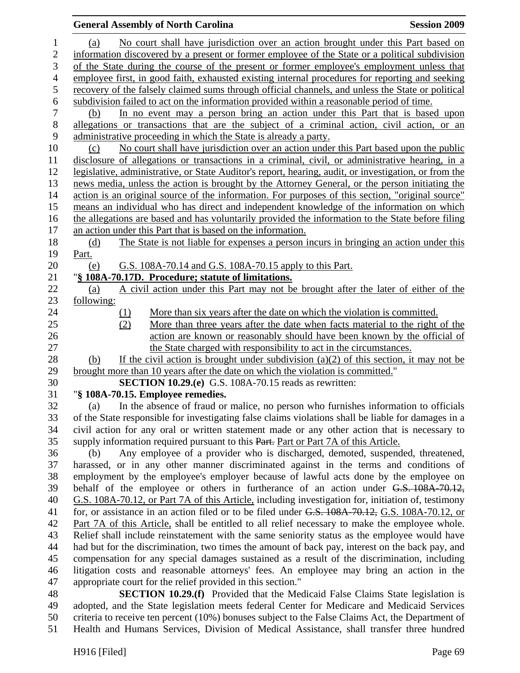## **General Assembly of North Carolina Session 2009 Session 2009** 1 (a) No court shall have jurisdiction over an action brought under this Part based on 2 information discovered by a present or former employee of the State or a political subdivision 3 of the State during the course of the present or former employee's employment unless that 4 employee first, in good faith, exhausted existing internal procedures for reporting and seeking 5 recovery of the falsely claimed sums through official channels, and unless the State or political 6 subdivision failed to act on the information provided within a reasonable period of time. 7 (b) In no event may a person bring an action under this Part that is based upon 8 allegations or transactions that are the subject of a criminal action, civil action, or an 9 administrative proceeding in which the State is already a party. 10 (c) No court shall have jurisdiction over an action under this Part based upon the public 11 disclosure of allegations or transactions in a criminal, civil, or administrative hearing, in a 12 legislative, administrative, or State Auditor's report, hearing, audit, or investigation, or from the 13 news media, unless the action is brought by the Attorney General, or the person initiating the 14 action is an original source of the information. For purposes of this section, "original source" 15 means an individual who has direct and independent knowledge of the information on which 16 the allegations are based and has voluntarily provided the information to the State before filing 17 an action under this Part that is based on the information. 18 (d) The State is not liable for expenses a person incurs in bringing an action under this 19 Part. 20 (e) G.S. 108A-70.14 and G.S. 108A-70.15 apply to this Part. 21 "**§ 108A-70.17D. Procedure; statute of limitations.** 22 (a) A civil action under this Part may not be brought after the later of either of the 23 following: 24 (1) More than six years after the date on which the violation is committed. 25 (2) More than three years after the date when facts material to the right of the 26 action are known or reasonably should have been known by the official of 27 the State charged with responsibility to act in the circumstances. 28 (b) If the civil action is brought under subdivision (a)(2) of this section, it may not be 29 brought more than 10 years after the date on which the violation is committed." 30 **SECTION 10.29.(e)** G.S. 108A-70.15 reads as rewritten: 31 "**§ 108A-70.15. Employee remedies.**  32 (a) In the absence of fraud or malice, no person who furnishes information to officials 33 of the State responsible for investigating false claims violations shall be liable for damages in a 34 civil action for any oral or written statement made or any other action that is necessary to 35 supply information required pursuant to this Part. Part or Part 7A of this Article. 36 (b) Any employee of a provider who is discharged, demoted, suspended, threatened, 37 harassed, or in any other manner discriminated against in the terms and conditions of 38 employment by the employee's employer because of lawful acts done by the employee on 39 behalf of the employee or others in furtherance of an action under G.S. 108A-70.12, 40 G.S. 108A-70.12, or Part 7A of this Article, including investigation for, initiation of, testimony 41 for, or assistance in an action filed or to be filed under G.S. 108A-70.12, G.S. 108A-70.12, or 42 Part 7A of this Article, shall be entitled to all relief necessary to make the employee whole. 43 Relief shall include reinstatement with the same seniority status as the employee would have 44 had but for the discrimination, two times the amount of back pay, interest on the back pay, and 45 compensation for any special damages sustained as a result of the discrimination, including 46 litigation costs and reasonable attorneys' fees. An employee may bring an action in the 47 appropriate court for the relief provided in this section."

48 **SECTION 10.29.(f)** Provided that the Medicaid False Claims State legislation is 49 adopted, and the State legislation meets federal Center for Medicare and Medicaid Services 50 criteria to receive ten percent (10%) bonuses subject to the False Claims Act, the Department of 51 Health and Humans Services, Division of Medical Assistance, shall transfer three hundred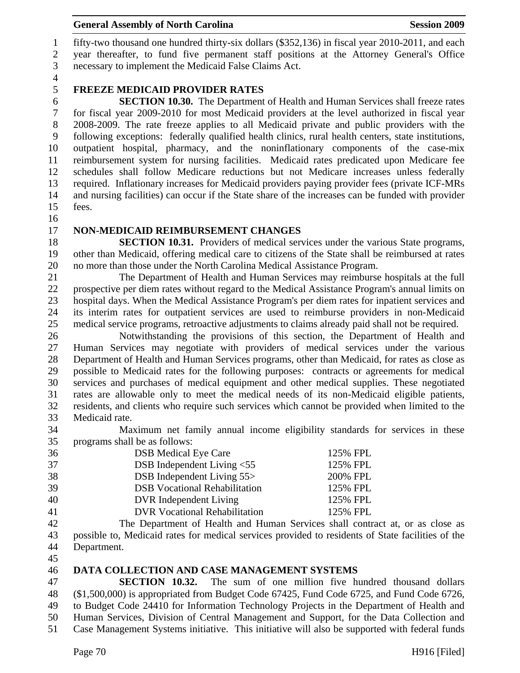### General Assembly of North Carolina **Session 2009**

1 fifty-two thousand one hundred thirty-six dollars (\$352,136) in fiscal year 2010-2011, and each 2 year thereafter, to fund five permanent staff positions at the Attorney General's Office 3 necessary to implement the Medicaid False Claims Act.

4

# 5 **FREEZE MEDICAID PROVIDER RATES**

6 **SECTION 10.30.** The Department of Health and Human Services shall freeze rates 7 for fiscal year 2009-2010 for most Medicaid providers at the level authorized in fiscal year 8 2008-2009. The rate freeze applies to all Medicaid private and public providers with the 9 following exceptions: federally qualified health clinics, rural health centers, state institutions, 10 outpatient hospital, pharmacy, and the noninflationary components of the case-mix 11 reimbursement system for nursing facilities. Medicaid rates predicated upon Medicare fee 12 schedules shall follow Medicare reductions but not Medicare increases unless federally 13 required. Inflationary increases for Medicaid providers paying provider fees (private ICF-MRs 14 and nursing facilities) can occur if the State share of the increases can be funded with provider 15 fees.

16

#### 17 **NON-MEDICAID REIMBURSEMENT CHANGES**

18 **SECTION 10.31.** Providers of medical services under the various State programs, 19 other than Medicaid, offering medical care to citizens of the State shall be reimbursed at rates 20 no more than those under the North Carolina Medical Assistance Program.

21 The Department of Health and Human Services may reimburse hospitals at the full 22 prospective per diem rates without regard to the Medical Assistance Program's annual limits on 23 hospital days. When the Medical Assistance Program's per diem rates for inpatient services and 24 its interim rates for outpatient services are used to reimburse providers in non-Medicaid 25 medical service programs, retroactive adjustments to claims already paid shall not be required.

26 Notwithstanding the provisions of this section, the Department of Health and 27 Human Services may negotiate with providers of medical services under the various 28 Department of Health and Human Services programs, other than Medicaid, for rates as close as 29 possible to Medicaid rates for the following purposes: contracts or agreements for medical 30 services and purchases of medical equipment and other medical supplies. These negotiated 31 rates are allowable only to meet the medical needs of its non-Medicaid eligible patients, 32 residents, and clients who require such services which cannot be provided when limited to the 33 Medicaid rate.

34 Maximum net family annual income eligibility standards for services in these 35 programs shall be as follows:

| 36 | <b>DSB</b> Medical Eye Care          | 125% FPL |
|----|--------------------------------------|----------|
| 37 | DSB Independent Living $< 55$        | 125% FPL |
| 38 | DSB Independent Living 55>           | 200% FPL |
| 39 | <b>DSB</b> Vocational Rehabilitation | 125% FPL |
| 40 | DVR Independent Living               | 125% FPL |
| 41 | <b>DVR Vocational Rehabilitation</b> | 125% FPL |

42 The Department of Health and Human Services shall contract at, or as close as 43 possible to, Medicaid rates for medical services provided to residents of State facilities of the 44 Department.

45

#### 46 **DATA COLLECTION AND CASE MANAGEMENT SYSTEMS**

47 **SECTION 10.32.** The sum of one million five hundred thousand dollars 48 (\$1,500,000) is appropriated from Budget Code 67425, Fund Code 6725, and Fund Code 6726, 49 to Budget Code 24410 for Information Technology Projects in the Department of Health and 50 Human Services, Division of Central Management and Support, for the Data Collection and 51 Case Management Systems initiative. This initiative will also be supported with federal funds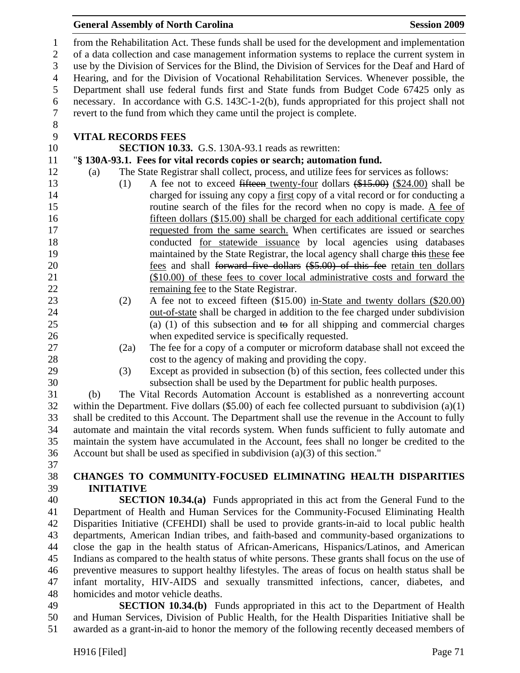#### **General Assembly of North Carolina**  Session 2009 **Session 2009**

1 from the Rehabilitation Act. These funds shall be used for the development and implementation 2 of a data collection and case management information systems to replace the current system in 3 use by the Division of Services for the Blind, the Division of Services for the Deaf and Hard of 4 Hearing, and for the Division of Vocational Rehabilitation Services. Whenever possible, the 5 Department shall use federal funds first and State funds from Budget Code 67425 only as 6 necessary. In accordance with G.S. 143C-1-2(b), funds appropriated for this project shall not 7 revert to the fund from which they came until the project is complete. 8

## 9 **VITAL RECORDS FEES**

10 **SECTION 10.33.** G.S. 130A-93.1 reads as rewritten:

#### 11 "**§ 130A-93.1. Fees for vital records copies or search; automation fund.**

- 12 (a) The State Registrar shall collect, process, and utilize fees for services as follows:
- 13 (1) A fee not to exceed fifteen twenty-four dollars (\$15.00) (\$24.00) shall be 14 charged for issuing any copy a first copy of a vital record or for conducting a 15 routine search of the files for the record when no copy is made. A fee of 16 fifteen dollars (\$15.00) shall be charged for each additional certificate copy 17 requested from the same search. When certificates are issued or searches 18 conducted for statewide issuance by local agencies using databases 19 maintained by the State Registrar, the local agency shall charge this these fee 20 **fees and shall <del>forward five dollars</del>** (\$5.00) of this fee retain ten dollars 21 (\$10.00) of these fees to cover local administrative costs and forward the 22 remaining fee to the State Registrar.
- 23 (2) A fee not to exceed fifteen (\$15.00) in-State and twenty dollars (\$20.00) 24 out-of-state shall be charged in addition to the fee charged under subdivision 25 (a) (1) of this subsection and to for all shipping and commercial charges 26 when expedited service is specifically requested.
- 
- 27 (2a) The fee for a copy of a computer or microform database shall not exceed the 28 cost to the agency of making and providing the copy.
- 
- 

29 (3) Except as provided in subsection (b) of this section, fees collected under this 30 subsection shall be used by the Department for public health purposes. 31 (b) The Vital Records Automation Account is established as a nonreverting account

32 within the Department. Five dollars (\$5.00) of each fee collected pursuant to subdivision (a)(1) 33 shall be credited to this Account. The Department shall use the revenue in the Account to fully 34 automate and maintain the vital records system. When funds sufficient to fully automate and 35 maintain the system have accumulated in the Account, fees shall no longer be credited to the 36 Account but shall be used as specified in subdivision (a)(3) of this section."

37

# 38 **CHANGES TO COMMUNITY-FOCUSED ELIMINATING HEALTH DISPARITIES**  39 **INITIATIVE**

40 **SECTION 10.34.(a)** Funds appropriated in this act from the General Fund to the 41 Department of Health and Human Services for the Community-Focused Eliminating Health 42 Disparities Initiative (CFEHDI) shall be used to provide grants-in-aid to local public health 43 departments, American Indian tribes, and faith-based and community-based organizations to 44 close the gap in the health status of African-Americans, Hispanics/Latinos, and American 45 Indians as compared to the health status of white persons. These grants shall focus on the use of 46 preventive measures to support healthy lifestyles. The areas of focus on health status shall be 47 infant mortality, HIV-AIDS and sexually transmitted infections, cancer, diabetes, and 48 homicides and motor vehicle deaths.

49 **SECTION 10.34.(b)** Funds appropriated in this act to the Department of Health 50 and Human Services, Division of Public Health, for the Health Disparities Initiative shall be 51 awarded as a grant-in-aid to honor the memory of the following recently deceased members of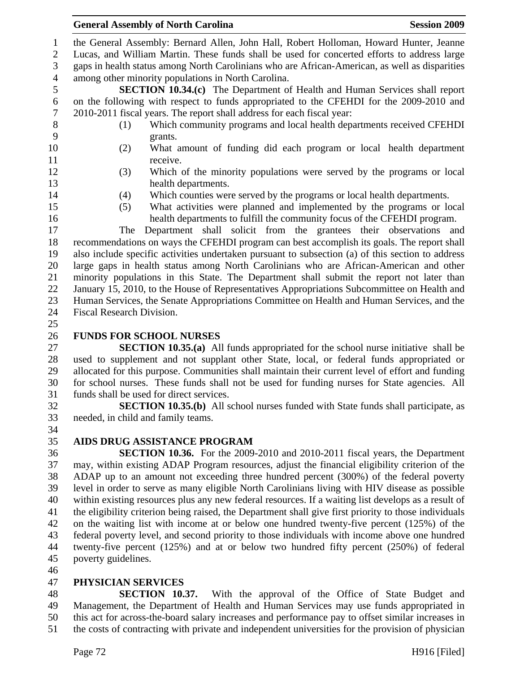1 the General Assembly: Bernard Allen, John Hall, Robert Holloman, Howard Hunter, Jeanne

2 Lucas, and William Martin. These funds shall be used for concerted efforts to address large 3 gaps in health status among North Carolinians who are African-American, as well as disparities

4 among other minority populations in North Carolina.

5 **SECTION 10.34.(c)** The Department of Health and Human Services shall report 6 on the following with respect to funds appropriated to the CFEHDI for the 2009-2010 and 7 2010-2011 fiscal years. The report shall address for each fiscal year:

- 8 (1) Which community programs and local health departments received CFEHDI 9 grants.
- 10 (2) What amount of funding did each program or local health department 11 receive.
- 12 (3) Which of the minority populations were served by the programs or local 13 health departments.
- 
- 
- 14 (4) Which counties were served by the programs or local health departments.
- 15 (5) What activities were planned and implemented by the programs or local 16 health departments to fulfill the community focus of the CFEHDI program.

17 The Department shall solicit from the grantees their observations and 18 recommendations on ways the CFEHDI program can best accomplish its goals. The report shall 19 also include specific activities undertaken pursuant to subsection (a) of this section to address 20 large gaps in health status among North Carolinians who are African-American and other 21 minority populations in this State. The Department shall submit the report not later than 22 January 15, 2010, to the House of Representatives Appropriations Subcommittee on Health and 23 Human Services, the Senate Appropriations Committee on Health and Human Services, and the 24 Fiscal Research Division.

25

# 26 **FUNDS FOR SCHOOL NURSES**

27 **SECTION 10.35.(a)** All funds appropriated for the school nurse initiative shall be 28 used to supplement and not supplant other State, local, or federal funds appropriated or 29 allocated for this purpose. Communities shall maintain their current level of effort and funding 30 for school nurses. These funds shall not be used for funding nurses for State agencies. All 31 funds shall be used for direct services.

32 **SECTION 10.35.(b)** All school nurses funded with State funds shall participate, as 33 needed, in child and family teams. 34

# 35 **AIDS DRUG ASSISTANCE PROGRAM**

36 **SECTION 10.36.** For the 2009-2010 and 2010-2011 fiscal years, the Department 37 may, within existing ADAP Program resources, adjust the financial eligibility criterion of the 38 ADAP up to an amount not exceeding three hundred percent (300%) of the federal poverty 39 level in order to serve as many eligible North Carolinians living with HIV disease as possible 40 within existing resources plus any new federal resources. If a waiting list develops as a result of 41 the eligibility criterion being raised, the Department shall give first priority to those individuals 42 on the waiting list with income at or below one hundred twenty-five percent (125%) of the 43 federal poverty level, and second priority to those individuals with income above one hundred 44 twenty-five percent (125%) and at or below two hundred fifty percent (250%) of federal 45 poverty guidelines.

46

# 47 **PHYSICIAN SERVICES**

48 **SECTION 10.37.** With the approval of the Office of State Budget and 49 Management, the Department of Health and Human Services may use funds appropriated in 50 this act for across-the-board salary increases and performance pay to offset similar increases in 51 the costs of contracting with private and independent universities for the provision of physician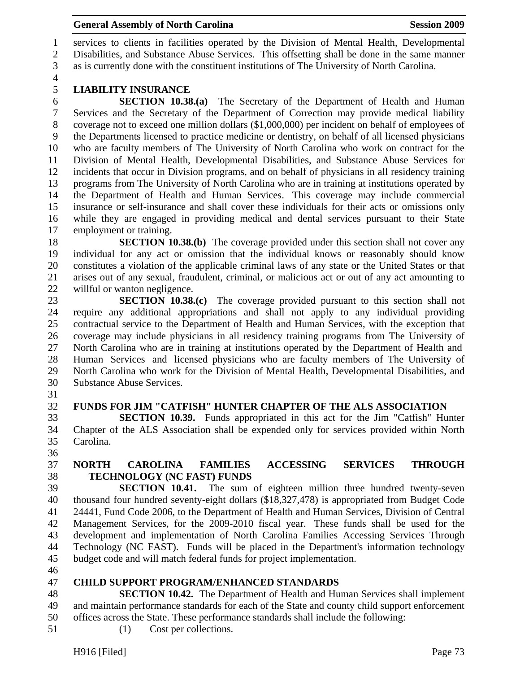1 services to clients in facilities operated by the Division of Mental Health, Developmental 2 Disabilities, and Substance Abuse Services. This offsetting shall be done in the same manner 3 as is currently done with the constituent institutions of The University of North Carolina.

4

# 5 **LIABILITY INSURANCE**

6 **SECTION 10.38.(a)** The Secretary of the Department of Health and Human 7 Services and the Secretary of the Department of Correction may provide medical liability 8 coverage not to exceed one million dollars (\$1,000,000) per incident on behalf of employees of 9 the Departments licensed to practice medicine or dentistry, on behalf of all licensed physicians 10 who are faculty members of The University of North Carolina who work on contract for the 11 Division of Mental Health, Developmental Disabilities, and Substance Abuse Services for 12 incidents that occur in Division programs, and on behalf of physicians in all residency training 13 programs from The University of North Carolina who are in training at institutions operated by 14 the Department of Health and Human Services. This coverage may include commercial 15 insurance or self-insurance and shall cover these individuals for their acts or omissions only 16 while they are engaged in providing medical and dental services pursuant to their State 17 employment or training.

18 **SECTION 10.38.(b)** The coverage provided under this section shall not cover any 19 individual for any act or omission that the individual knows or reasonably should know 20 constitutes a violation of the applicable criminal laws of any state or the United States or that 21 arises out of any sexual, fraudulent, criminal, or malicious act or out of any act amounting to 22 willful or wanton negligence.

23 **SECTION 10.38.(c)** The coverage provided pursuant to this section shall not 24 require any additional appropriations and shall not apply to any individual providing 25 contractual service to the Department of Health and Human Services, with the exception that 26 coverage may include physicians in all residency training programs from The University of 27 North Carolina who are in training at institutions operated by the Department of Health and 28 Human Services and licensed physicians who are faculty members of The University of 29 North Carolina who work for the Division of Mental Health, Developmental Disabilities, and 30 Substance Abuse Services.

31

#### 32 **FUNDS FOR JIM "CATFISH" HUNTER CHAPTER OF THE ALS ASSOCIATION**

33 **SECTION 10.39.** Funds appropriated in this act for the Jim "Catfish" Hunter 34 Chapter of the ALS Association shall be expended only for services provided within North 35 Carolina.

36

# 37 **NORTH CAROLINA FAMILIES ACCESSING SERVICES THROUGH**  38 **TECHNOLOGY (NC FAST) FUNDS**

39 **SECTION 10.41.** The sum of eighteen million three hundred twenty-seven 40 thousand four hundred seventy-eight dollars (\$18,327,478) is appropriated from Budget Code 41 24441, Fund Code 2006, to the Department of Health and Human Services, Division of Central 42 Management Services, for the 2009-2010 fiscal year. These funds shall be used for the 43 development and implementation of North Carolina Families Accessing Services Through 44 Technology (NC FAST). Funds will be placed in the Department's information technology 45 budget code and will match federal funds for project implementation.

46

#### 47 **CHILD SUPPORT PROGRAM/ENHANCED STANDARDS**

48 **SECTION 10.42.** The Department of Health and Human Services shall implement 49 and maintain performance standards for each of the State and county child support enforcement 50 offices across the State. These performance standards shall include the following:

51 (1) Cost per collections.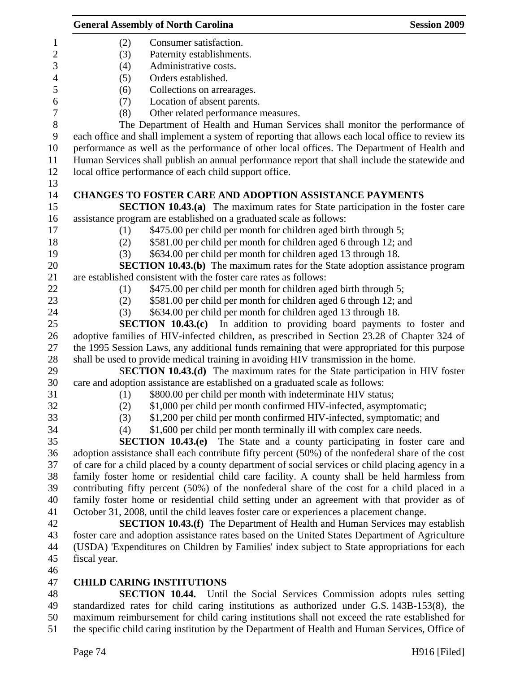|                  | <b>General Assembly of North Carolina</b>                                                         | <b>Session 2009</b> |
|------------------|---------------------------------------------------------------------------------------------------|---------------------|
| $\mathbf{1}$     | (2)<br>Consumer satisfaction.                                                                     |                     |
| $\overline{2}$   | (3)<br>Paternity establishments.                                                                  |                     |
| 3                | Administrative costs.<br>(4)                                                                      |                     |
| $\overline{4}$   | (5)<br>Orders established.                                                                        |                     |
| 5                | Collections on arrearages.<br>(6)                                                                 |                     |
| 6                | Location of absent parents.<br>(7)                                                                |                     |
| $\boldsymbol{7}$ | Other related performance measures.<br>(8)                                                        |                     |
| $\, 8$           | The Department of Health and Human Services shall monitor the performance of                      |                     |
| $\boldsymbol{9}$ | each office and shall implement a system of reporting that allows each local office to review its |                     |
| 10               | performance as well as the performance of other local offices. The Department of Health and       |                     |
| 11               | Human Services shall publish an annual performance report that shall include the statewide and    |                     |
| 12               | local office performance of each child support office.                                            |                     |
| 13               |                                                                                                   |                     |
| 14               | <b>CHANGES TO FOSTER CARE AND ADOPTION ASSISTANCE PAYMENTS</b>                                    |                     |
| 15               | <b>SECTION 10.43.(a)</b> The maximum rates for State participation in the foster care             |                     |
| 16               | assistance program are established on a graduated scale as follows:                               |                     |
| 17               | \$475.00 per child per month for children aged birth through 5;<br>(1)                            |                     |
| 18               | \$581.00 per child per month for children aged 6 through 12; and<br>(2)                           |                     |
| 19               | \$634.00 per child per month for children aged 13 through 18.<br>(3)                              |                     |
| 20               | <b>SECTION 10.43.(b)</b> The maximum rates for the State adoption assistance program              |                     |
| 21               | are established consistent with the foster care rates as follows:                                 |                     |
| 22               | \$475.00 per child per month for children aged birth through 5;<br>(1)                            |                     |
| 23               | \$581.00 per child per month for children aged 6 through 12; and<br>(2)                           |                     |
| 24               | \$634.00 per child per month for children aged 13 through 18.<br>(3)                              |                     |
| 25               | SECTION 10.43.(c) In addition to providing board payments to foster and                           |                     |
| 26               | adoptive families of HIV-infected children, as prescribed in Section 23.28 of Chapter 324 of      |                     |
| 27               | the 1995 Session Laws, any additional funds remaining that were appropriated for this purpose     |                     |
| 28               | shall be used to provide medical training in avoiding HIV transmission in the home.               |                     |
| 29               | SECTION 10.43.(d) The maximum rates for the State participation in HIV foster                     |                     |
| 30               | care and adoption assistance are established on a graduated scale as follows:                     |                     |
| 31               | \$800.00 per child per month with indeterminate HIV status;<br>(1)                                |                     |
| 32               | \$1,000 per child per month confirmed HIV-infected, asymptomatic;<br>(2)                          |                     |
| 33               | (3)<br>\$1,200 per child per month confirmed HIV-infected, symptomatic; and                       |                     |
| 34               | \$1,600 per child per month terminally ill with complex care needs.<br>(4)                        |                     |
| 35               | <b>SECTION 10.43.(e)</b><br>The State and a county participating in foster care and               |                     |
| 36               | adoption assistance shall each contribute fifty percent (50%) of the nonfederal share of the cost |                     |
| 37               | of care for a child placed by a county department of social services or child placing agency in a |                     |
| 38               | family foster home or residential child care facility. A county shall be held harmless from       |                     |
| 39               | contributing fifty percent (50%) of the nonfederal share of the cost for a child placed in a      |                     |
| 40               | family foster home or residential child setting under an agreement with that provider as of       |                     |
| 41               | October 31, 2008, until the child leaves foster care or experiences a placement change.           |                     |
| 42               | <b>SECTION 10.43.(f)</b> The Department of Health and Human Services may establish                |                     |
| 43               | foster care and adoption assistance rates based on the United States Department of Agriculture    |                     |
| 44               | (USDA) 'Expenditures on Children by Families' index subject to State appropriations for each      |                     |
| 45               | fiscal year.                                                                                      |                     |
| 46               |                                                                                                   |                     |
| 47               | <b>CHILD CARING INSTITUTIONS</b>                                                                  |                     |
| 48               | <b>SECTION 10.44.</b> Until the Social Services Commission adopts rules setting                   |                     |
| 49               | standardized rates for child caring institutions as authorized under G.S. 143B-153(8), the        |                     |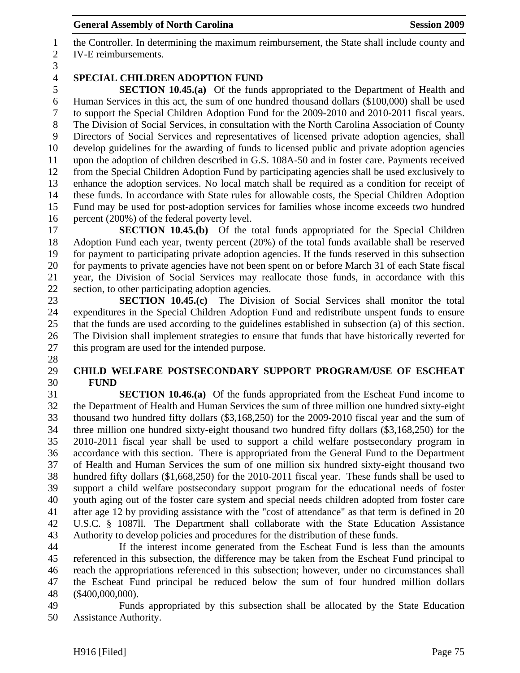1 the Controller. In determining the maximum reimbursement, the State shall include county and 2 IV-E reimbursements.

3

28

# 4 **SPECIAL CHILDREN ADOPTION FUND**

5 **SECTION 10.45.(a)** Of the funds appropriated to the Department of Health and 6 Human Services in this act, the sum of one hundred thousand dollars (\$100,000) shall be used 7 to support the Special Children Adoption Fund for the 2009-2010 and 2010-2011 fiscal years. 8 The Division of Social Services, in consultation with the North Carolina Association of County 9 Directors of Social Services and representatives of licensed private adoption agencies, shall 10 develop guidelines for the awarding of funds to licensed public and private adoption agencies 11 upon the adoption of children described in G.S. 108A-50 and in foster care. Payments received 12 from the Special Children Adoption Fund by participating agencies shall be used exclusively to 13 enhance the adoption services. No local match shall be required as a condition for receipt of 14 these funds. In accordance with State rules for allowable costs, the Special Children Adoption 15 Fund may be used for post-adoption services for families whose income exceeds two hundred 16 percent (200%) of the federal poverty level.

17 **SECTION 10.45.(b)** Of the total funds appropriated for the Special Children 18 Adoption Fund each year, twenty percent (20%) of the total funds available shall be reserved 19 for payment to participating private adoption agencies. If the funds reserved in this subsection 20 for payments to private agencies have not been spent on or before March 31 of each State fiscal 21 year, the Division of Social Services may reallocate those funds, in accordance with this 22 section, to other participating adoption agencies.

23 **SECTION 10.45.(c)** The Division of Social Services shall monitor the total 24 expenditures in the Special Children Adoption Fund and redistribute unspent funds to ensure 25 that the funds are used according to the guidelines established in subsection (a) of this section. 26 The Division shall implement strategies to ensure that funds that have historically reverted for 27 this program are used for the intended purpose.

#### 29 **CHILD WELFARE POSTSECONDARY SUPPORT PROGRAM/USE OF ESCHEAT**  30 **FUND**

31 **SECTION 10.46.(a)** Of the funds appropriated from the Escheat Fund income to 32 the Department of Health and Human Services the sum of three million one hundred sixty-eight 33 thousand two hundred fifty dollars (\$3,168,250) for the 2009-2010 fiscal year and the sum of 34 three million one hundred sixty-eight thousand two hundred fifty dollars (\$3,168,250) for the 35 2010-2011 fiscal year shall be used to support a child welfare postsecondary program in 36 accordance with this section. There is appropriated from the General Fund to the Department 37 of Health and Human Services the sum of one million six hundred sixty-eight thousand two 38 hundred fifty dollars (\$1,668,250) for the 2010-2011 fiscal year. These funds shall be used to 39 support a child welfare postsecondary support program for the educational needs of foster 40 youth aging out of the foster care system and special needs children adopted from foster care 41 after age 12 by providing assistance with the "cost of attendance" as that term is defined in 20 42 U.S.C. § 1087ll. The Department shall collaborate with the State Education Assistance 43 Authority to develop policies and procedures for the distribution of these funds.

44 If the interest income generated from the Escheat Fund is less than the amounts 45 referenced in this subsection, the difference may be taken from the Escheat Fund principal to 46 reach the appropriations referenced in this subsection; however, under no circumstances shall 47 the Escheat Fund principal be reduced below the sum of four hundred million dollars 48 (\$400,000,000).

49 Funds appropriated by this subsection shall be allocated by the State Education 50 Assistance Authority.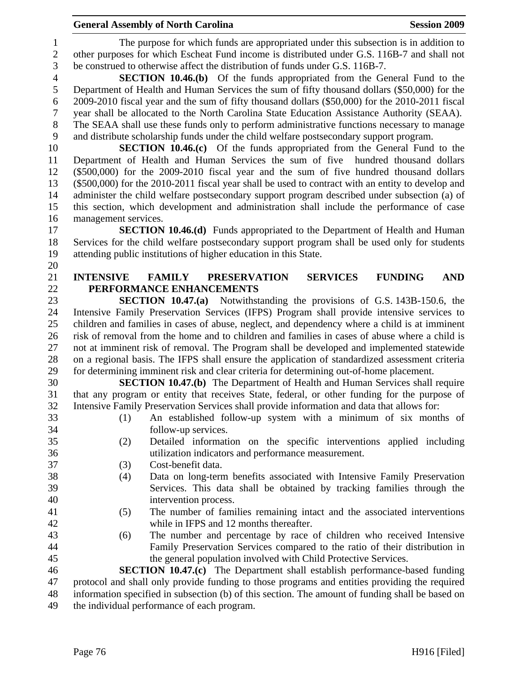1 The purpose for which funds are appropriated under this subsection is in addition to 2 other purposes for which Escheat Fund income is distributed under G.S. 116B-7 and shall not 3 be construed to otherwise affect the distribution of funds under G.S. 116B-7.

4 **SECTION 10.46.(b)** Of the funds appropriated from the General Fund to the 5 Department of Health and Human Services the sum of fifty thousand dollars (\$50,000) for the 6 2009-2010 fiscal year and the sum of fifty thousand dollars (\$50,000) for the 2010-2011 fiscal 7 year shall be allocated to the North Carolina State Education Assistance Authority (SEAA). 8 The SEAA shall use these funds only to perform administrative functions necessary to manage

9 and distribute scholarship funds under the child welfare postsecondary support program.

10 **SECTION 10.46.(c)** Of the funds appropriated from the General Fund to the 11 Department of Health and Human Services the sum of five hundred thousand dollars 12 (\$500,000) for the 2009-2010 fiscal year and the sum of five hundred thousand dollars 13 (\$500,000) for the 2010-2011 fiscal year shall be used to contract with an entity to develop and 14 administer the child welfare postsecondary support program described under subsection (a) of 15 this section, which development and administration shall include the performance of case 16 management services.

17 **SECTION 10.46.(d)** Funds appropriated to the Department of Health and Human 18 Services for the child welfare postsecondary support program shall be used only for students 19 attending public institutions of higher education in this State.

#### 21 **INTENSIVE FAMILY PRESERVATION SERVICES FUNDING AND**  22 **PERFORMANCE ENHANCEMENTS**

23 **SECTION 10.47.(a)** Notwithstanding the provisions of G.S. 143B-150.6, the 24 Intensive Family Preservation Services (IFPS) Program shall provide intensive services to 25 children and families in cases of abuse, neglect, and dependency where a child is at imminent 26 risk of removal from the home and to children and families in cases of abuse where a child is 27 not at imminent risk of removal. The Program shall be developed and implemented statewide 28 on a regional basis. The IFPS shall ensure the application of standardized assessment criteria 29 for determining imminent risk and clear criteria for determining out-of-home placement.

30 **SECTION 10.47.(b)** The Department of Health and Human Services shall require 31 that any program or entity that receives State, federal, or other funding for the purpose of 32 Intensive Family Preservation Services shall provide information and data that allows for:

- 33 (1) An established follow-up system with a minimum of six months of 34 follow-up services.
- 35 (2) Detailed information on the specific interventions applied including 36 utilization indicators and performance measurement.
- 37 (3) Cost-benefit data.
- 38 (4) Data on long-term benefits associated with Intensive Family Preservation 39 Services. This data shall be obtained by tracking families through the 40 intervention process.
- 41 (5) The number of families remaining intact and the associated interventions 42 while in IFPS and 12 months thereafter.
- 43 (6) The number and percentage by race of children who received Intensive 44 Family Preservation Services compared to the ratio of their distribution in 45 the general population involved with Child Protective Services.

46 **SECTION 10.47.(c)** The Department shall establish performance-based funding 47 protocol and shall only provide funding to those programs and entities providing the required 48 information specified in subsection (b) of this section. The amount of funding shall be based on 49 the individual performance of each program.

20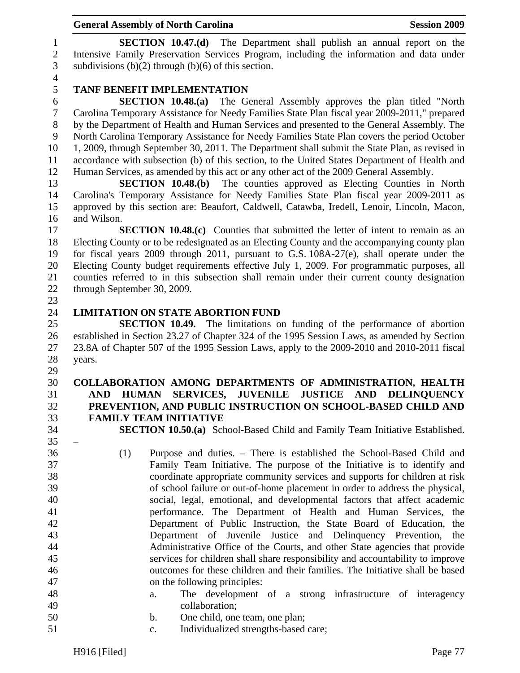1 **SECTION 10.47.(d)** The Department shall publish an annual report on the 2 Intensive Family Preservation Services Program, including the information and data under 3 subdivisions  $(b)(2)$  through  $(b)(6)$  of this section.

4

# 5 **TANF BENEFIT IMPLEMENTATION**

6 **SECTION 10.48.(a)** The General Assembly approves the plan titled "North 7 Carolina Temporary Assistance for Needy Families State Plan fiscal year 2009-2011," prepared 8 by the Department of Health and Human Services and presented to the General Assembly. The 9 North Carolina Temporary Assistance for Needy Families State Plan covers the period October 10 1, 2009, through September 30, 2011. The Department shall submit the State Plan, as revised in 11 accordance with subsection (b) of this section, to the United States Department of Health and 12 Human Services, as amended by this act or any other act of the 2009 General Assembly.

13 **SECTION 10.48.(b)** The counties approved as Electing Counties in North 14 Carolina's Temporary Assistance for Needy Families State Plan fiscal year 2009-2011 as 15 approved by this section are: Beaufort, Caldwell, Catawba, Iredell, Lenoir, Lincoln, Macon, 16 and Wilson.

17 **SECTION 10.48.(c)** Counties that submitted the letter of intent to remain as an 18 Electing County or to be redesignated as an Electing County and the accompanying county plan 19 for fiscal years 2009 through 2011, pursuant to G.S. 108A-27(e), shall operate under the 20 Electing County budget requirements effective July 1, 2009. For programmatic purposes, all 21 counties referred to in this subsection shall remain under their current county designation 22 through September 30, 2009.

23

#### 24 **LIMITATION ON STATE ABORTION FUND**

25 **SECTION 10.49.** The limitations on funding of the performance of abortion 26 established in Section 23.27 of Chapter 324 of the 1995 Session Laws, as amended by Section 27 23.8A of Chapter 507 of the 1995 Session Laws, apply to the 2009-2010 and 2010-2011 fiscal 28 years.

#### 30 **COLLABORATION AMONG DEPARTMENTS OF ADMINISTRATION, HEALTH**  31 **AND HUMAN SERVICES, JUVENILE JUSTICE AND DELINQUENCY**  32 **PREVENTION, AND PUBLIC INSTRUCTION ON SCHOOL-BASED CHILD AND**  33 **FAMILY TEAM INITIATIVE**

 $35 -$ 

29

34 **SECTION 10.50.(a)** School-Based Child and Family Team Initiative Established.

- 36 (1) Purpose and duties. There is established the School-Based Child and 37 Family Team Initiative. The purpose of the Initiative is to identify and 38 coordinate appropriate community services and supports for children at risk 39 of school failure or out-of-home placement in order to address the physical, 40 social, legal, emotional, and developmental factors that affect academic 41 performance. The Department of Health and Human Services, the 42 Department of Public Instruction, the State Board of Education, the 43 Department of Juvenile Justice and Delinquency Prevention, the 44 Administrative Office of the Courts, and other State agencies that provide 45 services for children shall share responsibility and accountability to improve 46 outcomes for these children and their families. The Initiative shall be based 47 on the following principles:
- 48 a. The development of a strong infrastructure of interagency 49 collaboration;
- 50 b. One child, one team, one plan;
- 51 c. Individualized strengths-based care;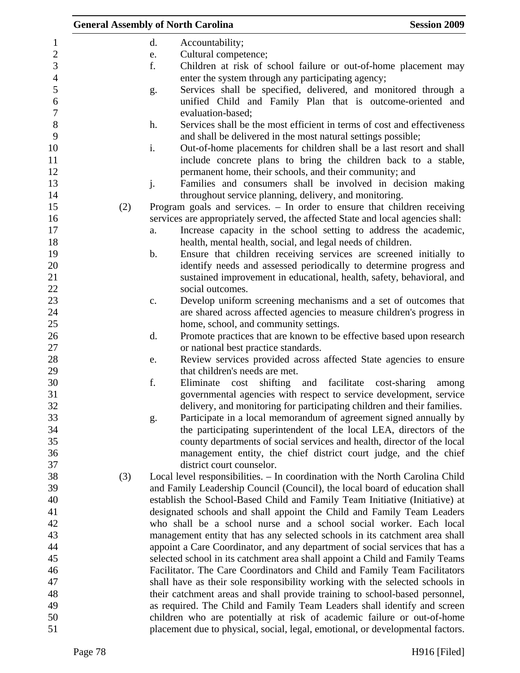|     |               | <b>General Assembly of North Carolina</b>                                       | <b>Session 2009</b>   |
|-----|---------------|---------------------------------------------------------------------------------|-----------------------|
|     | d.            | Accountability;                                                                 |                       |
|     | e.            | Cultural competence;                                                            |                       |
|     | f.            | Children at risk of school failure or out-of-home placement may                 |                       |
|     |               | enter the system through any participating agency;                              |                       |
|     | g.            | Services shall be specified, delivered, and monitored through a                 |                       |
|     |               | unified Child and Family Plan that is outcome-oriented and                      |                       |
|     |               | evaluation-based;                                                               |                       |
|     | h.            | Services shall be the most efficient in terms of cost and effectiveness         |                       |
|     |               | and shall be delivered in the most natural settings possible;                   |                       |
|     | i.            | Out-of-home placements for children shall be a last resort and shall            |                       |
|     |               | include concrete plans to bring the children back to a stable,                  |                       |
|     |               | permanent home, their schools, and their community; and                         |                       |
|     | j.            | Families and consumers shall be involved in decision making                     |                       |
|     |               | throughout service planning, delivery, and monitoring.                          |                       |
| (2) |               | Program goals and services. - In order to ensure that children receiving        |                       |
|     |               | services are appropriately served, the affected State and local agencies shall: |                       |
|     | a.            | Increase capacity in the school setting to address the academic,                |                       |
|     |               | health, mental health, social, and legal needs of children.                     |                       |
|     | $\mathbf b$ . | Ensure that children receiving services are screened initially to               |                       |
|     |               | identify needs and assessed periodically to determine progress and              |                       |
|     |               | sustained improvement in educational, health, safety, behavioral, and           |                       |
|     |               | social outcomes.                                                                |                       |
|     | c.            | Develop uniform screening mechanisms and a set of outcomes that                 |                       |
|     |               | are shared across affected agencies to measure children's progress in           |                       |
|     |               | home, school, and community settings.                                           |                       |
|     | d.            | Promote practices that are known to be effective based upon research            |                       |
|     |               | or national best practice standards.                                            |                       |
|     | e.            | Review services provided across affected State agencies to ensure               |                       |
|     |               | that children's needs are met.                                                  |                       |
|     | f.            | shifting and<br>facilitate<br>Eliminate<br>cost                                 | cost-sharing<br>among |
|     |               | governmental agencies with respect to service development, service              |                       |
|     |               | delivery, and monitoring for participating children and their families.         |                       |
|     | g.            | Participate in a local memorandum of agreement signed annually by               |                       |
|     |               | the participating superintendent of the local LEA, directors of the             |                       |
|     |               | county departments of social services and health, director of the local         |                       |
|     |               | management entity, the chief district court judge, and the chief                |                       |
|     |               | district court counselor.                                                       |                       |
| (3) |               | Local level responsibilities. - In coordination with the North Carolina Child   |                       |
|     |               | and Family Leadership Council (Council), the local board of education shall     |                       |
|     |               | establish the School-Based Child and Family Team Initiative (Initiative) at     |                       |
|     |               | designated schools and shall appoint the Child and Family Team Leaders          |                       |
|     |               | who shall be a school nurse and a school social worker. Each local              |                       |
|     |               | management entity that has any selected schools in its catchment area shall     |                       |
|     |               | appoint a Care Coordinator, and any department of social services that has a    |                       |
|     |               | selected school in its catchment area shall appoint a Child and Family Teams    |                       |
|     |               | Facilitator. The Care Coordinators and Child and Family Team Facilitators       |                       |
|     |               | shall have as their sole responsibility working with the selected schools in    |                       |
|     |               | their catchment areas and shall provide training to school-based personnel,     |                       |
|     |               | as required. The Child and Family Team Leaders shall identify and screen        |                       |
|     |               | children who are potentially at risk of academic failure or out-of-home         |                       |
|     |               | placement due to physical, social, legal, emotional, or developmental factors.  |                       |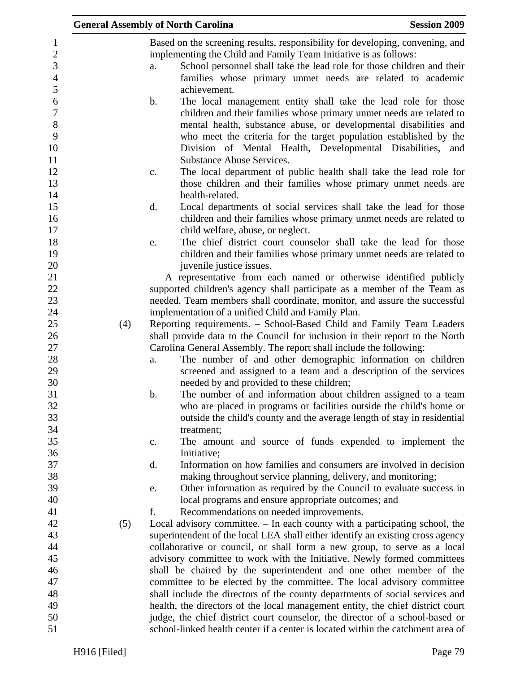|     | <b>General Assembly of North Carolina</b>                                                                                                                                                                                                                                                                                                             | <b>Session 2009</b> |
|-----|-------------------------------------------------------------------------------------------------------------------------------------------------------------------------------------------------------------------------------------------------------------------------------------------------------------------------------------------------------|---------------------|
|     | Based on the screening results, responsibility for developing, convening, and<br>implementing the Child and Family Team Initiative is as follows:<br>School personnel shall take the lead role for those children and their<br>a.                                                                                                                     |                     |
|     | families whose primary unmet needs are related to academic<br>achievement.                                                                                                                                                                                                                                                                            |                     |
|     | The local management entity shall take the lead role for those<br>b.<br>children and their families whose primary unmet needs are related to<br>mental health, substance abuse, or developmental disabilities and<br>who meet the criteria for the target population established by the<br>Division of Mental Health, Developmental Disabilities, and |                     |
|     | <b>Substance Abuse Services.</b><br>The local department of public health shall take the lead role for<br>c.<br>those children and their families whose primary unmet needs are<br>health-related.                                                                                                                                                    |                     |
|     | d.<br>Local departments of social services shall take the lead for those<br>children and their families whose primary unmet needs are related to<br>child welfare, abuse, or neglect.                                                                                                                                                                 |                     |
|     | The chief district court counselor shall take the lead for those<br>e.<br>children and their families whose primary unmet needs are related to<br>juvenile justice issues.                                                                                                                                                                            |                     |
|     | A representative from each named or otherwise identified publicly<br>supported children's agency shall participate as a member of the Team as                                                                                                                                                                                                         |                     |
|     | needed. Team members shall coordinate, monitor, and assure the successful<br>implementation of a unified Child and Family Plan.                                                                                                                                                                                                                       |                     |
| (4) | Reporting requirements. - School-Based Child and Family Team Leaders<br>shall provide data to the Council for inclusion in their report to the North                                                                                                                                                                                                  |                     |
|     | Carolina General Assembly. The report shall include the following:<br>The number of and other demographic information on children<br>a.<br>screened and assigned to a team and a description of the services<br>needed by and provided to these children;                                                                                             |                     |
|     | The number of and information about children assigned to a team<br>b.<br>who are placed in programs or facilities outside the child's home or<br>outside the child's county and the average length of stay in residential                                                                                                                             |                     |
|     | treatment;<br>The amount and source of funds expended to implement the<br>c.                                                                                                                                                                                                                                                                          |                     |
|     | Initiative;<br>Information on how families and consumers are involved in decision<br>d.                                                                                                                                                                                                                                                               |                     |
|     | making throughout service planning, delivery, and monitoring;<br>Other information as required by the Council to evaluate success in<br>e.<br>local programs and ensure appropriate outcomes; and                                                                                                                                                     |                     |
| (5) | f.<br>Recommendations on needed improvements.<br>Local advisory committee. – In each county with a participating school, the                                                                                                                                                                                                                          |                     |
|     | superintendent of the local LEA shall either identify an existing cross agency<br>collaborative or council, or shall form a new group, to serve as a local<br>advisory committee to work with the Initiative. Newly formed committees                                                                                                                 |                     |
|     | shall be chaired by the superintendent and one other member of the<br>committee to be elected by the committee. The local advisory committee                                                                                                                                                                                                          |                     |
|     | shall include the directors of the county departments of social services and<br>health, the directors of the local management entity, the chief district court                                                                                                                                                                                        |                     |
|     | judge, the chief district court counselor, the director of a school-based or<br>school-linked health center if a center is located within the catchment area of                                                                                                                                                                                       |                     |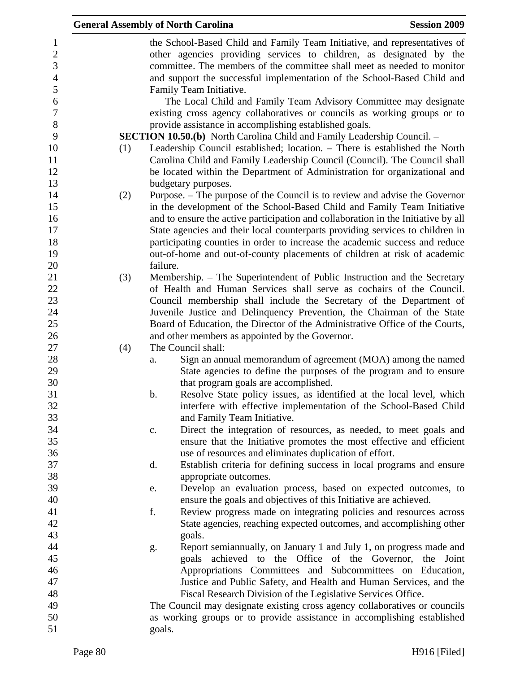|     |          | <b>General Assembly of North Carolina</b>                                                                                                                                                                                                                                                              | <b>Session 2009</b> |
|-----|----------|--------------------------------------------------------------------------------------------------------------------------------------------------------------------------------------------------------------------------------------------------------------------------------------------------------|---------------------|
|     |          | the School-Based Child and Family Team Initiative, and representatives of<br>other agencies providing services to children, as designated by the<br>committee. The members of the committee shall meet as needed to monitor<br>and support the successful implementation of the School-Based Child and |                     |
|     |          | Family Team Initiative.<br>The Local Child and Family Team Advisory Committee may designate                                                                                                                                                                                                            |                     |
|     |          | existing cross agency collaboratives or councils as working groups or to                                                                                                                                                                                                                               |                     |
|     |          | provide assistance in accomplishing established goals.<br><b>SECTION 10.50.(b)</b> North Carolina Child and Family Leadership Council. -                                                                                                                                                               |                     |
| (1) |          | Leadership Council established; location. - There is established the North<br>Carolina Child and Family Leadership Council (Council). The Council shall<br>be located within the Department of Administration for organizational and                                                                   |                     |
|     |          | budgetary purposes.                                                                                                                                                                                                                                                                                    |                     |
| (2) |          | Purpose. – The purpose of the Council is to review and advise the Governor<br>in the development of the School-Based Child and Family Team Initiative                                                                                                                                                  |                     |
|     |          | and to ensure the active participation and collaboration in the Initiative by all                                                                                                                                                                                                                      |                     |
|     |          | State agencies and their local counterparts providing services to children in                                                                                                                                                                                                                          |                     |
|     |          | participating counties in order to increase the academic success and reduce                                                                                                                                                                                                                            |                     |
|     | failure. | out-of-home and out-of-county placements of children at risk of academic                                                                                                                                                                                                                               |                     |
|     |          |                                                                                                                                                                                                                                                                                                        |                     |
| (3) |          | Membership. – The Superintendent of Public Instruction and the Secretary<br>of Health and Human Services shall serve as cochairs of the Council.                                                                                                                                                       |                     |
|     |          | Council membership shall include the Secretary of the Department of                                                                                                                                                                                                                                    |                     |
|     |          | Juvenile Justice and Delinquency Prevention, the Chairman of the State                                                                                                                                                                                                                                 |                     |
|     |          | Board of Education, the Director of the Administrative Office of the Courts,                                                                                                                                                                                                                           |                     |
|     |          | and other members as appointed by the Governor.                                                                                                                                                                                                                                                        |                     |
| (4) |          | The Council shall:                                                                                                                                                                                                                                                                                     |                     |
|     | a.       | Sign an annual memorandum of agreement (MOA) among the named                                                                                                                                                                                                                                           |                     |
|     |          | State agencies to define the purposes of the program and to ensure                                                                                                                                                                                                                                     |                     |
|     |          | that program goals are accomplished.                                                                                                                                                                                                                                                                   |                     |
|     | b.       | Resolve State policy issues, as identified at the local level, which                                                                                                                                                                                                                                   |                     |
|     |          | interfere with effective implementation of the School-Based Child                                                                                                                                                                                                                                      |                     |
|     |          | and Family Team Initiative.                                                                                                                                                                                                                                                                            |                     |
|     | c.       | Direct the integration of resources, as needed, to meet goals and                                                                                                                                                                                                                                      |                     |
|     |          | ensure that the Initiative promotes the most effective and efficient                                                                                                                                                                                                                                   |                     |
|     |          | use of resources and eliminates duplication of effort.                                                                                                                                                                                                                                                 |                     |
|     | d.       | Establish criteria for defining success in local programs and ensure                                                                                                                                                                                                                                   |                     |
|     |          | appropriate outcomes.                                                                                                                                                                                                                                                                                  |                     |
|     | e.       | Develop an evaluation process, based on expected outcomes, to                                                                                                                                                                                                                                          |                     |
|     |          | ensure the goals and objectives of this Initiative are achieved.                                                                                                                                                                                                                                       |                     |
|     | f.       | Review progress made on integrating policies and resources across                                                                                                                                                                                                                                      |                     |
|     |          | State agencies, reaching expected outcomes, and accomplishing other                                                                                                                                                                                                                                    |                     |
|     |          | goals.                                                                                                                                                                                                                                                                                                 |                     |
|     | g.       | Report semiannually, on January 1 and July 1, on progress made and<br>goals achieved to the Office of the Governor, the Joint                                                                                                                                                                          |                     |
|     |          | Appropriations Committees and Subcommittees on Education,                                                                                                                                                                                                                                              |                     |
|     |          | Justice and Public Safety, and Health and Human Services, and the                                                                                                                                                                                                                                      |                     |
|     |          | Fiscal Research Division of the Legislative Services Office.                                                                                                                                                                                                                                           |                     |
|     |          | The Council may designate existing cross agency collaboratives or councils                                                                                                                                                                                                                             |                     |
|     |          | as working groups or to provide assistance in accomplishing established                                                                                                                                                                                                                                |                     |
|     | goals.   |                                                                                                                                                                                                                                                                                                        |                     |
|     |          |                                                                                                                                                                                                                                                                                                        |                     |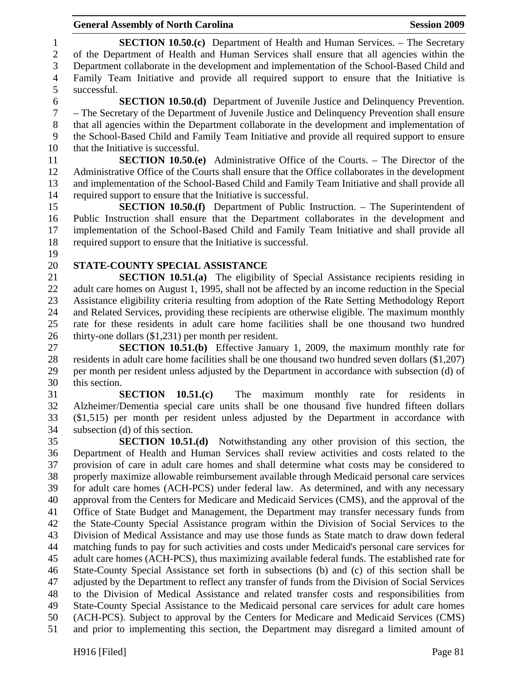#### General Assembly of North Carolina **Session 2009**

1 **SECTION 10.50.(c)** Department of Health and Human Services. – The Secretary 2 of the Department of Health and Human Services shall ensure that all agencies within the 3 Department collaborate in the development and implementation of the School-Based Child and 4 Family Team Initiative and provide all required support to ensure that the Initiative is 5 successful. 6 **SECTION 10.50.(d)** Department of Juvenile Justice and Delinquency Prevention. 7 – The Secretary of the Department of Juvenile Justice and Delinquency Prevention shall ensure 8 that all agencies within the Department collaborate in the development and implementation of 9 the School-Based Child and Family Team Initiative and provide all required support to ensure 10 that the Initiative is successful. 11 **SECTION 10.50.(e)** Administrative Office of the Courts. – The Director of the 12 Administrative Office of the Courts shall ensure that the Office collaborates in the development 13 and implementation of the School-Based Child and Family Team Initiative and shall provide all 14 required support to ensure that the Initiative is successful. 15 **SECTION 10.50.(f)** Department of Public Instruction. – The Superintendent of 16 Public Instruction shall ensure that the Department collaborates in the development and 17 implementation of the School-Based Child and Family Team Initiative and shall provide all 18 required support to ensure that the Initiative is successful. 19 20 **STATE-COUNTY SPECIAL ASSISTANCE**  21 **SECTION 10.51.(a)** The eligibility of Special Assistance recipients residing in 22 adult care homes on August 1, 1995, shall not be affected by an income reduction in the Special 23 Assistance eligibility criteria resulting from adoption of the Rate Setting Methodology Report 24 and Related Services, providing these recipients are otherwise eligible. The maximum monthly 25 rate for these residents in adult care home facilities shall be one thousand two hundred 26 thirty-one dollars (\$1,231) per month per resident. 27 **SECTION 10.51.(b)** Effective January 1, 2009, the maximum monthly rate for 28 residents in adult care home facilities shall be one thousand two hundred seven dollars (\$1,207) 29 per month per resident unless adjusted by the Department in accordance with subsection (d) of 30 this section. 31 **SECTION 10.51.(c)** The maximum monthly rate for residents in 32 Alzheimer/Dementia special care units shall be one thousand five hundred fifteen dollars 33 (\$1,515) per month per resident unless adjusted by the Department in accordance with 34 subsection (d) of this section. 35 **SECTION 10.51.(d)** Notwithstanding any other provision of this section, the 36 Department of Health and Human Services shall review activities and costs related to the 37 provision of care in adult care homes and shall determine what costs may be considered to 38 properly maximize allowable reimbursement available through Medicaid personal care services 39 for adult care homes (ACH-PCS) under federal law. As determined, and with any necessary 40 approval from the Centers for Medicare and Medicaid Services (CMS), and the approval of the 41 Office of State Budget and Management, the Department may transfer necessary funds from 42 the State-County Special Assistance program within the Division of Social Services to the 43 Division of Medical Assistance and may use those funds as State match to draw down federal 44 matching funds to pay for such activities and costs under Medicaid's personal care services for 45 adult care homes (ACH-PCS), thus maximizing available federal funds. The established rate for 46 State-County Special Assistance set forth in subsections (b) and (c) of this section shall be 47 adjusted by the Department to reflect any transfer of funds from the Division of Social Services 48 to the Division of Medical Assistance and related transfer costs and responsibilities from 49 State-County Special Assistance to the Medicaid personal care services for adult care homes 50 (ACH-PCS). Subject to approval by the Centers for Medicare and Medicaid Services (CMS) 51 and prior to implementing this section, the Department may disregard a limited amount of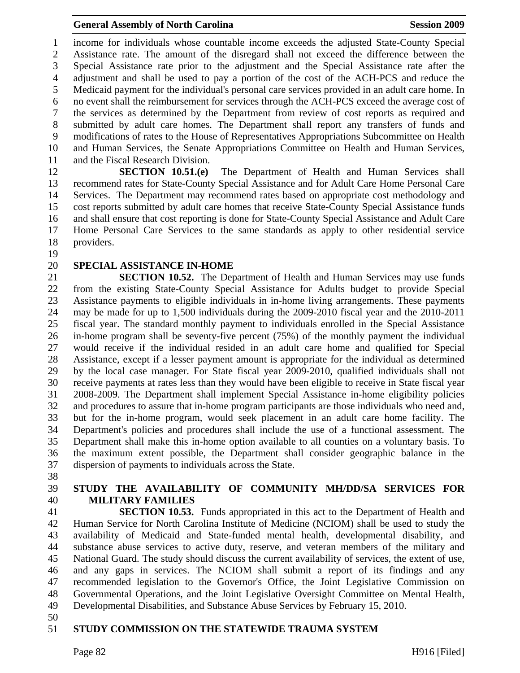1 income for individuals whose countable income exceeds the adjusted State-County Special 2 Assistance rate. The amount of the disregard shall not exceed the difference between the 3 Special Assistance rate prior to the adjustment and the Special Assistance rate after the 4 adjustment and shall be used to pay a portion of the cost of the ACH-PCS and reduce the 5 Medicaid payment for the individual's personal care services provided in an adult care home. In 6 no event shall the reimbursement for services through the ACH-PCS exceed the average cost of 7 the services as determined by the Department from review of cost reports as required and 8 submitted by adult care homes. The Department shall report any transfers of funds and 9 modifications of rates to the House of Representatives Appropriations Subcommittee on Health 10 and Human Services, the Senate Appropriations Committee on Health and Human Services, 11 and the Fiscal Research Division.

12 **SECTION 10.51.(e)** The Department of Health and Human Services shall 13 recommend rates for State-County Special Assistance and for Adult Care Home Personal Care 14 Services. The Department may recommend rates based on appropriate cost methodology and 15 cost reports submitted by adult care homes that receive State-County Special Assistance funds 16 and shall ensure that cost reporting is done for State-County Special Assistance and Adult Care 17 Home Personal Care Services to the same standards as apply to other residential service 18 providers.

19

#### 20 **SPECIAL ASSISTANCE IN-HOME**

21 **SECTION 10.52.** The Department of Health and Human Services may use funds 22 from the existing State-County Special Assistance for Adults budget to provide Special 23 Assistance payments to eligible individuals in in-home living arrangements. These payments 24 may be made for up to 1,500 individuals during the 2009-2010 fiscal year and the 2010-2011 25 fiscal year. The standard monthly payment to individuals enrolled in the Special Assistance 26 in-home program shall be seventy-five percent (75%) of the monthly payment the individual 27 would receive if the individual resided in an adult care home and qualified for Special 28 Assistance, except if a lesser payment amount is appropriate for the individual as determined 29 by the local case manager. For State fiscal year 2009-2010, qualified individuals shall not 30 receive payments at rates less than they would have been eligible to receive in State fiscal year 31 2008-2009. The Department shall implement Special Assistance in-home eligibility policies 32 and procedures to assure that in-home program participants are those individuals who need and, 33 but for the in-home program, would seek placement in an adult care home facility. The 34 Department's policies and procedures shall include the use of a functional assessment. The 35 Department shall make this in-home option available to all counties on a voluntary basis. To 36 the maximum extent possible, the Department shall consider geographic balance in the 37 dispersion of payments to individuals across the State.

38

# 39 **STUDY THE AVAILABILITY OF COMMUNITY MH/DD/SA SERVICES FOR**  40 **MILITARY FAMILIES**

41 **SECTION 10.53.** Funds appropriated in this act to the Department of Health and 42 Human Service for North Carolina Institute of Medicine (NCIOM) shall be used to study the 43 availability of Medicaid and State-funded mental health, developmental disability, and 44 substance abuse services to active duty, reserve, and veteran members of the military and 45 National Guard. The study should discuss the current availability of services, the extent of use, 46 and any gaps in services. The NCIOM shall submit a report of its findings and any 47 recommended legislation to the Governor's Office, the Joint Legislative Commission on 48 Governmental Operations, and the Joint Legislative Oversight Committee on Mental Health, 49 Developmental Disabilities, and Substance Abuse Services by February 15, 2010.

50

#### 51 **STUDY COMMISSION ON THE STATEWIDE TRAUMA SYSTEM**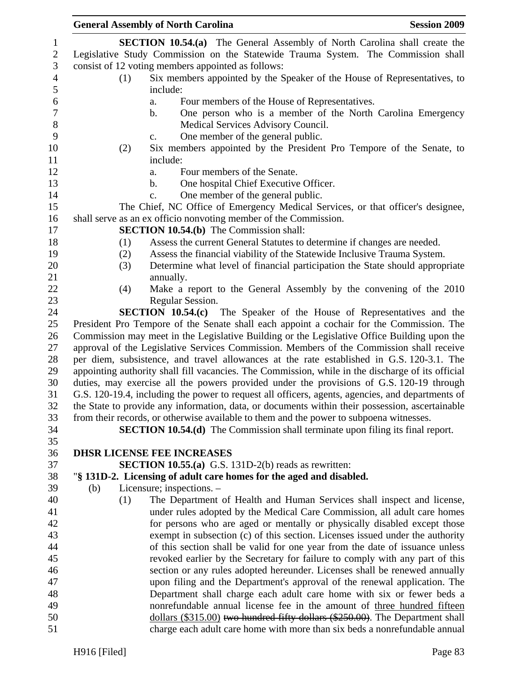|     |     | <b>General Assembly of North Carolina</b>                                                         | <b>Session 2009</b> |
|-----|-----|---------------------------------------------------------------------------------------------------|---------------------|
|     |     | <b>SECTION 10.54.(a)</b> The General Assembly of North Carolina shall create the                  |                     |
|     |     | Legislative Study Commission on the Statewide Trauma System. The Commission shall                 |                     |
|     |     | consist of 12 voting members appointed as follows:                                                |                     |
|     | (1) | Six members appointed by the Speaker of the House of Representatives, to                          |                     |
|     |     | include:                                                                                          |                     |
|     |     | Four members of the House of Representatives.<br>a.                                               |                     |
|     |     | One person who is a member of the North Carolina Emergency<br>b.                                  |                     |
|     |     | Medical Services Advisory Council.                                                                |                     |
|     |     | One member of the general public.<br>$C_{\bullet}$                                                |                     |
|     | (2) | Six members appointed by the President Pro Tempore of the Senate, to                              |                     |
|     |     | include:                                                                                          |                     |
|     |     | Four members of the Senate.<br>a.                                                                 |                     |
|     |     | One hospital Chief Executive Officer.<br>b.                                                       |                     |
|     |     | One member of the general public.<br>c.                                                           |                     |
|     |     | The Chief, NC Office of Emergency Medical Services, or that officer's designee,                   |                     |
|     |     | shall serve as an ex officio nonvoting member of the Commission.                                  |                     |
|     |     | <b>SECTION 10.54.(b)</b> The Commission shall:                                                    |                     |
|     | (1) | Assess the current General Statutes to determine if changes are needed.                           |                     |
|     | (2) | Assess the financial viability of the Statewide Inclusive Trauma System.                          |                     |
|     | (3) | Determine what level of financial participation the State should appropriate                      |                     |
|     |     | annually.                                                                                         |                     |
|     | (4) | Make a report to the General Assembly by the convening of the 2010                                |                     |
|     |     | Regular Session.                                                                                  |                     |
|     |     | <b>SECTION 10.54.(c)</b> The Speaker of the House of Representatives and the                      |                     |
|     |     | President Pro Tempore of the Senate shall each appoint a cochair for the Commission. The          |                     |
|     |     | Commission may meet in the Legislative Building or the Legislative Office Building upon the       |                     |
|     |     | approval of the Legislative Services Commission. Members of the Commission shall receive          |                     |
|     |     | per diem, subsistence, and travel allowances at the rate established in G.S. 120-3.1. The         |                     |
|     |     | appointing authority shall fill vacancies. The Commission, while in the discharge of its official |                     |
|     |     | duties, may exercise all the powers provided under the provisions of G.S. 120-19 through          |                     |
|     |     | G.S. 120-19.4, including the power to request all officers, agents, agencies, and departments of  |                     |
|     |     | the State to provide any information, data, or documents within their possession, ascertainable   |                     |
|     |     | from their records, or otherwise available to them and the power to subpoena witnesses.           |                     |
|     |     | <b>SECTION 10.54.(d)</b> The Commission shall terminate upon filing its final report.             |                     |
|     |     |                                                                                                   |                     |
|     |     | <b>DHSR LICENSE FEE INCREASES</b>                                                                 |                     |
|     |     | <b>SECTION 10.55.(a)</b> G.S. 131D-2(b) reads as rewritten:                                       |                     |
|     |     | "§ 131D-2. Licensing of adult care homes for the aged and disabled.                               |                     |
| (b) |     | Licensure; inspections. -                                                                         |                     |
|     | (1) | The Department of Health and Human Services shall inspect and license,                            |                     |
|     |     | under rules adopted by the Medical Care Commission, all adult care homes                          |                     |
|     |     | for persons who are aged or mentally or physically disabled except those                          |                     |
|     |     | exempt in subsection (c) of this section. Licenses issued under the authority                     |                     |
|     |     | of this section shall be valid for one year from the date of issuance unless                      |                     |
|     |     | revoked earlier by the Secretary for failure to comply with any part of this                      |                     |
|     |     | section or any rules adopted hereunder. Licenses shall be renewed annually                        |                     |
|     |     | upon filing and the Department's approval of the renewal application. The                         |                     |
|     |     | Department shall charge each adult care home with six or fewer beds a                             |                     |
|     |     | nonrefundable annual license fee in the amount of three hundred fifteen                           |                     |
|     |     | dollars (\$315.00) two hundred fifty dollars (\$250.00). The Department shall                     |                     |
|     |     | charge each adult care home with more than six beds a nonrefundable annual                        |                     |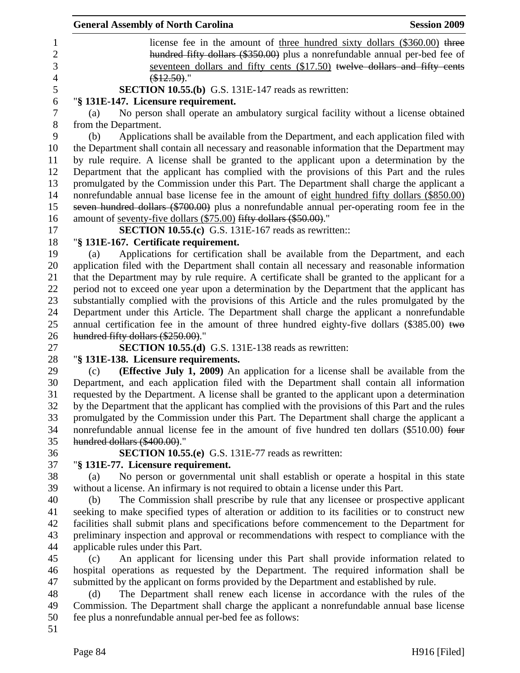|                | <b>General Assembly of North Carolina</b><br><b>Session 2009</b>                                 |
|----------------|--------------------------------------------------------------------------------------------------|
| 1              | license fee in the amount of <u>three hundred sixty dollars (\$360.00</u> ) three                |
| $\overline{2}$ | hundred fifty dollars (\$350.00) plus a nonrefundable annual per-bed fee of                      |
| 3              | seventeen dollars and fifty cents (\$17.50) twelve dollars and fifty cents                       |
| $\overline{4}$ | $$12.50$ ).                                                                                      |
| 5              | <b>SECTION 10.55.(b)</b> G.S. 131E-147 reads as rewritten:                                       |
| 6              | "§ 131E-147. Licensure requirement.                                                              |
| $\tau$         | No person shall operate an ambulatory surgical facility without a license obtained<br>(a)        |
| $8\,$          | from the Department.                                                                             |
| 9              | Applications shall be available from the Department, and each application filed with<br>(b)      |
| 10             | the Department shall contain all necessary and reasonable information that the Department may    |
| 11             | by rule require. A license shall be granted to the applicant upon a determination by the         |
| 12             | Department that the applicant has complied with the provisions of this Part and the rules        |
| 13             | promulgated by the Commission under this Part. The Department shall charge the applicant a       |
| 14             | nonrefundable annual base license fee in the amount of eight hundred fifty dollars (\$850.00)    |
| 15             | seven hundred dollars (\$700.00) plus a nonrefundable annual per-operating room fee in the       |
| 16             | amount of <u>seventy-five dollars</u> (\$75.00) fifty dollars (\$50.00)."                        |
| 17             | <b>SECTION 10.55.(c)</b> G.S. 131E-167 reads as rewritten::                                      |
| 18             | "§ 131E-167. Certificate requirement.                                                            |
| 19             | Applications for certification shall be available from the Department, and each<br>(a)           |
| 20             | application filed with the Department shall contain all necessary and reasonable information     |
| 21             | that the Department may by rule require. A certificate shall be granted to the applicant for a   |
| 22             | period not to exceed one year upon a determination by the Department that the applicant has      |
| 23             | substantially complied with the provisions of this Article and the rules promulgated by the      |
| 24             | Department under this Article. The Department shall charge the applicant a nonrefundable         |
| 25             | annual certification fee in the amount of three hundred eighty-five dollars $(\$385.00)$ two     |
| 26             | hundred fifty dollars (\$250.00)."                                                               |
| 27             | <b>SECTION 10.55.(d)</b> G.S. 131E-138 reads as rewritten:                                       |
| 28             | "§ 131E-138. Licensure requirements.                                                             |
| 29             | (Effective July 1, 2009) An application for a license shall be available from the<br>(c)         |
| 30             | Department, and each application filed with the Department shall contain all information         |
| 31             | requested by the Department. A license shall be granted to the applicant upon a determination    |
| 32             | by the Department that the applicant has complied with the provisions of this Part and the rules |
| 33             | promulgated by the Commission under this Part. The Department shall charge the applicant a       |
| 34             | nonrefundable annual license fee in the amount of five hundred ten dollars (\$510.00) four       |
| 35             | hundred dollars (\$400.00)."                                                                     |
| 36             | <b>SECTION 10.55.(e)</b> G.S. 131E-77 reads as rewritten:                                        |
| 37             | "§ 131E-77. Licensure requirement.                                                               |
| 38             | No person or governmental unit shall establish or operate a hospital in this state<br>(a)        |
| 39             | without a license. An infirmary is not required to obtain a license under this Part.             |
| 40             | The Commission shall prescribe by rule that any licensee or prospective applicant<br>(b)         |
| 41             | seeking to make specified types of alteration or addition to its facilities or to construct new  |
| 42             | facilities shall submit plans and specifications before commencement to the Department for       |
| 43             | preliminary inspection and approval or recommendations with respect to compliance with the       |
| 44             | applicable rules under this Part.                                                                |
| 45             | An applicant for licensing under this Part shall provide information related to<br>(c)           |
| 46             | hospital operations as requested by the Department. The required information shall be            |
| 47             | submitted by the applicant on forms provided by the Department and established by rule.          |
| 48             | The Department shall renew each license in accordance with the rules of the<br>(d)               |
| 49             | Commission. The Department shall charge the applicant a nonrefundable annual base license        |
| 50             | fee plus a nonrefundable annual per-bed fee as follows:                                          |
| 51             |                                                                                                  |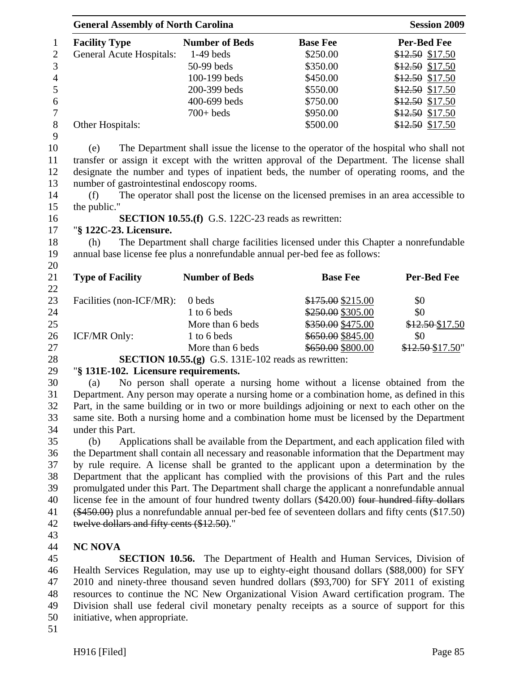|                | <b>General Assembly of North Carolina</b> |                       |                 | <b>Session 2009</b> |  |  |
|----------------|-------------------------------------------|-----------------------|-----------------|---------------------|--|--|
| $\mathbf{1}$   | <b>Facility Type</b>                      | <b>Number of Beds</b> | <b>Base Fee</b> | <b>Per-Bed Fee</b>  |  |  |
| 2              | <b>General Acute Hospitals:</b>           | $1-49$ beds           | \$250.00        | $$12.50$ \$17.50    |  |  |
| 3              |                                           | $50-99$ beds          | \$350.00        | $$12.50$ \$17.50    |  |  |
| $\overline{4}$ |                                           | $100-199$ beds        | \$450.00        | $$12.50$ \$17.50    |  |  |
| 5              |                                           | 200-399 beds          | \$550.00        | $$12.50$ \$17.50    |  |  |
| 6              |                                           | 400-699 beds          | \$750.00        | \$12.50 \$17.50     |  |  |
| 7              |                                           | $700+$ beds           | \$950.00        | $$12.50$ \$17.50    |  |  |
| 8              | Other Hospitals:                          |                       | \$500.00        | \$12.50 \$17.50     |  |  |
| 9              |                                           |                       |                 |                     |  |  |

10 (e) The Department shall issue the license to the operator of the hospital who shall not 11 transfer or assign it except with the written approval of the Department. The license shall 12 designate the number and types of inpatient beds, the number of operating rooms, and the 13 number of gastrointestinal endoscopy rooms.

14 (f) The operator shall post the license on the licensed premises in an area accessible to 15 the public."

#### 16 **SECTION 10.55.(f)** G.S. 122C-23 reads as rewritten:

#### 17 "**§ 122C-23. Licensure.**

18 (h) The Department shall charge facilities licensed under this Chapter a nonrefundable 19 annual base license fee plus a nonrefundable annual per-bed fee as follows:

21 **Type of Facility Number of Beds Base Fee Per-Bed Fee** 22 23 Facilities (non-ICF/MR): 0 beds \$175.00 \$215.00 \$0 24 1 to 6 beds \$250.00 \$0 25 More than 6 beds \$350.00 \$475.00 \$12.50 \$17.50 26 ICF/MR Only: 1 to 6 beds \$650.00 \$845.00 \$0 27 More than 6 beds \$650.00 \$800.00 \$12.50 \$17.50"

28 **SECTION 10.55.(g)** G.S. 131E-102 reads as rewritten:

# 29 "**§ 131E-102. Licensure requirements.**

30 (a) No person shall operate a nursing home without a license obtained from the 31 Department. Any person may operate a nursing home or a combination home, as defined in this 32 Part, in the same building or in two or more buildings adjoining or next to each other on the 33 same site. Both a nursing home and a combination home must be licensed by the Department 34 under this Part.

35 (b) Applications shall be available from the Department, and each application filed with 36 the Department shall contain all necessary and reasonable information that the Department may 37 by rule require. A license shall be granted to the applicant upon a determination by the 38 Department that the applicant has complied with the provisions of this Part and the rules 39 promulgated under this Part. The Department shall charge the applicant a nonrefundable annual 40 license fee in the amount of four hundred twenty dollars (\$420.00) four hundred fifty dollars 41 (\$450.00) plus a nonrefundable annual per-bed fee of seventeen dollars and fifty cents (\$17.50) 42 twelve dollars and fifty cents (\$12.50)."

43

20

# 44 **NC NOVA**

45 **SECTION 10.56.** The Department of Health and Human Services, Division of 46 Health Services Regulation, may use up to eighty-eight thousand dollars (\$88,000) for SFY 47 2010 and ninety-three thousand seven hundred dollars (\$93,700) for SFY 2011 of existing 48 resources to continue the NC New Organizational Vision Award certification program. The 49 Division shall use federal civil monetary penalty receipts as a source of support for this 50 initiative, when appropriate.

51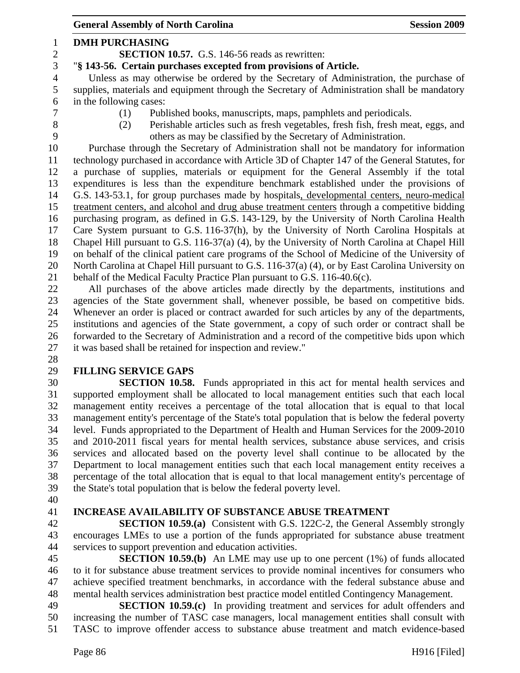General Assembly of North Carolina **Session 2009** 1 **DMH PURCHASING**  2 **SECTION 10.57.** G.S. 146-56 reads as rewritten: 3 "**§ 143-56. Certain purchases excepted from provisions of Article.**  4 Unless as may otherwise be ordered by the Secretary of Administration, the purchase of 5 supplies, materials and equipment through the Secretary of Administration shall be mandatory 6 in the following cases: 7 (1) Published books, manuscripts, maps, pamphlets and periodicals. 8 (2) Perishable articles such as fresh vegetables, fresh fish, fresh meat, eggs, and 9 others as may be classified by the Secretary of Administration. 10 Purchase through the Secretary of Administration shall not be mandatory for information 11 technology purchased in accordance with Article 3D of Chapter 147 of the General Statutes, for 12 a purchase of supplies, materials or equipment for the General Assembly if the total 13 expenditures is less than the expenditure benchmark established under the provisions of 14 G.S. 143-53.1, for group purchases made by hospitals, developmental centers, neuro-medical 15 treatment centers, and alcohol and drug abuse treatment centers through a competitive bidding 16 purchasing program, as defined in G.S. 143-129, by the University of North Carolina Health 17 Care System pursuant to G.S. 116-37(h), by the University of North Carolina Hospitals at 18 Chapel Hill pursuant to G.S. 116-37(a) (4), by the University of North Carolina at Chapel Hill 19 on behalf of the clinical patient care programs of the School of Medicine of the University of 20 North Carolina at Chapel Hill pursuant to G.S. 116-37(a) (4), or by East Carolina University on 21 behalf of the Medical Faculty Practice Plan pursuant to G.S. 116-40.6(c). 22 All purchases of the above articles made directly by the departments, institutions and 23 agencies of the State government shall, whenever possible, be based on competitive bids. 24 Whenever an order is placed or contract awarded for such articles by any of the departments, 25 institutions and agencies of the State government, a copy of such order or contract shall be 26 forwarded to the Secretary of Administration and a record of the competitive bids upon which 27 it was based shall be retained for inspection and review." 28 29 **FILLING SERVICE GAPS**  30 **SECTION 10.58.** Funds appropriated in this act for mental health services and 31 supported employment shall be allocated to local management entities such that each local 32 management entity receives a percentage of the total allocation that is equal to that local 33 management entity's percentage of the State's total population that is below the federal poverty 34 level. Funds appropriated to the Department of Health and Human Services for the 2009-2010

35 and 2010-2011 fiscal years for mental health services, substance abuse services, and crisis 36 services and allocated based on the poverty level shall continue to be allocated by the 37 Department to local management entities such that each local management entity receives a 38 percentage of the total allocation that is equal to that local management entity's percentage of 39 the State's total population that is below the federal poverty level.

40

#### 41 **INCREASE AVAILABILITY OF SUBSTANCE ABUSE TREATMENT**

42 **SECTION 10.59.(a)** Consistent with G.S. 122C-2, the General Assembly strongly 43 encourages LMEs to use a portion of the funds appropriated for substance abuse treatment 44 services to support prevention and education activities.

45 **SECTION 10.59.(b)** An LME may use up to one percent (1%) of funds allocated 46 to it for substance abuse treatment services to provide nominal incentives for consumers who 47 achieve specified treatment benchmarks, in accordance with the federal substance abuse and 48 mental health services administration best practice model entitled Contingency Management.

49 **SECTION 10.59.(c)** In providing treatment and services for adult offenders and 50 increasing the number of TASC case managers, local management entities shall consult with 51 TASC to improve offender access to substance abuse treatment and match evidence-based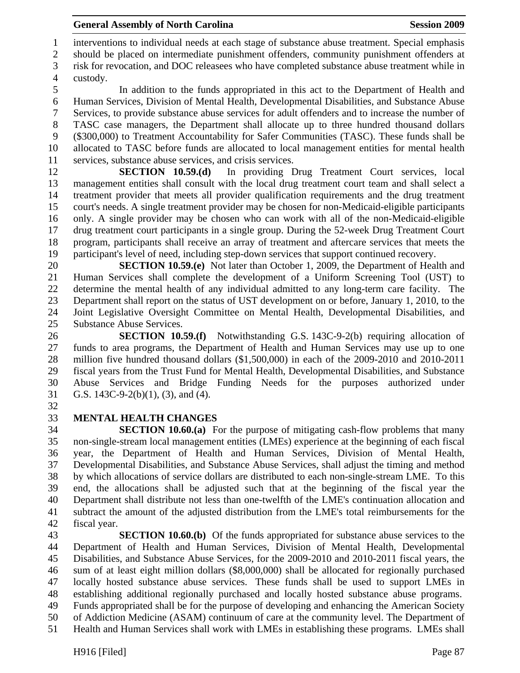1 interventions to individual needs at each stage of substance abuse treatment. Special emphasis 2 should be placed on intermediate punishment offenders, community punishment offenders at

3 risk for revocation, and DOC releasees who have completed substance abuse treatment while in 4 custody.

5 In addition to the funds appropriated in this act to the Department of Health and 6 Human Services, Division of Mental Health, Developmental Disabilities, and Substance Abuse 7 Services, to provide substance abuse services for adult offenders and to increase the number of 8 TASC case managers, the Department shall allocate up to three hundred thousand dollars 9 (\$300,000) to Treatment Accountability for Safer Communities (TASC). These funds shall be 10 allocated to TASC before funds are allocated to local management entities for mental health 11 services, substance abuse services, and crisis services.

12 **SECTION 10.59.(d)** In providing Drug Treatment Court services, local 13 management entities shall consult with the local drug treatment court team and shall select a 14 treatment provider that meets all provider qualification requirements and the drug treatment 15 court's needs. A single treatment provider may be chosen for non-Medicaid-eligible participants 16 only. A single provider may be chosen who can work with all of the non-Medicaid-eligible 17 drug treatment court participants in a single group. During the 52-week Drug Treatment Court 18 program, participants shall receive an array of treatment and aftercare services that meets the 19 participant's level of need, including step-down services that support continued recovery.

20 **SECTION 10.59.(e)** Not later than October 1, 2009, the Department of Health and 21 Human Services shall complete the development of a Uniform Screening Tool (UST) to 22 determine the mental health of any individual admitted to any long-term care facility. The 23 Department shall report on the status of UST development on or before, January 1, 2010, to the 24 Joint Legislative Oversight Committee on Mental Health, Developmental Disabilities, and 25 Substance Abuse Services.

26 **SECTION 10.59.(f)** Notwithstanding G.S. 143C-9-2(b) requiring allocation of 27 funds to area programs, the Department of Health and Human Services may use up to one 28 million five hundred thousand dollars (\$1,500,000) in each of the 2009-2010 and 2010-2011 29 fiscal years from the Trust Fund for Mental Health, Developmental Disabilities, and Substance 30 Abuse Services and Bridge Funding Needs for the purposes authorized under 31 G.S. 143C-9-2(b)(1), (3), and (4).

32

# 33 **MENTAL HEALTH CHANGES**

34 **SECTION 10.60.(a)** For the purpose of mitigating cash-flow problems that many 35 non-single-stream local management entities (LMEs) experience at the beginning of each fiscal 36 year, the Department of Health and Human Services, Division of Mental Health, 37 Developmental Disabilities, and Substance Abuse Services, shall adjust the timing and method 38 by which allocations of service dollars are distributed to each non-single-stream LME. To this 39 end, the allocations shall be adjusted such that at the beginning of the fiscal year the 40 Department shall distribute not less than one-twelfth of the LME's continuation allocation and 41 subtract the amount of the adjusted distribution from the LME's total reimbursements for the 42 fiscal year.

43 **SECTION 10.60.(b)** Of the funds appropriated for substance abuse services to the 44 Department of Health and Human Services, Division of Mental Health, Developmental 45 Disabilities, and Substance Abuse Services, for the 2009-2010 and 2010-2011 fiscal years, the 46 sum of at least eight million dollars (\$8,000,000) shall be allocated for regionally purchased 47 locally hosted substance abuse services. These funds shall be used to support LMEs in 48 establishing additional regionally purchased and locally hosted substance abuse programs. 49 Funds appropriated shall be for the purpose of developing and enhancing the American Society

50 of Addiction Medicine (ASAM) continuum of care at the community level. The Department of

51 Health and Human Services shall work with LMEs in establishing these programs. LMEs shall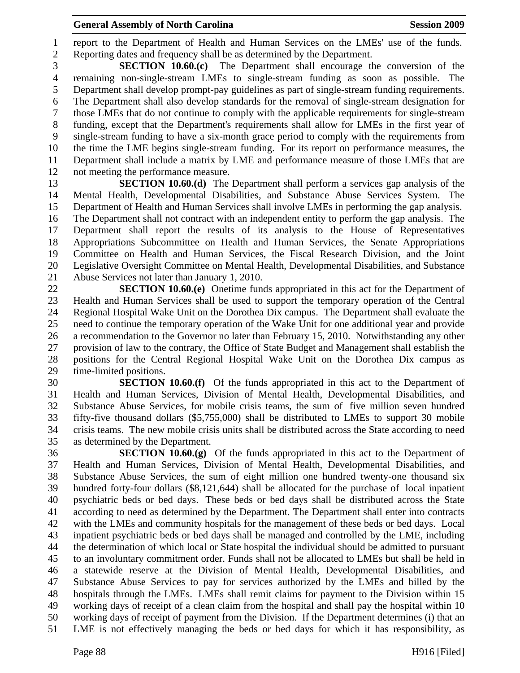1 report to the Department of Health and Human Services on the LMEs' use of the funds. 2 Reporting dates and frequency shall be as determined by the Department.

3 **SECTION 10.60.(c)** The Department shall encourage the conversion of the 4 remaining non-single-stream LMEs to single-stream funding as soon as possible. The 5 Department shall develop prompt-pay guidelines as part of single-stream funding requirements. 6 The Department shall also develop standards for the removal of single-stream designation for 7 those LMEs that do not continue to comply with the applicable requirements for single-stream 8 funding, except that the Department's requirements shall allow for LMEs in the first year of 9 single-stream funding to have a six-month grace period to comply with the requirements from 10 the time the LME begins single-stream funding. For its report on performance measures, the 11 Department shall include a matrix by LME and performance measure of those LMEs that are 12 not meeting the performance measure.

13 **SECTION 10.60.(d)** The Department shall perform a services gap analysis of the 14 Mental Health, Developmental Disabilities, and Substance Abuse Services System. The 15 Department of Health and Human Services shall involve LMEs in performing the gap analysis. 16 The Department shall not contract with an independent entity to perform the gap analysis. The 17 Department shall report the results of its analysis to the House of Representatives 18 Appropriations Subcommittee on Health and Human Services, the Senate Appropriations 19 Committee on Health and Human Services, the Fiscal Research Division, and the Joint 20 Legislative Oversight Committee on Mental Health, Developmental Disabilities, and Substance 21 Abuse Services not later than January 1, 2010.

22 **SECTION 10.60.(e)** Onetime funds appropriated in this act for the Department of 23 Health and Human Services shall be used to support the temporary operation of the Central 24 Regional Hospital Wake Unit on the Dorothea Dix campus. The Department shall evaluate the 25 need to continue the temporary operation of the Wake Unit for one additional year and provide 26 a recommendation to the Governor no later than February 15, 2010. Notwithstanding any other 27 provision of law to the contrary, the Office of State Budget and Management shall establish the 28 positions for the Central Regional Hospital Wake Unit on the Dorothea Dix campus as 29 time-limited positions.

30 **SECTION 10.60.(f)** Of the funds appropriated in this act to the Department of 31 Health and Human Services, Division of Mental Health, Developmental Disabilities, and 32 Substance Abuse Services, for mobile crisis teams, the sum of five million seven hundred 33 fifty-five thousand dollars (\$5,755,000) shall be distributed to LMEs to support 30 mobile 34 crisis teams. The new mobile crisis units shall be distributed across the State according to need 35 as determined by the Department.

36 **SECTION 10.60.(g)** Of the funds appropriated in this act to the Department of 37 Health and Human Services, Division of Mental Health, Developmental Disabilities, and 38 Substance Abuse Services, the sum of eight million one hundred twenty-one thousand six 39 hundred forty-four dollars (\$8,121,644) shall be allocated for the purchase of local inpatient 40 psychiatric beds or bed days. These beds or bed days shall be distributed across the State 41 according to need as determined by the Department. The Department shall enter into contracts 42 with the LMEs and community hospitals for the management of these beds or bed days. Local 43 inpatient psychiatric beds or bed days shall be managed and controlled by the LME, including 44 the determination of which local or State hospital the individual should be admitted to pursuant 45 to an involuntary commitment order. Funds shall not be allocated to LMEs but shall be held in 46 a statewide reserve at the Division of Mental Health, Developmental Disabilities, and 47 Substance Abuse Services to pay for services authorized by the LMEs and billed by the 48 hospitals through the LMEs. LMEs shall remit claims for payment to the Division within 15 49 working days of receipt of a clean claim from the hospital and shall pay the hospital within 10 50 working days of receipt of payment from the Division. If the Department determines (i) that an 51 LME is not effectively managing the beds or bed days for which it has responsibility, as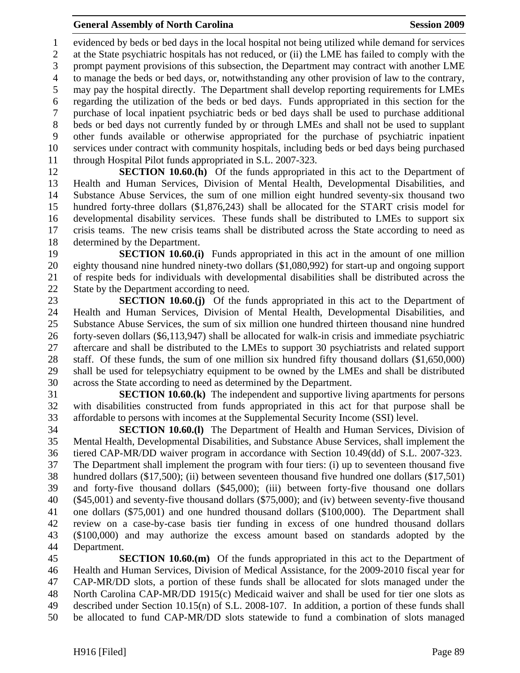1 evidenced by beds or bed days in the local hospital not being utilized while demand for services 2 at the State psychiatric hospitals has not reduced, or (ii) the LME has failed to comply with the 3 prompt payment provisions of this subsection, the Department may contract with another LME 4 to manage the beds or bed days, or, notwithstanding any other provision of law to the contrary, 5 may pay the hospital directly. The Department shall develop reporting requirements for LMEs 6 regarding the utilization of the beds or bed days. Funds appropriated in this section for the 7 purchase of local inpatient psychiatric beds or bed days shall be used to purchase additional 8 beds or bed days not currently funded by or through LMEs and shall not be used to supplant 9 other funds available or otherwise appropriated for the purchase of psychiatric inpatient 10 services under contract with community hospitals, including beds or bed days being purchased 11 through Hospital Pilot funds appropriated in S.L. 2007-323.

12 **SECTION 10.60.(h)** Of the funds appropriated in this act to the Department of 13 Health and Human Services, Division of Mental Health, Developmental Disabilities, and 14 Substance Abuse Services, the sum of one million eight hundred seventy-six thousand two 15 hundred forty-three dollars (\$1,876,243) shall be allocated for the START crisis model for 16 developmental disability services. These funds shall be distributed to LMEs to support six 17 crisis teams. The new crisis teams shall be distributed across the State according to need as 18 determined by the Department.

19 **SECTION 10.60.(i)** Funds appropriated in this act in the amount of one million 20 eighty thousand nine hundred ninety-two dollars (\$1,080,992) for start-up and ongoing support 21 of respite beds for individuals with developmental disabilities shall be distributed across the 22 State by the Department according to need.

23 **SECTION 10.60.(j)** Of the funds appropriated in this act to the Department of 24 Health and Human Services, Division of Mental Health, Developmental Disabilities, and 25 Substance Abuse Services, the sum of six million one hundred thirteen thousand nine hundred 26 forty-seven dollars (\$6,113,947) shall be allocated for walk-in crisis and immediate psychiatric 27 aftercare and shall be distributed to the LMEs to support 30 psychiatrists and related support 28 staff. Of these funds, the sum of one million six hundred fifty thousand dollars (\$1,650,000) 29 shall be used for telepsychiatry equipment to be owned by the LMEs and shall be distributed 30 across the State according to need as determined by the Department.

31 **SECTION 10.60.(k)** The independent and supportive living apartments for persons 32 with disabilities constructed from funds appropriated in this act for that purpose shall be 33 affordable to persons with incomes at the Supplemental Security Income (SSI) level.

34 **SECTION 10.60.(l)** The Department of Health and Human Services, Division of 35 Mental Health, Developmental Disabilities, and Substance Abuse Services, shall implement the 36 tiered CAP-MR/DD waiver program in accordance with Section 10.49(dd) of S.L. 2007-323. 37 The Department shall implement the program with four tiers: (i) up to seventeen thousand five 38 hundred dollars (\$17,500); (ii) between seventeen thousand five hundred one dollars (\$17,501) 39 and forty-five thousand dollars (\$45,000); (iii) between forty-five thousand one dollars 40 (\$45,001) and seventy-five thousand dollars (\$75,000); and (iv) between seventy-five thousand 41 one dollars (\$75,001) and one hundred thousand dollars (\$100,000). The Department shall 42 review on a case-by-case basis tier funding in excess of one hundred thousand dollars 43 (\$100,000) and may authorize the excess amount based on standards adopted by the 44 Department.

45 **SECTION 10.60.(m)** Of the funds appropriated in this act to the Department of 46 Health and Human Services, Division of Medical Assistance, for the 2009-2010 fiscal year for 47 CAP-MR/DD slots, a portion of these funds shall be allocated for slots managed under the 48 North Carolina CAP-MR/DD 1915(c) Medicaid waiver and shall be used for tier one slots as 49 described under Section 10.15(n) of S.L. 2008-107. In addition, a portion of these funds shall 50 be allocated to fund CAP-MR/DD slots statewide to fund a combination of slots managed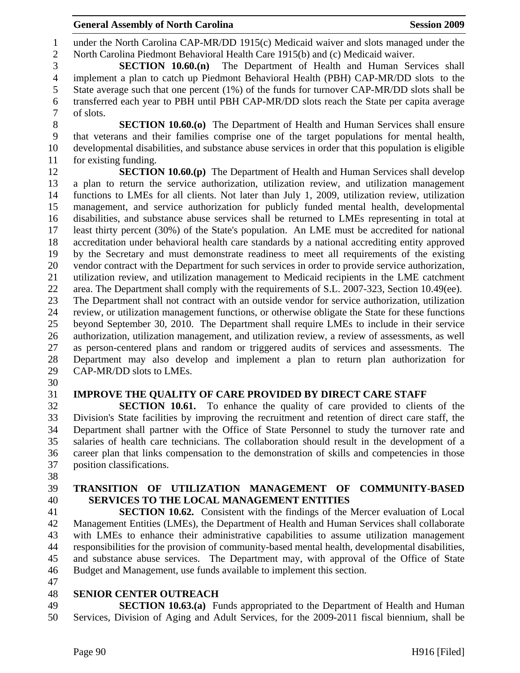1 under the North Carolina CAP-MR/DD 1915(c) Medicaid waiver and slots managed under the 2 North Carolina Piedmont Behavioral Health Care 1915(b) and (c) Medicaid waiver.

3 **SECTION 10.60.(n)** The Department of Health and Human Services shall 4 implement a plan to catch up Piedmont Behavioral Health (PBH) CAP-MR/DD slots to the 5 State average such that one percent (1%) of the funds for turnover CAP-MR/DD slots shall be 6 transferred each year to PBH until PBH CAP-MR/DD slots reach the State per capita average 7 of slots.

8 **SECTION 10.60.(o)** The Department of Health and Human Services shall ensure 9 that veterans and their families comprise one of the target populations for mental health, 10 developmental disabilities, and substance abuse services in order that this population is eligible 11 for existing funding.

12 **SECTION 10.60.(p)** The Department of Health and Human Services shall develop 13 a plan to return the service authorization, utilization review, and utilization management 14 functions to LMEs for all clients. Not later than July 1, 2009, utilization review, utilization 15 management, and service authorization for publicly funded mental health, developmental 16 disabilities, and substance abuse services shall be returned to LMEs representing in total at 17 least thirty percent (30%) of the State's population. An LME must be accredited for national 18 accreditation under behavioral health care standards by a national accrediting entity approved 19 by the Secretary and must demonstrate readiness to meet all requirements of the existing 20 vendor contract with the Department for such services in order to provide service authorization, 21 utilization review, and utilization management to Medicaid recipients in the LME catchment 22 area. The Department shall comply with the requirements of S.L. 2007-323, Section 10.49(ee). 23 The Department shall not contract with an outside vendor for service authorization, utilization 24 review, or utilization management functions, or otherwise obligate the State for these functions 25 beyond September 30, 2010. The Department shall require LMEs to include in their service 26 authorization, utilization management, and utilization review, a review of assessments, as well 27 as person-centered plans and random or triggered audits of services and assessments. The 28 Department may also develop and implement a plan to return plan authorization for 29 CAP-MR/DD slots to LMEs.

30

# 31 **IMPROVE THE QUALITY OF CARE PROVIDED BY DIRECT CARE STAFF**

32 **SECTION 10.61.** To enhance the quality of care provided to clients of the 33 Division's State facilities by improving the recruitment and retention of direct care staff, the 34 Department shall partner with the Office of State Personnel to study the turnover rate and 35 salaries of health care technicians. The collaboration should result in the development of a 36 career plan that links compensation to the demonstration of skills and competencies in those 37 position classifications.

38

# 39 **TRANSITION OF UTILIZATION MANAGEMENT OF COMMUNITY-BASED**  40 **SERVICES TO THE LOCAL MANAGEMENT ENTITIES**

41 **SECTION 10.62.** Consistent with the findings of the Mercer evaluation of Local 42 Management Entities (LMEs), the Department of Health and Human Services shall collaborate 43 with LMEs to enhance their administrative capabilities to assume utilization management 44 responsibilities for the provision of community-based mental health, developmental disabilities, 45 and substance abuse services. The Department may, with approval of the Office of State 46 Budget and Management, use funds available to implement this section.

47

#### 48 **SENIOR CENTER OUTREACH**

49 **SECTION 10.63.(a)** Funds appropriated to the Department of Health and Human 50 Services, Division of Aging and Adult Services, for the 2009-2011 fiscal biennium, shall be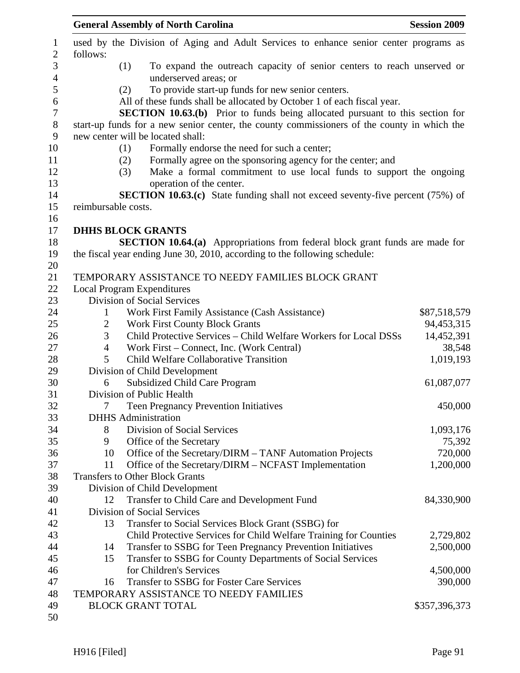|                | <b>General Assembly of North Carolina</b>                                                   | <b>Session 2009</b> |
|----------------|---------------------------------------------------------------------------------------------|---------------------|
| follows:       | used by the Division of Aging and Adult Services to enhance senior center programs as       |                     |
|                | To expand the outreach capacity of senior centers to reach unserved or<br>(1)               |                     |
|                | underserved areas; or                                                                       |                     |
|                | To provide start-up funds for new senior centers.<br>(2)                                    |                     |
|                | All of these funds shall be allocated by October 1 of each fiscal year.                     |                     |
|                | <b>SECTION 10.63.(b)</b> Prior to funds being allocated pursuant to this section for        |                     |
|                | start-up funds for a new senior center, the county commissioners of the county in which the |                     |
|                | new center will be located shall:                                                           |                     |
|                | Formally endorse the need for such a center;<br>(1)                                         |                     |
|                | Formally agree on the sponsoring agency for the center; and<br>(2)                          |                     |
|                | Make a formal commitment to use local funds to support the ongoing<br>(3)                   |                     |
|                | operation of the center.                                                                    |                     |
|                | <b>SECTION 10.63.(c)</b> State funding shall not exceed seventy-five percent (75%) of       |                     |
|                | reimbursable costs.                                                                         |                     |
|                |                                                                                             |                     |
|                | <b>DHHS BLOCK GRANTS</b>                                                                    |                     |
|                | <b>SECTION 10.64.(a)</b> Appropriations from federal block grant funds are made for         |                     |
|                | the fiscal year ending June 30, 2010, according to the following schedule:                  |                     |
|                |                                                                                             |                     |
|                | TEMPORARY ASSISTANCE TO NEEDY FAMILIES BLOCK GRANT                                          |                     |
|                | <b>Local Program Expenditures</b>                                                           |                     |
|                | Division of Social Services                                                                 |                     |
| $\mathbf{1}$   | Work First Family Assistance (Cash Assistance)                                              | \$87,518,579        |
| $\overline{2}$ | <b>Work First County Block Grants</b>                                                       | 94,453,315          |
| 3              | Child Protective Services - Child Welfare Workers for Local DSSs                            | 14,452,391          |
| 4              | Work First – Connect, Inc. (Work Central)                                                   | 38,548              |
| 5              | Child Welfare Collaborative Transition                                                      | 1,019,193           |
|                | Division of Child Development                                                               |                     |
| 6              | <b>Subsidized Child Care Program</b>                                                        | 61,087,077          |
|                | Division of Public Health                                                                   |                     |
| 7              | <b>Teen Pregnancy Prevention Initiatives</b>                                                | 450,000             |
|                | <b>DHHS</b> Administration                                                                  |                     |
| 8              | Division of Social Services                                                                 | 1,093,176           |
| 9              | Office of the Secretary<br>Office of the Secretary/DIRM - TANF Automation Projects<br>10    | 75,392<br>720,000   |
| 11             | Office of the Secretary/DIRM – NCFAST Implementation                                        | 1,200,000           |
|                | <b>Transfers to Other Block Grants</b>                                                      |                     |
|                | Division of Child Development                                                               |                     |
| 12             | Transfer to Child Care and Development Fund                                                 | 84,330,900          |
|                | <b>Division of Social Services</b>                                                          |                     |
|                | Transfer to Social Services Block Grant (SSBG) for<br>13                                    |                     |
|                | Child Protective Services for Child Welfare Training for Counties                           | 2,729,802           |
|                | Transfer to SSBG for Teen Pregnancy Prevention Initiatives<br>14                            | 2,500,000           |
|                | Transfer to SSBG for County Departments of Social Services<br>15                            |                     |
|                | for Children's Services                                                                     | 4,500,000           |
|                | Transfer to SSBG for Foster Care Services<br>16                                             | 390,000             |
|                | TEMPORARY ASSISTANCE TO NEEDY FAMILIES                                                      |                     |
|                | <b>BLOCK GRANT TOTAL</b>                                                                    | \$357,396,373       |
|                |                                                                                             |                     |
|                |                                                                                             |                     |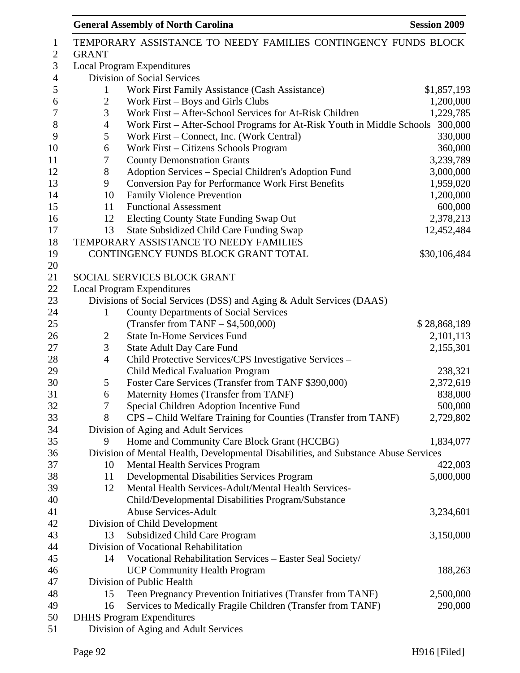| 1                |                | TEMPORARY ASSISTANCE TO NEEDY FAMILIES CONTINGENCY FUNDS BLOCK                      |              |
|------------------|----------------|-------------------------------------------------------------------------------------|--------------|
| $\mathbf{2}$     | <b>GRANT</b>   |                                                                                     |              |
| $\mathfrak{Z}$   |                | <b>Local Program Expenditures</b>                                                   |              |
| $\overline{4}$   |                | Division of Social Services                                                         |              |
| 5                | $\mathbf{1}$   | Work First Family Assistance (Cash Assistance)                                      | \$1,857,193  |
| 6                | $\overline{c}$ | Work First - Boys and Girls Clubs                                                   | 1,200,000    |
| $\boldsymbol{7}$ | 3              | Work First - After-School Services for At-Risk Children                             | 1,229,785    |
| $8\,$            | 4              | Work First - After-School Programs for At-Risk Youth in Middle Schools              | 300,000      |
| 9                | 5              | Work First – Connect, Inc. (Work Central)                                           | 330,000      |
| 10               | 6              | Work First – Citizens Schools Program                                               | 360,000      |
| 11               | 7              | <b>County Demonstration Grants</b>                                                  | 3,239,789    |
| 12               | 8              | Adoption Services - Special Children's Adoption Fund                                | 3,000,000    |
| 13               | 9              | <b>Conversion Pay for Performance Work First Benefits</b>                           | 1,959,020    |
| 14               | 10             | Family Violence Prevention                                                          | 1,200,000    |
| 15               | 11             | <b>Functional Assessment</b>                                                        | 600,000      |
| 16               | 12             | Electing County State Funding Swap Out                                              | 2,378,213    |
| 17               | 13             | <b>State Subsidized Child Care Funding Swap</b>                                     | 12,452,484   |
| 18               |                | TEMPORARY ASSISTANCE TO NEEDY FAMILIES                                              |              |
| 19               |                | CONTINGENCY FUNDS BLOCK GRANT TOTAL                                                 | \$30,106,484 |
| 20               |                |                                                                                     |              |
| 21               |                | SOCIAL SERVICES BLOCK GRANT                                                         |              |
| 22               |                | <b>Local Program Expenditures</b>                                                   |              |
| 23               |                | Divisions of Social Services (DSS) and Aging & Adult Services (DAAS)                |              |
| 24               | $\mathbf{1}$   |                                                                                     |              |
|                  |                | <b>County Departments of Social Services</b>                                        |              |
| 25               |                | (Transfer from TANF $-$ \$4,500,000)                                                | \$28,868,189 |
| 26               | $\overline{2}$ | <b>State In-Home Services Fund</b>                                                  | 2,101,113    |
| 27               | 3              | <b>State Adult Day Care Fund</b>                                                    | 2,155,301    |
| 28               | $\overline{4}$ | Child Protective Services/CPS Investigative Services -                              |              |
| 29               |                | <b>Child Medical Evaluation Program</b>                                             | 238,321      |
| 30               | 5              | Foster Care Services (Transfer from TANF \$390,000)                                 | 2,372,619    |
| 31               | 6              | Maternity Homes (Transfer from TANF)                                                | 838,000      |
| 32               | 7              | Special Children Adoption Incentive Fund                                            | 500,000      |
| 33               | 8              | CPS - Child Welfare Training for Counties (Transfer from TANF)                      | 2,729,802    |
| 34               |                | Division of Aging and Adult Services                                                |              |
| 35               | 9              | Home and Community Care Block Grant (HCCBG)                                         | 1,834,077    |
| 36               |                | Division of Mental Health, Developmental Disabilities, and Substance Abuse Services |              |
| 37               | 10             | <b>Mental Health Services Program</b>                                               | 422,003      |
| 38               | 11             | Developmental Disabilities Services Program                                         | 5,000,000    |
| 39               | 12             | Mental Health Services-Adult/Mental Health Services-                                |              |
| 40               |                | Child/Developmental Disabilities Program/Substance                                  |              |
| 41               |                | Abuse Services-Adult                                                                | 3,234,601    |
| 42               |                | Division of Child Development                                                       |              |
| 43               | 13             | <b>Subsidized Child Care Program</b>                                                | 3,150,000    |
| 44               |                | Division of Vocational Rehabilitation                                               |              |
| 45               | 14             | Vocational Rehabilitation Services - Easter Seal Society/                           |              |
| 46               |                | <b>UCP Community Health Program</b>                                                 | 188,263      |
| 47               |                | Division of Public Health                                                           |              |
| 48               | 15             | Teen Pregnancy Prevention Initiatives (Transfer from TANF)                          | 2,500,000    |
| 49               | 16             | Services to Medically Fragile Children (Transfer from TANF)                         | 290,000      |
| 50               |                | <b>DHHS Program Expenditures</b>                                                    |              |
| 51               |                | Division of Aging and Adult Services                                                |              |
|                  |                |                                                                                     |              |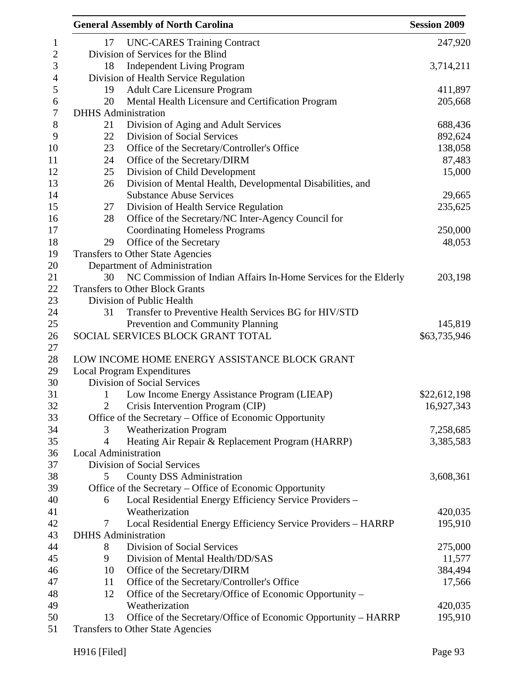|                             | <b>General Assembly of North Carolina</b>                        | <b>Session 2009</b> |
|-----------------------------|------------------------------------------------------------------|---------------------|
| 17                          | <b>UNC-CARES Training Contract</b>                               | 247,920             |
|                             | Division of Services for the Blind                               |                     |
| 18                          | <b>Independent Living Program</b>                                | 3,714,211           |
|                             | Division of Health Service Regulation                            |                     |
| 19                          | <b>Adult Care Licensure Program</b>                              | 411,897             |
| 20                          | Mental Health Licensure and Certification Program                | 205,668             |
|                             | <b>DHHS</b> Administration                                       |                     |
| 21                          | Division of Aging and Adult Services                             | 688,436             |
| 22                          | <b>Division of Social Services</b>                               | 892,624             |
| 23                          | Office of the Secretary/Controller's Office                      | 138,058             |
| 24                          | Office of the Secretary/DIRM                                     | 87,483              |
| 25                          | Division of Child Development                                    | 15,000              |
| 26                          | Division of Mental Health, Developmental Disabilities, and       |                     |
|                             | <b>Substance Abuse Services</b>                                  | 29,665              |
| 27                          | Division of Health Service Regulation                            | 235,625             |
| 28                          | Office of the Secretary/NC Inter-Agency Council for              |                     |
|                             | <b>Coordinating Homeless Programs</b>                            | 250,000             |
| 29                          | Office of the Secretary                                          | 48,053              |
|                             | Transfers to Other State Agencies                                |                     |
|                             | Department of Administration                                     |                     |
| 30                          | NC Commission of Indian Affairs In-Home Services for the Elderly | 203,198             |
|                             | <b>Transfers to Other Block Grants</b>                           |                     |
|                             | Division of Public Health                                        |                     |
| 31                          | Transfer to Preventive Health Services BG for HIV/STD            |                     |
|                             | Prevention and Community Planning                                | 145,819             |
|                             | SOCIAL SERVICES BLOCK GRANT TOTAL                                | \$63,735,946        |
|                             |                                                                  |                     |
|                             | LOW INCOME HOME ENERGY ASSISTANCE BLOCK GRANT                    |                     |
|                             | <b>Local Program Expenditures</b>                                |                     |
|                             | Division of Social Services                                      |                     |
| 1                           | Low Income Energy Assistance Program (LIEAP)                     | \$22,612,198        |
| 2                           | Crisis Intervention Program (CIP)                                | 16,927,343          |
|                             | Office of the Secretary - Office of Economic Opportunity         |                     |
| 3                           | <b>Weatherization Program</b>                                    | 7,258,685           |
| 4                           | Heating Air Repair & Replacement Program (HARRP)                 | 3,385,583           |
| <b>Local Administration</b> |                                                                  |                     |
|                             | Division of Social Services                                      |                     |
| 5                           | <b>County DSS Administration</b>                                 | 3,608,361           |
|                             | Office of the Secretary – Office of Economic Opportunity         |                     |
| 6                           | Local Residential Energy Efficiency Service Providers -          |                     |
|                             | Weatherization                                                   | 420,035             |
| 7                           | Local Residential Energy Efficiency Service Providers - HARRP    | 195,910             |
|                             | <b>DHHS</b> Administration                                       |                     |
| 8                           | Division of Social Services                                      | 275,000             |
| 9                           | Division of Mental Health/DD/SAS                                 | 11,577              |
| 10                          | Office of the Secretary/DIRM                                     | 384,494             |
| 11                          | Office of the Secretary/Controller's Office                      | 17,566              |
| 12                          | Office of the Secretary/Office of Economic Opportunity –         |                     |
|                             | Weatherization                                                   | 420,035             |
| 13                          | Office of the Secretary/Office of Economic Opportunity – HARRP   | 195,910             |
|                             | Transfers to Other State Agencies                                |                     |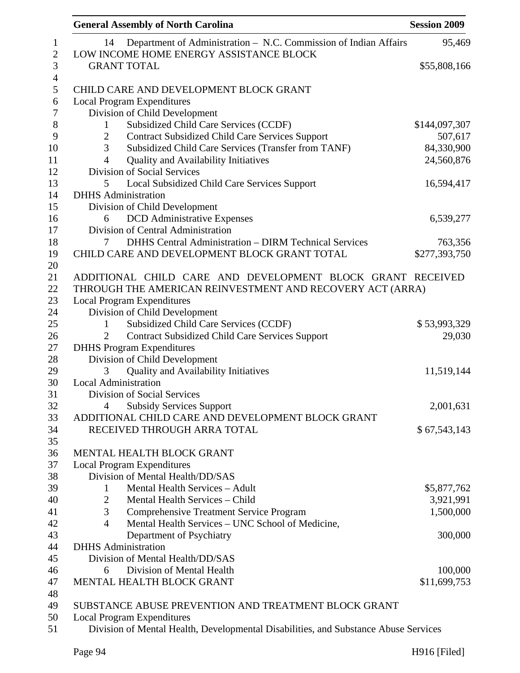| <b>General Assembly of North Carolina</b>                                           | <b>Session 2009</b> |
|-------------------------------------------------------------------------------------|---------------------|
| Department of Administration - N.C. Commission of Indian Affairs<br>14              | 95,469              |
| LOW INCOME HOME ENERGY ASSISTANCE BLOCK                                             |                     |
| <b>GRANT TOTAL</b>                                                                  | \$55,808,166        |
| CHILD CARE AND DEVELOPMENT BLOCK GRANT                                              |                     |
| <b>Local Program Expenditures</b>                                                   |                     |
| Division of Child Development                                                       |                     |
| Subsidized Child Care Services (CCDF)<br>$\mathbf{1}$                               | \$144,097,307       |
| <b>Contract Subsidized Child Care Services Support</b><br>$\overline{2}$            | 507,617             |
| 3<br>Subsidized Child Care Services (Transfer from TANF)                            | 84,330,900          |
| Quality and Availability Initiatives<br>$\overline{4}$                              | 24,560,876          |
| Division of Social Services                                                         |                     |
| 5<br>Local Subsidized Child Care Services Support                                   | 16,594,417          |
| <b>DHHS</b> Administration                                                          |                     |
| Division of Child Development                                                       |                     |
| <b>DCD</b> Administrative Expenses<br>6                                             | 6,539,277           |
| Division of Central Administration                                                  |                     |
| <b>DHHS Central Administration - DIRM Technical Services</b><br>7                   | 763,356             |
| CHILD CARE AND DEVELOPMENT BLOCK GRANT TOTAL                                        | \$277,393,750       |
|                                                                                     |                     |
| ADDITIONAL CHILD CARE AND DEVELOPMENT BLOCK GRANT RECEIVED                          |                     |
| THROUGH THE AMERICAN REINVESTMENT AND RECOVERY ACT (ARRA)                           |                     |
| <b>Local Program Expenditures</b>                                                   |                     |
| Division of Child Development                                                       |                     |
| Subsidized Child Care Services (CCDF)<br>1                                          | \$53,993,329        |
| <b>Contract Subsidized Child Care Services Support</b><br>2                         | 29,030              |
| <b>DHHS</b> Program Expenditures                                                    |                     |
| Division of Child Development                                                       |                     |
| <b>Quality and Availability Initiatives</b><br>3                                    | 11,519,144          |
| <b>Local Administration</b>                                                         |                     |
| Division of Social Services                                                         |                     |
| <b>Subsidy Services Support</b><br>4                                                | 2,001,631           |
| ADDITIONAL CHILD CARE AND DEVELOPMENT BLOCK GRANT                                   |                     |
|                                                                                     |                     |
| RECEIVED THROUGH ARRA TOTAL                                                         | \$67,543,143        |
| MENTAL HEALTH BLOCK GRANT                                                           |                     |
| <b>Local Program Expenditures</b>                                                   |                     |
| Division of Mental Health/DD/SAS                                                    |                     |
| Mental Health Services - Adult<br>1                                                 | \$5,877,762         |
| Mental Health Services - Child<br>$\overline{2}$                                    | 3,921,991           |
| 3<br><b>Comprehensive Treatment Service Program</b>                                 | 1,500,000           |
| Mental Health Services - UNC School of Medicine,<br>$\overline{4}$                  |                     |
| Department of Psychiatry                                                            | 300,000             |
| <b>DHHS</b> Administration                                                          |                     |
| Division of Mental Health/DD/SAS                                                    |                     |
| Division of Mental Health<br>6                                                      | 100,000             |
| MENTAL HEALTH BLOCK GRANT                                                           | \$11,699,753        |
|                                                                                     |                     |
| SUBSTANCE ABUSE PREVENTION AND TREATMENT BLOCK GRANT                                |                     |
| <b>Local Program Expenditures</b>                                                   |                     |
| Division of Mental Health, Developmental Disabilities, and Substance Abuse Services |                     |
|                                                                                     |                     |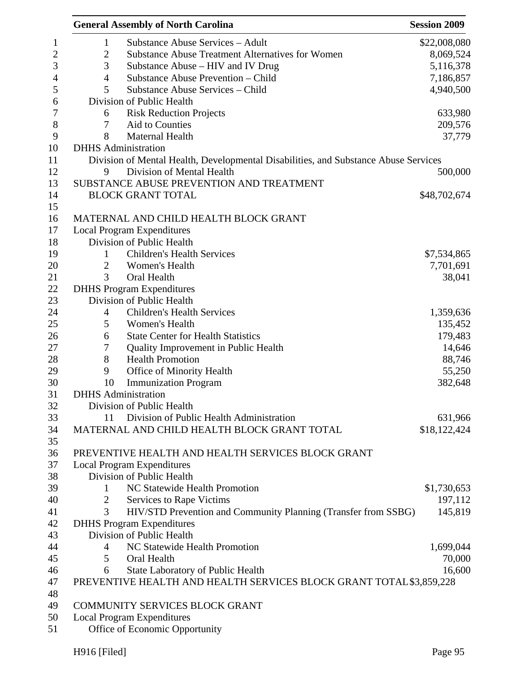|                | <b>General Assembly of North Carolina</b>                                           | <b>Session 2009</b> |
|----------------|-------------------------------------------------------------------------------------|---------------------|
| $\mathbf{1}$   | <b>Substance Abuse Services - Adult</b>                                             | \$22,008,080        |
| $\mathbf{2}$   | <b>Substance Abuse Treatment Alternatives for Women</b>                             | 8,069,524           |
| 3              | Substance Abuse – HIV and IV Drug                                                   | 5,116,378           |
| $\overline{4}$ | Substance Abuse Prevention - Child                                                  | 7,186,857           |
| 5              | Substance Abuse Services - Child                                                    | 4,940,500           |
|                | Division of Public Health                                                           |                     |
| 6              | <b>Risk Reduction Projects</b>                                                      | 633,980             |
| 7              | Aid to Counties                                                                     | 209,576             |
| 8              | Maternal Health                                                                     | 37,779              |
|                | <b>DHHS</b> Administration                                                          |                     |
|                | Division of Mental Health, Developmental Disabilities, and Substance Abuse Services |                     |
| 9              | Division of Mental Health                                                           | 500,000             |
|                | SUBSTANCE ABUSE PREVENTION AND TREATMENT                                            |                     |
|                | <b>BLOCK GRANT TOTAL</b>                                                            | \$48,702,674        |
|                |                                                                                     |                     |
|                | MATERNAL AND CHILD HEALTH BLOCK GRANT                                               |                     |
|                | <b>Local Program Expenditures</b>                                                   |                     |
|                | Division of Public Health                                                           |                     |
|                | <b>Children's Health Services</b>                                                   |                     |
| 1              |                                                                                     | \$7,534,865         |
| $\overline{2}$ | Women's Health                                                                      | 7,701,691           |
| 3              | Oral Health                                                                         | 38,041              |
|                | <b>DHHS Program Expenditures</b>                                                    |                     |
|                | Division of Public Health                                                           |                     |
| $\overline{4}$ | <b>Children's Health Services</b>                                                   | 1,359,636           |
| 5              | Women's Health                                                                      | 135,452             |
| 6              | <b>State Center for Health Statistics</b>                                           | 179,483             |
| 7              | Quality Improvement in Public Health                                                | 14,646              |
| 8              | <b>Health Promotion</b>                                                             | 88,746              |
| 9              | Office of Minority Health                                                           | 55,250              |
| 10             | <b>Immunization Program</b>                                                         | 382,648             |
|                | <b>DHHS</b> Administration                                                          |                     |
|                | Division of Public Health                                                           |                     |
| 11             | Division of Public Health Administration                                            | 631,966             |
|                | MATERNAL AND CHILD HEALTH BLOCK GRANT TOTAL                                         | \$18,122,424        |
|                |                                                                                     |                     |
|                | PREVENTIVE HEALTH AND HEALTH SERVICES BLOCK GRANT                                   |                     |
|                | <b>Local Program Expenditures</b>                                                   |                     |
|                | Division of Public Health                                                           |                     |
| 1              | NC Statewide Health Promotion                                                       | \$1,730,653         |
| 2              | Services to Rape Victims                                                            | 197,112             |
| 3              | HIV/STD Prevention and Community Planning (Transfer from SSBG)                      | 145,819             |
|                | <b>DHHS Program Expenditures</b>                                                    |                     |
|                | Division of Public Health                                                           |                     |
| 4              | NC Statewide Health Promotion                                                       | 1,699,044           |
| 5              | Oral Health                                                                         | 70,000              |
| 6              | <b>State Laboratory of Public Health</b>                                            | 16,600              |
|                | PREVENTIVE HEALTH AND HEALTH SERVICES BLOCK GRANT TOTAL \$3,859,228                 |                     |
|                |                                                                                     |                     |
|                | COMMUNITY SERVICES BLOCK GRANT                                                      |                     |
|                | <b>Local Program Expenditures</b>                                                   |                     |
|                | Office of Economic Opportunity                                                      |                     |
|                |                                                                                     |                     |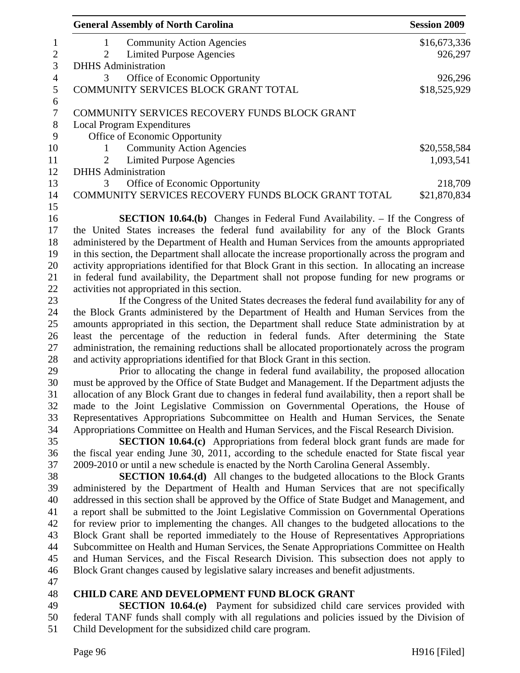| <b>General Assembly of North Carolina</b>                                                                                                                                              | <b>Session 2009</b> |
|----------------------------------------------------------------------------------------------------------------------------------------------------------------------------------------|---------------------|
| <b>Community Action Agencies</b><br>1                                                                                                                                                  | \$16,673,336        |
| <b>Limited Purpose Agencies</b><br>2                                                                                                                                                   | 926,297             |
| <b>DHHS</b> Administration                                                                                                                                                             |                     |
| Office of Economic Opportunity<br>3                                                                                                                                                    | 926,296             |
| COMMUNITY SERVICES BLOCK GRANT TOTAL                                                                                                                                                   | \$18,525,929        |
| COMMUNITY SERVICES RECOVERY FUNDS BLOCK GRANT                                                                                                                                          |                     |
| <b>Local Program Expenditures</b>                                                                                                                                                      |                     |
| Office of Economic Opportunity                                                                                                                                                         |                     |
| <b>Community Action Agencies</b><br>1                                                                                                                                                  | \$20,558,584        |
| <b>Limited Purpose Agencies</b><br>2                                                                                                                                                   | 1,093,541           |
| <b>DHHS</b> Administration                                                                                                                                                             |                     |
| Office of Economic Opportunity<br>3                                                                                                                                                    | 218,709             |
| COMMUNITY SERVICES RECOVERY FUNDS BLOCK GRANT TOTAL                                                                                                                                    | \$21,870,834        |
|                                                                                                                                                                                        |                     |
| <b>SECTION 10.64.(b)</b> Changes in Federal Fund Availability. – If the Congress of                                                                                                    |                     |
| the United States increases the federal fund availability for any of the Block Grants                                                                                                  |                     |
| administered by the Department of Health and Human Services from the amounts appropriated                                                                                              |                     |
| in this section, the Department shall allocate the increase proportionally across the program and                                                                                      |                     |
| activity appropriations identified for that Block Grant in this section. In allocating an increase                                                                                     |                     |
| in federal fund availability, the Department shall not propose funding for new programs or                                                                                             |                     |
| activities not appropriated in this section.                                                                                                                                           |                     |
| If the Congress of the United States decreases the federal fund availability for any of                                                                                                |                     |
| the Block Grants administered by the Department of Health and Human Services from the                                                                                                  |                     |
| amounts appropriated in this section, the Department shall reduce State administration by at                                                                                           |                     |
| least the percentage of the reduction in federal funds. After determining the State                                                                                                    |                     |
| administration, the remaining reductions shall be allocated proportionately across the program                                                                                         |                     |
| and activity appropriations identified for that Block Grant in this section.                                                                                                           |                     |
| Prior to allocating the change in federal fund availability, the proposed allocation                                                                                                   |                     |
| must be approved by the Office of State Budget and Management. If the Department adjusts the                                                                                           |                     |
| allocation of any Block Grant due to changes in federal fund availability, then a report shall be<br>made to the Joint Legislative Commission on Governmental Operations, the House of |                     |
| Representatives Appropriations Subcommittee on Health and Human Services, the Senate                                                                                                   |                     |
| Appropriations Committee on Health and Human Services, and the Fiscal Research Division.                                                                                               |                     |
| <b>SECTION 10.64.(c)</b> Appropriations from federal block grant funds are made for                                                                                                    |                     |
| the fiscal year ending June 30, 2011, according to the schedule enacted for State fiscal year                                                                                          |                     |
| 2009-2010 or until a new schedule is enacted by the North Carolina General Assembly.                                                                                                   |                     |
| <b>SECTION 10.64.(d)</b> All changes to the budgeted allocations to the Block Grants                                                                                                   |                     |
| administered by the Department of Health and Human Services that are not specifically                                                                                                  |                     |
| addressed in this section shall be approved by the Office of State Budget and Management, and                                                                                          |                     |
| a report shall be submitted to the Joint Legislative Commission on Governmental Operations                                                                                             |                     |
| for review prior to implementing the changes. All changes to the budgeted allocations to the                                                                                           |                     |
| Block Grant shall be reported immediately to the House of Representatives Appropriations                                                                                               |                     |
| Subcommittee on Health and Human Services, the Senate Appropriations Committee on Health                                                                                               |                     |
| and Human Services, and the Fiscal Research Division. This subsection does not apply to                                                                                                |                     |
| Block Grant changes caused by legislative salary increases and benefit adjustments.                                                                                                    |                     |
|                                                                                                                                                                                        |                     |
| <b>CHILD CARE AND DEVELOPMENT FUND BLOCK GRANT</b>                                                                                                                                     |                     |
| <b>SECTION 10.64.(e)</b> Payment for subsidized child care services provided with                                                                                                      |                     |
| federal TANF funds shall comply with all regulations and policies issued by the Division of                                                                                            |                     |
| Child Development for the subsidized child care program.                                                                                                                               |                     |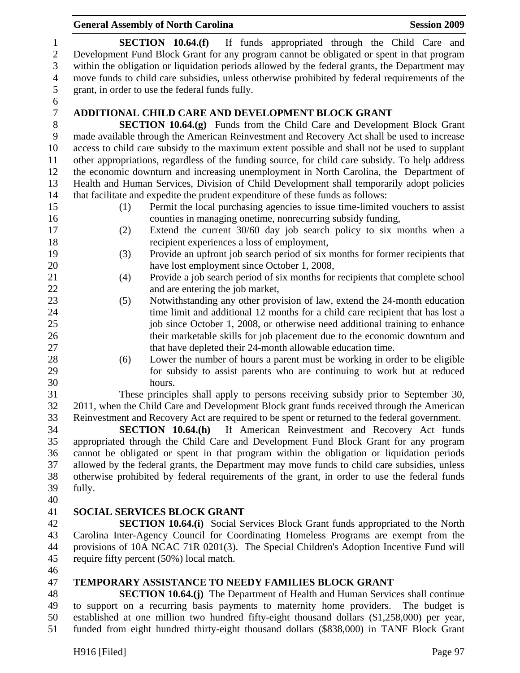|                                              | <b>General Assembly of North Carolina</b><br><b>Session 2009</b>                                                                                                                                                                                                      |
|----------------------------------------------|-----------------------------------------------------------------------------------------------------------------------------------------------------------------------------------------------------------------------------------------------------------------------|
| $\mathbf{1}$<br>$\sqrt{2}$<br>$\mathfrak{Z}$ | SECTION $10.64(f)$<br>If funds appropriated through the Child Care and<br>Development Fund Block Grant for any program cannot be obligated or spent in that program<br>within the obligation or liquidation periods allowed by the federal grants, the Department may |
| $\overline{4}$                               | move funds to child care subsidies, unless otherwise prohibited by federal requirements of the                                                                                                                                                                        |
| 5                                            | grant, in order to use the federal funds fully.                                                                                                                                                                                                                       |
| 6                                            |                                                                                                                                                                                                                                                                       |
| $\boldsymbol{7}$                             | <b>ADDITIONAL CHILD CARE AND DEVELOPMENT BLOCK GRANT</b>                                                                                                                                                                                                              |
| $8\,$                                        | <b>SECTION 10.64.(g)</b> Funds from the Child Care and Development Block Grant                                                                                                                                                                                        |
| 9                                            | made available through the American Reinvestment and Recovery Act shall be used to increase                                                                                                                                                                           |
| 10                                           | access to child care subsidy to the maximum extent possible and shall not be used to supplant                                                                                                                                                                         |
| 11                                           | other appropriations, regardless of the funding source, for child care subsidy. To help address                                                                                                                                                                       |
| 12                                           | the economic downturn and increasing unemployment in North Carolina, the Department of                                                                                                                                                                                |
| 13                                           | Health and Human Services, Division of Child Development shall temporarily adopt policies                                                                                                                                                                             |
| 14                                           | that facilitate and expedite the prudent expenditure of these funds as follows:                                                                                                                                                                                       |
| 15                                           | Permit the local purchasing agencies to issue time-limited vouchers to assist<br>(1)                                                                                                                                                                                  |
| 16                                           | counties in managing onetime, nonrecurring subsidy funding,                                                                                                                                                                                                           |
| 17                                           | Extend the current 30/60 day job search policy to six months when a<br>(2)                                                                                                                                                                                            |
| 18                                           | recipient experiences a loss of employment,                                                                                                                                                                                                                           |
| 19                                           | (3)<br>Provide an upfront job search period of six months for former recipients that                                                                                                                                                                                  |
| 20                                           | have lost employment since October 1, 2008,                                                                                                                                                                                                                           |
| 21                                           | Provide a job search period of six months for recipients that complete school<br>(4)                                                                                                                                                                                  |
| 22                                           | and are entering the job market,                                                                                                                                                                                                                                      |
| 23                                           | Notwithstanding any other provision of law, extend the 24-month education<br>(5)                                                                                                                                                                                      |
| 24                                           | time limit and additional 12 months for a child care recipient that has lost a                                                                                                                                                                                        |
| 25                                           | job since October 1, 2008, or otherwise need additional training to enhance                                                                                                                                                                                           |
| 26                                           | their marketable skills for job placement due to the economic downturn and                                                                                                                                                                                            |
| 27                                           | that have depleted their 24-month allowable education time.                                                                                                                                                                                                           |
| 28                                           | (6)<br>Lower the number of hours a parent must be working in order to be eligible                                                                                                                                                                                     |
| 29                                           | for subsidy to assist parents who are continuing to work but at reduced                                                                                                                                                                                               |
| 30                                           | hours.                                                                                                                                                                                                                                                                |
| 31                                           | These principles shall apply to persons receiving subsidy prior to September 30,                                                                                                                                                                                      |
| 32                                           | 2011, when the Child Care and Development Block grant funds received through the American                                                                                                                                                                             |
| 33                                           | Reinvestment and Recovery Act are required to be spent or returned to the federal government.                                                                                                                                                                         |
| 34                                           | If American Reinvestment and Recovery Act funds<br>SECTION 10.64(h)                                                                                                                                                                                                   |
| 35                                           | appropriated through the Child Care and Development Fund Block Grant for any program                                                                                                                                                                                  |
| 36                                           | cannot be obligated or spent in that program within the obligation or liquidation periods                                                                                                                                                                             |
| 37                                           | allowed by the federal grants, the Department may move funds to child care subsidies, unless                                                                                                                                                                          |
| 38                                           | otherwise prohibited by federal requirements of the grant, in order to use the federal funds                                                                                                                                                                          |
| 39                                           | fully.                                                                                                                                                                                                                                                                |
| 40                                           |                                                                                                                                                                                                                                                                       |
| 41                                           | <b>SOCIAL SERVICES BLOCK GRANT</b>                                                                                                                                                                                                                                    |
| 42                                           | <b>SECTION 10.64.(i)</b> Social Services Block Grant funds appropriated to the North                                                                                                                                                                                  |
| 43                                           | Carolina Inter-Agency Council for Coordinating Homeless Programs are exempt from the                                                                                                                                                                                  |
| 44                                           | provisions of 10A NCAC 71R 0201(3). The Special Children's Adoption Incentive Fund will                                                                                                                                                                               |
| 45                                           | require fifty percent (50%) local match.                                                                                                                                                                                                                              |
| 46                                           |                                                                                                                                                                                                                                                                       |
| 47                                           | <b>TEMPORARY ASSISTANCE TO NEEDY FAMILIES BLOCK GRANT</b>                                                                                                                                                                                                             |
| 48                                           | <b>SECTION 10.64.(i)</b> The Department of Health and Human Services shall continue                                                                                                                                                                                   |

48 **SECTION 10.64.(j)** The Department of Health and Human Services shall continue 49 to support on a recurring basis payments to maternity home providers. The budget is 50 established at one million two hundred fifty-eight thousand dollars (\$1,258,000) per year, 51 funded from eight hundred thirty-eight thousand dollars (\$838,000) in TANF Block Grant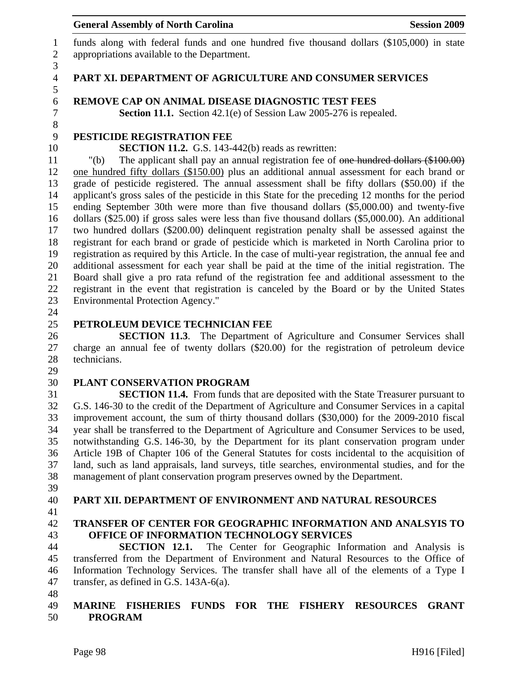1 funds along with federal funds and one hundred five thousand dollars (\$105,000) in state 2 appropriations available to the Department.

#### 4 **PART XI. DEPARTMENT OF AGRICULTURE AND CONSUMER SERVICES**

#### 6 **REMOVE CAP ON ANIMAL DISEASE DIAGNOSTIC TEST FEES**

7 **Section 11.1.** Section 42.1(e) of Session Law 2005-276 is repealed.

# 9 **PESTICIDE REGISTRATION FEE**

10 **SECTION 11.2.** G.S. 143-442(b) reads as rewritten:

11 "(b) The applicant shall pay an annual registration fee of one hundred dollars (\$100.00) 12 one hundred fifty dollars (\$150.00) plus an additional annual assessment for each brand or 13 grade of pesticide registered. The annual assessment shall be fifty dollars (\$50.00) if the 14 applicant's gross sales of the pesticide in this State for the preceding 12 months for the period 15 ending September 30th were more than five thousand dollars (\$5,000.00) and twenty-five 16 dollars (\$25.00) if gross sales were less than five thousand dollars (\$5,000.00). An additional 17 two hundred dollars (\$200.00) delinquent registration penalty shall be assessed against the 18 registrant for each brand or grade of pesticide which is marketed in North Carolina prior to 19 registration as required by this Article. In the case of multi-year registration, the annual fee and 20 additional assessment for each year shall be paid at the time of the initial registration. The 21 Board shall give a pro rata refund of the registration fee and additional assessment to the 22 registrant in the event that registration is canceled by the Board or by the United States 23 Environmental Protection Agency."

24

3

5

8

# 25 **PETROLEUM DEVICE TECHNICIAN FEE**

26 **SECTION 11.3**. The Department of Agriculture and Consumer Services shall 27 charge an annual fee of twenty dollars (\$20.00) for the registration of petroleum device 28 technicians.

29

#### 30 **PLANT CONSERVATION PROGRAM**

31 **SECTION 11.4.** From funds that are deposited with the State Treasurer pursuant to 32 G.S. 146-30 to the credit of the Department of Agriculture and Consumer Services in a capital 33 improvement account, the sum of thirty thousand dollars (\$30,000) for the 2009-2010 fiscal 34 year shall be transferred to the Department of Agriculture and Consumer Services to be used, 35 notwithstanding G.S. 146-30, by the Department for its plant conservation program under 36 Article 19B of Chapter 106 of the General Statutes for costs incidental to the acquisition of 37 land, such as land appraisals, land surveys, title searches, environmental studies, and for the 38 management of plant conservation program preserves owned by the Department.

- 39
- 

# 40 **PART XII. DEPARTMENT OF ENVIRONMENT AND NATURAL RESOURCES**

41

# 42 **TRANSFER OF CENTER FOR GEOGRAPHIC INFORMATION AND ANALSYIS TO**  43 **OFFICE OF INFORMATION TECHNOLOGY SERVICES**

44 **SECTION 12.1.** The Center for Geographic Information and Analysis is 45 transferred from the Department of Environment and Natural Resources to the Office of 46 Information Technology Services. The transfer shall have all of the elements of a Type I 47 transfer, as defined in G.S. 143A-6(a).

48

#### 49 **MARINE FISHERIES FUNDS FOR THE FISHERY RESOURCES GRANT**  50 **PROGRAM**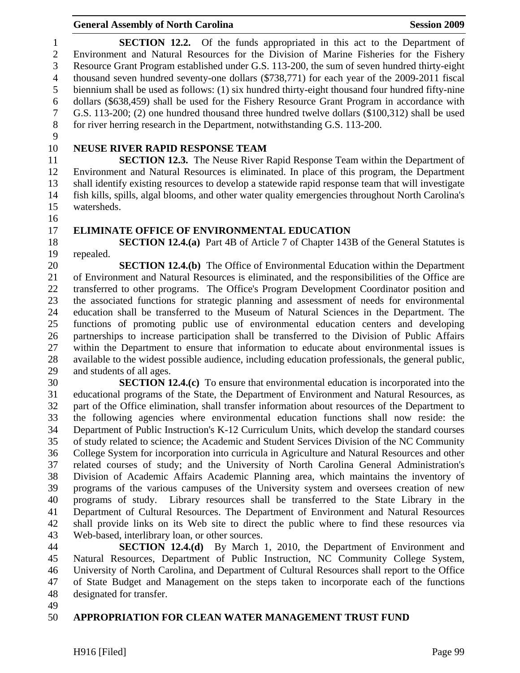1 **SECTION 12.2.** Of the funds appropriated in this act to the Department of 2 Environment and Natural Resources for the Division of Marine Fisheries for the Fishery 3 Resource Grant Program established under G.S. 113-200, the sum of seven hundred thirty-eight 4 thousand seven hundred seventy-one dollars (\$738,771) for each year of the 2009-2011 fiscal 5 biennium shall be used as follows: (1) six hundred thirty-eight thousand four hundred fifty-nine 6 dollars (\$638,459) shall be used for the Fishery Resource Grant Program in accordance with 7 G.S. 113-200; (2) one hundred thousand three hundred twelve dollars (\$100,312) shall be used 8 for river herring research in the Department, notwithstanding G.S. 113-200.

9

# 10 **NEUSE RIVER RAPID RESPONSE TEAM**

11 **SECTION 12.3.** The Neuse River Rapid Response Team within the Department of 12 Environment and Natural Resources is eliminated. In place of this program, the Department 13 shall identify existing resources to develop a statewide rapid response team that will investigate 14 fish kills, spills, algal blooms, and other water quality emergencies throughout North Carolina's 15 watersheds.

- 16
- 

#### 17 **ELIMINATE OFFICE OF ENVIRONMENTAL EDUCATION**

18 **SECTION 12.4.(a)** Part 4B of Article 7 of Chapter 143B of the General Statutes is 19 repealed.

20 **SECTION 12.4.(b)** The Office of Environmental Education within the Department 21 of Environment and Natural Resources is eliminated, and the responsibilities of the Office are 22 transferred to other programs. The Office's Program Development Coordinator position and 23 the associated functions for strategic planning and assessment of needs for environmental 24 education shall be transferred to the Museum of Natural Sciences in the Department. The 25 functions of promoting public use of environmental education centers and developing 26 partnerships to increase participation shall be transferred to the Division of Public Affairs 27 within the Department to ensure that information to educate about environmental issues is 28 available to the widest possible audience, including education professionals, the general public, 29 and students of all ages.

30 **SECTION 12.4.(c)** To ensure that environmental education is incorporated into the 31 educational programs of the State, the Department of Environment and Natural Resources, as 32 part of the Office elimination, shall transfer information about resources of the Department to 33 the following agencies where environmental education functions shall now reside: the 34 Department of Public Instruction's K-12 Curriculum Units, which develop the standard courses 35 of study related to science; the Academic and Student Services Division of the NC Community 36 College System for incorporation into curricula in Agriculture and Natural Resources and other 37 related courses of study; and the University of North Carolina General Administration's 38 Division of Academic Affairs Academic Planning area, which maintains the inventory of 39 programs of the various campuses of the University system and oversees creation of new 40 programs of study. Library resources shall be transferred to the State Library in the 41 Department of Cultural Resources. The Department of Environment and Natural Resources 42 shall provide links on its Web site to direct the public where to find these resources via 43 Web-based, interlibrary loan, or other sources.

44 **SECTION 12.4.(d)** By March 1, 2010, the Department of Environment and 45 Natural Resources, Department of Public Instruction, NC Community College System, 46 University of North Carolina, and Department of Cultural Resources shall report to the Office 47 of State Budget and Management on the steps taken to incorporate each of the functions 48 designated for transfer.

49

# 50 **APPROPRIATION FOR CLEAN WATER MANAGEMENT TRUST FUND**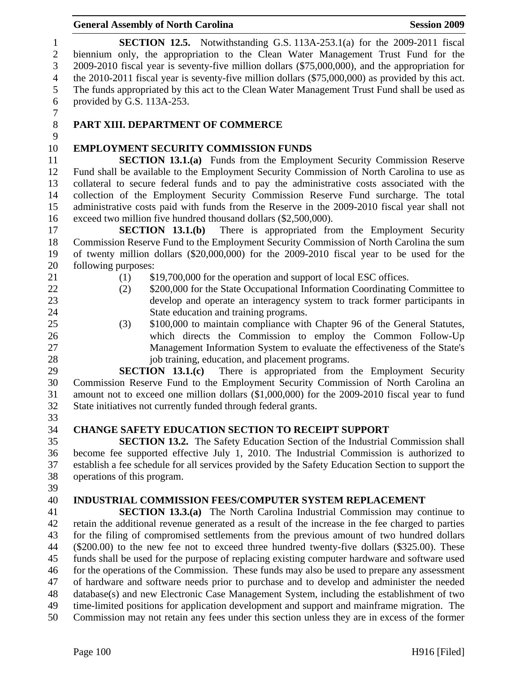| 10 | EMPLOYMENT SECURITY COMMISSION FUNDS                                                              |
|----|---------------------------------------------------------------------------------------------------|
| 11 | <b>SECTION 13.1.(a)</b> Funds from the Employment Security Commission Reserve                     |
| 12 | Fund shall be available to the Employment Security Commission of North Carolina to use as         |
| 13 | collateral to secure federal funds and to pay the administrative costs associated with the        |
| 14 | collection of the Employment Security Commission Reserve Fund surcharge. The total                |
| 15 | administrative costs paid with funds from the Reserve in the 2009-2010 fiscal year shall not      |
| 16 | exceed two million five hundred thousand dollars (\$2,500,000).                                   |
| 17 | SECTION 13.1(b)<br>There is appropriated from the Employment Security                             |
| 18 | Commission Reserve Fund to the Employment Security Commission of North Carolina the sum           |
| 19 | of twenty million dollars (\$20,000,000) for the 2009-2010 fiscal year to be used for the         |
| 20 | following purposes:                                                                               |
| 21 | \$19,700,000 for the operation and support of local ESC offices.<br>(1)                           |
| 22 | \$200,000 for the State Occupational Information Coordinating Committee to<br>(2)                 |
| 23 | develop and operate an interagency system to track former participants in                         |
| 24 | State education and training programs.                                                            |
| 25 | \$100,000 to maintain compliance with Chapter 96 of the General Statutes,<br>(3)                  |
| 26 | which directs the Commission to employ the Common Follow-Up                                       |
| 27 | Management Information System to evaluate the effectiveness of the State's                        |
| 28 | job training, education, and placement programs.                                                  |
| 29 | SECTION 13.1(c)<br>There is appropriated from the Employment Security                             |
| 30 | Commission Reserve Fund to the Employment Security Commission of North Carolina an                |
| 31 | amount not to exceed one million dollars (\$1,000,000) for the 2009-2010 fiscal year to fund      |
| 32 | State initiatives not currently funded through federal grants.                                    |
| 33 |                                                                                                   |
| 34 | <b>CHANGE SAFETY EDUCATION SECTION TO RECEIPT SUPPORT</b>                                         |
| 35 | <b>SECTION 13.2.</b> The Safety Education Section of the Industrial Commission shall              |
| 36 | become fee supported effective July 1, 2010. The Industrial Commission is authorized to           |
| 37 | establish a fee schedule for all services provided by the Safety Education Section to support the |
| 38 | operations of this program.                                                                       |
| 39 |                                                                                                   |
| 40 | <b>INDUSTRIAL COMMISSION FEES/COMPUTER SYSTEM REPLACEMENT</b>                                     |
| 41 | <b>SECTION 13.3.(a)</b> The North Carolina Industrial Commission may continue to                  |
| 42 | retain the additional revenue generated as a result of the increase in the fee charged to parties |
| 43 | for the filing of compromised settlements from the previous amount of two hundred dollars         |
| 44 | $(\$200.00)$ to the new fee not to exceed three hundred twenty-five dollars $(\$325.00)$ . These  |
| 45 | funds shall be used for the purpose of replacing existing computer hardware and software used     |
| 46 | for the operations of the Commission. These funds may also be used to prepare any assessment      |
| 47 | of hardware and software needs prior to purchase and to develop and administer the needed         |
| 48 | database(s) and new Electronic Case Management System, including the establishment of two         |
| 49 |                                                                                                   |
| 50 | time-limited positions for application development and support and mainframe migration. The       |
|    | Commission may not retain any fees under this section unless they are in excess of the former     |
|    | Page 100<br>H916 [Filed]                                                                          |
|    |                                                                                                   |

#### General Assembly of North Carolina **Session 2009**

1 **SECTION 12.5.** Notwithstanding G.S. 113A-253.1(a) for the 2009-2011 fiscal<br>2 biennium only, the appropriation to the Clean Water Management Trust Fund for the biennium only, the appropriation to the Clean Water Management Trust Fund for the 3 2009-2010 fiscal year is seventy-five million dollars (\$75,000,000), and the appropriation for the 2010-2011 fiscal year is seventy-five million dollars (\$75,000,000) as provided by this act. the 2010-2011 fiscal year is seventy-five million dollars (\$75,000,000) as provided by this act. 5 The funds appropriated by this act to the Clean Water Management Trust Fund shall be used as 6 provided by G.S. 113A-253.

 $\begin{array}{c} 7 \\ 8 \end{array}$ 

# 8 **PART XIII. DEPARTMENT OF COMMERCE**

# $\frac{9}{10}$ 10 **EMPLOYMENT SECURITY COMMISSION FUNDS**

- -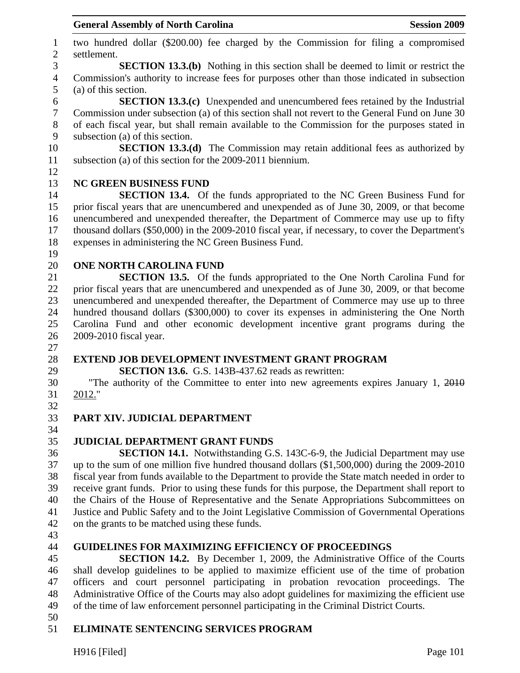1 two hundred dollar (\$200.00) fee charged by the Commission for filing a compromised 2 settlement. 3 **SECTION 13.3.(b)** Nothing in this section shall be deemed to limit or restrict the 4 Commission's authority to increase fees for purposes other than those indicated in subsection 5 (a) of this section. 6 **SECTION 13.3.(c)** Unexpended and unencumbered fees retained by the Industrial 7 Commission under subsection (a) of this section shall not revert to the General Fund on June 30 8 of each fiscal year, but shall remain available to the Commission for the purposes stated in 9 subsection (a) of this section. 10 **SECTION 13.3.(d)** The Commission may retain additional fees as authorized by 11 subsection (a) of this section for the 2009-2011 biennium. 12 13 **NC GREEN BUSINESS FUND**  14 **SECTION 13.4.** Of the funds appropriated to the NC Green Business Fund for 15 prior fiscal years that are unencumbered and unexpended as of June 30, 2009, or that become 16 unencumbered and unexpended thereafter, the Department of Commerce may use up to fifty 17 thousand dollars (\$50,000) in the 2009-2010 fiscal year, if necessary, to cover the Department's 18 expenses in administering the NC Green Business Fund. 19 20 **ONE NORTH CAROLINA FUND**  21 **SECTION 13.5.** Of the funds appropriated to the One North Carolina Fund for 22 prior fiscal years that are unencumbered and unexpended as of June 30, 2009, or that become 23 unencumbered and unexpended thereafter, the Department of Commerce may use up to three 24 hundred thousand dollars (\$300,000) to cover its expenses in administering the One North 25 Carolina Fund and other economic development incentive grant programs during the 26 2009-2010 fiscal year. 27 28 **EXTEND JOB DEVELOPMENT INVESTMENT GRANT PROGRAM**  29 **SECTION 13.6.** G.S. 143B-437.62 reads as rewritten: 30 "The authority of the Committee to enter into new agreements expires January 1, 2010 31 2012." 32 33 **PART XIV. JUDICIAL DEPARTMENT**  34 35 **JUDICIAL DEPARTMENT GRANT FUNDS**  36 **SECTION 14.1.** Notwithstanding G.S. 143C-6-9, the Judicial Department may use 37 up to the sum of one million five hundred thousand dollars (\$1,500,000) during the 2009-2010 38 fiscal year from funds available to the Department to provide the State match needed in order to 39 receive grant funds. Prior to using these funds for this purpose, the Department shall report to 40 the Chairs of the House of Representative and the Senate Appropriations Subcommittees on 41 Justice and Public Safety and to the Joint Legislative Commission of Governmental Operations 42 on the grants to be matched using these funds. 43 44 **GUIDELINES FOR MAXIMIZING EFFICIENCY OF PROCEEDINGS**  45 **SECTION 14.2.** By December 1, 2009, the Administrative Office of the Courts 46 shall develop guidelines to be applied to maximize efficient use of the time of probation 47 officers and court personnel participating in probation revocation proceedings. The 48 Administrative Office of the Courts may also adopt guidelines for maximizing the efficient use 49 of the time of law enforcement personnel participating in the Criminal District Courts. 50

# 51 **ELIMINATE SENTENCING SERVICES PROGRAM**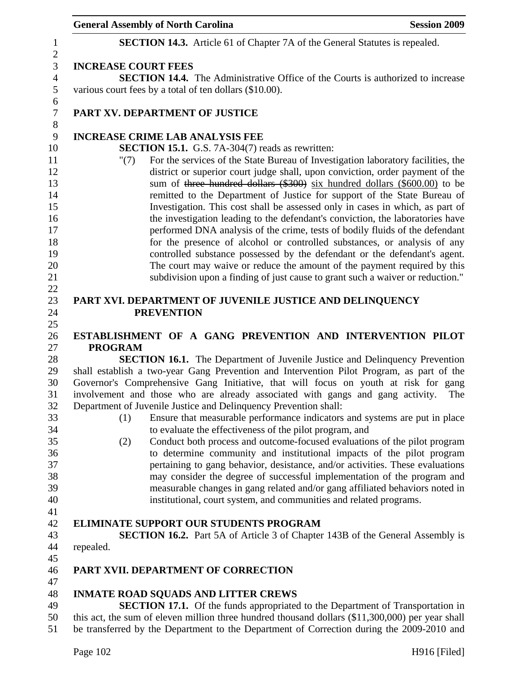|                            | <b>General Assembly of North Carolina</b>                                                                                                                                                                                                                                                                                                                                                                                                                                                                                                                                                                                                                                                                                                                                                                          | <b>Session 2009</b> |
|----------------------------|--------------------------------------------------------------------------------------------------------------------------------------------------------------------------------------------------------------------------------------------------------------------------------------------------------------------------------------------------------------------------------------------------------------------------------------------------------------------------------------------------------------------------------------------------------------------------------------------------------------------------------------------------------------------------------------------------------------------------------------------------------------------------------------------------------------------|---------------------|
|                            | <b>SECTION 14.3.</b> Article 61 of Chapter 7A of the General Statutes is repealed.                                                                                                                                                                                                                                                                                                                                                                                                                                                                                                                                                                                                                                                                                                                                 |                     |
| <b>INCREASE COURT FEES</b> |                                                                                                                                                                                                                                                                                                                                                                                                                                                                                                                                                                                                                                                                                                                                                                                                                    |                     |
|                            | <b>SECTION 14.4.</b> The Administrative Office of the Courts is authorized to increase                                                                                                                                                                                                                                                                                                                                                                                                                                                                                                                                                                                                                                                                                                                             |                     |
|                            | various court fees by a total of ten dollars (\$10.00).                                                                                                                                                                                                                                                                                                                                                                                                                                                                                                                                                                                                                                                                                                                                                            |                     |
|                            | PART XV. DEPARTMENT OF JUSTICE                                                                                                                                                                                                                                                                                                                                                                                                                                                                                                                                                                                                                                                                                                                                                                                     |                     |
|                            | <b>INCREASE CRIME LAB ANALYSIS FEE</b>                                                                                                                                                                                                                                                                                                                                                                                                                                                                                                                                                                                                                                                                                                                                                                             |                     |
|                            | SECTION 15.1. G.S. 7A-304(7) reads as rewritten:                                                                                                                                                                                                                                                                                                                                                                                                                                                                                                                                                                                                                                                                                                                                                                   |                     |
| " $(7)$                    | For the services of the State Bureau of Investigation laboratory facilities, the<br>district or superior court judge shall, upon conviction, order payment of the<br>sum of three hundred dollars (\$300) six hundred dollars (\$600.00) to be<br>remitted to the Department of Justice for support of the State Bureau of<br>Investigation. This cost shall be assessed only in cases in which, as part of<br>the investigation leading to the defendant's conviction, the laboratories have<br>performed DNA analysis of the crime, tests of bodily fluids of the defendant<br>for the presence of alcohol or controlled substances, or analysis of any<br>controlled substance possessed by the defendant or the defendant's agent.<br>The court may waive or reduce the amount of the payment required by this |                     |
|                            | subdivision upon a finding of just cause to grant such a waiver or reduction."                                                                                                                                                                                                                                                                                                                                                                                                                                                                                                                                                                                                                                                                                                                                     |                     |
|                            |                                                                                                                                                                                                                                                                                                                                                                                                                                                                                                                                                                                                                                                                                                                                                                                                                    |                     |
|                            | PART XVI. DEPARTMENT OF JUVENILE JUSTICE AND DELINQUENCY                                                                                                                                                                                                                                                                                                                                                                                                                                                                                                                                                                                                                                                                                                                                                           |                     |
|                            | <b>PREVENTION</b>                                                                                                                                                                                                                                                                                                                                                                                                                                                                                                                                                                                                                                                                                                                                                                                                  |                     |
|                            | ESTABLISHMENT OF A GANG PREVENTION AND INTERVENTION PILOT                                                                                                                                                                                                                                                                                                                                                                                                                                                                                                                                                                                                                                                                                                                                                          |                     |
| <b>PROGRAM</b>             |                                                                                                                                                                                                                                                                                                                                                                                                                                                                                                                                                                                                                                                                                                                                                                                                                    |                     |
|                            | <b>SECTION 16.1.</b> The Department of Juvenile Justice and Delinquency Prevention                                                                                                                                                                                                                                                                                                                                                                                                                                                                                                                                                                                                                                                                                                                                 |                     |
|                            | shall establish a two-year Gang Prevention and Intervention Pilot Program, as part of the                                                                                                                                                                                                                                                                                                                                                                                                                                                                                                                                                                                                                                                                                                                          |                     |
|                            | Governor's Comprehensive Gang Initiative, that will focus on youth at risk for gang                                                                                                                                                                                                                                                                                                                                                                                                                                                                                                                                                                                                                                                                                                                                |                     |
|                            | involvement and those who are already associated with gangs and gang activity.                                                                                                                                                                                                                                                                                                                                                                                                                                                                                                                                                                                                                                                                                                                                     | The                 |
|                            | Department of Juvenile Justice and Delinquency Prevention shall:                                                                                                                                                                                                                                                                                                                                                                                                                                                                                                                                                                                                                                                                                                                                                   |                     |
| (1)                        | Ensure that measurable performance indicators and systems are put in place                                                                                                                                                                                                                                                                                                                                                                                                                                                                                                                                                                                                                                                                                                                                         |                     |
|                            | to evaluate the effectiveness of the pilot program, and                                                                                                                                                                                                                                                                                                                                                                                                                                                                                                                                                                                                                                                                                                                                                            |                     |
| (2)                        | Conduct both process and outcome-focused evaluations of the pilot program                                                                                                                                                                                                                                                                                                                                                                                                                                                                                                                                                                                                                                                                                                                                          |                     |
|                            | to determine community and institutional impacts of the pilot program                                                                                                                                                                                                                                                                                                                                                                                                                                                                                                                                                                                                                                                                                                                                              |                     |
|                            | pertaining to gang behavior, desistance, and/or activities. These evaluations                                                                                                                                                                                                                                                                                                                                                                                                                                                                                                                                                                                                                                                                                                                                      |                     |
|                            | may consider the degree of successful implementation of the program and                                                                                                                                                                                                                                                                                                                                                                                                                                                                                                                                                                                                                                                                                                                                            |                     |
|                            | measurable changes in gang related and/or gang affiliated behaviors noted in                                                                                                                                                                                                                                                                                                                                                                                                                                                                                                                                                                                                                                                                                                                                       |                     |
|                            | institutional, court system, and communities and related programs.                                                                                                                                                                                                                                                                                                                                                                                                                                                                                                                                                                                                                                                                                                                                                 |                     |
|                            |                                                                                                                                                                                                                                                                                                                                                                                                                                                                                                                                                                                                                                                                                                                                                                                                                    |                     |
|                            | <b>ELIMINATE SUPPORT OUR STUDENTS PROGRAM</b>                                                                                                                                                                                                                                                                                                                                                                                                                                                                                                                                                                                                                                                                                                                                                                      |                     |
|                            | <b>SECTION 16.2.</b> Part 5A of Article 3 of Chapter 143B of the General Assembly is                                                                                                                                                                                                                                                                                                                                                                                                                                                                                                                                                                                                                                                                                                                               |                     |
| repealed.                  |                                                                                                                                                                                                                                                                                                                                                                                                                                                                                                                                                                                                                                                                                                                                                                                                                    |                     |
|                            |                                                                                                                                                                                                                                                                                                                                                                                                                                                                                                                                                                                                                                                                                                                                                                                                                    |                     |
|                            | PART XVII. DEPARTMENT OF CORRECTION                                                                                                                                                                                                                                                                                                                                                                                                                                                                                                                                                                                                                                                                                                                                                                                |                     |
|                            |                                                                                                                                                                                                                                                                                                                                                                                                                                                                                                                                                                                                                                                                                                                                                                                                                    |                     |
|                            | <b>INMATE ROAD SQUADS AND LITTER CREWS</b>                                                                                                                                                                                                                                                                                                                                                                                                                                                                                                                                                                                                                                                                                                                                                                         |                     |
|                            | SECTION 17.1. Of the funds appropriated to the Department of Transportation in                                                                                                                                                                                                                                                                                                                                                                                                                                                                                                                                                                                                                                                                                                                                     |                     |
|                            | this act, the sum of eleven million three hundred thousand dollars (\$11,300,000) per year shall<br>be transferred by the Department to the Department of Correction during the 2009-2010 and                                                                                                                                                                                                                                                                                                                                                                                                                                                                                                                                                                                                                      |                     |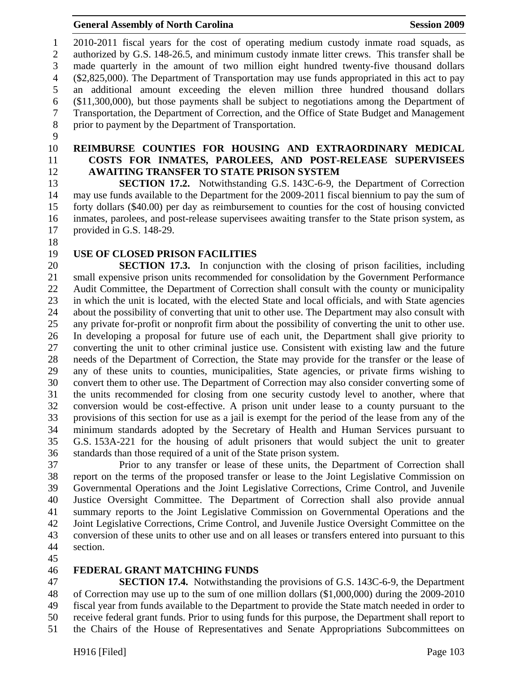1 2010-2011 fiscal years for the cost of operating medium custody inmate road squads, as 2 authorized by G.S. 148-26.5, and minimum custody inmate litter crews. This transfer shall be 3 made quarterly in the amount of two million eight hundred twenty-five thousand dollars 4 (\$2,825,000). The Department of Transportation may use funds appropriated in this act to pay 5 an additional amount exceeding the eleven million three hundred thousand dollars 6 (\$11,300,000), but those payments shall be subject to negotiations among the Department of 7 Transportation, the Department of Correction, and the Office of State Budget and Management 8 prior to payment by the Department of Transportation.

- 9
- 
- 

#### 10 **REIMBURSE COUNTIES FOR HOUSING AND EXTRAORDINARY MEDICAL**  11 **COSTS FOR INMATES, PAROLEES, AND POST-RELEASE SUPERVISEES**  12 **AWAITING TRANSFER TO STATE PRISON SYSTEM**

13 **SECTION 17.2.** Notwithstanding G.S. 143C-6-9, the Department of Correction 14 may use funds available to the Department for the 2009-2011 fiscal biennium to pay the sum of 15 forty dollars (\$40.00) per day as reimbursement to counties for the cost of housing convicted 16 inmates, parolees, and post-release supervisees awaiting transfer to the State prison system, as 17 provided in G.S. 148-29.

- 18
- 

# 19 **USE OF CLOSED PRISON FACILITIES**

20 **SECTION 17.3.** In conjunction with the closing of prison facilities, including 21 small expensive prison units recommended for consolidation by the Government Performance 22 Audit Committee, the Department of Correction shall consult with the county or municipality 23 in which the unit is located, with the elected State and local officials, and with State agencies 24 about the possibility of converting that unit to other use. The Department may also consult with 25 any private for-profit or nonprofit firm about the possibility of converting the unit to other use. 26 In developing a proposal for future use of each unit, the Department shall give priority to 27 converting the unit to other criminal justice use. Consistent with existing law and the future 28 needs of the Department of Correction, the State may provide for the transfer or the lease of 29 any of these units to counties, municipalities, State agencies, or private firms wishing to 30 convert them to other use. The Department of Correction may also consider converting some of 31 the units recommended for closing from one security custody level to another, where that 32 conversion would be cost-effective. A prison unit under lease to a county pursuant to the 33 provisions of this section for use as a jail is exempt for the period of the lease from any of the 34 minimum standards adopted by the Secretary of Health and Human Services pursuant to 35 G.S. 153A-221 for the housing of adult prisoners that would subject the unit to greater 36 standards than those required of a unit of the State prison system.

37 Prior to any transfer or lease of these units, the Department of Correction shall 38 report on the terms of the proposed transfer or lease to the Joint Legislative Commission on 39 Governmental Operations and the Joint Legislative Corrections, Crime Control, and Juvenile 40 Justice Oversight Committee. The Department of Correction shall also provide annual 41 summary reports to the Joint Legislative Commission on Governmental Operations and the 42 Joint Legislative Corrections, Crime Control, and Juvenile Justice Oversight Committee on the 43 conversion of these units to other use and on all leases or transfers entered into pursuant to this 44 section.

45

#### 46 **FEDERAL GRANT MATCHING FUNDS**

47 **SECTION 17.4.** Notwithstanding the provisions of G.S. 143C-6-9, the Department 48 of Correction may use up to the sum of one million dollars (\$1,000,000) during the 2009-2010 49 fiscal year from funds available to the Department to provide the State match needed in order to 50 receive federal grant funds. Prior to using funds for this purpose, the Department shall report to 51 the Chairs of the House of Representatives and Senate Appropriations Subcommittees on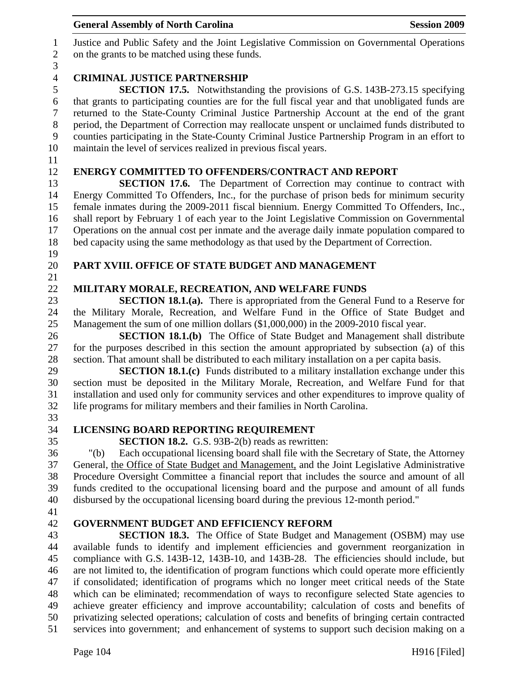| 7              | returned to the State-County Criminal Justice Partnership Account at the end of the grant         |
|----------------|---------------------------------------------------------------------------------------------------|
| $8\phantom{1}$ | period, the Department of Correction may reallocate unspent or unclaimed funds distributed to     |
| 9              | counties participating in the State-County Criminal Justice Partnership Program in an effort to   |
| 10             | maintain the level of services realized in previous fiscal years.                                 |
| 11             |                                                                                                   |
| 12             | <b>ENERGY COMMITTED TO OFFENDERS/CONTRACT AND REPORT</b>                                          |
| 13             | <b>SECTION 17.6.</b> The Department of Correction may continue to contract with                   |
| 14             | Energy Committed To Offenders, Inc., for the purchase of prison beds for minimum security         |
| 15             | female inmates during the 2009-2011 fiscal biennium. Energy Committed To Offenders, Inc.,         |
| 16             | shall report by February 1 of each year to the Joint Legislative Commission on Governmental       |
| 17             | Operations on the annual cost per inmate and the average daily inmate population compared to      |
| 18             | bed capacity using the same methodology as that used by the Department of Correction.             |
| 19             |                                                                                                   |
| 20             | PART XVIII. OFFICE OF STATE BUDGET AND MANAGEMENT                                                 |
| 21             |                                                                                                   |
| 22             | MILITARY MORALE, RECREATION, AND WELFARE FUNDS                                                    |
| 23             | <b>SECTION 18.1.(a).</b> There is appropriated from the General Fund to a Reserve for             |
| 24             | the Military Morale, Recreation, and Welfare Fund in the Office of State Budget and               |
| 25             | Management the sum of one million dollars (\$1,000,000) in the 2009-2010 fiscal year.             |
| 26             | <b>SECTION 18.1.(b)</b> The Office of State Budget and Management shall distribute                |
| 27             | for the purposes described in this section the amount appropriated by subsection (a) of this      |
| 28             | section. That amount shall be distributed to each military installation on a per capita basis.    |
| 29             | <b>SECTION 18.1.(c)</b> Funds distributed to a military installation exchange under this          |
| 30             | section must be deposited in the Military Morale, Recreation, and Welfare Fund for that           |
| 31             | installation and used only for community services and other expenditures to improve quality of    |
| 32             | life programs for military members and their families in North Carolina.                          |
| 33             |                                                                                                   |
| 34             | LICENSING BOARD REPORTING REQUIREMENT                                                             |
| 35             | <b>SECTION 18.2.</b> G.S. 93B-2(b) reads as rewritten:                                            |
| 36             | Each occupational licensing board shall file with the Secretary of State, the Attorney<br>" $(b)$ |
| 37             | General, the Office of State Budget and Management, and the Joint Legislative Administrative      |
| 38             | Procedure Oversight Committee a financial report that includes the source and amount of all       |
| 39             | funds credited to the occupational licensing board and the purpose and amount of all funds        |
| 40             | disbursed by the occupational licensing board during the previous 12-month period."               |
| 41             |                                                                                                   |
| 42             | <b>GOVERNMENT BUDGET AND EFFICIENCY REFORM</b>                                                    |
| 43             | <b>SECTION 18.3.</b> The Office of State Budget and Management (OSBM) may use                     |
| 44             | available funds to identify and implement efficiencies and government reorganization in           |
| 45             | compliance with G.S. 143B-12, 143B-10, and 143B-28. The efficiencies should include, but          |
| 46             | are not limited to, the identification of program functions which could operate more efficiently  |
| 47             | if consolidated; identification of programs which no longer meet critical needs of the State      |
| 48             | which can be eliminated; recommendation of ways to reconfigure selected State agencies to         |
| 49             | achieve greater efficiency and improve accountability; calculation of costs and benefits of       |
| 50             | privatizing selected operations; calculation of costs and benefits of bringing certain contracted |
| 51             | services into government; and enhancement of systems to support such decision making on a         |
|                | Page 104<br>$H916$ [Filed]                                                                        |
|                |                                                                                                   |
|                |                                                                                                   |

# General Assembly of North Carolina **Session 2009**

1 Justice and Public Safety and the Joint Legislative Commission on Governmental Operations on the grants to be matched using these funds.

# $\frac{3}{4}$ 4 **CRIMINAL JUSTICE PARTNERSHIP**<br>5 **SECTION 17.5.** Notwithstand

5 **SECTION 17.5.** Notwithstanding the provisions of G.S. 143B-273.15 specifying that grants to participating counties are for the full fiscal year and that unobligated funds are that grants to participating counties are for the full fiscal year and that unobligated funds are 7 returned to the State-County Criminal Justice Partnership Account at the end of the grant 8 period, the Department of Correction may reallocate unspent or unclaimed funds distributed to 9 counties participating in the State-County Criminal Justice Partnership Program in an effort to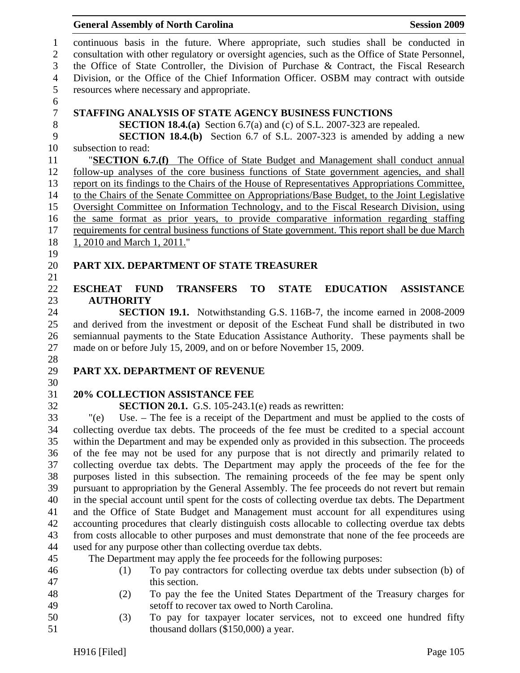#### General Assembly of North Carolina **Session 2009**

1 continuous basis in the future. Where appropriate, such studies shall be conducted in 2 consultation with other regulatory or oversight agencies, such as the Office of State Personnel, 3 the Office of State Controller, the Division of Purchase & Contract, the Fiscal Research 4 Division, or the Office of the Chief Information Officer. OSBM may contract with outside 5 resources where necessary and appropriate. 6 7 **STAFFING ANALYSIS OF STATE AGENCY BUSINESS FUNCTIONS**  8 **SECTION 18.4.(a)** Section 6.7(a) and (c) of S.L. 2007-323 are repealed. 9 **SECTION 18.4.(b)** Section 6.7 of S.L. 2007-323 is amended by adding a new 10 subsection to read: 11 "**SECTION 6.7.(f)** The Office of State Budget and Management shall conduct annual 12 follow-up analyses of the core business functions of State government agencies, and shall 13 report on its findings to the Chairs of the House of Representatives Appropriations Committee, 14 to the Chairs of the Senate Committee on Appropriations/Base Budget, to the Joint Legislative 15 Oversight Committee on Information Technology, and to the Fiscal Research Division, using 16 the same format as prior years, to provide comparative information regarding staffing 17 requirements for central business functions of State government. This report shall be due March 18 1, 2010 and March 1, 2011." 19 20 **PART XIX. DEPARTMENT OF STATE TREASURER**  21 22 **ESCHEAT FUND TRANSFERS TO STATE EDUCATION ASSISTANCE**  23 **AUTHORITY**  24 **SECTION 19.1.** Notwithstanding G.S. 116B-7, the income earned in 2008-2009 25 and derived from the investment or deposit of the Escheat Fund shall be distributed in two 26 semiannual payments to the State Education Assistance Authority. These payments shall be 27 made on or before July 15, 2009, and on or before November 15, 2009. 28 29 **PART XX. DEPARTMENT OF REVENUE**  30 31 **20% COLLECTION ASSISTANCE FEE**  32 **SECTION 20.1.** G.S. 105-243.1(e) reads as rewritten: 33 "(e) Use. – The fee is a receipt of the Department and must be applied to the costs of 34 collecting overdue tax debts. The proceeds of the fee must be credited to a special account 35 within the Department and may be expended only as provided in this subsection. The proceeds 36 of the fee may not be used for any purpose that is not directly and primarily related to 37 collecting overdue tax debts. The Department may apply the proceeds of the fee for the 38 purposes listed in this subsection. The remaining proceeds of the fee may be spent only 39 pursuant to appropriation by the General Assembly. The fee proceeds do not revert but remain 40 in the special account until spent for the costs of collecting overdue tax debts. The Department 41 and the Office of State Budget and Management must account for all expenditures using 42 accounting procedures that clearly distinguish costs allocable to collecting overdue tax debts 43 from costs allocable to other purposes and must demonstrate that none of the fee proceeds are 44 used for any purpose other than collecting overdue tax debts. 45 The Department may apply the fee proceeds for the following purposes: 46 (1) To pay contractors for collecting overdue tax debts under subsection (b) of 47 this section. 48 (2) To pay the fee the United States Department of the Treasury charges for 49 setoff to recover tax owed to North Carolina.

50 (3) To pay for taxpayer locater services, not to exceed one hundred fifty 51 thousand dollars (\$150,000) a year.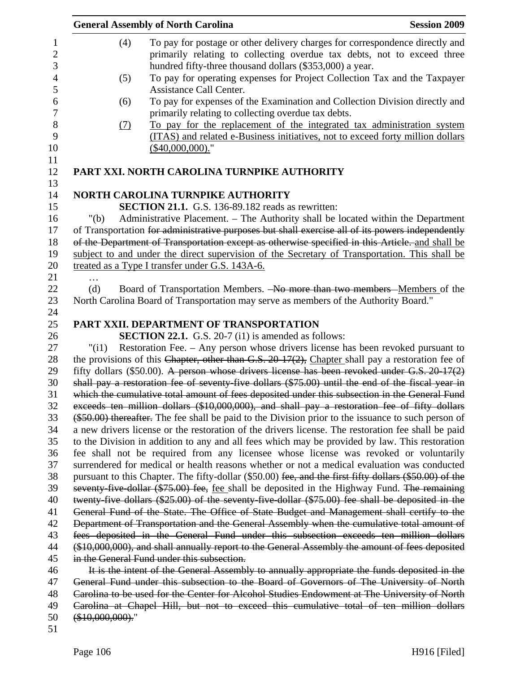|          |                  | <b>General Assembly of North Carolina</b>                                                                                                                                      | <b>Session 2009</b> |
|----------|------------------|--------------------------------------------------------------------------------------------------------------------------------------------------------------------------------|---------------------|
|          | (4)              | To pay for postage or other delivery charges for correspondence directly and<br>primarily relating to collecting overdue tax debts, not to exceed three                        |                     |
|          |                  | hundred fifty-three thousand dollars (\$353,000) a year.                                                                                                                       |                     |
|          | (5)              | To pay for operating expenses for Project Collection Tax and the Taxpayer<br>Assistance Call Center.                                                                           |                     |
|          | (6)              | To pay for expenses of the Examination and Collection Division directly and<br>primarily relating to collecting overdue tax debts.                                             |                     |
|          | (7)              | To pay for the replacement of the integrated tax administration system<br>(ITAS) and related e-Business initiatives, not to exceed forty million dollars<br>$($40,000,000).$ " |                     |
|          |                  | PART XXI. NORTH CAROLINA TURNPIKE AUTHORITY                                                                                                                                    |                     |
|          |                  | <b>NORTH CAROLINA TURNPIKE AUTHORITY</b>                                                                                                                                       |                     |
|          |                  | <b>SECTION 21.1.</b> G.S. 136-89.182 reads as rewritten:                                                                                                                       |                     |
| 16       | " $(b)$          | Administrative Placement. - The Authority shall be located within the Department                                                                                               |                     |
|          |                  | of Transportation for administrative purposes but shall exercise all of its powers independently                                                                               |                     |
|          |                  | of the Department of Transportation except as otherwise specified in this Article. and shall be                                                                                |                     |
|          |                  | subject to and under the direct supervision of the Secretary of Transportation. This shall be                                                                                  |                     |
|          |                  | treated as a Type I transfer under G.S. 143A-6.                                                                                                                                |                     |
|          |                  |                                                                                                                                                                                |                     |
|          | (d)              | Board of Transportation Members. -No more than two members -Members of the                                                                                                     |                     |
|          |                  | North Carolina Board of Transportation may serve as members of the Authority Board."                                                                                           |                     |
|          |                  |                                                                                                                                                                                |                     |
|          |                  | PART XXII. DEPARTMENT OF TRANSPORTATION                                                                                                                                        |                     |
| 25<br>26 |                  | <b>SECTION 22.1.</b> G.S. 20-7 (i1) is amended as follows:                                                                                                                     |                     |
|          | "(i1)            | Restoration Fee. – Any person whose drivers license has been revoked pursuant to                                                                                               |                     |
|          |                  | the provisions of this Chapter, other than G.S. 20-17(2), Chapter shall pay a restoration fee of                                                                               |                     |
|          |                  | fifty dollars (\$50.00). A person whose drivers license has been revoked under G.S. 20-17(2)                                                                                   |                     |
|          |                  | shall pay a restoration fee of seventy-five dollars (\$75.00) until the end of the fiscal year in                                                                              |                     |
|          |                  | which the cumulative total amount of fees deposited under this subsection in the General Fund                                                                                  |                     |
|          |                  | exceeds ten million dollars (\$10,000,000), and shall pay a restoration fee of fifty dollars                                                                                   |                     |
|          |                  | (\$50.00) thereafter. The fee shall be paid to the Division prior to the issuance to such person of                                                                            |                     |
|          |                  | a new drivers license or the restoration of the drivers license. The restoration fee shall be paid                                                                             |                     |
|          |                  | to the Division in addition to any and all fees which may be provided by law. This restoration                                                                                 |                     |
|          |                  | fee shall not be required from any licensee whose license was revoked or voluntarily                                                                                           |                     |
|          |                  | surrendered for medical or health reasons whether or not a medical evaluation was conducted                                                                                    |                     |
|          |                  | pursuant to this Chapter. The fifty-dollar (\$50.00) fee, and the first fifty dollars (\$50.00) of the                                                                         |                     |
|          |                  | seventy-five-dollar (\$75.00) fee, fee shall be deposited in the Highway Fund. The remaining                                                                                   |                     |
|          |                  | twenty-five dollars (\$25.00) of the seventy-five-dollar (\$75.00) fee shall be deposited in the                                                                               |                     |
|          |                  | General Fund of the State. The Office of State Budget and Management shall certify to the                                                                                      |                     |
|          |                  | Department of Transportation and the General Assembly when the cumulative total amount of                                                                                      |                     |
|          |                  | fees deposited in the General Fund under this subsection exceeds ten million dollars                                                                                           |                     |
|          |                  | (\$10,000,000), and shall annually report to the General Assembly the amount of fees deposited                                                                                 |                     |
|          |                  | in the General Fund under this subsection.                                                                                                                                     |                     |
|          |                  | It is the intent of the General Assembly to annually appropriate the funds deposited in the                                                                                    |                     |
|          |                  | General Fund under this subsection to the Board of Governors of The University of North                                                                                        |                     |
|          |                  | Carolina to be used for the Center for Alcohol Studies Endowment at The University of North                                                                                    |                     |
|          |                  | Carolina at Chapel Hill, but not to exceed this cumulative total of ten million dollars                                                                                        |                     |
|          | $(*10,000,000).$ |                                                                                                                                                                                |                     |
|          |                  |                                                                                                                                                                                |                     |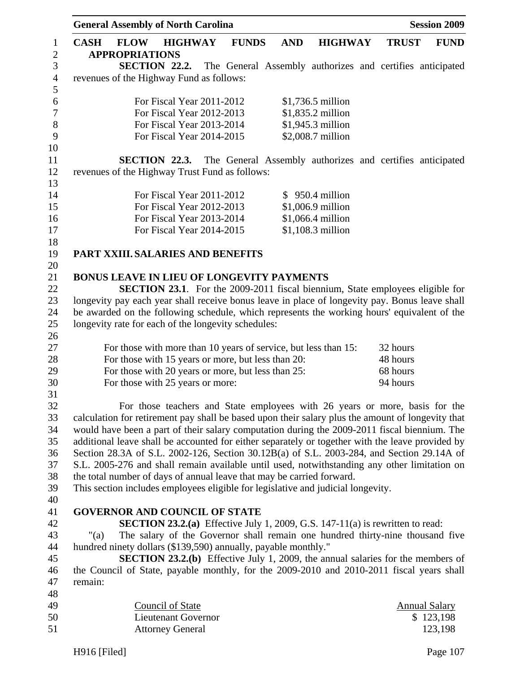|                                |             | <b>General Assembly of North Carolina</b>           |                                                       |                |              |                                                                |                                                                                                   |              | <b>Session 2009</b>               |
|--------------------------------|-------------|-----------------------------------------------------|-------------------------------------------------------|----------------|--------------|----------------------------------------------------------------|---------------------------------------------------------------------------------------------------|--------------|-----------------------------------|
| $\mathbf{1}$<br>$\overline{2}$ | <b>CASH</b> | <b>FLOW</b><br><b>APPROPRIATIONS</b>                |                                                       | <b>HIGHWAY</b> | <b>FUNDS</b> | <b>AND</b>                                                     | <b>HIGHWAY</b>                                                                                    | <b>TRUST</b> | <b>FUND</b>                       |
| $\mathfrak{Z}$                 |             | SECTION 22.2.                                       |                                                       |                |              |                                                                | The General Assembly authorizes and certifies anticipated                                         |              |                                   |
| $\overline{4}$                 |             | revenues of the Highway Fund as follows:            |                                                       |                |              |                                                                |                                                                                                   |              |                                   |
| 5                              |             |                                                     |                                                       |                |              |                                                                |                                                                                                   |              |                                   |
| 6                              |             |                                                     | For Fiscal Year 2011-2012                             |                |              |                                                                | \$1,736.5 million                                                                                 |              |                                   |
| $\boldsymbol{7}$               |             |                                                     | For Fiscal Year 2012-2013                             |                |              |                                                                | \$1,835.2 million                                                                                 |              |                                   |
| $8\,$                          |             |                                                     | For Fiscal Year 2013-2014                             |                |              |                                                                | \$1,945.3 million                                                                                 |              |                                   |
| 9                              |             |                                                     | For Fiscal Year 2014-2015                             |                |              |                                                                | \$2,008.7 million                                                                                 |              |                                   |
| 10                             |             |                                                     |                                                       |                |              |                                                                |                                                                                                   |              |                                   |
| 11                             |             | SECTION 22.3.                                       |                                                       |                |              |                                                                | The General Assembly authorizes and certifies anticipated                                         |              |                                   |
| 12                             |             | revenues of the Highway Trust Fund as follows:      |                                                       |                |              |                                                                |                                                                                                   |              |                                   |
| 13                             |             |                                                     |                                                       |                |              |                                                                |                                                                                                   |              |                                   |
| 14                             |             |                                                     | For Fiscal Year 2011-2012                             |                |              |                                                                | $$950.4$ million                                                                                  |              |                                   |
| 15                             |             |                                                     | For Fiscal Year 2012-2013                             |                |              |                                                                | \$1,006.9 million                                                                                 |              |                                   |
| 16                             |             |                                                     | For Fiscal Year 2013-2014                             |                |              |                                                                | \$1,066.4 million                                                                                 |              |                                   |
| 17                             |             |                                                     | For Fiscal Year 2014-2015                             |                |              |                                                                | $$1,108.3$ million                                                                                |              |                                   |
| 18                             |             |                                                     |                                                       |                |              |                                                                |                                                                                                   |              |                                   |
| 19                             |             | PART XXIII. SALARIES AND BENEFITS                   |                                                       |                |              |                                                                |                                                                                                   |              |                                   |
| 20                             |             |                                                     |                                                       |                |              |                                                                |                                                                                                   |              |                                   |
| 21                             |             |                                                     |                                                       |                |              | BONUS LEAVE IN LIEU OF LONGEVITY PAYMENTS                      |                                                                                                   |              |                                   |
| 22                             |             |                                                     |                                                       |                |              |                                                                | <b>SECTION 23.1.</b> For the 2009-2011 fiscal biennium, State employees eligible for              |              |                                   |
| 23<br>24                       |             |                                                     |                                                       |                |              |                                                                | longevity pay each year shall receive bonus leave in place of longevity pay. Bonus leave shall    |              |                                   |
| 25                             |             | longevity rate for each of the longevity schedules: |                                                       |                |              |                                                                | be awarded on the following schedule, which represents the working hours' equivalent of the       |              |                                   |
| 26                             |             |                                                     |                                                       |                |              |                                                                |                                                                                                   |              |                                   |
| 27                             |             |                                                     |                                                       |                |              |                                                                | For those with more than 10 years of service, but less than 15:                                   | 32 hours     |                                   |
| 28                             |             |                                                     |                                                       |                |              | For those with 15 years or more, but less than 20:             |                                                                                                   | 48 hours     |                                   |
| 29                             |             |                                                     |                                                       |                |              | For those with 20 years or more, but less than 25:             |                                                                                                   | 68 hours     |                                   |
| 30                             |             | For those with 25 years or more:                    |                                                       |                |              |                                                                |                                                                                                   | 94 hours     |                                   |
| 31                             |             |                                                     |                                                       |                |              |                                                                |                                                                                                   |              |                                   |
| 32                             |             |                                                     |                                                       |                |              |                                                                | For those teachers and State employees with 26 years or more, basis for the                       |              |                                   |
| 33                             |             |                                                     |                                                       |                |              |                                                                | calculation for retirement pay shall be based upon their salary plus the amount of longevity that |              |                                   |
| 34                             |             |                                                     |                                                       |                |              |                                                                | would have been a part of their salary computation during the 2009-2011 fiscal biennium. The      |              |                                   |
| 35                             |             |                                                     |                                                       |                |              |                                                                | additional leave shall be accounted for either separately or together with the leave provided by  |              |                                   |
| 36                             |             |                                                     |                                                       |                |              |                                                                | Section 28.3A of S.L. 2002-126, Section 30.12B(a) of S.L. 2003-284, and Section 29.14A of         |              |                                   |
| 37                             |             |                                                     |                                                       |                |              |                                                                | S.L. 2005-276 and shall remain available until used, notwithstanding any other limitation on      |              |                                   |
| 38                             |             |                                                     |                                                       |                |              |                                                                | the total number of days of annual leave that may be carried forward.                             |              |                                   |
| 39                             |             |                                                     |                                                       |                |              |                                                                | This section includes employees eligible for legislative and judicial longevity.                  |              |                                   |
| 40                             |             |                                                     |                                                       |                |              |                                                                |                                                                                                   |              |                                   |
| 41                             |             | <b>GOVERNOR AND COUNCIL OF STATE</b>                |                                                       |                |              |                                                                |                                                                                                   |              |                                   |
| 42                             |             |                                                     |                                                       |                |              |                                                                | <b>SECTION 23.2.(a)</b> Effective July 1, 2009, G.S. 147-11(a) is rewritten to read:              |              |                                   |
| 43                             | " $(a)$     |                                                     |                                                       |                |              |                                                                | The salary of the Governor shall remain one hundred thirty-nine thousand five                     |              |                                   |
| 44                             |             |                                                     |                                                       |                |              | hundred ninety dollars (\$139,590) annually, payable monthly." |                                                                                                   |              |                                   |
| 45                             |             |                                                     |                                                       |                |              |                                                                | <b>SECTION 23.2.(b)</b> Effective July 1, 2009, the annual salaries for the members of            |              |                                   |
| 46                             |             |                                                     |                                                       |                |              |                                                                | the Council of State, payable monthly, for the 2009-2010 and 2010-2011 fiscal years shall         |              |                                   |
| 47                             | remain:     |                                                     |                                                       |                |              |                                                                |                                                                                                   |              |                                   |
| 48<br>49                       |             |                                                     |                                                       |                |              |                                                                |                                                                                                   |              |                                   |
| 50                             |             |                                                     | <b>Council of State</b><br><b>Lieutenant Governor</b> |                |              |                                                                |                                                                                                   |              | <b>Annual Salary</b><br>\$123,198 |
| 51                             |             |                                                     | <b>Attorney General</b>                               |                |              |                                                                |                                                                                                   |              | 123,198                           |
|                                |             |                                                     |                                                       |                |              |                                                                |                                                                                                   |              |                                   |

H916 [Filed] Page 107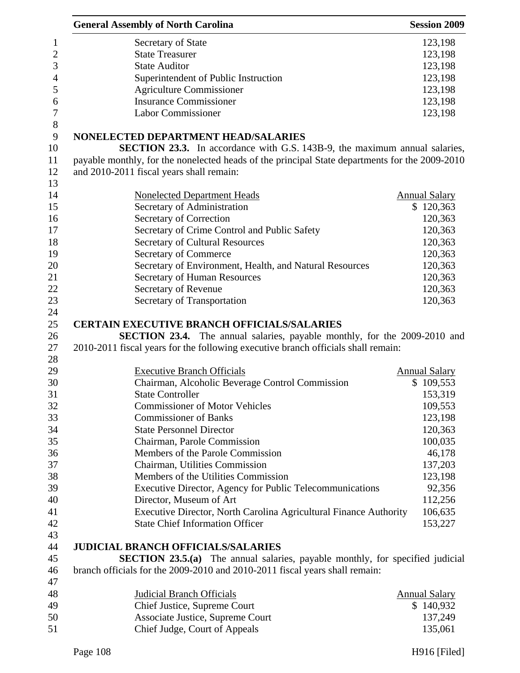| <b>General Assembly of North Carolina</b>                                                                                                                           | <b>Session 2009</b>  |
|---------------------------------------------------------------------------------------------------------------------------------------------------------------------|----------------------|
| Secretary of State                                                                                                                                                  | 123,198              |
| <b>State Treasurer</b>                                                                                                                                              | 123,198              |
| <b>State Auditor</b>                                                                                                                                                | 123,198              |
| Superintendent of Public Instruction                                                                                                                                | 123,198              |
| <b>Agriculture Commissioner</b>                                                                                                                                     | 123,198              |
| <b>Insurance Commissioner</b>                                                                                                                                       | 123,198              |
| <b>Labor Commissioner</b>                                                                                                                                           | 123,198              |
| NONELECTED DEPARTMENT HEAD/SALARIES                                                                                                                                 |                      |
| <b>SECTION 23.3.</b> In accordance with G.S. 143B-9, the maximum annual salaries,                                                                                   |                      |
| payable monthly, for the nonelected heads of the principal State departments for the 2009-2010                                                                      |                      |
| and 2010-2011 fiscal years shall remain:                                                                                                                            |                      |
| <b>Nonelected Department Heads</b>                                                                                                                                  | <b>Annual Salary</b> |
| Secretary of Administration                                                                                                                                         | \$120,363            |
| Secretary of Correction                                                                                                                                             | 120,363              |
| Secretary of Crime Control and Public Safety                                                                                                                        | 120,363              |
| <b>Secretary of Cultural Resources</b>                                                                                                                              | 120,363              |
| Secretary of Commerce                                                                                                                                               | 120,363              |
| Secretary of Environment, Health, and Natural Resources                                                                                                             | 120,363              |
| Secretary of Human Resources                                                                                                                                        | 120,363              |
| Secretary of Revenue                                                                                                                                                | 120,363              |
| Secretary of Transportation                                                                                                                                         | 120,363              |
| <b>CERTAIN EXECUTIVE BRANCH OFFICIALS/SALARIES</b>                                                                                                                  |                      |
| <b>SECTION 23.4.</b> The annual salaries, payable monthly, for the 2009-2010 and                                                                                    |                      |
| 2010-2011 fiscal years for the following executive branch officials shall remain:                                                                                   |                      |
|                                                                                                                                                                     |                      |
| <b>Executive Branch Officials</b>                                                                                                                                   | <b>Annual Salary</b> |
| Chairman, Alcoholic Beverage Control Commission                                                                                                                     | \$109,553            |
| <b>State Controller</b>                                                                                                                                             | 153,319              |
| <b>Commissioner of Motor Vehicles</b>                                                                                                                               | 109,553              |
| <b>Commissioner of Banks</b>                                                                                                                                        | 123,198              |
| <b>State Personnel Director</b>                                                                                                                                     | 120,363              |
| Chairman, Parole Commission                                                                                                                                         | 100,035              |
| Members of the Parole Commission                                                                                                                                    | 46,178               |
| Chairman, Utilities Commission                                                                                                                                      | 137,203              |
| Members of the Utilities Commission                                                                                                                                 | 123,198              |
| Executive Director, Agency for Public Telecommunications                                                                                                            | 92,356               |
| Director, Museum of Art                                                                                                                                             | 112,256              |
| Executive Director, North Carolina Agricultural Finance Authority                                                                                                   | 106,635              |
| <b>State Chief Information Officer</b>                                                                                                                              | 153,227              |
| <b>JUDICIAL BRANCH OFFICIALS/SALARIES</b>                                                                                                                           |                      |
|                                                                                                                                                                     |                      |
| <b>SECTION 23.5.(a)</b> The annual salaries, payable monthly, for specified judicial<br>branch officials for the 2009-2010 and 2010-2011 fiscal years shall remain: |                      |
|                                                                                                                                                                     |                      |
| <b>Judicial Branch Officials</b>                                                                                                                                    | <b>Annual Salary</b> |
| Chief Justice, Supreme Court                                                                                                                                        | \$140,932            |
| Associate Justice, Supreme Court                                                                                                                                    | 137,249              |
| Chief Judge, Court of Appeals                                                                                                                                       | 135,061              |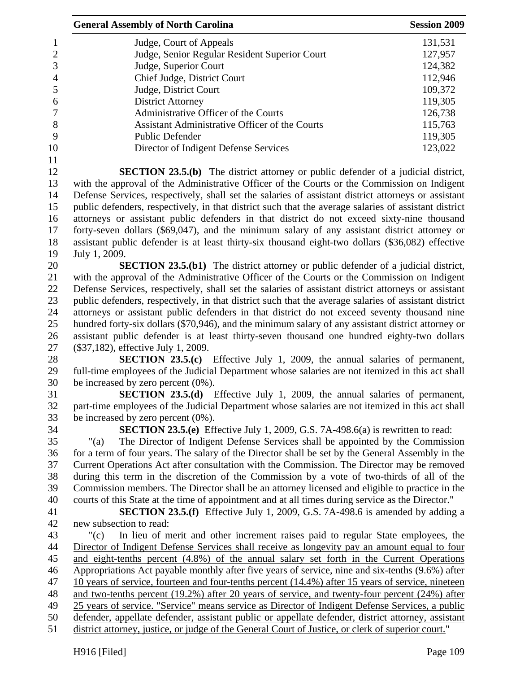| <b>General Assembly of North Carolina</b>                                                             | <b>Session 2009</b> |
|-------------------------------------------------------------------------------------------------------|---------------------|
| Judge, Court of Appeals                                                                               | 131,531             |
| Judge, Senior Regular Resident Superior Court                                                         | 127,957             |
| Judge, Superior Court                                                                                 | 124,382             |
| Chief Judge, District Court                                                                           | 112,946             |
| Judge, District Court                                                                                 | 109,372             |
| <b>District Attorney</b>                                                                              | 119,305             |
| Administrative Officer of the Courts                                                                  | 126,738             |
| Assistant Administrative Officer of the Courts                                                        | 115,763             |
| <b>Public Defender</b>                                                                                | 119,305             |
| Director of Indigent Defense Services                                                                 | 123,022             |
| <b>SECTION 23.5.(b)</b> The district attorney or public defender of a judicial district,              |                     |
| with the approval of the Administrative Officer of the Courts or the Commission on Indigent           |                     |
| Defense Services, respectively, shall set the salaries of assistant district attorneys or assistant   |                     |
| public defenders, respectively, in that district such that the average salaries of assistant district |                     |
| attorneys or assistant public defenders in that district do not exceed sixty-nine thousand            |                     |
| forty-seven dollars (\$69,047), and the minimum salary of any assistant district attorney or          |                     |
| assistant public defender is at least thirty-six thousand eight-two dollars (\$36,082) effective      |                     |
| July 1, 2009.                                                                                         |                     |
| <b>SECTION 23.5.(b1)</b> The district attorney or public defender of a judicial district,             |                     |
| with the approval of the Administrative Officer of the Courts or the Commission on Indigent           |                     |
| Defense Services, respectively, shall set the salaries of assistant district attorneys or assistant   |                     |
| public defenders, respectively, in that district such that the average salaries of assistant district |                     |
| attorneys or assistant public defenders in that district do not exceed seventy thousand nine          |                     |
| hundred forty-six dollars (\$70,946), and the minimum salary of any assistant district attorney or    |                     |
| assistant public defender is at least thirty-seven thousand one hundred eighty-two dollars            |                     |
| (\$37,182), effective July 1, 2009.                                                                   |                     |
| <b>SECTION 23.5.(c)</b> Effective July 1, 2009, the annual salaries of permanent,                     |                     |
| full-time employees of the Judicial Department whose salaries are not itemized in this act shall      |                     |
| be increased by zero percent $(0\%)$ .                                                                |                     |
| <b>SECTION 23.5.(d)</b> Effective July 1, 2009, the annual salaries of permanent,                     |                     |
| part-time employees of the Judicial Department whose salaries are not itemized in this act shall      |                     |
| be increased by zero percent $(0\%)$ .                                                                |                     |
| SECTION 23.5.(e) Effective July 1, 2009, G.S. 7A-498.6(a) is rewritten to read:                       |                     |
| The Director of Indigent Defense Services shall be appointed by the Commission<br>" $(a)$             |                     |
| for a term of four years. The salary of the Director shall be set by the General Assembly in the      |                     |
| Current Operations Act after consultation with the Commission. The Director may be removed            |                     |
| during this term in the discretion of the Commission by a vote of two-thirds of all of the            |                     |
| Commission members. The Director shall be an attorney licensed and eligible to practice in the        |                     |
| courts of this State at the time of appointment and at all times during service as the Director."     |                     |
| <b>SECTION 23.5.(f)</b> Effective July 1, 2009, G.S. 7A-498.6 is amended by adding a                  |                     |
| new subsection to read:                                                                               |                     |
| In lieu of merit and other increment raises paid to regular State employees, the<br>"(c)              |                     |
| Director of Indigent Defense Services shall receive as longevity pay an amount equal to four          |                     |
| and eight-tenths percent (4.8%) of the annual salary set forth in the Current Operations              |                     |
| Appropriations Act payable monthly after five years of service, nine and six-tenths (9.6%) after      |                     |
| 10 years of service, fourteen and four-tenths percent (14.4%) after 15 years of service, nineteen     |                     |
| and two-tenths percent (19.2%) after 20 years of service, and twenty-four percent (24%) after         |                     |
| 25 years of service. "Service" means service as Director of Indigent Defense Services, a public       |                     |
| defender, appellate defender, assistant public or appellate defender, district attorney, assistant    |                     |
| district attorney, justice, or judge of the General Court of Justice, or clerk of superior court."    |                     |
|                                                                                                       |                     |
| H916 [Filed]                                                                                          | Page 109            |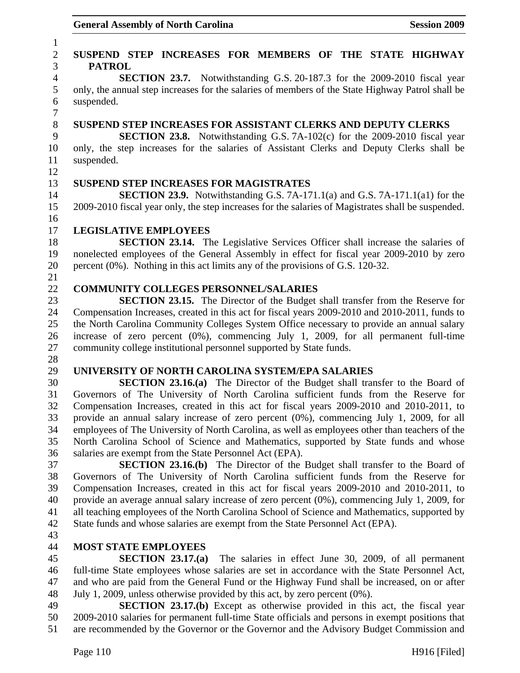### 1 2 **SUSPEND STEP INCREASES FOR MEMBERS OF THE STATE HIGHWAY**  3 **PATROL**  4 **SECTION 23.7.** Notwithstanding G.S. 20-187.3 for the 2009-2010 fiscal year 5 only, the annual step increases for the salaries of members of the State Highway Patrol shall be 6 suspended. 7 8 **SUSPEND STEP INCREASES FOR ASSISTANT CLERKS AND DEPUTY CLERKS**  9 **SECTION 23.8.** Notwithstanding G.S. 7A-102(c) for the 2009-2010 fiscal year 10 only, the step increases for the salaries of Assistant Clerks and Deputy Clerks shall be 11 suspended. 12 13 **SUSPEND STEP INCREASES FOR MAGISTRATES**  14 **SECTION 23.9.** Notwithstanding G.S. 7A-171.1(a) and G.S. 7A-171.1(a1) for the 15 2009-2010 fiscal year only, the step increases for the salaries of Magistrates shall be suspended. 16 17 **LEGISLATIVE EMPLOYEES**  18 **SECTION 23.14.** The Legislative Services Officer shall increase the salaries of 19 nonelected employees of the General Assembly in effect for fiscal year 2009-2010 by zero 20 percent (0%). Nothing in this act limits any of the provisions of G.S. 120-32. 21 22 **COMMUNITY COLLEGES PERSONNEL/SALARIES**  23 **SECTION 23.15.** The Director of the Budget shall transfer from the Reserve for 24 Compensation Increases, created in this act for fiscal years 2009-2010 and 2010-2011, funds to 25 the North Carolina Community Colleges System Office necessary to provide an annual salary 26 increase of zero percent (0%), commencing July 1, 2009, for all permanent full-time 27 community college institutional personnel supported by State funds. 28 29 **UNIVERSITY OF NORTH CAROLINA SYSTEM/EPA SALARIES**  30 **SECTION 23.16.(a)** The Director of the Budget shall transfer to the Board of 31 Governors of The University of North Carolina sufficient funds from the Reserve for 32 Compensation Increases, created in this act for fiscal years 2009-2010 and 2010-2011, to 33 provide an annual salary increase of zero percent (0%), commencing July 1, 2009, for all 34 employees of The University of North Carolina, as well as employees other than teachers of the 35 North Carolina School of Science and Mathematics, supported by State funds and whose 36 salaries are exempt from the State Personnel Act (EPA). 37 **SECTION 23.16.(b)** The Director of the Budget shall transfer to the Board of 38 Governors of The University of North Carolina sufficient funds from the Reserve for 39 Compensation Increases, created in this act for fiscal years 2009-2010 and 2010-2011, to 40 provide an average annual salary increase of zero percent (0%), commencing July 1, 2009, for 41 all teaching employees of the North Carolina School of Science and Mathematics, supported by 42 State funds and whose salaries are exempt from the State Personnel Act (EPA). 43 44 **MOST STATE EMPLOYEES**  45 **SECTION 23.17.(a)** The salaries in effect June 30, 2009, of all permanent 46 full-time State employees whose salaries are set in accordance with the State Personnel Act, 47 and who are paid from the General Fund or the Highway Fund shall be increased, on or after 48 July 1, 2009, unless otherwise provided by this act, by zero percent (0%). 49 **SECTION 23.17.(b)** Except as otherwise provided in this act, the fiscal year 50 2009-2010 salaries for permanent full-time State officials and persons in exempt positions that

51 are recommended by the Governor or the Governor and the Advisory Budget Commission and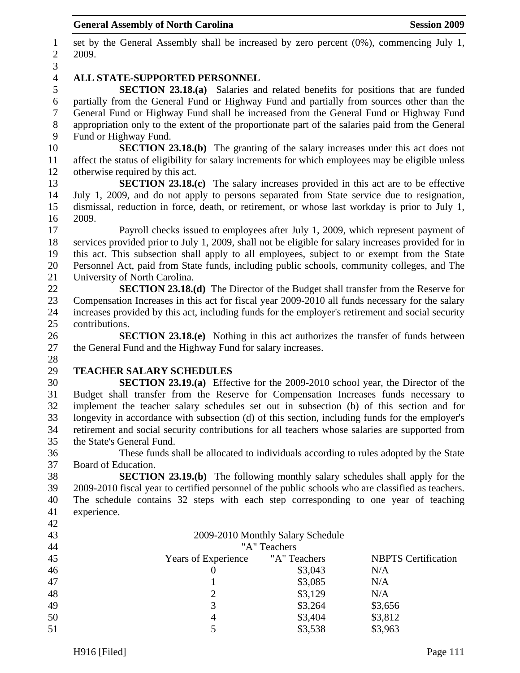1 set by the General Assembly shall be increased by zero percent (0%), commencing July 1, 2 2009. 3 4 **ALL STATE-SUPPORTED PERSONNEL**  5 **SECTION 23.18.(a)** Salaries and related benefits for positions that are funded 6 partially from the General Fund or Highway Fund and partially from sources other than the 7 General Fund or Highway Fund shall be increased from the General Fund or Highway Fund 8 appropriation only to the extent of the proportionate part of the salaries paid from the General 9 Fund or Highway Fund. 10 **SECTION 23.18.(b)** The granting of the salary increases under this act does not 11 affect the status of eligibility for salary increments for which employees may be eligible unless 12 otherwise required by this act. 13 **SECTION 23.18.(c)** The salary increases provided in this act are to be effective 14 July 1, 2009, and do not apply to persons separated from State service due to resignation, 15 dismissal, reduction in force, death, or retirement, or whose last workday is prior to July 1, 16 2009. 17 Payroll checks issued to employees after July 1, 2009, which represent payment of 18 services provided prior to July 1, 2009, shall not be eligible for salary increases provided for in 19 this act. This subsection shall apply to all employees, subject to or exempt from the State 20 Personnel Act, paid from State funds, including public schools, community colleges, and The 21 University of North Carolina. 22 **SECTION 23.18.(d)** The Director of the Budget shall transfer from the Reserve for 23 Compensation Increases in this act for fiscal year 2009-2010 all funds necessary for the salary 24 increases provided by this act, including funds for the employer's retirement and social security 25 contributions. 26 **SECTION 23.18.(e)** Nothing in this act authorizes the transfer of funds between 27 the General Fund and the Highway Fund for salary increases. 28 29 **TEACHER SALARY SCHEDULES**  30 **SECTION 23.19.(a)** Effective for the 2009-2010 school year, the Director of the 31 Budget shall transfer from the Reserve for Compensation Increases funds necessary to 32 implement the teacher salary schedules set out in subsection (b) of this section and for 33 longevity in accordance with subsection (d) of this section, including funds for the employer's 34 retirement and social security contributions for all teachers whose salaries are supported from 35 the State's General Fund. 36 These funds shall be allocated to individuals according to rules adopted by the State 37 Board of Education. 38 **SECTION 23.19.(b)** The following monthly salary schedules shall apply for the 39 2009-2010 fiscal year to certified personnel of the public schools who are classified as teachers. 40 The schedule contains 32 steps with each step corresponding to one year of teaching 41 experience. 42 43 2009-2010 Monthly Salary Schedule 44 "A" Teachers 45 Years of Experience "A" Teachers NBPTS Certification 46 0 \$3,043 N/A 47 1 \$3,085 N/A 48 2 \$3,129 N/A 49  $\qquad$  3  $\qquad$  \$3,264 \$3,656 50 4 \$3,404 \$3,812 5 \$3,538 \$3,963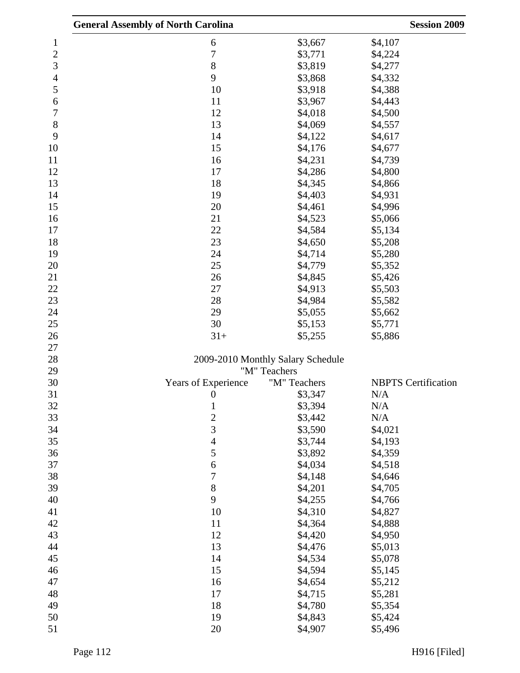|                | <b>General Assembly of North Carolina</b> |                                   | <b>Session 2009</b>        |
|----------------|-------------------------------------------|-----------------------------------|----------------------------|
| 1              | 6                                         | \$3,667                           | \$4,107                    |
| $\overline{c}$ | $\overline{7}$                            | \$3,771                           | \$4,224                    |
| 3              | 8                                         | \$3,819                           | \$4,277                    |
| 4              | 9                                         | \$3,868                           | \$4,332                    |
| 5              | 10                                        | \$3,918                           | \$4,388                    |
| 6              | 11                                        | \$3,967                           | \$4,443                    |
| 7              | 12                                        | \$4,018                           | \$4,500                    |
| 8              | 13                                        | \$4,069                           | \$4,557                    |
| 9              | 14                                        | \$4,122                           | \$4,617                    |
| 10             | 15                                        | \$4,176                           | \$4,677                    |
| 11             | 16                                        | \$4,231                           | \$4,739                    |
| 12             | 17                                        | \$4,286                           | \$4,800                    |
| 13             | 18                                        | \$4,345                           | \$4,866                    |
| 14             | 19                                        | \$4,403                           | \$4,931                    |
| 15             | 20                                        | \$4,461                           | \$4,996                    |
| 16             | 21                                        | \$4,523                           | \$5,066                    |
| 17             | 22                                        | \$4,584                           | \$5,134                    |
| 18             | 23                                        | \$4,650                           | \$5,208                    |
| 19             | 24                                        | \$4,714                           | \$5,280                    |
| 20             | 25                                        | \$4,779                           | \$5,352                    |
| 21             | 26                                        | \$4,845                           | \$5,426                    |
| 22             | 27                                        | \$4,913                           | \$5,503                    |
| 23             | 28                                        | \$4,984                           | \$5,582                    |
| 24             | 29                                        | \$5,055                           | \$5,662                    |
| 25             | 30                                        | \$5,153                           | \$5,771                    |
| 26             | $31+$                                     | \$5,255                           | \$5,886                    |
| 27             |                                           |                                   |                            |
| 28             |                                           | 2009-2010 Monthly Salary Schedule |                            |
| 29             |                                           | "M" Teachers                      |                            |
| 30             | Years of Experience                       | "M" Teachers                      | <b>NBPTS</b> Certification |
| 31             | $\overline{0}$                            | \$3,347                           | N/A                        |
| 32             | $\mathbf{1}$                              | \$3,394                           | N/A                        |
| 33             | $\overline{c}$                            | \$3,442                           | N/A                        |
| 34             | 3                                         | \$3,590                           | \$4,021                    |
| 35             | $\overline{\mathcal{L}}$                  | \$3,744                           | \$4,193                    |
| 36             | 5                                         | \$3,892                           | \$4,359                    |
| 37             | 6                                         | \$4,034                           | \$4,518                    |
| 38             | 7                                         | \$4,148                           | \$4,646                    |
| 39             | 8                                         | \$4,201                           | \$4,705                    |
| 40             | 9                                         | \$4,255                           | \$4,766                    |
| 41             | 10                                        | \$4,310                           | \$4,827                    |
| 42             | 11                                        | \$4,364                           | \$4,888                    |
| 43             | 12                                        | \$4,420                           | \$4,950                    |
| 44             | 13                                        | \$4,476                           | \$5,013                    |
| 45             | 14                                        | \$4,534                           | \$5,078                    |
| 46             | 15                                        | \$4,594                           | \$5,145                    |
| 47             | 16                                        | \$4,654                           | \$5,212                    |
| 48             | 17                                        | \$4,715                           | \$5,281                    |
| 49             | 18                                        | \$4,780                           | \$5,354                    |
| 50             | 19                                        | \$4,843                           | \$5,424                    |
| 51             | 20                                        | \$4,907                           | \$5,496                    |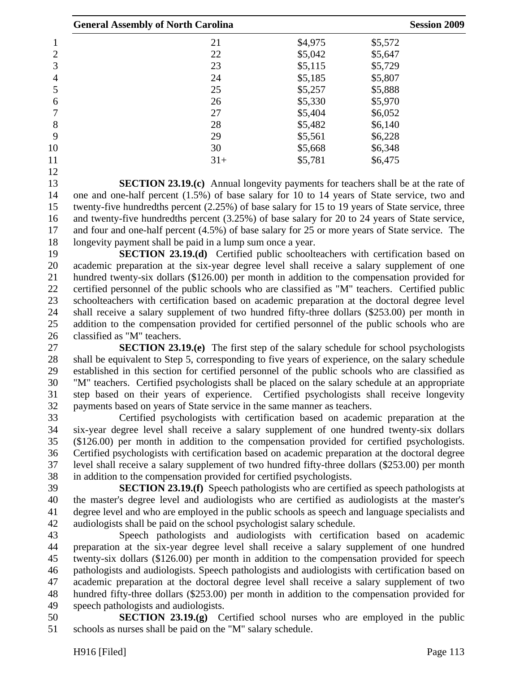| <b>General Assembly of North Carolina</b> |       | <b>Session 2009</b> |         |  |
|-------------------------------------------|-------|---------------------|---------|--|
|                                           | 21    | \$4,975             | \$5,572 |  |
| 2                                         | 22    | \$5,042             | \$5,647 |  |
| 3                                         | 23    | \$5,115             | \$5,729 |  |
| 4                                         | 24    | \$5,185             | \$5,807 |  |
| 5                                         | 25    | \$5,257             | \$5,888 |  |
| 6                                         | 26    | \$5,330             | \$5,970 |  |
|                                           | 27    | \$5,404             | \$6,052 |  |
| 8                                         | 28    | \$5,482             | \$6,140 |  |
| 9                                         | 29    | \$5,561             | \$6,228 |  |
| 10                                        | 30    | \$5,668             | \$6,348 |  |
| 11                                        | $31+$ | \$5,781             | \$6,475 |  |
| 12                                        |       |                     |         |  |

13 **SECTION 23.19.(c)** Annual longevity payments for teachers shall be at the rate of 14 one and one-half percent (1.5%) of base salary for 10 to 14 years of State service, two and 15 twenty-five hundredths percent (2.25%) of base salary for 15 to 19 years of State service, three 16 and twenty-five hundredths percent (3.25%) of base salary for 20 to 24 years of State service, 17 and four and one-half percent (4.5%) of base salary for 25 or more years of State service. The 18 longevity payment shall be paid in a lump sum once a year.

19 **SECTION 23.19.(d)** Certified public schoolteachers with certification based on 20 academic preparation at the six-year degree level shall receive a salary supplement of one 21 hundred twenty-six dollars (\$126.00) per month in addition to the compensation provided for 22 certified personnel of the public schools who are classified as "M" teachers. Certified public 23 schoolteachers with certification based on academic preparation at the doctoral degree level 24 shall receive a salary supplement of two hundred fifty-three dollars (\$253.00) per month in 25 addition to the compensation provided for certified personnel of the public schools who are 26 classified as "M" teachers.

27 **SECTION 23.19.(e)** The first step of the salary schedule for school psychologists 28 shall be equivalent to Step 5, corresponding to five years of experience, on the salary schedule 29 established in this section for certified personnel of the public schools who are classified as 30 "M" teachers. Certified psychologists shall be placed on the salary schedule at an appropriate 31 step based on their years of experience. Certified psychologists shall receive longevity 32 payments based on years of State service in the same manner as teachers.

33 Certified psychologists with certification based on academic preparation at the 34 six-year degree level shall receive a salary supplement of one hundred twenty-six dollars 35 (\$126.00) per month in addition to the compensation provided for certified psychologists. 36 Certified psychologists with certification based on academic preparation at the doctoral degree 37 level shall receive a salary supplement of two hundred fifty-three dollars (\$253.00) per month 38 in addition to the compensation provided for certified psychologists.

39 **SECTION 23.19.(f)** Speech pathologists who are certified as speech pathologists at 40 the master's degree level and audiologists who are certified as audiologists at the master's 41 degree level and who are employed in the public schools as speech and language specialists and 42 audiologists shall be paid on the school psychologist salary schedule.

43 Speech pathologists and audiologists with certification based on academic 44 preparation at the six-year degree level shall receive a salary supplement of one hundred 45 twenty-six dollars (\$126.00) per month in addition to the compensation provided for speech 46 pathologists and audiologists. Speech pathologists and audiologists with certification based on 47 academic preparation at the doctoral degree level shall receive a salary supplement of two 48 hundred fifty-three dollars (\$253.00) per month in addition to the compensation provided for 49 speech pathologists and audiologists.

50 **SECTION 23.19.(g)** Certified school nurses who are employed in the public 51 schools as nurses shall be paid on the "M" salary schedule.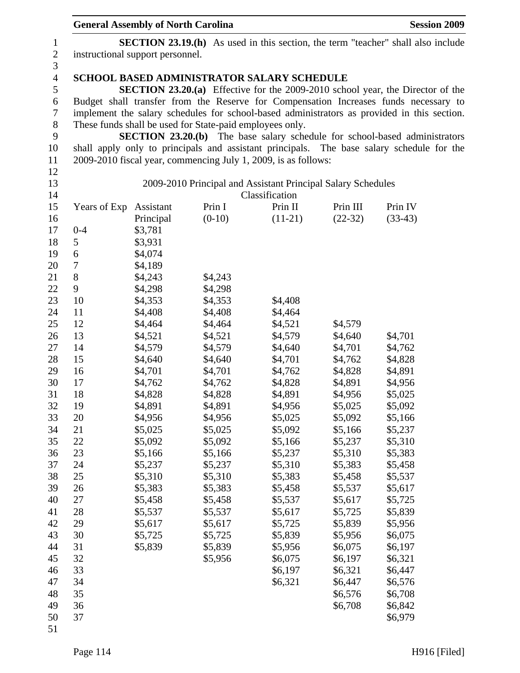|                  | <b>General Assembly of North Carolina</b>                                               |           |                                                          |                                                                |           | <b>Session 2009</b>                                                                         |
|------------------|-----------------------------------------------------------------------------------------|-----------|----------------------------------------------------------|----------------------------------------------------------------|-----------|---------------------------------------------------------------------------------------------|
| $\mathbf{1}$     | <b>SECTION 23.19.(h)</b> As used in this section, the term "teacher" shall also include |           |                                                          |                                                                |           |                                                                                             |
| $\boldsymbol{2}$ | instructional support personnel.                                                        |           |                                                          |                                                                |           |                                                                                             |
| 3                |                                                                                         |           |                                                          |                                                                |           |                                                                                             |
| $\overline{4}$   |                                                                                         |           |                                                          | <b>SCHOOL BASED ADMINISTRATOR SALARY SCHEDULE</b>              |           |                                                                                             |
| 5                |                                                                                         |           |                                                          |                                                                |           | <b>SECTION 23.20.(a)</b> Effective for the 2009-2010 school year, the Director of the       |
| 6                |                                                                                         |           |                                                          |                                                                |           | Budget shall transfer from the Reserve for Compensation Increases funds necessary to        |
| 7                |                                                                                         |           |                                                          |                                                                |           | implement the salary schedules for school-based administrators as provided in this section. |
| $8\,$            |                                                                                         |           | These funds shall be used for State-paid employees only. |                                                                |           |                                                                                             |
| 9                |                                                                                         |           |                                                          |                                                                |           | <b>SECTION 23.20.(b)</b> The base salary schedule for school-based administrators           |
| 10               |                                                                                         |           |                                                          |                                                                |           | shall apply only to principals and assistant principals. The base salary schedule for the   |
| 11               |                                                                                         |           |                                                          | 2009-2010 fiscal year, commencing July 1, 2009, is as follows: |           |                                                                                             |
| 12               |                                                                                         |           |                                                          |                                                                |           |                                                                                             |
| 13               |                                                                                         |           |                                                          | 2009-2010 Principal and Assistant Principal Salary Schedules   |           |                                                                                             |
| 14               |                                                                                         |           |                                                          | Classification                                                 |           |                                                                                             |
| 15               | Years of Exp                                                                            | Assistant | Prin I                                                   | Prin II                                                        | Prin III  | Prin IV                                                                                     |
| 16               |                                                                                         | Principal | $(0-10)$                                                 | $(11-21)$                                                      | $(22-32)$ | $(33-43)$                                                                                   |
| 17               | $0 - 4$                                                                                 | \$3,781   |                                                          |                                                                |           |                                                                                             |
| 18               | 5                                                                                       | \$3,931   |                                                          |                                                                |           |                                                                                             |
| 19               | 6                                                                                       | \$4,074   |                                                          |                                                                |           |                                                                                             |
| 20               | 7                                                                                       | \$4,189   |                                                          |                                                                |           |                                                                                             |
| 21               | 8                                                                                       | \$4,243   | \$4,243                                                  |                                                                |           |                                                                                             |
| 22               | 9                                                                                       | \$4,298   | \$4,298                                                  |                                                                |           |                                                                                             |
| 23               | 10                                                                                      | \$4,353   | \$4,353                                                  | \$4,408                                                        |           |                                                                                             |
| 24               | 11                                                                                      | \$4,408   | \$4,408                                                  | \$4,464                                                        |           |                                                                                             |
| 25               | 12                                                                                      | \$4,464   | \$4,464                                                  | \$4,521                                                        | \$4,579   |                                                                                             |
| 26               | 13                                                                                      | \$4,521   | \$4,521                                                  | \$4,579                                                        | \$4,640   | \$4,701                                                                                     |
| 27               | 14                                                                                      | \$4,579   | \$4,579                                                  | \$4,640                                                        | \$4,701   | \$4,762                                                                                     |
| 28               | 15                                                                                      | \$4,640   | \$4,640                                                  | \$4,701                                                        | \$4,762   | \$4,828                                                                                     |
| 29               | 16                                                                                      | \$4,701   | \$4,701                                                  | \$4,762                                                        | \$4,828   | \$4,891                                                                                     |
| 30               | 17                                                                                      | \$4,762   | \$4,762                                                  | \$4,828                                                        | \$4,891   | \$4,956                                                                                     |
| 31               | 18                                                                                      | \$4,828   | \$4,828                                                  | \$4,891                                                        | \$4,956   | \$5,025                                                                                     |
| 32               | 19                                                                                      | \$4,891   | \$4,891                                                  | \$4,956                                                        | \$5,025   | \$5,092                                                                                     |
| 33               | 20                                                                                      | \$4,956   | \$4,956                                                  | \$5,025                                                        | \$5,092   | \$5,166                                                                                     |
| 34               | 21                                                                                      | \$5,025   | \$5,025                                                  | \$5,092                                                        | \$5,166   | \$5,237                                                                                     |
| 35               | 22                                                                                      | \$5,092   | \$5,092                                                  | \$5,166                                                        | \$5,237   | \$5,310                                                                                     |
| 36               | 23                                                                                      | \$5,166   | \$5,166                                                  | \$5,237                                                        | \$5,310   | \$5,383                                                                                     |
| 37               | 24                                                                                      | \$5,237   | \$5,237                                                  | \$5,310                                                        | \$5,383   | \$5,458                                                                                     |
| 38               | 25                                                                                      | \$5,310   | \$5,310                                                  | \$5,383                                                        | \$5,458   | \$5,537                                                                                     |
| 39               | 26                                                                                      | \$5,383   | \$5,383                                                  | \$5,458                                                        | \$5,537   | \$5,617                                                                                     |
| 40               | 27                                                                                      | \$5,458   | \$5,458                                                  | \$5,537                                                        | \$5,617   | \$5,725                                                                                     |
| 41               | 28                                                                                      | \$5,537   | \$5,537                                                  | \$5,617                                                        | \$5,725   | \$5,839                                                                                     |
| 42               | 29                                                                                      | \$5,617   | \$5,617                                                  | \$5,725                                                        | \$5,839   | \$5,956                                                                                     |
| 43               | 30                                                                                      | \$5,725   | \$5,725                                                  | \$5,839                                                        | \$5,956   | \$6,075                                                                                     |
| 44               | 31                                                                                      | \$5,839   | \$5,839                                                  | \$5,956                                                        | \$6,075   | \$6,197                                                                                     |
| 45               | 32                                                                                      |           | \$5,956                                                  | \$6,075                                                        | \$6,197   | \$6,321                                                                                     |
| 46               | 33                                                                                      |           |                                                          | \$6,197                                                        | \$6,321   | \$6,447                                                                                     |
| 47               | 34                                                                                      |           |                                                          | \$6,321                                                        | \$6,447   | \$6,576                                                                                     |
| 48               | 35                                                                                      |           |                                                          |                                                                | \$6,576   | \$6,708                                                                                     |
| 49               | 36                                                                                      |           |                                                          |                                                                | \$6,708   | \$6,842                                                                                     |
| 50               | 37                                                                                      |           |                                                          |                                                                |           | \$6,979                                                                                     |
| 51               |                                                                                         |           |                                                          |                                                                |           |                                                                                             |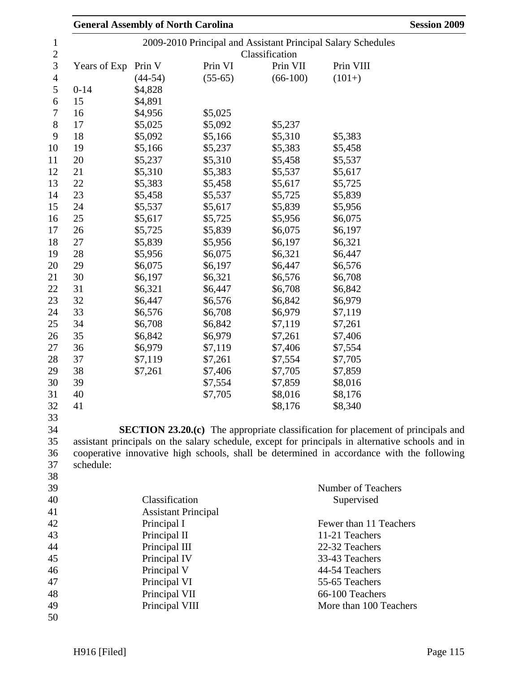|              | <b>General Assembly of North Carolina</b> |           |                | <b>Session 2009</b>                                                                              |
|--------------|-------------------------------------------|-----------|----------------|--------------------------------------------------------------------------------------------------|
|              |                                           |           |                | 2009-2010 Principal and Assistant Principal Salary Schedules                                     |
|              |                                           |           | Classification |                                                                                                  |
| Years of Exp | Prin V                                    | Prin VI   | Prin VII       | Prin VIII                                                                                        |
|              | $(44-54)$                                 | $(55-65)$ | $(66-100)$     | $(101+)$                                                                                         |
| $0 - 14$     | \$4,828                                   |           |                |                                                                                                  |
| 15           | \$4,891                                   |           |                |                                                                                                  |
| 16           | \$4,956                                   | \$5,025   |                |                                                                                                  |
| 17           | \$5,025                                   | \$5,092   | \$5,237        |                                                                                                  |
| 18           | \$5,092                                   | \$5,166   | \$5,310        | \$5,383                                                                                          |
| 19           | \$5,166                                   | \$5,237   | \$5,383        | \$5,458                                                                                          |
| 20           | \$5,237                                   | \$5,310   | \$5,458        | \$5,537                                                                                          |
| 21           | \$5,310                                   | \$5,383   | \$5,537        | \$5,617                                                                                          |
| 22           | \$5,383                                   | \$5,458   | \$5,617        | \$5,725                                                                                          |
| 23           | \$5,458                                   | \$5,537   | \$5,725        | \$5,839                                                                                          |
| 24           | \$5,537                                   | \$5,617   | \$5,839        | \$5,956                                                                                          |
| 25           | \$5,617                                   | \$5,725   | \$5,956        | \$6,075                                                                                          |
| 26           | \$5,725                                   | \$5,839   | \$6,075        | \$6,197                                                                                          |
| 27           | \$5,839                                   | \$5,956   | \$6,197        | \$6,321                                                                                          |
| 28           | \$5,956                                   | \$6,075   | \$6,321        | \$6,447                                                                                          |
| 29           | \$6,075                                   | \$6,197   | \$6,447        | \$6,576                                                                                          |
| 30           | \$6,197                                   | \$6,321   | \$6,576        | \$6,708                                                                                          |
| 31           | \$6,321                                   | \$6,447   | \$6,708        | \$6,842                                                                                          |
| 32           | \$6,447                                   | \$6,576   | \$6,842        | \$6,979                                                                                          |
| 33           | \$6,576                                   | \$6,708   | \$6,979        | \$7,119                                                                                          |
| 34           | \$6,708                                   | \$6,842   | \$7,119        | \$7,261                                                                                          |
| 35           | \$6,842                                   | \$6,979   | \$7,261        | \$7,406                                                                                          |
| 36           | \$6,979                                   | \$7,119   | \$7,406        | \$7,554                                                                                          |
| 37           | \$7,119                                   | \$7,261   | \$7,554        | \$7,705                                                                                          |
| 38           | \$7,261                                   | \$7,406   | \$7,705        | \$7,859                                                                                          |
| 39           |                                           | \$7,554   | \$7,859        | \$8,016                                                                                          |
| 40           |                                           | \$7,705   | \$8,016        | \$8,176                                                                                          |
| 41           |                                           |           | \$8,176        | \$8,340                                                                                          |
|              |                                           |           |                |                                                                                                  |
|              |                                           |           |                | <b>SECTION 23.20.(c)</b> The appropriate classification for placement of principals and          |
|              |                                           |           |                | assistant principals on the salary schedule, except for principals in alternative schools and in |
|              |                                           |           |                | cooperative innovative high schools, shall be determined in accordance with the following        |
| schedule:    |                                           |           |                |                                                                                                  |
|              |                                           |           |                |                                                                                                  |
|              |                                           |           |                | Number of Teachers                                                                               |
|              | Classification                            |           |                | Supervised                                                                                       |
|              | <b>Assistant Principal</b>                |           |                |                                                                                                  |
|              | Principal I                               |           |                | Fewer than 11 Teachers                                                                           |
|              | Principal II                              |           |                | 11-21 Teachers                                                                                   |
|              | Principal III                             |           |                | 22-32 Teachers                                                                                   |
|              | Principal IV                              |           |                | 33-43 Teachers                                                                                   |
|              | Principal V                               |           |                | 44-54 Teachers                                                                                   |
|              | Principal VI                              |           |                | 55-65 Teachers                                                                                   |
|              | Principal VII                             |           |                | 66-100 Teachers                                                                                  |
|              | Principal VIII                            |           |                | More than 100 Teachers                                                                           |
|              |                                           |           |                |                                                                                                  |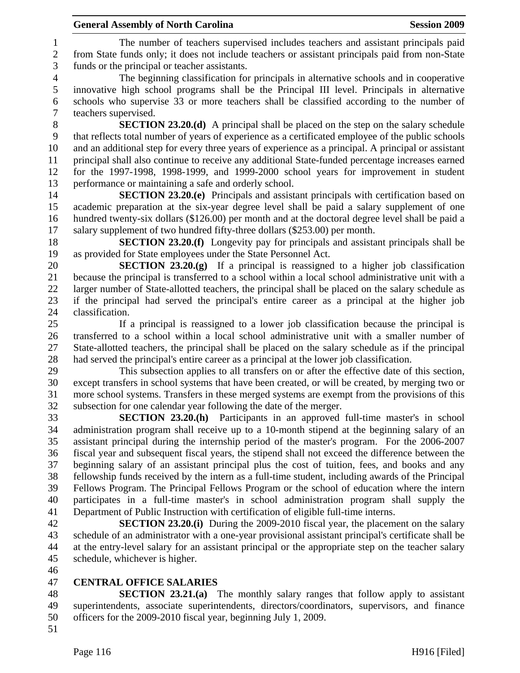1 The number of teachers supervised includes teachers and assistant principals paid 2 from State funds only; it does not include teachers or assistant principals paid from non-State 3 funds or the principal or teacher assistants.

4 The beginning classification for principals in alternative schools and in cooperative 5 innovative high school programs shall be the Principal III level. Principals in alternative 6 schools who supervise 33 or more teachers shall be classified according to the number of 7 teachers supervised.

8 **SECTION 23.20.(d)** A principal shall be placed on the step on the salary schedule 9 that reflects total number of years of experience as a certificated employee of the public schools 10 and an additional step for every three years of experience as a principal. A principal or assistant 11 principal shall also continue to receive any additional State-funded percentage increases earned 12 for the 1997-1998, 1998-1999, and 1999-2000 school years for improvement in student 13 performance or maintaining a safe and orderly school.

14 **SECTION 23.20.(e)** Principals and assistant principals with certification based on 15 academic preparation at the six-year degree level shall be paid a salary supplement of one 16 hundred twenty-six dollars (\$126.00) per month and at the doctoral degree level shall be paid a 17 salary supplement of two hundred fifty-three dollars (\$253.00) per month.

18 **SECTION 23.20.(f)** Longevity pay for principals and assistant principals shall be 19 as provided for State employees under the State Personnel Act.

20 **SECTION 23.20.(g)** If a principal is reassigned to a higher job classification 21 because the principal is transferred to a school within a local school administrative unit with a 22 larger number of State-allotted teachers, the principal shall be placed on the salary schedule as 23 if the principal had served the principal's entire career as a principal at the higher job 24 classification.

25 If a principal is reassigned to a lower job classification because the principal is 26 transferred to a school within a local school administrative unit with a smaller number of 27 State-allotted teachers, the principal shall be placed on the salary schedule as if the principal 28 had served the principal's entire career as a principal at the lower job classification.

29 This subsection applies to all transfers on or after the effective date of this section, 30 except transfers in school systems that have been created, or will be created, by merging two or 31 more school systems. Transfers in these merged systems are exempt from the provisions of this 32 subsection for one calendar year following the date of the merger.

33 **SECTION 23.20.(h)** Participants in an approved full-time master's in school 34 administration program shall receive up to a 10-month stipend at the beginning salary of an 35 assistant principal during the internship period of the master's program. For the 2006-2007 36 fiscal year and subsequent fiscal years, the stipend shall not exceed the difference between the 37 beginning salary of an assistant principal plus the cost of tuition, fees, and books and any 38 fellowship funds received by the intern as a full-time student, including awards of the Principal 39 Fellows Program. The Principal Fellows Program or the school of education where the intern 40 participates in a full-time master's in school administration program shall supply the 41 Department of Public Instruction with certification of eligible full-time interns.

42 **SECTION 23.20.(i)** During the 2009-2010 fiscal year, the placement on the salary 43 schedule of an administrator with a one-year provisional assistant principal's certificate shall be 44 at the entry-level salary for an assistant principal or the appropriate step on the teacher salary 45 schedule, whichever is higher.

46

### 47 **CENTRAL OFFICE SALARIES**

48 **SECTION 23.21.(a)** The monthly salary ranges that follow apply to assistant 49 superintendents, associate superintendents, directors/coordinators, supervisors, and finance 50 officers for the 2009-2010 fiscal year, beginning July 1, 2009.

51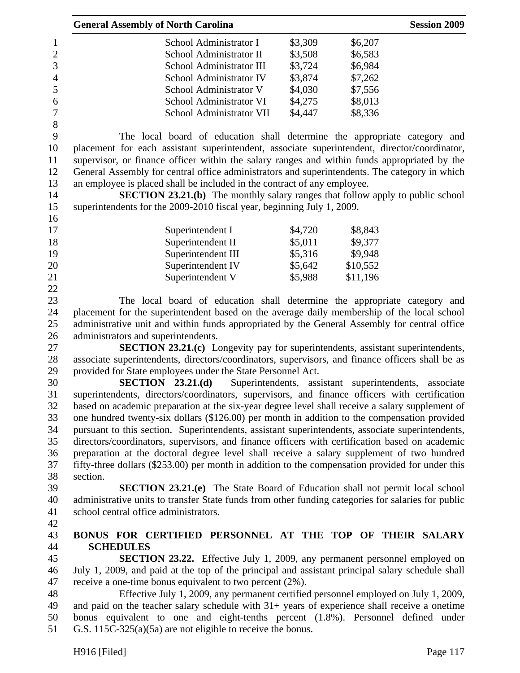|                  | <b>General Assembly of North Carolina</b>                                                          |         |                                             | <b>Session 2009</b> |
|------------------|----------------------------------------------------------------------------------------------------|---------|---------------------------------------------|---------------------|
| $\mathbf{1}$     | School Administrator I                                                                             | \$3,309 | \$6,207                                     |                     |
| $\overline{c}$   | School Administrator II                                                                            | \$3,508 | \$6,583                                     |                     |
| $\overline{3}$   | School Administrator III                                                                           | \$3,724 | \$6,984                                     |                     |
| $\overline{4}$   | School Administrator IV                                                                            | \$3,874 | \$7,262                                     |                     |
| 5                | School Administrator V                                                                             | \$4,030 | \$7,556                                     |                     |
| 6                | School Administrator VI                                                                            | \$4,275 | \$8,013                                     |                     |
| $\boldsymbol{7}$ | School Administrator VII                                                                           | \$4,447 | \$8,336                                     |                     |
| 8                |                                                                                                    |         |                                             |                     |
| 9                | The local board of education shall determine the appropriate category and                          |         |                                             |                     |
| 10               | placement for each assistant superintendent, associate superintendent, director/coordinator,       |         |                                             |                     |
| 11               | supervisor, or finance officer within the salary ranges and within funds appropriated by the       |         |                                             |                     |
| 12               | General Assembly for central office administrators and superintendents. The category in which      |         |                                             |                     |
| 13               | an employee is placed shall be included in the contract of any employee.                           |         |                                             |                     |
| 14               | <b>SECTION 23.21.(b)</b> The monthly salary ranges that follow apply to public school              |         |                                             |                     |
| 15               | superintendents for the 2009-2010 fiscal year, beginning July 1, 2009.                             |         |                                             |                     |
| 16               |                                                                                                    |         |                                             |                     |
| 17               | Superintendent I                                                                                   | \$4,720 | \$8,843                                     |                     |
| 18               | Superintendent II                                                                                  | \$5,011 | \$9,377                                     |                     |
| 19               | Superintendent III                                                                                 | \$5,316 | \$9,948                                     |                     |
| 20               |                                                                                                    | \$5,642 | \$10,552                                    |                     |
|                  | Superintendent IV                                                                                  |         |                                             |                     |
| 21<br>22         | Superintendent V                                                                                   | \$5,988 | \$11,196                                    |                     |
|                  |                                                                                                    |         |                                             |                     |
| 23               | The local board of education shall determine the appropriate category and                          |         |                                             |                     |
| 24               | placement for the superintendent based on the average daily membership of the local school         |         |                                             |                     |
| 25               | administrative unit and within funds appropriated by the General Assembly for central office       |         |                                             |                     |
| 26               | administrators and superintendents.                                                                |         |                                             |                     |
| 27               | <b>SECTION 23.21.(c)</b> Longevity pay for superintendents, assistant superintendents,             |         |                                             |                     |
| 28               | associate superintendents, directors/coordinators, supervisors, and finance officers shall be as   |         |                                             |                     |
| 29               | provided for State employees under the State Personnel Act.                                        |         |                                             |                     |
| 30               | SECTION 23.21(d)                                                                                   |         | Superintendents, assistant superintendents, | associate           |
| 31               | superintendents, directors/coordinators, supervisors, and finance officers with certification      |         |                                             |                     |
| 32               | based on academic preparation at the six-year degree level shall receive a salary supplement of    |         |                                             |                     |
| 33               | one hundred twenty-six dollars (\$126.00) per month in addition to the compensation provided       |         |                                             |                     |
| 34               | pursuant to this section. Superintendents, assistant superintendents, associate superintendents,   |         |                                             |                     |
| 35               | directors/coordinators, supervisors, and finance officers with certification based on academic     |         |                                             |                     |
| 36               | preparation at the doctoral degree level shall receive a salary supplement of two hundred          |         |                                             |                     |
| 37               | fifty-three dollars (\$253.00) per month in addition to the compensation provided for under this   |         |                                             |                     |
| 38               | section.                                                                                           |         |                                             |                     |
| 39               | <b>SECTION 23.21.(e)</b> The State Board of Education shall not permit local school                |         |                                             |                     |
| 40               | administrative units to transfer State funds from other funding categories for salaries for public |         |                                             |                     |
| 41               | school central office administrators.                                                              |         |                                             |                     |
| 42               |                                                                                                    |         |                                             |                     |
| 43               | BONUS FOR CERTIFIED PERSONNEL AT THE TOP OF THEIR SALARY                                           |         |                                             |                     |
| 44               | <b>SCHEDULES</b>                                                                                   |         |                                             |                     |
| 45               | <b>SECTION 23.22.</b> Effective July 1, 2009, any permanent personnel employed on                  |         |                                             |                     |
| 46               | July 1, 2009, and paid at the top of the principal and assistant principal salary schedule shall   |         |                                             |                     |
| 47               | receive a one-time bonus equivalent to two percent (2%).                                           |         |                                             |                     |
| 48               | Effective July 1, 2009, any permanent certified personnel employed on July 1, 2009,                |         |                                             |                     |
| 49               | and paid on the teacher salary schedule with $31+$ years of experience shall receive a onetime     |         |                                             |                     |
| 50               | bonus equivalent to one and eight-tenths percent (1.8%). Personnel defined under                   |         |                                             |                     |
| 51               | G.S. $115C-325(a)(5a)$ are not eligible to receive the bonus.                                      |         |                                             |                     |
|                  |                                                                                                    |         |                                             |                     |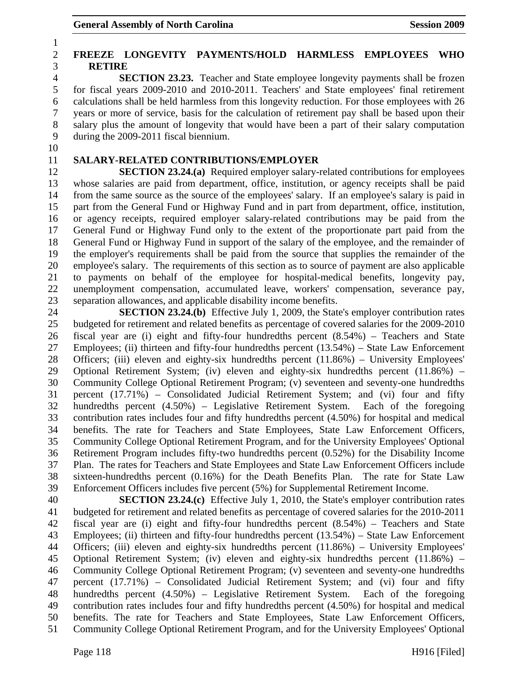# 2 **FREEZE LONGEVITY PAYMENTS/HOLD HARMLESS EMPLOYEES WHO**  3 **RETIRE**

4 **SECTION 23.23.** Teacher and State employee longevity payments shall be frozen 5 for fiscal years 2009-2010 and 2010-2011. Teachers' and State employees' final retirement 6 calculations shall be held harmless from this longevity reduction. For those employees with 26 7 years or more of service, basis for the calculation of retirement pay shall be based upon their 8 salary plus the amount of longevity that would have been a part of their salary computation 9 during the 2009-2011 fiscal biennium.

10

1

# 11 **SALARY-RELATED CONTRIBUTIONS/EMPLOYER**

12 **SECTION 23.24.(a)** Required employer salary-related contributions for employees 13 whose salaries are paid from department, office, institution, or agency receipts shall be paid 14 from the same source as the source of the employees' salary. If an employee's salary is paid in 15 part from the General Fund or Highway Fund and in part from department, office, institution, 16 or agency receipts, required employer salary-related contributions may be paid from the 17 General Fund or Highway Fund only to the extent of the proportionate part paid from the 18 General Fund or Highway Fund in support of the salary of the employee, and the remainder of 19 the employer's requirements shall be paid from the source that supplies the remainder of the 20 employee's salary. The requirements of this section as to source of payment are also applicable 21 to payments on behalf of the employee for hospital-medical benefits, longevity pay, 22 unemployment compensation, accumulated leave, workers' compensation, severance pay, 23 separation allowances, and applicable disability income benefits.

24 **SECTION 23.24.(b)** Effective July 1, 2009, the State's employer contribution rates 25 budgeted for retirement and related benefits as percentage of covered salaries for the 2009-2010 26 fiscal year are (i) eight and fifty-four hundredths percent (8.54%) – Teachers and State 27 Employees; (ii) thirteen and fifty-four hundredths percent (13.54%) – State Law Enforcement 28 Officers; (iii) eleven and eighty-six hundredths percent (11.86%) – University Employees' 29 Optional Retirement System; (iv) eleven and eighty-six hundredths percent (11.86%) – 30 Community College Optional Retirement Program; (v) seventeen and seventy-one hundredths 31 percent (17.71%) – Consolidated Judicial Retirement System; and (vi) four and fifty 32 hundredths percent (4.50%) – Legislative Retirement System. Each of the foregoing 33 contribution rates includes four and fifty hundredths percent (4.50%) for hospital and medical 34 benefits. The rate for Teachers and State Employees, State Law Enforcement Officers, 35 Community College Optional Retirement Program, and for the University Employees' Optional 36 Retirement Program includes fifty-two hundredths percent (0.52%) for the Disability Income 37 Plan. The rates for Teachers and State Employees and State Law Enforcement Officers include 38 sixteen-hundredths percent (0.16%) for the Death Benefits Plan. The rate for State Law 39 Enforcement Officers includes five percent (5%) for Supplemental Retirement Income.

40 **SECTION 23.24.(c)** Effective July 1, 2010, the State's employer contribution rates 41 budgeted for retirement and related benefits as percentage of covered salaries for the 2010-2011 42 fiscal year are (i) eight and fifty-four hundredths percent (8.54%) – Teachers and State 43 Employees; (ii) thirteen and fifty-four hundredths percent (13.54%) – State Law Enforcement 44 Officers; (iii) eleven and eighty-six hundredths percent (11.86%) – University Employees' 45 Optional Retirement System; (iv) eleven and eighty-six hundredths percent (11.86%) – 46 Community College Optional Retirement Program; (v) seventeen and seventy-one hundredths 47 percent (17.71%) – Consolidated Judicial Retirement System; and (vi) four and fifty 48 hundredths percent (4.50%) – Legislative Retirement System. Each of the foregoing 49 contribution rates includes four and fifty hundredths percent (4.50%) for hospital and medical 50 benefits. The rate for Teachers and State Employees, State Law Enforcement Officers, 51 Community College Optional Retirement Program, and for the University Employees' Optional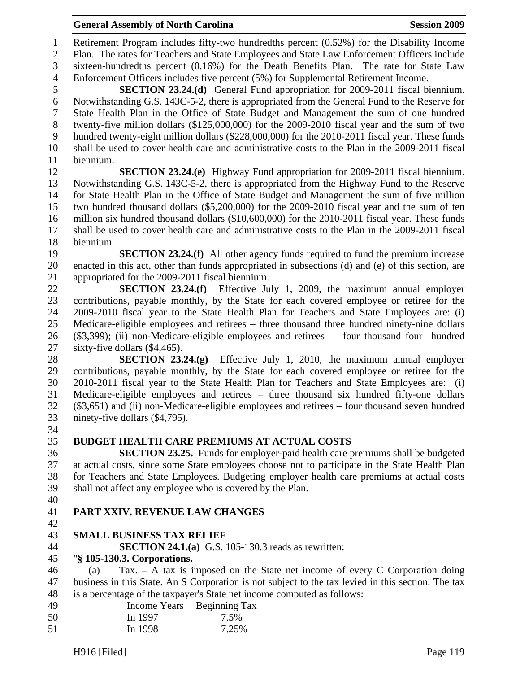General Assembly of North Carolina **Session 2009** 

1 Retirement Program includes fifty-two hundredths percent (0.52%) for the Disability Income 2 Plan. The rates for Teachers and State Employees and State Law Enforcement Officers include 3 sixteen-hundredths percent (0.16%) for the Death Benefits Plan. The rate for State Law 4 Enforcement Officers includes five percent (5%) for Supplemental Retirement Income.

5 **SECTION 23.24.(d)** General Fund appropriation for 2009-2011 fiscal biennium. 6 Notwithstanding G.S. 143C-5-2, there is appropriated from the General Fund to the Reserve for 7 State Health Plan in the Office of State Budget and Management the sum of one hundred 8 twenty-five million dollars (\$125,000,000) for the 2009-2010 fiscal year and the sum of two 9 hundred twenty-eight million dollars (\$228,000,000) for the 2010-2011 fiscal year. These funds 10 shall be used to cover health care and administrative costs to the Plan in the 2009-2011 fiscal 11 biennium.

12 **SECTION 23.24.(e)** Highway Fund appropriation for 2009-2011 fiscal biennium. 13 Notwithstanding G.S. 143C-5-2, there is appropriated from the Highway Fund to the Reserve 14 for State Health Plan in the Office of State Budget and Management the sum of five million 15 two hundred thousand dollars (\$5,200,000) for the 2009-2010 fiscal year and the sum of ten 16 million six hundred thousand dollars (\$10,600,000) for the 2010-2011 fiscal year. These funds 17 shall be used to cover health care and administrative costs to the Plan in the 2009-2011 fiscal 18 biennium.

19 **SECTION 23.24.(f)** All other agency funds required to fund the premium increase 20 enacted in this act, other than funds appropriated in subsections (d) and (e) of this section, are 21 appropriated for the 2009-2011 fiscal biennium.

22 **SECTION 23.24.(f)** Effective July 1, 2009, the maximum annual employer 23 contributions, payable monthly, by the State for each covered employee or retiree for the 24 2009-2010 fiscal year to the State Health Plan for Teachers and State Employees are: (i) 25 Medicare-eligible employees and retirees – three thousand three hundred ninety-nine dollars 26 (\$3,399); (ii) non-Medicare-eligible employees and retirees – four thousand four hundred 27 sixty-five dollars (\$4,465).

28 **SECTION 23.24.(g)** Effective July 1, 2010, the maximum annual employer 29 contributions, payable monthly, by the State for each covered employee or retiree for the 30 2010-2011 fiscal year to the State Health Plan for Teachers and State Employees are: (i) 31 Medicare-eligible employees and retirees – three thousand six hundred fifty-one dollars 32 (\$3,651) and (ii) non-Medicare-eligible employees and retirees – four thousand seven hundred 33 ninety-five dollars (\$4,795).

- 34
- 

# 35 **BUDGET HEALTH CARE PREMIUMS AT ACTUAL COSTS**

36 **SECTION 23.25.** Funds for employer-paid health care premiums shall be budgeted 37 at actual costs, since some State employees choose not to participate in the State Health Plan 38 for Teachers and State Employees. Budgeting employer health care premiums at actual costs 39 shall not affect any employee who is covered by the Plan.

40

# 41 **PART XXIV. REVENUE LAW CHANGES**

42

### 43 **SMALL BUSINESS TAX RELIEF**

44 **SECTION 24.1.(a)** G.S. 105-130.3 reads as rewritten:

### 45 "**§ 105-130.3. Corporations.**

46 (a) Tax. – A tax is imposed on the State net income of every C Corporation doing 47 business in this State. An S Corporation is not subject to the tax levied in this section. The tax 48 is a percentage of the taxpayer's State net income computed as follows:

49 Income Years Beginning Tax 50 In 1997 7.5% 51 In 1998 7.25%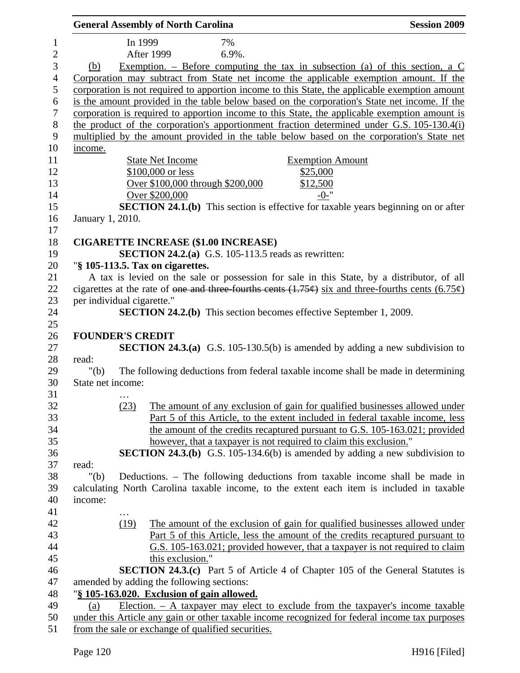|                            |         | <b>General Assembly of North Carolina</b>          |                                                            | <b>Session 2009</b>                                                                                                       |
|----------------------------|---------|----------------------------------------------------|------------------------------------------------------------|---------------------------------------------------------------------------------------------------------------------------|
| $\mathbf{1}$               | In 1999 |                                                    | 7%                                                         |                                                                                                                           |
| $\overline{2}$             |         | <b>After 1999</b>                                  | 6.9%.                                                      |                                                                                                                           |
| 3<br>(b)                   |         |                                                    |                                                            | Exemption. – Before computing the tax in subsection (a) of this section, a $C$                                            |
| $\overline{4}$             |         |                                                    |                                                            | Corporation may subtract from State net income the applicable exemption amount. If the                                    |
| $\mathfrak s$              |         |                                                    |                                                            | corporation is not required to apportion income to this State, the applicable exemption amount                            |
|                            |         |                                                    |                                                            | is the amount provided in the table below based on the corporation's State net income. If the                             |
|                            |         |                                                    |                                                            | corporation is required to apportion income to this State, the applicable exemption amount is                             |
|                            |         |                                                    |                                                            | the product of the corporation's apportionment fraction determined under G.S. 105-130.4(i)                                |
|                            |         |                                                    |                                                            | multiplied by the amount provided in the table below based on the corporation's State net                                 |
| income.                    |         |                                                    |                                                            |                                                                                                                           |
|                            |         | <b>State Net Income</b>                            |                                                            | <b>Exemption Amount</b>                                                                                                   |
|                            |         | \$100,000 or less                                  |                                                            | \$25,000                                                                                                                  |
|                            |         | Over \$100,000 through \$200,000                   |                                                            | \$12,500                                                                                                                  |
|                            |         | Over \$200,000                                     |                                                            | $-0-$ "                                                                                                                   |
|                            |         |                                                    |                                                            | <b>SECTION 24.1.(b)</b> This section is effective for taxable years beginning on or after                                 |
| January 1, 2010.           |         |                                                    |                                                            |                                                                                                                           |
|                            |         |                                                    |                                                            |                                                                                                                           |
|                            |         |                                                    | <b>CIGARETTE INCREASE (\$1.00 INCREASE)</b>                |                                                                                                                           |
|                            |         | "§ 105-113.5. Tax on cigarettes.                   | <b>SECTION 24.2.(a)</b> G.S. 105-113.5 reads as rewritten: |                                                                                                                           |
|                            |         |                                                    |                                                            | A tax is levied on the sale or possession for sale in this State, by a distributor, of all                                |
|                            |         |                                                    |                                                            | cigarettes at the rate of <del>one and three fourths cents <math>(1.75)</math></del> six and three-fourths cents $(6.75)$ |
| per individual cigarette." |         |                                                    |                                                            |                                                                                                                           |
|                            |         |                                                    |                                                            | <b>SECTION 24.2.(b)</b> This section becomes effective September 1, 2009.                                                 |
|                            |         |                                                    |                                                            |                                                                                                                           |
| <b>FOUNDER'S CREDIT</b>    |         |                                                    |                                                            |                                                                                                                           |
|                            |         |                                                    |                                                            | <b>SECTION 24.3.(a)</b> G.S. 105-130.5(b) is amended by adding a new subdivision to                                       |
| read:                      |         |                                                    |                                                            |                                                                                                                           |
| " $(b)$                    |         |                                                    |                                                            | The following deductions from federal taxable income shall be made in determining                                         |
| State net income:          |         |                                                    |                                                            |                                                                                                                           |
|                            |         |                                                    |                                                            |                                                                                                                           |
|                            | (23)    |                                                    |                                                            | The amount of any exclusion of gain for qualified businesses allowed under                                                |
|                            |         |                                                    |                                                            | Part 5 of this Article, to the extent included in federal taxable income, less                                            |
|                            |         |                                                    |                                                            | the amount of the credits recaptured pursuant to G.S. 105-163.021; provided                                               |
|                            |         |                                                    |                                                            | however, that a taxpayer is not required to claim this exclusion."                                                        |
|                            |         |                                                    |                                                            | <b>SECTION 24.3.(b)</b> G.S. 105-134.6(b) is amended by adding a new subdivision to                                       |
| read:                      |         |                                                    |                                                            |                                                                                                                           |
| " $(b)$                    |         |                                                    |                                                            | Deductions. - The following deductions from taxable income shall be made in                                               |
|                            |         |                                                    |                                                            | calculating North Carolina taxable income, to the extent each item is included in taxable                                 |
| income:                    |         |                                                    |                                                            |                                                                                                                           |
|                            |         |                                                    |                                                            |                                                                                                                           |
|                            | (19)    |                                                    |                                                            | The amount of the exclusion of gain for qualified businesses allowed under                                                |
|                            |         |                                                    |                                                            | Part 5 of this Article, less the amount of the credits recaptured pursuant to                                             |
|                            |         | this exclusion."                                   |                                                            | G.S. 105-163.021; provided however, that a taxpayer is not required to claim                                              |
|                            |         |                                                    |                                                            | <b>SECTION 24.3.(c)</b> Part 5 of Article 4 of Chapter 105 of the General Statutes is                                     |
|                            |         | amended by adding the following sections:          |                                                            |                                                                                                                           |
|                            |         | "§ 105-163.020. Exclusion of gain allowed.         |                                                            |                                                                                                                           |
| (a)                        |         |                                                    |                                                            | Election. $-$ A taxpayer may elect to exclude from the taxpayer's income taxable                                          |
|                            |         |                                                    |                                                            | under this Article any gain or other taxable income recognized for federal income tax purposes                            |
|                            |         | from the sale or exchange of qualified securities. |                                                            |                                                                                                                           |
| 51                         |         |                                                    |                                                            |                                                                                                                           |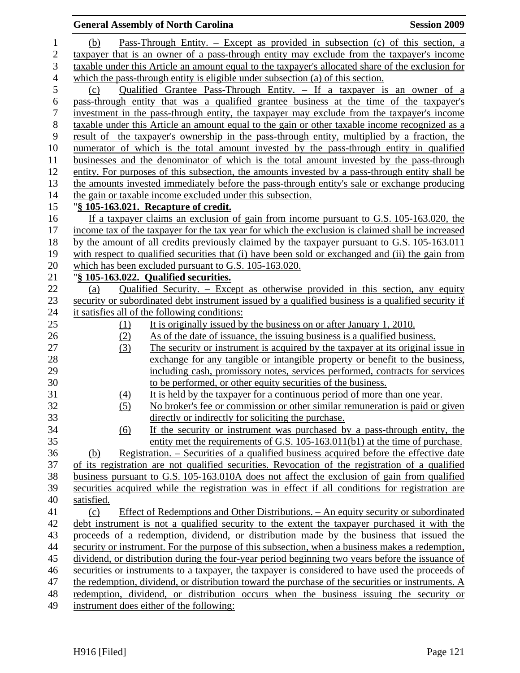|                  |            | <b>General Assembly of North Carolina</b>                                                                                                                                                      | <b>Session 2009</b> |
|------------------|------------|------------------------------------------------------------------------------------------------------------------------------------------------------------------------------------------------|---------------------|
| $\mathbf{1}$     | (b)        | <u>Pass-Through Entity. – Except as provided in subsection (c) of this section, a</u>                                                                                                          |                     |
| $\overline{c}$   |            | taxpayer that is an owner of a pass-through entity may exclude from the taxpayer's income                                                                                                      |                     |
| 3                |            | taxable under this Article an amount equal to the taxpayer's allocated share of the exclusion for                                                                                              |                     |
| $\overline{4}$   |            | which the pass-through entity is eligible under subsection (a) of this section.                                                                                                                |                     |
| 5                | (c)        | <u>Qualified Grantee Pass-Through Entity. – If a taxpayer is an owner of a</u>                                                                                                                 |                     |
| $\boldsymbol{6}$ |            | pass-through entity that was a qualified grantee business at the time of the taxpayer's                                                                                                        |                     |
| $\tau$           |            | investment in the pass-through entity, the taxpayer may exclude from the taxpayer's income                                                                                                     |                     |
| $8\,$            |            | taxable under this Article an amount equal to the gain or other taxable income recognized as a                                                                                                 |                     |
| 9                |            | result of the taxpayer's ownership in the pass-through entity, multiplied by a fraction, the                                                                                                   |                     |
| 10               |            | numerator of which is the total amount invested by the pass-through entity in qualified                                                                                                        |                     |
| 11               |            | businesses and the denominator of which is the total amount invested by the pass-through                                                                                                       |                     |
| 12               |            | entity. For purposes of this subsection, the amounts invested by a pass-through entity shall be                                                                                                |                     |
| 13               |            | the amounts invested immediately before the pass-through entity's sale or exchange producing                                                                                                   |                     |
| 14               |            | the gain or taxable income excluded under this subsection.                                                                                                                                     |                     |
| 15               |            | "§ 105-163.021. Recapture of credit.                                                                                                                                                           |                     |
| 16               |            | If a taxpayer claims an exclusion of gain from income pursuant to G.S. 105-163.020, the                                                                                                        |                     |
| 17               |            | income tax of the taxpayer for the tax year for which the exclusion is claimed shall be increased                                                                                              |                     |
| 18               |            | by the amount of all credits previously claimed by the taxpayer pursuant to G.S. 105-163.011                                                                                                   |                     |
| 19               |            | with respect to qualified securities that (i) have been sold or exchanged and (ii) the gain from                                                                                               |                     |
| 20               |            | which has been excluded pursuant to G.S. 105-163.020.                                                                                                                                          |                     |
| 21               |            | "§ 105-163.022. Qualified securities.                                                                                                                                                          |                     |
| 22               | (a)        | Qualified Security. – Except as otherwise provided in this section, any equity                                                                                                                 |                     |
| 23               |            | security or subordinated debt instrument issued by a qualified business is a qualified security if                                                                                             |                     |
| 24               |            | it satisfies all of the following conditions:                                                                                                                                                  |                     |
| 25               | $\Omega$   | It is originally issued by the business on or after January 1, 2010.                                                                                                                           |                     |
| 26               | (2)        | As of the date of issuance, the issuing business is a qualified business.                                                                                                                      |                     |
| 27               | (3)        | The security or instrument is acquired by the taxpayer at its original issue in                                                                                                                |                     |
| 28               |            | exchange for any tangible or intangible property or benefit to the business,                                                                                                                   |                     |
| 29               |            | including cash, promissory notes, services performed, contracts for services                                                                                                                   |                     |
| 30               |            | to be performed, or other equity securities of the business.                                                                                                                                   |                     |
| 31               | (4)        | It is held by the taxpayer for a continuous period of more than one year.                                                                                                                      |                     |
| 32               | (5)        | No broker's fee or commission or other similar remuneration is paid or given                                                                                                                   |                     |
| 33               |            | directly or indirectly for soliciting the purchase.                                                                                                                                            |                     |
| 34               | <u>(6)</u> | If the security or instrument was purchased by a pass-through entity, the                                                                                                                      |                     |
| 35               |            | entity met the requirements of G.S. 105-163.011(b1) at the time of purchase.                                                                                                                   |                     |
| 36<br>37         | (b)        | Registration. – Securities of a qualified business acquired before the effective date                                                                                                          |                     |
|                  |            | of its registration are not qualified securities. Revocation of the registration of a qualified                                                                                                |                     |
| 38<br>39         |            | business pursuant to G.S. 105-163.010A does not affect the exclusion of gain from qualified<br>securities acquired while the registration was in effect if all conditions for registration are |                     |
| 40               | satisfied. |                                                                                                                                                                                                |                     |
| 41               | (c)        | Effect of Redemptions and Other Distributions. – An equity security or subordinated                                                                                                            |                     |
|                  |            | debt instrument is not a qualified security to the extent the taxpayer purchased it with the                                                                                                   |                     |
| 42<br>43         |            | proceeds of a redemption, dividend, or distribution made by the business that issued the                                                                                                       |                     |
| 44               |            | security or instrument. For the purpose of this subsection, when a business makes a redemption,                                                                                                |                     |
| 45               |            | dividend, or distribution during the four-year period beginning two years before the issuance of                                                                                               |                     |
| 46               |            | securities or instruments to a taxpayer, the taxpayer is considered to have used the proceeds of                                                                                               |                     |
| 47               |            | the redemption, dividend, or distribution toward the purchase of the securities or instruments. A                                                                                              |                     |
| 48               |            | redemption, dividend, or distribution occurs when the business issuing the security or                                                                                                         |                     |
| 49               |            | instrument does either of the following:                                                                                                                                                       |                     |
|                  |            |                                                                                                                                                                                                |                     |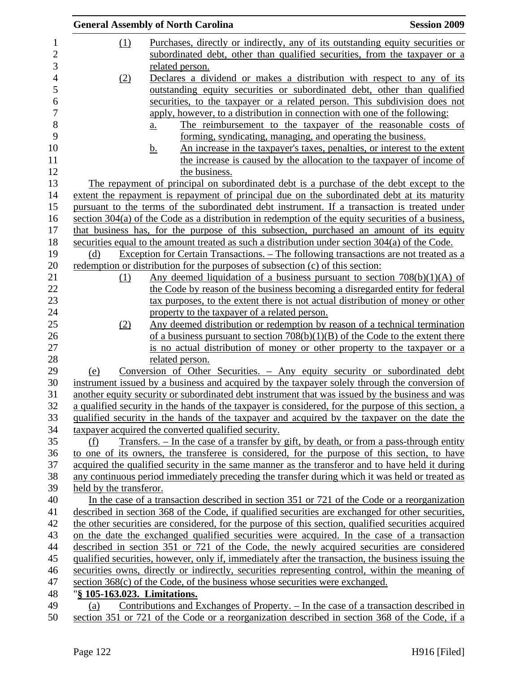|                         | <b>Session 2009</b><br><b>General Assembly of North Carolina</b>                                                                                                                                                                                                                                        |  |
|-------------------------|---------------------------------------------------------------------------------------------------------------------------------------------------------------------------------------------------------------------------------------------------------------------------------------------------------|--|
| $\Omega$                | Purchases, directly or indirectly, any of its outstanding equity securities or<br>subordinated debt, other than qualified securities, from the taxpayer or a                                                                                                                                            |  |
|                         | related person.                                                                                                                                                                                                                                                                                         |  |
| (2)                     | Declares a dividend or makes a distribution with respect to any of its                                                                                                                                                                                                                                  |  |
|                         | outstanding equity securities or subordinated debt, other than qualified                                                                                                                                                                                                                                |  |
|                         | securities, to the taxpayer or a related person. This subdivision does not                                                                                                                                                                                                                              |  |
|                         | apply, however, to a distribution in connection with one of the following:                                                                                                                                                                                                                              |  |
|                         | The reimbursement to the taxpayer of the reasonable costs of<br>a.                                                                                                                                                                                                                                      |  |
|                         | forming, syndicating, managing, and operating the business.                                                                                                                                                                                                                                             |  |
|                         | An increase in the taxpayer's taxes, penalties, or interest to the extent<br><u>b.</u>                                                                                                                                                                                                                  |  |
|                         | the increase is caused by the allocation to the taxpayer of income of                                                                                                                                                                                                                                   |  |
|                         | the business.                                                                                                                                                                                                                                                                                           |  |
|                         | The repayment of principal on subordinated debt is a purchase of the debt except to the                                                                                                                                                                                                                 |  |
|                         | extent the repayment is repayment of principal due on the subordinated debt at its maturity                                                                                                                                                                                                             |  |
|                         | pursuant to the terms of the subordinated debt instrument. If a transaction is treated under                                                                                                                                                                                                            |  |
|                         | section $304(a)$ of the Code as a distribution in redemption of the equity securities of a business,                                                                                                                                                                                                    |  |
|                         | that business has, for the purpose of this subsection, purchased an amount of its equity                                                                                                                                                                                                                |  |
|                         | securities equal to the amount treated as such a distribution under section 304(a) of the Code.                                                                                                                                                                                                         |  |
| (d)                     | Exception for Certain Transactions. – The following transactions are not treated as a                                                                                                                                                                                                                   |  |
|                         | redemption or distribution for the purposes of subsection (c) of this section:                                                                                                                                                                                                                          |  |
| (1)                     | Any deemed liquidation of a business pursuant to section $708(b)(1)(A)$ of                                                                                                                                                                                                                              |  |
|                         | the Code by reason of the business becoming a disregarded entity for federal                                                                                                                                                                                                                            |  |
|                         | tax purposes, to the extent there is not actual distribution of money or other                                                                                                                                                                                                                          |  |
|                         | property to the taxpayer of a related person.                                                                                                                                                                                                                                                           |  |
| (2)                     | Any deemed distribution or redemption by reason of a technical termination                                                                                                                                                                                                                              |  |
|                         | of a business pursuant to section $708(b)(1)(B)$ of the Code to the extent there                                                                                                                                                                                                                        |  |
|                         | is no actual distribution of money or other property to the taxpayer or a                                                                                                                                                                                                                               |  |
|                         | related person.                                                                                                                                                                                                                                                                                         |  |
| (e)                     | Conversion of Other Securities. - Any equity security or subordinated debt                                                                                                                                                                                                                              |  |
|                         | instrument issued by a business and acquired by the taxpayer solely through the conversion of<br>another equity security or subordinated debt instrument that was issued by the business and was<br>a qualified security in the hands of the taxpayer is considered, for the purpose of this section, a |  |
|                         | qualified security in the hands of the taxpayer and acquired by the taxpayer on the date the                                                                                                                                                                                                            |  |
|                         | taxpayer acquired the converted qualified security.                                                                                                                                                                                                                                                     |  |
| (f)                     | <u>Transfers. – In the case of a transfer by gift, by death, or from a pass-through entity</u>                                                                                                                                                                                                          |  |
|                         | to one of its owners, the transferee is considered, for the purpose of this section, to have                                                                                                                                                                                                            |  |
|                         | acquired the qualified security in the same manner as the transferor and to have held it during                                                                                                                                                                                                         |  |
|                         | any continuous period immediately preceding the transfer during which it was held or treated as                                                                                                                                                                                                         |  |
| held by the transferor. |                                                                                                                                                                                                                                                                                                         |  |
|                         | In the case of a transaction described in section 351 or 721 of the Code or a reorganization                                                                                                                                                                                                            |  |
|                         | described in section 368 of the Code, if qualified securities are exchanged for other securities,                                                                                                                                                                                                       |  |
|                         | the other securities are considered, for the purpose of this section, qualified securities acquired                                                                                                                                                                                                     |  |
|                         | on the date the exchanged qualified securities were acquired. In the case of a transaction                                                                                                                                                                                                              |  |
|                         | described in section 351 or 721 of the Code, the newly acquired securities are considered                                                                                                                                                                                                               |  |
|                         | qualified securities, however, only if, immediately after the transaction, the business issuing the                                                                                                                                                                                                     |  |
|                         | securities owns, directly or indirectly, securities representing control, within the meaning of                                                                                                                                                                                                         |  |
|                         | section 368(c) of the Code, of the business whose securities were exchanged.                                                                                                                                                                                                                            |  |
|                         | "§ 105-163.023. Limitations.                                                                                                                                                                                                                                                                            |  |
| (a)                     | Contributions and Exchanges of Property. - In the case of a transaction described in                                                                                                                                                                                                                    |  |
|                         |                                                                                                                                                                                                                                                                                                         |  |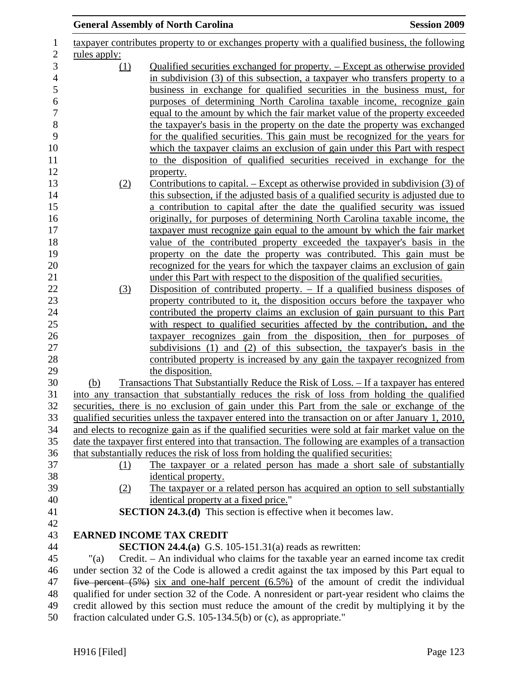|                     | <b>General Assembly of North Carolina</b>                                                                                                                                                                                               | <b>Session 2009</b> |
|---------------------|-----------------------------------------------------------------------------------------------------------------------------------------------------------------------------------------------------------------------------------------|---------------------|
|                     | taxpayer contributes property to or exchanges property with a qualified business, the following                                                                                                                                         |                     |
| <u>rules</u> apply: |                                                                                                                                                                                                                                         |                     |
| <u>(1)</u>          | Qualified securities exchanged for property. – Except as otherwise provided<br>in subdivision (3) of this subsection, a taxpayer who transfers property to a<br>business in exchange for qualified securities in the business must, for |                     |
|                     | purposes of determining North Carolina taxable income, recognize gain<br>equal to the amount by which the fair market value of the property exceeded                                                                                    |                     |
|                     | the taxpayer's basis in the property on the date the property was exchanged                                                                                                                                                             |                     |
|                     | for the qualified securities. This gain must be recognized for the years for<br>which the taxpayer claims an exclusion of gain under this Part with respect                                                                             |                     |
|                     | to the disposition of qualified securities received in exchange for the                                                                                                                                                                 |                     |
| (2)                 | property.<br>Contributions to capital. – Except as otherwise provided in subdivision (3) of                                                                                                                                             |                     |
|                     | this subsection, if the adjusted basis of a qualified security is adjusted due to                                                                                                                                                       |                     |
|                     | a contribution to capital after the date the qualified security was issued                                                                                                                                                              |                     |
|                     | originally, for purposes of determining North Carolina taxable income, the                                                                                                                                                              |                     |
|                     | taxpayer must recognize gain equal to the amount by which the fair market<br>value of the contributed property exceeded the taxpayer's basis in the                                                                                     |                     |
|                     | property on the date the property was contributed. This gain must be                                                                                                                                                                    |                     |
|                     | recognized for the years for which the taxpayer claims an exclusion of gain                                                                                                                                                             |                     |
| (3)                 | under this Part with respect to the disposition of the qualified securities.<br>Disposition of contributed property. $-$ If a qualified business disposes of                                                                            |                     |
|                     | property contributed to it, the disposition occurs before the taxpayer who                                                                                                                                                              |                     |
|                     | contributed the property claims an exclusion of gain pursuant to this Part                                                                                                                                                              |                     |
|                     | with respect to qualified securities affected by the contribution, and the                                                                                                                                                              |                     |
|                     | taxpayer recognizes gain from the disposition, then for purposes of<br>subdivisions (1) and (2) of this subsection, the taxpayer's basis in the                                                                                         |                     |
|                     | contributed property is increased by any gain the taxpayer recognized from                                                                                                                                                              |                     |
|                     | the disposition.                                                                                                                                                                                                                        |                     |
| (b)                 | Transactions That Substantially Reduce the Risk of Loss. – If a taxpayer has entered                                                                                                                                                    |                     |
|                     | into any transaction that substantially reduces the risk of loss from holding the qualified<br>securities, there is no exclusion of gain under this Part from the sale or exchange of the                                               |                     |
|                     | qualified securities unless the taxpayer entered into the transaction on or after January 1, 2010,                                                                                                                                      |                     |
|                     | and elects to recognize gain as if the qualified securities were sold at fair market value on the                                                                                                                                       |                     |
|                     | date the taxpayer first entered into that transaction. The following are examples of a transaction                                                                                                                                      |                     |
| (1)                 | that substantially reduces the risk of loss from holding the qualified securities:<br>The taxpayer or a related person has made a short sale of substantially                                                                           |                     |
|                     | identical property.                                                                                                                                                                                                                     |                     |
| (2)                 | The taxpayer or a related person has acquired an option to sell substantially                                                                                                                                                           |                     |
|                     | identical property at a fixed price."                                                                                                                                                                                                   |                     |
|                     | <b>SECTION 24.3.(d)</b> This section is effective when it becomes law.                                                                                                                                                                  |                     |
|                     | <b>EARNED INCOME TAX CREDIT</b>                                                                                                                                                                                                         |                     |
|                     | <b>SECTION 24.4.(a)</b> G.S. 105-151.31(a) reads as rewritten:                                                                                                                                                                          |                     |
| "(a)                | Credit. – An individual who claims for the taxable year an earned income tax credit                                                                                                                                                     |                     |
|                     | under section 32 of the Code is allowed a credit against the tax imposed by this Part equal to<br>five percent $(5\%)$ six and one-half percent $(6.5\%)$ of the amount of credit the individual                                        |                     |
|                     | qualified for under section 32 of the Code. A nonresident or part-year resident who claims the                                                                                                                                          |                     |
|                     | credit allowed by this section must reduce the amount of the credit by multiplying it by the<br>fraction calculated under G.S. 105-134.5(b) or (c), as appropriate."                                                                    |                     |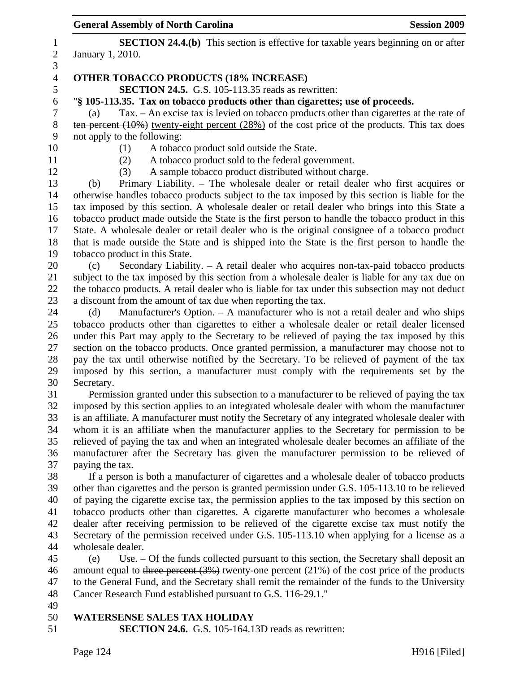|                  | <b>General Assembly of North Carolina</b>                                                                                                                                                         | <b>Session 2009</b> |
|------------------|---------------------------------------------------------------------------------------------------------------------------------------------------------------------------------------------------|---------------------|
| $\mathbf{1}$     | <b>SECTION 24.4.(b)</b> This section is effective for taxable years beginning on or after                                                                                                         |                     |
| $\overline{c}$   | January 1, 2010.                                                                                                                                                                                  |                     |
| 3                |                                                                                                                                                                                                   |                     |
| $\overline{4}$   | <b>OTHER TOBACCO PRODUCTS (18% INCREASE)</b>                                                                                                                                                      |                     |
| 5                | SECTION 24.5. G.S. 105-113.35 reads as rewritten:                                                                                                                                                 |                     |
| $\boldsymbol{6}$ | "§ 105-113.35. Tax on tobacco products other than cigarettes; use of proceeds.                                                                                                                    |                     |
| $\boldsymbol{7}$ | Tax. - An excise tax is levied on tobacco products other than cigarettes at the rate of<br>(a)                                                                                                    |                     |
| $8\,$            | ten percent $(10\%)$ twenty-eight percent $(28\%)$ of the cost price of the products. This tax does                                                                                               |                     |
| 9                | not apply to the following:                                                                                                                                                                       |                     |
| 10               | (1)<br>A tobacco product sold outside the State.                                                                                                                                                  |                     |
| 11               | A tobacco product sold to the federal government.<br>(2)                                                                                                                                          |                     |
| 12               | A sample tobacco product distributed without charge.<br>(3)                                                                                                                                       |                     |
| 13               | Primary Liability. – The wholesale dealer or retail dealer who first acquires or<br>(b)                                                                                                           |                     |
| 14               | otherwise handles tobacco products subject to the tax imposed by this section is liable for the                                                                                                   |                     |
| 15               | tax imposed by this section. A wholesale dealer or retail dealer who brings into this State a                                                                                                     |                     |
| 16<br>17         | tobacco product made outside the State is the first person to handle the tobacco product in this<br>State. A wholesale dealer or retail dealer who is the original consignee of a tobacco product |                     |
| 18               | that is made outside the State and is shipped into the State is the first person to handle the                                                                                                    |                     |
| 19               | tobacco product in this State.                                                                                                                                                                    |                     |
| 20               | Secondary Liability. - A retail dealer who acquires non-tax-paid tobacco products<br>(c)                                                                                                          |                     |
| 21               | subject to the tax imposed by this section from a wholesale dealer is liable for any tax due on                                                                                                   |                     |
| 22               | the tobacco products. A retail dealer who is liable for tax under this subsection may not deduct                                                                                                  |                     |
| 23               | a discount from the amount of tax due when reporting the tax.                                                                                                                                     |                     |
| 24               | Manufacturer's Option. - A manufacturer who is not a retail dealer and who ships<br>(d)                                                                                                           |                     |
| 25               | tobacco products other than cigarettes to either a wholesale dealer or retail dealer licensed                                                                                                     |                     |
| 26               | under this Part may apply to the Secretary to be relieved of paying the tax imposed by this                                                                                                       |                     |
| 27               | section on the tobacco products. Once granted permission, a manufacturer may choose not to                                                                                                        |                     |
| 28               | pay the tax until otherwise notified by the Secretary. To be relieved of payment of the tax                                                                                                       |                     |
| 29               | imposed by this section, a manufacturer must comply with the requirements set by the                                                                                                              |                     |
| 30               | Secretary.                                                                                                                                                                                        |                     |
| 31               | Permission granted under this subsection to a manufacturer to be relieved of paying the tax                                                                                                       |                     |
| 32               | imposed by this section applies to an integrated wholesale dealer with whom the manufacturer                                                                                                      |                     |
| 33               | is an affiliate. A manufacturer must notify the Secretary of any integrated wholesale dealer with                                                                                                 |                     |
| 34               | whom it is an affiliate when the manufacturer applies to the Secretary for permission to be                                                                                                       |                     |
| 35               | relieved of paying the tax and when an integrated wholesale dealer becomes an affiliate of the                                                                                                    |                     |
| 36<br>37         | manufacturer after the Secretary has given the manufacturer permission to be relieved of<br>paying the tax.                                                                                       |                     |
| 38               | If a person is both a manufacturer of cigarettes and a wholesale dealer of tobacco products                                                                                                       |                     |
| 39               | other than cigarettes and the person is granted permission under G.S. 105-113.10 to be relieved                                                                                                   |                     |
| 40               | of paying the cigarette excise tax, the permission applies to the tax imposed by this section on                                                                                                  |                     |
| 41               | tobacco products other than cigarettes. A cigarette manufacturer who becomes a wholesale                                                                                                          |                     |
| 42               | dealer after receiving permission to be relieved of the cigarette excise tax must notify the                                                                                                      |                     |
| 43               | Secretary of the permission received under G.S. 105-113.10 when applying for a license as a                                                                                                       |                     |
| 44               | wholesale dealer.                                                                                                                                                                                 |                     |
| 45               | Use. – Of the funds collected pursuant to this section, the Secretary shall deposit an<br>(e)                                                                                                     |                     |
| 46               | amount equal to three percent $(3%)$ twenty-one percent $(21%)$ of the cost price of the products                                                                                                 |                     |
| 47               | to the General Fund, and the Secretary shall remit the remainder of the funds to the University                                                                                                   |                     |
| 48               | Cancer Research Fund established pursuant to G.S. 116-29.1."                                                                                                                                      |                     |
| 49               |                                                                                                                                                                                                   |                     |
| 50               | <b>WATERSENSE SALES TAX HOLIDAY</b>                                                                                                                                                               |                     |
| 51               | <b>SECTION 24.6.</b> G.S. 105-164.13D reads as rewritten:                                                                                                                                         |                     |
|                  |                                                                                                                                                                                                   |                     |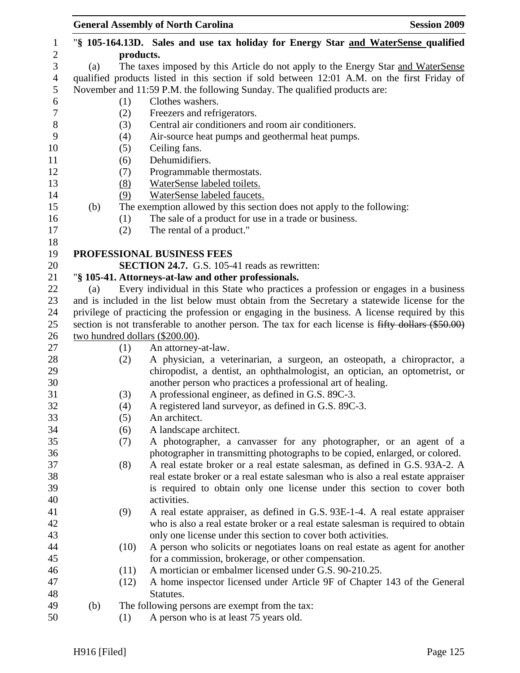|     |                   | <b>General Assembly of North Carolina</b><br><b>Session 2009</b>                                                                                                                           |
|-----|-------------------|--------------------------------------------------------------------------------------------------------------------------------------------------------------------------------------------|
|     |                   | "\\$ 105-164.13D. Sales and use tax holiday for Energy Star and WaterSense qualified                                                                                                       |
|     |                   |                                                                                                                                                                                            |
|     |                   | The taxes imposed by this Article do not apply to the Energy Star and WaterSense                                                                                                           |
|     |                   | qualified products listed in this section if sold between 12:01 A.M. on the first Friday of                                                                                                |
|     |                   | November and 11:59 P.M. the following Sunday. The qualified products are:                                                                                                                  |
|     |                   | Clothes washers.                                                                                                                                                                           |
|     |                   | Freezers and refrigerators.                                                                                                                                                                |
|     |                   | Central air conditioners and room air conditioners.                                                                                                                                        |
|     |                   | Air-source heat pumps and geothermal heat pumps.                                                                                                                                           |
|     |                   | Ceiling fans.<br>Dehumidifiers.                                                                                                                                                            |
|     |                   | Programmable thermostats.                                                                                                                                                                  |
|     |                   | WaterSense labeled toilets.                                                                                                                                                                |
|     |                   | WaterSense labeled faucets.                                                                                                                                                                |
|     |                   | The exemption allowed by this section does not apply to the following:                                                                                                                     |
|     |                   | The sale of a product for use in a trade or business.                                                                                                                                      |
|     |                   | The rental of a product."                                                                                                                                                                  |
|     |                   |                                                                                                                                                                                            |
|     |                   | PROFESSIONAL BUSINESS FEES                                                                                                                                                                 |
|     |                   | <b>SECTION 24.7.</b> G.S. 105-41 reads as rewritten:                                                                                                                                       |
|     |                   | "§ 105-41. Attorneys-at-law and other professionals.                                                                                                                                       |
|     |                   | Every individual in this State who practices a profession or engages in a business                                                                                                         |
|     |                   | and is included in the list below must obtain from the Secretary a statewide license for the                                                                                               |
|     |                   | privilege of practicing the profession or engaging in the business. A license required by this                                                                                             |
|     |                   | section is not transferable to another person. The tax for each license is fifty dollars (\$50.00)                                                                                         |
|     |                   |                                                                                                                                                                                            |
|     | (1)               | An attorney-at-law.                                                                                                                                                                        |
|     | (2)               | A physician, a veterinarian, a surgeon, an osteopath, a chiropractor, a                                                                                                                    |
|     |                   | chiropodist, a dentist, an ophthalmologist, an optician, an optometrist, or                                                                                                                |
|     |                   | another person who practices a professional art of healing.                                                                                                                                |
|     |                   | A professional engineer, as defined in G.S. 89C-3.                                                                                                                                         |
|     |                   | A registered land surveyor, as defined in G.S. 89C-3.                                                                                                                                      |
|     |                   | An architect.                                                                                                                                                                              |
|     |                   | A landscape architect.                                                                                                                                                                     |
|     |                   | A photographer, a canvasser for any photographer, or an agent of a                                                                                                                         |
|     |                   | photographer in transmitting photographs to be copied, enlarged, or colored.                                                                                                               |
|     |                   | A real estate broker or a real estate salesman, as defined in G.S. 93A-2. A                                                                                                                |
|     |                   | real estate broker or a real estate salesman who is also a real estate appraiser                                                                                                           |
|     |                   | is required to obtain only one license under this section to cover both                                                                                                                    |
|     |                   | activities.                                                                                                                                                                                |
|     |                   | A real estate appraiser, as defined in G.S. 93E-1-4. A real estate appraiser                                                                                                               |
|     |                   | who is also a real estate broker or a real estate salesman is required to obtain<br>only one license under this section to cover both activities.                                          |
|     |                   | A person who solicits or negotiates loans on real estate as agent for another                                                                                                              |
|     |                   | for a commission, brokerage, or other compensation.                                                                                                                                        |
|     |                   | A mortician or embalmer licensed under G.S. 90-210.25.                                                                                                                                     |
|     | (12)              | A home inspector licensed under Article 9F of Chapter 143 of the General                                                                                                                   |
|     |                   |                                                                                                                                                                                            |
|     |                   |                                                                                                                                                                                            |
| (b) |                   | Statutes.<br>The following persons are exempt from the tax:                                                                                                                                |
|     | (a)<br>(b)<br>(a) | products.<br>(1)<br>(2)<br>(3)<br>(4)<br>(5)<br>(6)<br>(7)<br>(8)<br>(9)<br>(1)<br>(2)<br>two hundred dollars (\$200.00).<br>(3)<br>(4)<br>(5)<br>(6)<br>(7)<br>(8)<br>(9)<br>(10)<br>(11) |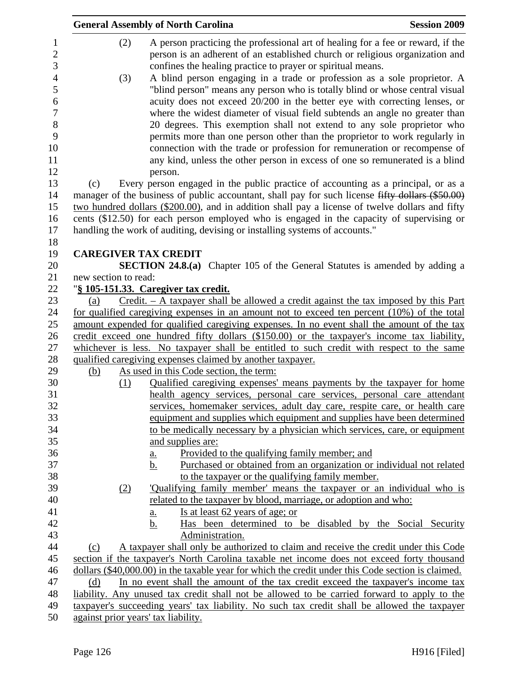|                      | <b>General Assembly of North Carolina</b>                                                                                                                                                                                                                                                                          | <b>Session 2009</b> |
|----------------------|--------------------------------------------------------------------------------------------------------------------------------------------------------------------------------------------------------------------------------------------------------------------------------------------------------------------|---------------------|
| (2)                  | A person practicing the professional art of healing for a fee or reward, if the<br>person is an adherent of an established church or religious organization and<br>confines the healing practice to prayer or spiritual means.                                                                                     |                     |
| (3)                  | A blind person engaging in a trade or profession as a sole proprietor. A<br>"blind person" means any person who is totally blind or whose central visual<br>acuity does not exceed 20/200 in the better eye with correcting lenses, or                                                                             |                     |
|                      | where the widest diameter of visual field subtends an angle no greater than                                                                                                                                                                                                                                        |                     |
|                      | 20 degrees. This exemption shall not extend to any sole proprietor who<br>permits more than one person other than the proprietor to work regularly in<br>connection with the trade or profession for remuneration or recompense of<br>any kind, unless the other person in excess of one so remunerated is a blind |                     |
| (c)                  | person.<br>Every person engaged in the public practice of accounting as a principal, or as a                                                                                                                                                                                                                       |                     |
|                      | manager of the business of public accountant, shall pay for such license fifty dollars (\$50.00)                                                                                                                                                                                                                   |                     |
|                      | two hundred dollars (\$200.00), and in addition shall pay a license of twelve dollars and fifty                                                                                                                                                                                                                    |                     |
|                      | cents (\$12.50) for each person employed who is engaged in the capacity of supervising or                                                                                                                                                                                                                          |                     |
|                      | handling the work of auditing, devising or installing systems of accounts."                                                                                                                                                                                                                                        |                     |
|                      |                                                                                                                                                                                                                                                                                                                    |                     |
|                      | <b>CAREGIVER TAX CREDIT</b>                                                                                                                                                                                                                                                                                        |                     |
| new section to read: | <b>SECTION 24.8.(a)</b> Chapter 105 of the General Statutes is amended by adding a                                                                                                                                                                                                                                 |                     |
|                      | "§ 105-151.33. Caregiver tax credit.                                                                                                                                                                                                                                                                               |                     |
| (a)                  | $Credit. - A taxpayer shall be allowed a credit against the tax imposed by this Part$                                                                                                                                                                                                                              |                     |
|                      | for qualified caregiving expenses in an amount not to exceed ten percent (10%) of the total                                                                                                                                                                                                                        |                     |
|                      | amount expended for qualified caregiving expenses. In no event shall the amount of the tax                                                                                                                                                                                                                         |                     |
|                      | credit exceed one hundred fifty dollars (\$150.00) or the taxpayer's income tax liability,                                                                                                                                                                                                                         |                     |
|                      | whichever is less. No taxpayer shall be entitled to such credit with respect to the same                                                                                                                                                                                                                           |                     |
|                      | qualified caregiving expenses claimed by another taxpayer.                                                                                                                                                                                                                                                         |                     |
| (b)                  | As used in this Code section, the term:                                                                                                                                                                                                                                                                            |                     |
| (1)                  | Qualified caregiving expenses' means payments by the taxpayer for home                                                                                                                                                                                                                                             |                     |
|                      | health agency services, personal care services, personal care attendant                                                                                                                                                                                                                                            |                     |
|                      | services, homemaker services, adult day care, respite care, or health care                                                                                                                                                                                                                                         |                     |
|                      | equipment and supplies which equipment and supplies have been determined                                                                                                                                                                                                                                           |                     |
|                      | to be medically necessary by a physician which services, care, or equipment                                                                                                                                                                                                                                        |                     |
|                      | and supplies are:<br>Provided to the qualifying family member; and                                                                                                                                                                                                                                                 |                     |
|                      | <u>a.</u><br>Purchased or obtained from an organization or individual not related<br>b.                                                                                                                                                                                                                            |                     |
|                      | to the taxpayer or the qualifying family member.                                                                                                                                                                                                                                                                   |                     |
| (2)                  | 'Qualifying family member' means the taxpayer or an individual who is                                                                                                                                                                                                                                              |                     |
|                      | related to the taxpayer by blood, marriage, or adoption and who:                                                                                                                                                                                                                                                   |                     |
|                      | Is at least 62 years of age; or<br><u>a.</u>                                                                                                                                                                                                                                                                       |                     |
|                      | <u>b.</u><br>Has been determined to be disabled by the Social Security                                                                                                                                                                                                                                             |                     |
|                      | Administration.                                                                                                                                                                                                                                                                                                    |                     |
| (c)                  | A taxpayer shall only be authorized to claim and receive the credit under this Code                                                                                                                                                                                                                                |                     |
|                      | section if the taxpayer's North Carolina taxable net income does not exceed forty thousand                                                                                                                                                                                                                         |                     |
|                      | dollars (\$40,000.00) in the taxable year for which the credit under this Code section is claimed.                                                                                                                                                                                                                 |                     |
| (d)                  | In no event shall the amount of the tax credit exceed the taxpayer's income tax                                                                                                                                                                                                                                    |                     |
|                      | liability. Any unused tax credit shall not be allowed to be carried forward to apply to the                                                                                                                                                                                                                        |                     |
|                      | taxpayer's succeeding years' tax liability. No such tax credit shall be allowed the taxpayer                                                                                                                                                                                                                       |                     |
|                      | against prior years' tax liability.                                                                                                                                                                                                                                                                                |                     |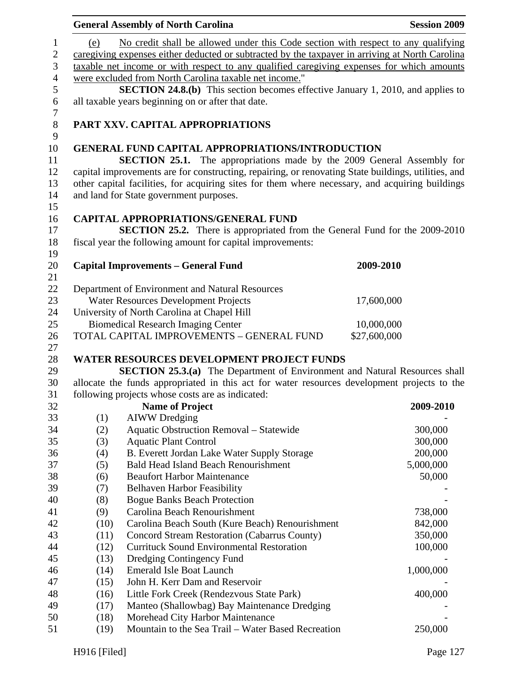| No credit shall be allowed under this Code section with respect to any qualifying<br>1<br>(e)<br>$\mathbf{2}$<br>caregiving expenses either deducted or subtracted by the taxpayer in arriving at North Carolina<br>$\mathfrak{Z}$<br>taxable net income or with respect to any qualified caregiving expenses for which amounts<br>$\overline{4}$<br>were excluded from North Carolina taxable net income."<br>$\mathfrak s$<br><b>SECTION 24.8.(b)</b> This section becomes effective January 1, 2010, and applies to<br>$\boldsymbol{6}$<br>all taxable years beginning on or after that date.<br>$\tau$<br>$8\,$<br>PART XXV. CAPITAL APPROPRIATIONS<br>9<br>10<br><b>GENERAL FUND CAPITAL APPROPRIATIONS/INTRODUCTION</b><br><b>SECTION 25.1.</b> The appropriations made by the 2009 General Assembly for<br>11<br>12<br>capital improvements are for constructing, repairing, or renovating State buildings, utilities, and<br>other capital facilities, for acquiring sites for them where necessary, and acquiring buildings<br>13<br>14<br>and land for State government purposes.<br>15<br>16<br><b>CAPITAL APPROPRIATIONS/GENERAL FUND</b><br><b>SECTION 25.2.</b> There is appropriated from the General Fund for the 2009-2010<br>17<br>18<br>fiscal year the following amount for capital improvements:<br>19<br>20<br><b>Capital Improvements - General Fund</b><br>2009-2010 | <b>Session 2009</b> |
|----------------------------------------------------------------------------------------------------------------------------------------------------------------------------------------------------------------------------------------------------------------------------------------------------------------------------------------------------------------------------------------------------------------------------------------------------------------------------------------------------------------------------------------------------------------------------------------------------------------------------------------------------------------------------------------------------------------------------------------------------------------------------------------------------------------------------------------------------------------------------------------------------------------------------------------------------------------------------------------------------------------------------------------------------------------------------------------------------------------------------------------------------------------------------------------------------------------------------------------------------------------------------------------------------------------------------------------------------------------------------------------------|---------------------|
|                                                                                                                                                                                                                                                                                                                                                                                                                                                                                                                                                                                                                                                                                                                                                                                                                                                                                                                                                                                                                                                                                                                                                                                                                                                                                                                                                                                              |                     |
|                                                                                                                                                                                                                                                                                                                                                                                                                                                                                                                                                                                                                                                                                                                                                                                                                                                                                                                                                                                                                                                                                                                                                                                                                                                                                                                                                                                              |                     |
|                                                                                                                                                                                                                                                                                                                                                                                                                                                                                                                                                                                                                                                                                                                                                                                                                                                                                                                                                                                                                                                                                                                                                                                                                                                                                                                                                                                              |                     |
|                                                                                                                                                                                                                                                                                                                                                                                                                                                                                                                                                                                                                                                                                                                                                                                                                                                                                                                                                                                                                                                                                                                                                                                                                                                                                                                                                                                              |                     |
|                                                                                                                                                                                                                                                                                                                                                                                                                                                                                                                                                                                                                                                                                                                                                                                                                                                                                                                                                                                                                                                                                                                                                                                                                                                                                                                                                                                              |                     |
|                                                                                                                                                                                                                                                                                                                                                                                                                                                                                                                                                                                                                                                                                                                                                                                                                                                                                                                                                                                                                                                                                                                                                                                                                                                                                                                                                                                              |                     |
|                                                                                                                                                                                                                                                                                                                                                                                                                                                                                                                                                                                                                                                                                                                                                                                                                                                                                                                                                                                                                                                                                                                                                                                                                                                                                                                                                                                              |                     |
|                                                                                                                                                                                                                                                                                                                                                                                                                                                                                                                                                                                                                                                                                                                                                                                                                                                                                                                                                                                                                                                                                                                                                                                                                                                                                                                                                                                              |                     |
|                                                                                                                                                                                                                                                                                                                                                                                                                                                                                                                                                                                                                                                                                                                                                                                                                                                                                                                                                                                                                                                                                                                                                                                                                                                                                                                                                                                              |                     |
| 21                                                                                                                                                                                                                                                                                                                                                                                                                                                                                                                                                                                                                                                                                                                                                                                                                                                                                                                                                                                                                                                                                                                                                                                                                                                                                                                                                                                           |                     |
| 22<br>Department of Environment and Natural Resources                                                                                                                                                                                                                                                                                                                                                                                                                                                                                                                                                                                                                                                                                                                                                                                                                                                                                                                                                                                                                                                                                                                                                                                                                                                                                                                                        |                     |
| 23<br>Water Resources Development Projects<br>17,600,000                                                                                                                                                                                                                                                                                                                                                                                                                                                                                                                                                                                                                                                                                                                                                                                                                                                                                                                                                                                                                                                                                                                                                                                                                                                                                                                                     |                     |
| University of North Carolina at Chapel Hill<br>24<br>25                                                                                                                                                                                                                                                                                                                                                                                                                                                                                                                                                                                                                                                                                                                                                                                                                                                                                                                                                                                                                                                                                                                                                                                                                                                                                                                                      |                     |
| <b>Biomedical Research Imaging Center</b><br>10,000,000                                                                                                                                                                                                                                                                                                                                                                                                                                                                                                                                                                                                                                                                                                                                                                                                                                                                                                                                                                                                                                                                                                                                                                                                                                                                                                                                      |                     |
| TOTAL CAPITAL IMPROVEMENTS - GENERAL FUND<br>\$27,600,000<br>26<br>27                                                                                                                                                                                                                                                                                                                                                                                                                                                                                                                                                                                                                                                                                                                                                                                                                                                                                                                                                                                                                                                                                                                                                                                                                                                                                                                        |                     |
| <b>WATER RESOURCES DEVELOPMENT PROJECT FUNDS</b><br>28                                                                                                                                                                                                                                                                                                                                                                                                                                                                                                                                                                                                                                                                                                                                                                                                                                                                                                                                                                                                                                                                                                                                                                                                                                                                                                                                       |                     |
| SECTION 25.3.(a) The Department of Environment and Natural Resources shall<br>29                                                                                                                                                                                                                                                                                                                                                                                                                                                                                                                                                                                                                                                                                                                                                                                                                                                                                                                                                                                                                                                                                                                                                                                                                                                                                                             |                     |
| allocate the funds appropriated in this act for water resources development projects to the<br>30                                                                                                                                                                                                                                                                                                                                                                                                                                                                                                                                                                                                                                                                                                                                                                                                                                                                                                                                                                                                                                                                                                                                                                                                                                                                                            |                     |
| following projects whose costs are as indicated:<br>31                                                                                                                                                                                                                                                                                                                                                                                                                                                                                                                                                                                                                                                                                                                                                                                                                                                                                                                                                                                                                                                                                                                                                                                                                                                                                                                                       |                     |
| <b>Name of Project</b><br>32                                                                                                                                                                                                                                                                                                                                                                                                                                                                                                                                                                                                                                                                                                                                                                                                                                                                                                                                                                                                                                                                                                                                                                                                                                                                                                                                                                 | 2009-2010           |
| 33<br>(1)<br><b>AIWW</b> Dredging                                                                                                                                                                                                                                                                                                                                                                                                                                                                                                                                                                                                                                                                                                                                                                                                                                                                                                                                                                                                                                                                                                                                                                                                                                                                                                                                                            |                     |
| 34<br><b>Aquatic Obstruction Removal - Statewide</b><br>(2)                                                                                                                                                                                                                                                                                                                                                                                                                                                                                                                                                                                                                                                                                                                                                                                                                                                                                                                                                                                                                                                                                                                                                                                                                                                                                                                                  | 300,000             |
| 35<br><b>Aquatic Plant Control</b><br>(3)                                                                                                                                                                                                                                                                                                                                                                                                                                                                                                                                                                                                                                                                                                                                                                                                                                                                                                                                                                                                                                                                                                                                                                                                                                                                                                                                                    | 300,000             |
| 36<br>(4)<br>B. Everett Jordan Lake Water Supply Storage                                                                                                                                                                                                                                                                                                                                                                                                                                                                                                                                                                                                                                                                                                                                                                                                                                                                                                                                                                                                                                                                                                                                                                                                                                                                                                                                     | 200,000             |
| 37<br>(5)<br><b>Bald Head Island Beach Renourishment</b>                                                                                                                                                                                                                                                                                                                                                                                                                                                                                                                                                                                                                                                                                                                                                                                                                                                                                                                                                                                                                                                                                                                                                                                                                                                                                                                                     | 5,000,000           |
| 38<br><b>Beaufort Harbor Maintenance</b><br>(6)                                                                                                                                                                                                                                                                                                                                                                                                                                                                                                                                                                                                                                                                                                                                                                                                                                                                                                                                                                                                                                                                                                                                                                                                                                                                                                                                              | 50,000              |
| 39<br>(7)<br><b>Belhaven Harbor Feasibility</b><br>40<br><b>Bogue Banks Beach Protection</b>                                                                                                                                                                                                                                                                                                                                                                                                                                                                                                                                                                                                                                                                                                                                                                                                                                                                                                                                                                                                                                                                                                                                                                                                                                                                                                 |                     |
| (8)<br>41<br>Carolina Beach Renourishment<br>(9)                                                                                                                                                                                                                                                                                                                                                                                                                                                                                                                                                                                                                                                                                                                                                                                                                                                                                                                                                                                                                                                                                                                                                                                                                                                                                                                                             | 738,000             |
| 42<br>Carolina Beach South (Kure Beach) Renourishment<br>(10)                                                                                                                                                                                                                                                                                                                                                                                                                                                                                                                                                                                                                                                                                                                                                                                                                                                                                                                                                                                                                                                                                                                                                                                                                                                                                                                                | 842,000             |
| 43<br>(11)<br>Concord Stream Restoration (Cabarrus County)                                                                                                                                                                                                                                                                                                                                                                                                                                                                                                                                                                                                                                                                                                                                                                                                                                                                                                                                                                                                                                                                                                                                                                                                                                                                                                                                   | 350,000             |
| <b>Currituck Sound Environmental Restoration</b><br>44<br>(12)                                                                                                                                                                                                                                                                                                                                                                                                                                                                                                                                                                                                                                                                                                                                                                                                                                                                                                                                                                                                                                                                                                                                                                                                                                                                                                                               | 100,000             |
| 45<br>(13)<br>Dredging Contingency Fund                                                                                                                                                                                                                                                                                                                                                                                                                                                                                                                                                                                                                                                                                                                                                                                                                                                                                                                                                                                                                                                                                                                                                                                                                                                                                                                                                      |                     |
| <b>Emerald Isle Boat Launch</b><br>46<br>(14)                                                                                                                                                                                                                                                                                                                                                                                                                                                                                                                                                                                                                                                                                                                                                                                                                                                                                                                                                                                                                                                                                                                                                                                                                                                                                                                                                | 1,000,000           |
| 47<br>John H. Kerr Dam and Reservoir<br>(15)                                                                                                                                                                                                                                                                                                                                                                                                                                                                                                                                                                                                                                                                                                                                                                                                                                                                                                                                                                                                                                                                                                                                                                                                                                                                                                                                                 |                     |
| 48<br>Little Fork Creek (Rendezvous State Park)<br>(16)                                                                                                                                                                                                                                                                                                                                                                                                                                                                                                                                                                                                                                                                                                                                                                                                                                                                                                                                                                                                                                                                                                                                                                                                                                                                                                                                      | 400,000             |
| 49<br>(17)<br>Manteo (Shallowbag) Bay Maintenance Dredging                                                                                                                                                                                                                                                                                                                                                                                                                                                                                                                                                                                                                                                                                                                                                                                                                                                                                                                                                                                                                                                                                                                                                                                                                                                                                                                                   |                     |
| 50<br>Morehead City Harbor Maintenance<br>(18)                                                                                                                                                                                                                                                                                                                                                                                                                                                                                                                                                                                                                                                                                                                                                                                                                                                                                                                                                                                                                                                                                                                                                                                                                                                                                                                                               |                     |
| Mountain to the Sea Trail - Water Based Recreation<br>51<br>(19)                                                                                                                                                                                                                                                                                                                                                                                                                                                                                                                                                                                                                                                                                                                                                                                                                                                                                                                                                                                                                                                                                                                                                                                                                                                                                                                             | 250,000             |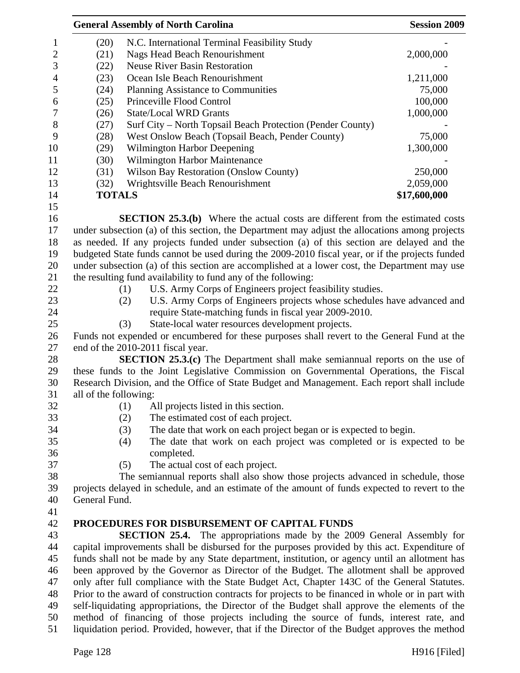|                          | <b>General Assembly of North Carolina</b>                                                         |                                                                                                 | <b>Session 2009</b> |
|--------------------------|---------------------------------------------------------------------------------------------------|-------------------------------------------------------------------------------------------------|---------------------|
| $\mathbf{1}$             | (20)                                                                                              | N.C. International Terminal Feasibility Study                                                   |                     |
| $\overline{c}$           | (21)                                                                                              | <b>Nags Head Beach Renourishment</b>                                                            | 2,000,000           |
| 3                        | (22)                                                                                              | <b>Neuse River Basin Restoration</b>                                                            |                     |
| $\overline{\mathcal{A}}$ | (23)                                                                                              | Ocean Isle Beach Renourishment                                                                  | 1,211,000           |
| 5                        | (24)                                                                                              | Planning Assistance to Communities                                                              | 75,000              |
| 6                        | (25)                                                                                              | Princeville Flood Control                                                                       | 100,000             |
| $\overline{7}$           | (26)                                                                                              | <b>State/Local WRD Grants</b>                                                                   | 1,000,000           |
| $8\,$                    | (27)                                                                                              | Surf City – North Topsail Beach Protection (Pender County)                                      |                     |
| 9                        | (28)                                                                                              | West Onslow Beach (Topsail Beach, Pender County)                                                | 75,000              |
| 10                       | (29)                                                                                              | Wilmington Harbor Deepening                                                                     | 1,300,000           |
| 11                       | (30)                                                                                              | Wilmington Harbor Maintenance                                                                   |                     |
| 12                       | (31)                                                                                              | <b>Wilson Bay Restoration (Onslow County)</b>                                                   | 250,000             |
| 13                       | (32)                                                                                              | Wrightsville Beach Renourishment                                                                | 2,059,000           |
| 14                       | <b>TOTALS</b>                                                                                     |                                                                                                 | \$17,600,000        |
| 15                       |                                                                                                   |                                                                                                 |                     |
| 16                       |                                                                                                   | <b>SECTION 25.3.(b)</b> Where the actual costs are different from the estimated costs           |                     |
| 17                       |                                                                                                   | under subsection (a) of this section, the Department may adjust the allocations among projects  |                     |
| 18                       |                                                                                                   | as needed. If any projects funded under subsection (a) of this section are delayed and the      |                     |
| 19                       |                                                                                                   | budgeted State funds cannot be used during the 2009-2010 fiscal year, or if the projects funded |                     |
| 20                       |                                                                                                   | under subsection (a) of this section are accomplished at a lower cost, the Department may use   |                     |
| 21                       |                                                                                                   | the resulting fund availability to fund any of the following:                                   |                     |
| 22                       |                                                                                                   | U.S. Army Corps of Engineers project feasibility studies.<br>(1)                                |                     |
| 23                       |                                                                                                   | U.S. Army Corps of Engineers projects whose schedules have advanced and<br>(2)                  |                     |
| 24                       |                                                                                                   | require State-matching funds in fiscal year 2009-2010.                                          |                     |
| 25                       |                                                                                                   | (3)<br>State-local water resources development projects.                                        |                     |
| 26                       |                                                                                                   | Funds not expended or encumbered for these purposes shall revert to the General Fund at the     |                     |
| 27                       |                                                                                                   | end of the 2010-2011 fiscal year.                                                               |                     |
| 28                       |                                                                                                   | <b>SECTION 25.3.(c)</b> The Department shall make semiannual reports on the use of              |                     |
| 29                       |                                                                                                   | these funds to the Joint Legislative Commission on Governmental Operations, the Fiscal          |                     |
| 30                       |                                                                                                   | Research Division, and the Office of State Budget and Management. Each report shall include     |                     |
| 31                       | all of the following:                                                                             |                                                                                                 |                     |
| 32                       |                                                                                                   | (1)<br>All projects listed in this section.                                                     |                     |
| 33                       |                                                                                                   | (2)<br>The estimated cost of each project.                                                      |                     |
| 34                       |                                                                                                   | (3)<br>The date that work on each project began or is expected to begin.                        |                     |
| 35                       |                                                                                                   | The date that work on each project was completed or is expected to be<br>(4)                    |                     |
| 36                       |                                                                                                   | completed.                                                                                      |                     |
| 37                       |                                                                                                   | The actual cost of each project.<br>(5)                                                         |                     |
| 38                       |                                                                                                   | The semiannual reports shall also show those projects advanced in schedule, those               |                     |
| 39                       |                                                                                                   | projects delayed in schedule, and an estimate of the amount of funds expected to revert to the  |                     |
| 40                       | General Fund.                                                                                     |                                                                                                 |                     |
| 41                       |                                                                                                   |                                                                                                 |                     |
| 42                       |                                                                                                   | PROCEDURES FOR DISBURSEMENT OF CAPITAL FUNDS                                                    |                     |
| 43                       |                                                                                                   | <b>SECTION 25.4.</b> The appropriations made by the 2009 General Assembly for                   |                     |
| 44                       |                                                                                                   | capital improvements shall be disbursed for the purposes provided by this act. Expenditure of   |                     |
| 45                       |                                                                                                   | funds shall not be made by any State department, institution, or agency until an allotment has  |                     |
| 46                       | been approved by the Governor as Director of the Budget. The allotment shall be approved          |                                                                                                 |                     |
| 47                       |                                                                                                   | only after full compliance with the State Budget Act, Chapter 143C of the General Statutes.     |                     |
| 48                       | Prior to the award of construction contracts for projects to be financed in whole or in part with |                                                                                                 |                     |
| 49                       |                                                                                                   | self-liquidating appropriations, the Director of the Budget shall approve the elements of the   |                     |
| 50                       |                                                                                                   | method of financing of those projects including the source of funds, interest rate, and         |                     |
| 51                       |                                                                                                   | liquidation period. Provided, however, that if the Director of the Budget approves the method   |                     |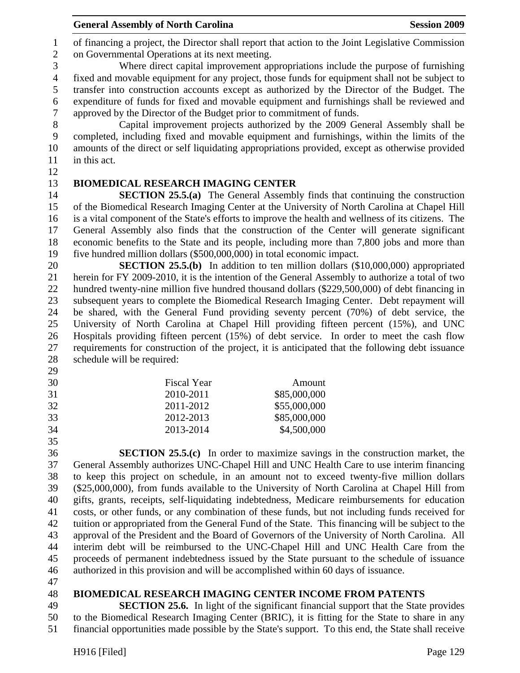**General Assembly of North Carolina**  Session 2009 **Session 2009** 

1 of financing a project, the Director shall report that action to the Joint Legislative Commission 2 on Governmental Operations at its next meeting.

3 Where direct capital improvement appropriations include the purpose of furnishing 4 fixed and movable equipment for any project, those funds for equipment shall not be subject to 5 transfer into construction accounts except as authorized by the Director of the Budget. The 6 expenditure of funds for fixed and movable equipment and furnishings shall be reviewed and 7 approved by the Director of the Budget prior to commitment of funds.

8 Capital improvement projects authorized by the 2009 General Assembly shall be 9 completed, including fixed and movable equipment and furnishings, within the limits of the 10 amounts of the direct or self liquidating appropriations provided, except as otherwise provided 11 in this act.

12

# 13 **BIOMEDICAL RESEARCH IMAGING CENTER**

14 **SECTION 25.5.(a)** The General Assembly finds that continuing the construction 15 of the Biomedical Research Imaging Center at the University of North Carolina at Chapel Hill 16 is a vital component of the State's efforts to improve the health and wellness of its citizens. The 17 General Assembly also finds that the construction of the Center will generate significant 18 economic benefits to the State and its people, including more than 7,800 jobs and more than 19 five hundred million dollars (\$500,000,000) in total economic impact.

20 **SECTION 25.5.(b)** In addition to ten million dollars (\$10,000,000) appropriated 21 herein for FY 2009-2010, it is the intention of the General Assembly to authorize a total of two 22 hundred twenty-nine million five hundred thousand dollars (\$229,500,000) of debt financing in 23 subsequent years to complete the Biomedical Research Imaging Center. Debt repayment will 24 be shared, with the General Fund providing seventy percent (70%) of debt service, the 25 University of North Carolina at Chapel Hill providing fifteen percent (15%), and UNC 26 Hospitals providing fifteen percent (15%) of debt service. In order to meet the cash flow 27 requirements for construction of the project, it is anticipated that the following debt issuance 28 schedule will be required:

- 29
- 30 Fiscal Year Amount 31 2010-2011 \$85,000,000 32 2011-2012 \$55,000,000

33 2012-2013 \$85,000,000

34 2013-2014 \$4,500,000

35

36 **SECTION 25.5.(c)** In order to maximize savings in the construction market, the 37 General Assembly authorizes UNC-Chapel Hill and UNC Health Care to use interim financing 38 to keep this project on schedule, in an amount not to exceed twenty-five million dollars 39 (\$25,000,000), from funds available to the University of North Carolina at Chapel Hill from 40 gifts, grants, receipts, self-liquidating indebtedness, Medicare reimbursements for education 41 costs, or other funds, or any combination of these funds, but not including funds received for 42 tuition or appropriated from the General Fund of the State. This financing will be subject to the 43 approval of the President and the Board of Governors of the University of North Carolina. All 44 interim debt will be reimbursed to the UNC-Chapel Hill and UNC Health Care from the 45 proceeds of permanent indebtedness issued by the State pursuant to the schedule of issuance 46 authorized in this provision and will be accomplished within 60 days of issuance.

47

# 48 **BIOMEDICAL RESEARCH IMAGING CENTER INCOME FROM PATENTS**

49 **SECTION 25.6.** In light of the significant financial support that the State provides 50 to the Biomedical Research Imaging Center (BRIC), it is fitting for the State to share in any 51 financial opportunities made possible by the State's support. To this end, the State shall receive